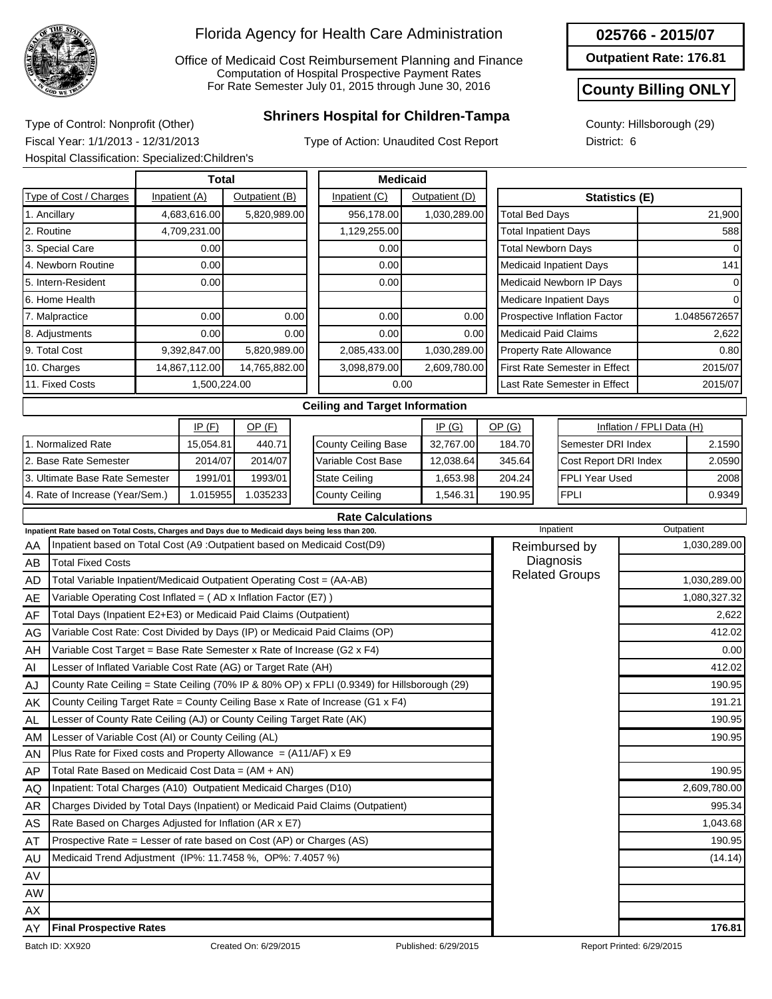

Office of Medicaid Cost Reimbursement Planning and Finance Computation of Hospital Prospective Payment Rates For Rate Semester July 01, 2015 through June 30, 2016

## **Shriners Hospital for Children-Tampa** Type of Control: Nonprofit (Other)

Type of Action: Unaudited Cost Report

County: Hillsborough (29) District: 6

**025766 - 2015/07 Outpatient Rate: 176.81**

**County Billing ONLY**

Fiscal Year: 1/1/2013 - 12/31/2013 Hospital Classification: Specialized:Children's

|                                                       |               | Total         |                | <b>Medicaid</b>                                   |                |      |                                |                               |                           |              |
|-------------------------------------------------------|---------------|---------------|----------------|---------------------------------------------------|----------------|------|--------------------------------|-------------------------------|---------------------------|--------------|
| Type of Cost / Charges                                | Inpatient (A) |               | Outpatient (B) | Inpatient (C)                                     | Outpatient (D) |      |                                | <b>Statistics (E)</b>         |                           |              |
| 1. Ancillary                                          |               | 4,683,616.00  | 5,820,989.00   | 956,178.00                                        | 1,030,289.00   |      | Total Bed Days                 |                               |                           | 21,900       |
| 2. Routine                                            |               | 4,709,231.00  |                | 1,129,255.00                                      |                |      | <b>Total Inpatient Days</b>    |                               |                           | 588          |
| 3. Special Care                                       |               | 0.00          |                | 0.00                                              |                |      | <b>Total Newborn Days</b>      |                               |                           | $\Omega$     |
| 4. Newborn Routine                                    |               | 0.00          |                | 0.00                                              |                |      | <b>Medicaid Inpatient Days</b> |                               |                           | 141          |
| 5. Intern-Resident                                    |               | 0.00          |                | 0.00                                              |                |      |                                | Medicaid Newborn IP Days      |                           | 0            |
| l6. Home Health                                       |               |               |                |                                                   |                |      | <b>Medicare Inpatient Days</b> |                               |                           | <sup>0</sup> |
| 7. Malpractice                                        |               | 0.00          | 0.00           | 0.00                                              |                | 0.00 |                                | Prospective Inflation Factor  |                           | 1.0485672657 |
| 8. Adjustments                                        |               | 0.001         | 0.00           | 0.00                                              |                | 0.00 | <b>Medicaid Paid Claims</b>    |                               |                           | 2,622        |
| 9. Total Cost                                         |               | 9,392,847.00  | 5,820,989.00   | 2,085,433.00                                      | 1,030,289.00   |      | <b>Property Rate Allowance</b> |                               |                           | 0.80         |
| 10. Charges                                           |               | 14,867,112.00 | 14,765,882.00  | 3,098,879.00                                      | 2,609,780.00   |      |                                | First Rate Semester in Effect |                           | 2015/07      |
| 11. Fixed Costs                                       |               | 1,500,224.00  |                | 0.00                                              |                |      |                                | Last Rate Semester in Effect  |                           | 2015/07      |
|                                                       |               |               |                | <b>Ceiling and Target Information</b>             |                |      |                                |                               |                           |              |
|                                                       |               | IP(F)         | $OP$ (F)       |                                                   | IP $(G)$       |      | OP(G)                          |                               | Inflation / FPLI Data (H) |              |
| $\lambda$ . A figure of $P = 0$ of $\mathbf{D} = 0$ . |               | 1000101       | $110 - 71$     | $Q_1, \ldots, Q_n, Q_n, W_1, \ldots, Q_n, \ldots$ | 00.70700       |      | $\overline{101}$               |                               |                           | 0.4500       |

|                                 | IP (F)    | OP (F)   |
|---------------------------------|-----------|----------|
| 1. Normalized Rate              | 15,054.81 | 440.71   |
| 2. Base Rate Semester           | 2014/07   | 2014/07  |
| 13. Ultimate Base Rate Semester | 1991/01   | 1993/01  |
| 4. Rate of Increase (Year/Sem.) | 1.015955  | 1.035233 |

|                      | IP(G)     | <u>OP (G)</u> | Inflation / FPLI Data (H) |        |  |
|----------------------|-----------|---------------|---------------------------|--------|--|
| County Ceiling Base  | 32.767.00 | 184.70        | Semester DRI Index        | 2.1590 |  |
| Variable Cost Base   | 12,038.64 | 345.64        | Cost Report DRI Index     | 2.0590 |  |
| <b>State Ceiling</b> | 1,653.98  | 204.24        | IFPLI Year Used           | 2008   |  |
| County Ceiling       | 1,546.31  | 190.95        | <b>FPLI</b>               | 0.9349 |  |

|           | <b>Rate Calculations</b>                                                                        |                       |              |  |  |  |  |  |  |  |  |
|-----------|-------------------------------------------------------------------------------------------------|-----------------------|--------------|--|--|--|--|--|--|--|--|
|           | Inpatient Rate based on Total Costs, Charges and Days due to Medicaid days being less than 200. | Inpatient             | Outpatient   |  |  |  |  |  |  |  |  |
| AA        | Inpatient based on Total Cost (A9: Outpatient based on Medicaid Cost(D9)                        | Reimbursed by         | 1,030,289.00 |  |  |  |  |  |  |  |  |
| AB        | <b>Total Fixed Costs</b>                                                                        | Diagnosis             |              |  |  |  |  |  |  |  |  |
| <b>AD</b> | Total Variable Inpatient/Medicaid Outpatient Operating Cost = (AA-AB)                           | <b>Related Groups</b> | 1,030,289.00 |  |  |  |  |  |  |  |  |
| AE        | Variable Operating Cost Inflated = (AD x Inflation Factor (E7))                                 |                       | 1,080,327.32 |  |  |  |  |  |  |  |  |
| AF        | Total Days (Inpatient E2+E3) or Medicaid Paid Claims (Outpatient)                               |                       | 2,622        |  |  |  |  |  |  |  |  |
| AG.       | Variable Cost Rate: Cost Divided by Days (IP) or Medicaid Paid Claims (OP)                      |                       | 412.02       |  |  |  |  |  |  |  |  |
| AH        | Variable Cost Target = Base Rate Semester x Rate of Increase (G2 x F4)                          |                       | 0.00         |  |  |  |  |  |  |  |  |
| AI        | Lesser of Inflated Variable Cost Rate (AG) or Target Rate (AH)                                  |                       | 412.02       |  |  |  |  |  |  |  |  |
| AJ        | County Rate Ceiling = State Ceiling (70% IP & 80% OP) x FPLI (0.9349) for Hillsborough (29)     |                       | 190.95       |  |  |  |  |  |  |  |  |
| AK        | County Ceiling Target Rate = County Ceiling Base x Rate of Increase (G1 x F4)                   |                       | 191.21       |  |  |  |  |  |  |  |  |
| <b>AL</b> | Lesser of County Rate Ceiling (AJ) or County Ceiling Target Rate (AK)                           |                       | 190.95       |  |  |  |  |  |  |  |  |
| AM        | Lesser of Variable Cost (AI) or County Ceiling (AL)                                             |                       | 190.95       |  |  |  |  |  |  |  |  |
| AN        | Plus Rate for Fixed costs and Property Allowance = $(A11/AF)$ x E9                              |                       |              |  |  |  |  |  |  |  |  |
| AP        | Total Rate Based on Medicaid Cost Data = $(AM + AN)$                                            |                       | 190.95       |  |  |  |  |  |  |  |  |
| AQ        | Inpatient: Total Charges (A10) Outpatient Medicaid Charges (D10)                                |                       | 2,609,780.00 |  |  |  |  |  |  |  |  |
| AR        | Charges Divided by Total Days (Inpatient) or Medicaid Paid Claims (Outpatient)                  |                       | 995.34       |  |  |  |  |  |  |  |  |
| <b>AS</b> | Rate Based on Charges Adjusted for Inflation (AR x E7)                                          |                       | 1,043.68     |  |  |  |  |  |  |  |  |
| AT        | Prospective Rate = Lesser of rate based on Cost (AP) or Charges (AS)                            |                       | 190.95       |  |  |  |  |  |  |  |  |
| AU        | Medicaid Trend Adjustment (IP%: 11.7458 %, OP%: 7.4057 %)                                       |                       | (14.14)      |  |  |  |  |  |  |  |  |
| AV        |                                                                                                 |                       |              |  |  |  |  |  |  |  |  |
| AW        |                                                                                                 |                       |              |  |  |  |  |  |  |  |  |
| AX        |                                                                                                 |                       |              |  |  |  |  |  |  |  |  |
| AY        | <b>Final Prospective Rates</b>                                                                  |                       | 176.81       |  |  |  |  |  |  |  |  |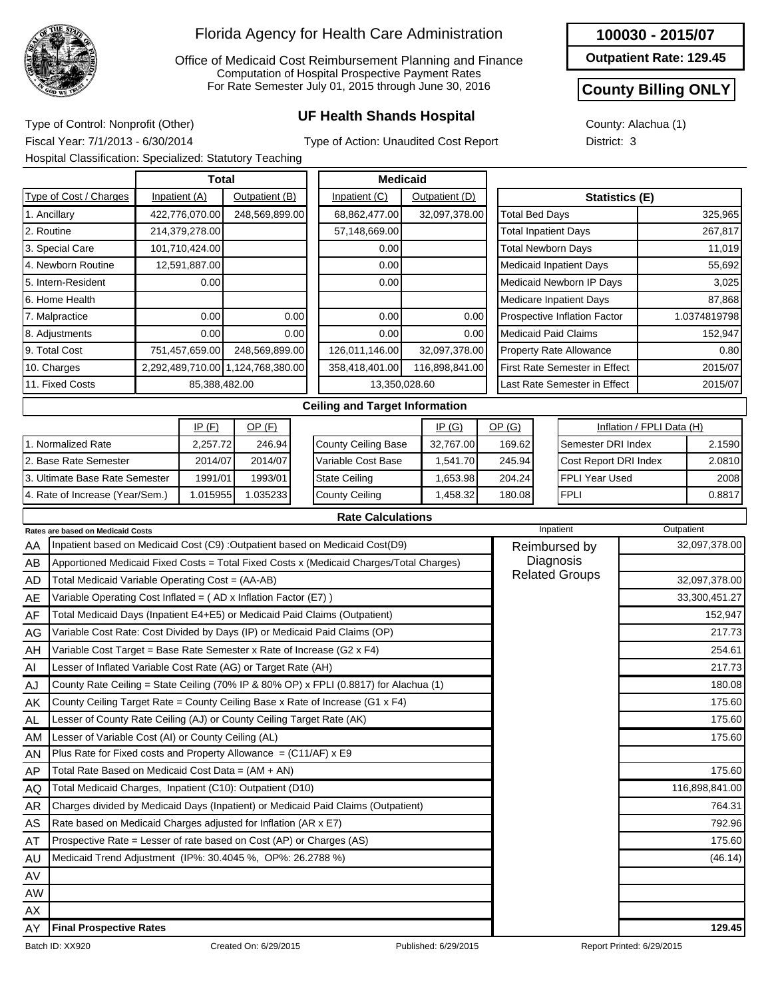

Office of Medicaid Cost Reimbursement Planning and Finance Computation of Hospital Prospective Payment Rates For Rate Semester July 01, 2015 through June 30, 2016

# **UF Health Shands Hospital** Type of Control: Nonprofit (Other)

**100030 - 2015/07**

**Outpatient Rate: 129.45**

#### **County Billing ONLY**

County: Alachua (1) District: 3

Fiscal Year: 7/1/2013 - 6/30/2014

Type of Action: Unaudited Cost Report

|                                                                                     | Hospital Classification: Specialized: Statutory Teaching                              |          |                |                                   |                       |  |                                                                                         |          |                |  |                             |             |                                      |                           |            |                |
|-------------------------------------------------------------------------------------|---------------------------------------------------------------------------------------|----------|----------------|-----------------------------------|-----------------------|--|-----------------------------------------------------------------------------------------|----------|----------------|--|-----------------------------|-------------|--------------------------------------|---------------------------|------------|----------------|
|                                                                                     |                                                                                       |          | Total          |                                   |                       |  | <b>Medicaid</b>                                                                         |          |                |  |                             |             |                                      |                           |            |                |
|                                                                                     | Type of Cost / Charges                                                                |          | Inpatient (A)  | Outpatient (B)                    |                       |  | Inpatient (C)                                                                           |          | Outpatient (D) |  |                             |             | Statistics (E)                       |                           |            |                |
|                                                                                     | 1. Ancillary                                                                          |          | 422,776,070.00 | 248,569,899.00                    |                       |  | 68,862,477.00                                                                           |          | 32,097,378.00  |  | <b>Total Bed Days</b>       |             |                                      |                           |            | 325,965        |
| 2. Routine                                                                          |                                                                                       |          | 214,379,278.00 |                                   |                       |  | 57,148,669.00                                                                           |          |                |  | <b>Total Inpatient Days</b> |             |                                      |                           |            | 267,817        |
|                                                                                     | 3. Special Care                                                                       |          | 101,710,424.00 |                                   |                       |  | 0.00                                                                                    |          |                |  | <b>Total Newborn Days</b>   |             |                                      |                           |            | 11,019         |
|                                                                                     | 4. Newborn Routine                                                                    |          | 12,591,887.00  |                                   |                       |  | 0.00                                                                                    |          |                |  |                             |             | <b>Medicaid Inpatient Days</b>       |                           |            | 55,692         |
|                                                                                     | 5. Intern-Resident                                                                    |          | 0.00           |                                   |                       |  | 0.00                                                                                    |          |                |  |                             |             | Medicaid Newborn IP Days             |                           |            | 3,025          |
|                                                                                     | 6. Home Health                                                                        |          |                |                                   |                       |  |                                                                                         |          |                |  |                             |             | <b>Medicare Inpatient Days</b>       |                           |            | 87,868         |
|                                                                                     | 7. Malpractice                                                                        |          | 0.00           |                                   | 0.00                  |  | 0.00                                                                                    |          | 0.00           |  |                             |             | Prospective Inflation Factor         |                           |            | 1.0374819798   |
|                                                                                     | 8. Adjustments                                                                        |          | 0.00           |                                   | 0.00                  |  | 0.00                                                                                    |          | 0.00           |  |                             |             | <b>Medicaid Paid Claims</b>          |                           |            | 152,947        |
|                                                                                     | 9. Total Cost                                                                         |          | 751,457,659.00 | 248,569,899.00                    |                       |  | 126,011,146.00                                                                          |          | 32,097,378.00  |  |                             |             | <b>Property Rate Allowance</b>       |                           |            | 0.80           |
|                                                                                     | 10. Charges                                                                           |          |                | 2,292,489,710.00 1,124,768,380.00 |                       |  | 358,418,401.00                                                                          |          | 116,898,841.00 |  |                             |             | <b>First Rate Semester in Effect</b> |                           |            | 2015/07        |
|                                                                                     | 11. Fixed Costs                                                                       |          | 85,388,482.00  |                                   |                       |  | 13,350,028.60                                                                           |          |                |  |                             |             | Last Rate Semester in Effect         | 2015/07                   |            |                |
|                                                                                     |                                                                                       |          |                |                                   |                       |  | <b>Ceiling and Target Information</b>                                                   |          |                |  |                             |             |                                      |                           |            |                |
|                                                                                     |                                                                                       |          | IP(F)          | $OP$ (F)                          |                       |  |                                                                                         |          | IP(G)          |  | OP(G)                       |             |                                      | Inflation / FPLI Data (H) |            |                |
|                                                                                     | 1. Normalized Rate                                                                    |          | 2,257.72       | 246.94                            |                       |  | <b>County Ceiling Base</b>                                                              |          | 32,767.00      |  | 169.62                      |             |                                      | Semester DRI Index        |            | 2.1590         |
|                                                                                     | 2. Base Rate Semester                                                                 |          | 2014/07        | 2014/07                           |                       |  | Variable Cost Base                                                                      |          | 1,541.70       |  | 245.94                      |             | Cost Report DRI Index                |                           |            | 2.0810         |
| 3. Ultimate Base Rate Semester                                                      |                                                                                       |          | 1991/01        | 1993/01                           |                       |  | <b>State Ceiling</b>                                                                    |          | 1,653.98       |  | 204.24                      |             | <b>FPLI Year Used</b>                |                           |            | 2008           |
| 4. Rate of Increase (Year/Sem.)                                                     |                                                                                       | 1.015955 | 1.035233       |                                   | <b>County Ceiling</b> |  |                                                                                         | 1,458.32 | 180.08         |  |                             | <b>FPLI</b> |                                      |                           | 0.8817     |                |
|                                                                                     |                                                                                       |          |                |                                   |                       |  | <b>Rate Calculations</b>                                                                |          |                |  |                             |             |                                      |                           |            |                |
|                                                                                     | Rates are based on Medicaid Costs                                                     |          |                |                                   |                       |  |                                                                                         |          |                |  |                             |             | Inpatient                            |                           | Outpatient |                |
| AA                                                                                  |                                                                                       |          |                |                                   |                       |  | Inpatient based on Medicaid Cost (C9) : Outpatient based on Medicaid Cost(D9)           |          |                |  |                             |             | Reimbursed by                        |                           |            | 32,097,378.00  |
| AB                                                                                  |                                                                                       |          |                |                                   |                       |  | Apportioned Medicaid Fixed Costs = Total Fixed Costs x (Medicaid Charges/Total Charges) |          |                |  |                             |             | Diagnosis<br><b>Related Groups</b>   |                           |            |                |
| AD                                                                                  | Total Medicaid Variable Operating Cost = (AA-AB)                                      |          |                |                                   |                       |  |                                                                                         |          |                |  |                             |             |                                      |                           |            | 32,097,378.00  |
| AE                                                                                  | Variable Operating Cost Inflated = (AD x Inflation Factor (E7))                       |          |                |                                   |                       |  |                                                                                         |          |                |  |                             |             |                                      |                           |            | 33,300,451.27  |
| AF                                                                                  | Total Medicaid Days (Inpatient E4+E5) or Medicaid Paid Claims (Outpatient)            |          |                |                                   |                       |  |                                                                                         |          |                |  |                             |             |                                      |                           | 152,947    |                |
| AG                                                                                  | Variable Cost Rate: Cost Divided by Days (IP) or Medicaid Paid Claims (OP)            |          |                |                                   |                       |  |                                                                                         |          |                |  |                             |             |                                      |                           |            | 217.73         |
| AH                                                                                  | Variable Cost Target = Base Rate Semester x Rate of Increase (G2 x F4)                |          |                |                                   |                       |  |                                                                                         |          |                |  |                             |             |                                      |                           |            | 254.61         |
| Al                                                                                  | Lesser of Inflated Variable Cost Rate (AG) or Target Rate (AH)                        |          |                |                                   |                       |  |                                                                                         |          |                |  |                             |             |                                      |                           |            | 217.73         |
| AJ                                                                                  | County Rate Ceiling = State Ceiling (70% IP & 80% OP) x FPLI (0.8817) for Alachua (1) |          |                |                                   |                       |  |                                                                                         |          |                |  |                             |             |                                      |                           |            | 180.08         |
| County Ceiling Target Rate = County Ceiling Base x Rate of Increase (G1 x F4)<br>ΑK |                                                                                       |          |                |                                   |                       |  |                                                                                         |          |                |  |                             |             |                                      |                           | 175.60     |                |
| Lesser of County Rate Ceiling (AJ) or County Ceiling Target Rate (AK)<br><b>AL</b>  |                                                                                       |          |                |                                   |                       |  |                                                                                         |          |                |  |                             |             |                                      |                           |            | 175.60         |
| AM                                                                                  | Lesser of Variable Cost (AI) or County Ceiling (AL)                                   |          |                |                                   |                       |  |                                                                                         |          |                |  |                             |             |                                      |                           |            | 175.60         |
| ΑN                                                                                  | Plus Rate for Fixed costs and Property Allowance = $(C11/AF)$ x E9                    |          |                |                                   |                       |  |                                                                                         |          |                |  |                             |             |                                      |                           |            |                |
| AP                                                                                  | Total Rate Based on Medicaid Cost Data = $(AM + AN)$                                  |          |                |                                   |                       |  |                                                                                         |          |                |  |                             |             |                                      |                           |            | 175.60         |
| AQ                                                                                  | Total Medicaid Charges, Inpatient (C10): Outpatient (D10)                             |          |                |                                   |                       |  |                                                                                         |          |                |  |                             |             |                                      |                           |            | 116,898,841.00 |
| AR                                                                                  | Charges divided by Medicaid Days (Inpatient) or Medicaid Paid Claims (Outpatient)     |          |                |                                   |                       |  |                                                                                         |          |                |  |                             |             |                                      |                           |            | 764.31         |
| AS                                                                                  | Rate based on Medicaid Charges adjusted for Inflation (AR x E7)                       |          |                |                                   |                       |  |                                                                                         |          |                |  |                             |             |                                      |                           |            | 792.96         |

AT AU AV AW AX AY

Prospective Rate = Lesser of rate based on Cost (AP) or Charges (AS)

Medicaid Trend Adjustment (IP%: 30.4045 %, OP%: 26.2788 %) (46.14) (46.14)

**Final Prospective Rates 129.45**

175.60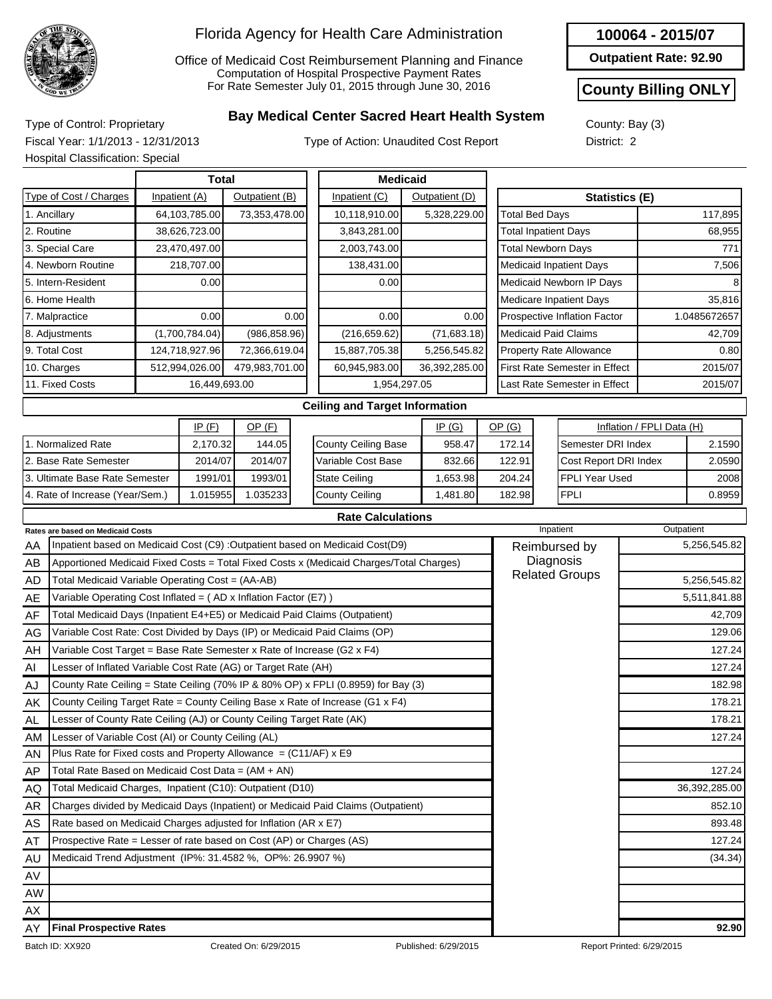

Office of Medicaid Cost Reimbursement Planning and Finance Computation of Hospital Prospective Payment Rates For Rate Semester July 01, 2015 through June 30, 2016

#### **100064 - 2015/07**

**Outpatient Rate: 92.90**

#### **County Billing ONLY**

## County: Bay (3)

**Bay Medical Center Sacred Heart Health System** Type of Control: Proprietary Fiscal Year: 1/1/2013 - 12/31/2013 Hospital Classification: Special

Type of Action: Unaudited Cost Report

| <b>County.</b> Day (3) |  |
|------------------------|--|
| District: 2            |  |
|                        |  |

|                        | Total           |                |                                | <b>Medicaid</b> |                                                 |              |  |  |
|------------------------|-----------------|----------------|--------------------------------|-----------------|-------------------------------------------------|--------------|--|--|
| Type of Cost / Charges | Inpatient (A)   | Outpatient (B) | Inpatient (C)                  | Outpatient (D)  | <b>Statistics (E)</b>                           |              |  |  |
| 1. Ancillary           | 64, 103, 785.00 | 73,353,478.00  | 10,118,910.00                  | 5,328,229.00    | <b>Total Bed Days</b><br>117,895                |              |  |  |
| 2. Routine             | 38,626,723.00   |                | 3,843,281.00                   |                 | <b>Total Inpatient Days</b><br>68,955           |              |  |  |
| 3. Special Care        | 23,470,497.00   |                | 2,003,743.00                   |                 | <b>Total Newborn Days</b>                       | 771          |  |  |
| 4. Newborn Routine     | 218,707.00      |                | 138,431.00                     |                 | <b>Medicaid Inpatient Days</b>                  | 7,506        |  |  |
| 5. Intern-Resident     | 0.00            |                | 0.00                           |                 | Medicaid Newborn IP Days                        |              |  |  |
| l6. Home Health        |                 |                |                                |                 | Medicare Inpatient Days                         | 35,816       |  |  |
| 7. Malpractice         | 0.001           | 0.00           | 0.00                           | 0.00            | Prospective Inflation Factor                    | 1.0485672657 |  |  |
| 8. Adjustments         | (1,700,784.04)  | (986, 858.96)  | (216, 659.62)                  | (71,683.18)     | <b>Medicaid Paid Claims</b>                     | 42,709       |  |  |
| 99. Total Cost         | 124,718,927.96  | 72,366,619.04  | 15,887,705.38                  | 5,256,545.82    | <b>Property Rate Allowance</b>                  | 0.80         |  |  |
| 10. Charges            | 512,994,026.00  | 479,983,701.00 | 60,945,983.00                  | 36,392,285.00   | <b>First Rate Semester in Effect</b><br>2015/07 |              |  |  |
| 11. Fixed Costs        | 16,449,693.00   |                |                                | 1,954,297.05    | Last Rate Semester in Effect<br>2015/07         |              |  |  |
|                        |                 |                | Coiling and Target Information |                 |                                                 |              |  |  |

|                                 | IP $(F)$ | OP (F)   |
|---------------------------------|----------|----------|
| 1. Normalized Rate              | 2,170.32 | 144.05   |
| 2. Base Rate Semester           | 2014/07  | 2014/07  |
| 3. Ultimate Base Rate Semester  | 1991/01  | 1993/01  |
| 4. Rate of Increase (Year/Sem.) | 1.015955 | 1.035233 |

#### **Ceiling and Target Information**

**Rate Calculations**

|                            | IP(G)    | OP(G)  | Inflation / FPLI Data (H) |         |  |
|----------------------------|----------|--------|---------------------------|---------|--|
| <b>County Ceiling Base</b> | 958.47   | 172.14 | Semester DRI Index        | 2.1590  |  |
| Variable Cost Base         | 832.66   | 122.91 | Cost Report DRI Index     | 2.0590  |  |
| <b>State Ceiling</b>       | 1,653.98 | 204.24 | IFPLI Year Used           | 2008    |  |
| County Ceiling             | 1,481.80 | 182.98 | <b>FPLI</b>               | 0.89591 |  |

|           | <b>Rates are based on Medicaid Costs</b>                                                | Inpatient             | Outpatient    |
|-----------|-----------------------------------------------------------------------------------------|-----------------------|---------------|
| AA        | Inpatient based on Medicaid Cost (C9) : Outpatient based on Medicaid Cost(D9)           | Reimbursed by         | 5,256,545.82  |
| AB        | Apportioned Medicaid Fixed Costs = Total Fixed Costs x (Medicaid Charges/Total Charges) | Diagnosis             |               |
| <b>AD</b> | Total Medicaid Variable Operating Cost = (AA-AB)                                        | <b>Related Groups</b> | 5,256,545.82  |
| AE        | Variable Operating Cost Inflated = (AD x Inflation Factor (E7))                         |                       | 5,511,841.88  |
| AF        | Total Medicaid Days (Inpatient E4+E5) or Medicaid Paid Claims (Outpatient)              |                       | 42,709        |
| AG        | Variable Cost Rate: Cost Divided by Days (IP) or Medicaid Paid Claims (OP)              |                       | 129.06        |
| AH        | Variable Cost Target = Base Rate Semester x Rate of Increase (G2 x F4)                  |                       | 127.24        |
| AI        | Lesser of Inflated Variable Cost Rate (AG) or Target Rate (AH)                          |                       | 127.24        |
| AJ        | County Rate Ceiling = State Ceiling (70% IP & 80% OP) x FPLI (0.8959) for Bay (3)       |                       | 182.98        |
| AK        | County Ceiling Target Rate = County Ceiling Base x Rate of Increase (G1 x F4)           |                       | 178.21        |
| AL        | Lesser of County Rate Ceiling (AJ) or County Ceiling Target Rate (AK)                   |                       | 178.21        |
| <b>AM</b> | Lesser of Variable Cost (AI) or County Ceiling (AL)                                     |                       | 127.24        |
| AN        | Plus Rate for Fixed costs and Property Allowance = $(C11/AF)$ x E9                      |                       |               |
| AP        | Total Rate Based on Medicaid Cost Data = (AM + AN)                                      |                       | 127.24        |
| AQ.       | Total Medicaid Charges, Inpatient (C10): Outpatient (D10)                               |                       | 36,392,285.00 |
| AR        | Charges divided by Medicaid Days (Inpatient) or Medicaid Paid Claims (Outpatient)       |                       | 852.10        |
| AS        | Rate based on Medicaid Charges adjusted for Inflation (AR x E7)                         |                       | 893.48        |
| AT        | Prospective Rate = Lesser of rate based on Cost (AP) or Charges (AS)                    |                       | 127.24        |
| AU        | Medicaid Trend Adjustment (IP%: 31.4582 %, OP%: 26.9907 %)                              |                       | (34.34)       |
| AV        |                                                                                         |                       |               |
| AW        |                                                                                         |                       |               |
| AX        |                                                                                         |                       |               |
| AY        | <b>Final Prospective Rates</b>                                                          |                       | 92.90         |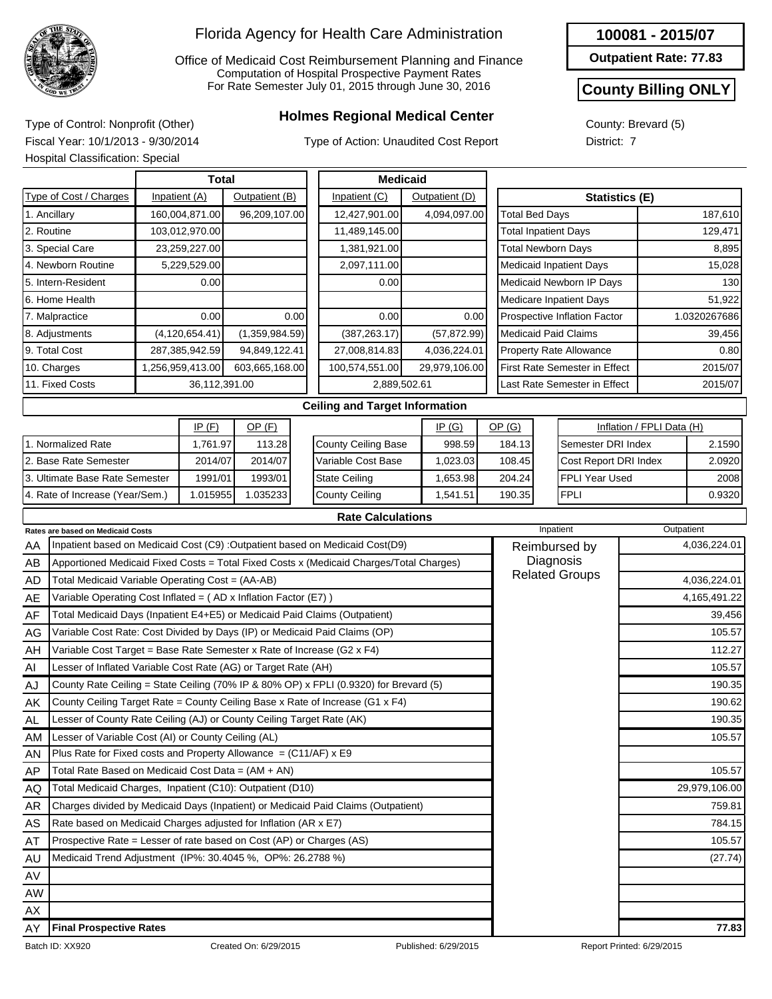

Office of Medicaid Cost Reimbursement Planning and Finance Computation of Hospital Prospective Payment Rates For Rate Semester July 01, 2015 through June 30, 2016

## **Holmes Regional Medical Center** Type of Control: Nonprofit (Other)

Type of Action: Unaudited Cost Report

**Outpatient Rate: 77.83**

### **County Billing ONLY**

County: Brevard (5) District: 7

Fiscal Year: 10/1/2013 - 9/30/2014 Hospital Classification: Special

| <b>Total</b>                                                          |  |  |                  | <b>Medicaid</b> |      |                                                                                         |  |                |                       |                              |                                |                           |              |  |
|-----------------------------------------------------------------------|--|--|------------------|-----------------|------|-----------------------------------------------------------------------------------------|--|----------------|-----------------------|------------------------------|--------------------------------|---------------------------|--------------|--|
| Type of Cost / Charges                                                |  |  | Inpatient (A)    | Outpatient (B)  |      | Inpatient (C)                                                                           |  | Outpatient (D) |                       | <b>Statistics (E)</b>        |                                |                           |              |  |
| 1. Ancillary                                                          |  |  | 160,004,871.00   | 96,209,107.00   |      | 12,427,901.00                                                                           |  | 4,094,097.00   |                       | <b>Total Bed Days</b>        |                                |                           | 187,610      |  |
| 2. Routine                                                            |  |  | 103,012,970.00   |                 |      | 11,489,145.00                                                                           |  |                |                       |                              | <b>Total Inpatient Days</b>    |                           | 129,471      |  |
| 3. Special Care                                                       |  |  | 23,259,227.00    |                 |      | 1,381,921.00                                                                            |  |                |                       |                              | <b>Total Newborn Days</b>      |                           | 8,895        |  |
| 4. Newborn Routine                                                    |  |  | 5,229,529.00     |                 |      | 2,097,111.00                                                                            |  |                |                       |                              | <b>Medicaid Inpatient Days</b> |                           | 15,028       |  |
| 5. Intern-Resident                                                    |  |  | 0.00             |                 |      | 0.00                                                                                    |  |                |                       |                              | Medicaid Newborn IP Days       |                           | 130          |  |
| 6. Home Health                                                        |  |  |                  |                 |      |                                                                                         |  |                |                       |                              | Medicare Inpatient Days        |                           | 51,922       |  |
| 7. Malpractice                                                        |  |  | 0.00             |                 | 0.00 | 0.00                                                                                    |  | 0.00           |                       |                              | Prospective Inflation Factor   |                           | 1.0320267686 |  |
| 8. Adjustments                                                        |  |  | (4, 120, 654.41) | (1,359,984.59)  |      | (387, 263.17)                                                                           |  | (57, 872.99)   |                       |                              | <b>Medicaid Paid Claims</b>    |                           | 39,456       |  |
| 9. Total Cost                                                         |  |  | 287,385,942.59   | 94,849,122.41   |      | 27,008,814.83                                                                           |  | 4,036,224.01   |                       |                              | <b>Property Rate Allowance</b> |                           | 0.80         |  |
| 10. Charges                                                           |  |  | 1,256,959,413.00 | 603,665,168.00  |      | 100,574,551.00                                                                          |  | 29,979,106.00  |                       |                              | First Rate Semester in Effect  |                           | 2015/07      |  |
| 11. Fixed Costs                                                       |  |  | 36,112,391.00    |                 |      | 2,889,502.61                                                                            |  |                |                       | Last Rate Semester in Effect |                                |                           | 2015/07      |  |
|                                                                       |  |  |                  |                 |      | <b>Ceiling and Target Information</b>                                                   |  |                |                       |                              |                                |                           |              |  |
|                                                                       |  |  | IP(F)            | $OP$ (F)        |      |                                                                                         |  | IP(G)          | OP(G)                 |                              |                                | Inflation / FPLI Data (H) |              |  |
| 1. Normalized Rate                                                    |  |  | 1.761.97         | 113.28          |      | <b>County Ceiling Base</b>                                                              |  | 998.59         |                       | 184.13<br>Semester DRI Index |                                |                           | 2.1590       |  |
| 2. Base Rate Semester                                                 |  |  | 2014/07          | 2014/07         |      | Variable Cost Base                                                                      |  | 1,023.03       | 108.45                |                              | Cost Report DRI Index          |                           | 2.0920       |  |
| 3. Ultimate Base Rate Semester                                        |  |  | 1991/01          | 1993/01         |      | <b>State Ceiling</b>                                                                    |  | 1,653.98       | 204.24                |                              | <b>FPLI Year Used</b>          |                           | 2008         |  |
| 4. Rate of Increase (Year/Sem.)                                       |  |  | 1.015955         | 1.035233        |      | <b>County Ceiling</b>                                                                   |  | 1,541.51       | 190.35                |                              | <b>FPLI</b>                    |                           | 0.9320       |  |
|                                                                       |  |  |                  |                 |      | <b>Rate Calculations</b>                                                                |  |                |                       |                              |                                |                           |              |  |
| Rates are based on Medicaid Costs                                     |  |  |                  |                 |      |                                                                                         |  |                |                       |                              | Inpatient                      |                           | Outpatient   |  |
| AA                                                                    |  |  |                  |                 |      | Inpatient based on Medicaid Cost (C9) :Outpatient based on Medicaid Cost(D9)            |  |                |                       |                              | Reimbursed by                  |                           | 4,036,224.01 |  |
| AB                                                                    |  |  |                  |                 |      | Apportioned Medicaid Fixed Costs = Total Fixed Costs x (Medicaid Charges/Total Charges) |  |                |                       |                              | Diagnosis                      |                           |              |  |
| Total Medicaid Variable Operating Cost = (AA-AB)<br>AD                |  |  |                  |                 |      |                                                                                         |  |                | <b>Related Groups</b> |                              |                                | 4,036,224.01              |              |  |
| Variable Operating Cost Inflated = (AD x Inflation Factor (E7))<br>AE |  |  |                  |                 |      |                                                                                         |  |                |                       |                              | 4,165,491.22                   |                           |              |  |
| AF                                                                    |  |  |                  |                 |      | Total Medicaid Days (Inpatient E4+E5) or Medicaid Paid Claims (Outpatient)              |  |                |                       |                              |                                |                           | 39,456       |  |
| AG                                                                    |  |  |                  |                 |      | Variable Cost Rate: Cost Divided by Days (IP) or Medicaid Paid Claims (OP)              |  |                |                       |                              |                                |                           | 105.57       |  |
| AH                                                                    |  |  |                  |                 |      | Variable Cost Target = Base Rate Semester x Rate of Increase (G2 x F4)                  |  |                |                       |                              |                                |                           | 112.27       |  |

| AF  | Total Medicaid Days (Inpatient E4+E5) or Medicaid Paid Claims (Outpatient)            | 39,456        |
|-----|---------------------------------------------------------------------------------------|---------------|
| AG  | Variable Cost Rate: Cost Divided by Days (IP) or Medicaid Paid Claims (OP)            | 105.57        |
| AH  | Variable Cost Target = Base Rate Semester x Rate of Increase (G2 x F4)                | 112.27        |
| AI  | Lesser of Inflated Variable Cost Rate (AG) or Target Rate (AH)                        | 105.57        |
| AJ  | County Rate Ceiling = State Ceiling (70% IP & 80% OP) x FPLI (0.9320) for Brevard (5) | 190.35        |
| AK  | County Ceiling Target Rate = County Ceiling Base x Rate of Increase (G1 $x$ F4)       | 190.62        |
| AL  | Lesser of County Rate Ceiling (AJ) or County Ceiling Target Rate (AK)                 | 190.35        |
| AM. | Lesser of Variable Cost (AI) or County Ceiling (AL)                                   | 105.57        |
| AN. | Plus Rate for Fixed costs and Property Allowance $= (C11/AF) \times E9$               |               |
| AP  | Total Rate Based on Medicaid Cost Data = (AM + AN)                                    | 105.57        |
| AQ  | Total Medicaid Charges, Inpatient (C10): Outpatient (D10)                             | 29,979,106.00 |
| AR  | Charges divided by Medicaid Days (Inpatient) or Medicaid Paid Claims (Outpatient)     | 759.81        |
| AS  | Rate based on Medicaid Charges adjusted for Inflation (AR x E7)                       | 784.15        |
| AT  | Prospective Rate = Lesser of rate based on Cost (AP) or Charges (AS)                  | 105.57        |
| AU  | Medicaid Trend Adjustment (IP%: 30.4045 %, OP%: 26.2788 %)                            | (27.74)       |
| AV  |                                                                                       |               |
| AW  |                                                                                       |               |
| AX. |                                                                                       |               |
| AY  | <b>Final Prospective Rates</b>                                                        | 77.83         |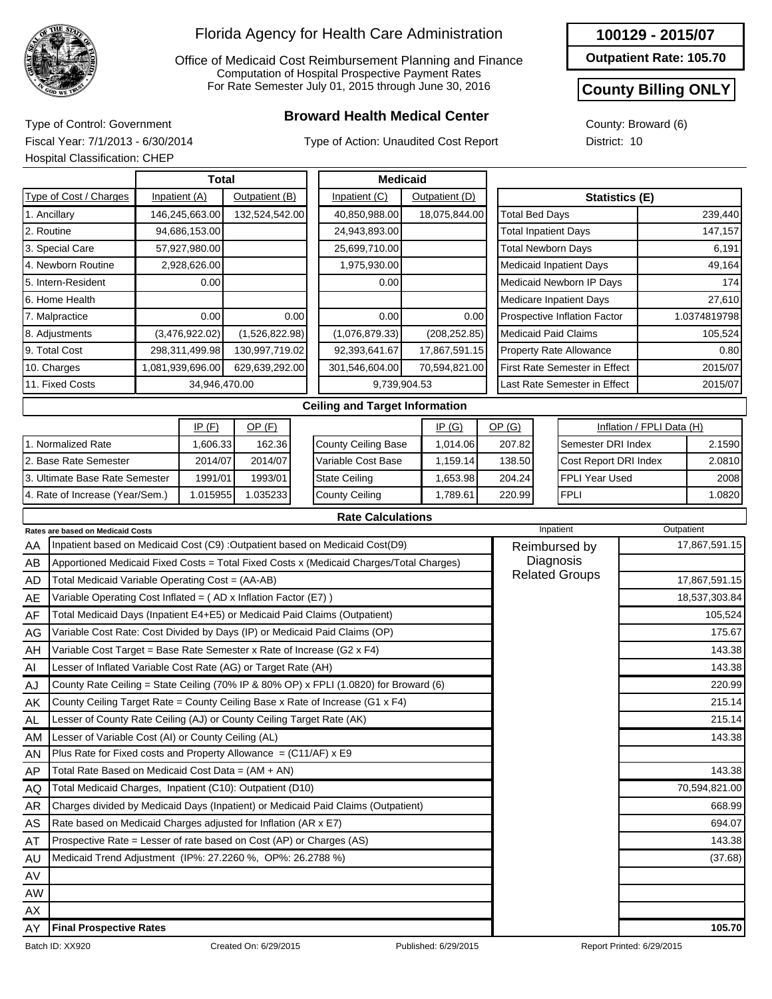

Office of Medicaid Cost Reimbursement Planning and Finance Computation of Hospital Prospective Payment Rates For Rate Semester July 01, 2015 through June 30, 2016

## **Broward Health Medical Center** Type of Control: Government

Type of Action: Unaudited Cost Report

**Outpatient Rate: 105.70**

#### **County Billing ONLY**

1.0820

County: Broward (6) District: 10

Fiscal Year: 7/1/2013 - 6/30/2014 Hospital Classification: CHEP

4. Rate of Increase (Year/Sem.)

|                                | Total          |                                    |                |  | <b>Medicaid</b>                       |               |                |  |                               |                             |                                |                           |              |
|--------------------------------|----------------|------------------------------------|----------------|--|---------------------------------------|---------------|----------------|--|-------------------------------|-----------------------------|--------------------------------|---------------------------|--------------|
| Type of Cost / Charges         |                | Inpatient (A)                      | Outpatient (B) |  | Inpatient (C)                         |               | Outpatient (D) |  |                               |                             | <b>Statistics (E)</b>          |                           |              |
| 1. Ancillary                   |                | 146,245,663.00                     | 132,524,542.00 |  | 40,850,988.00                         | 18,075,844.00 |                |  | <b>Total Bed Days</b>         |                             |                                |                           | 239,440      |
| 2. Routine                     |                | 94,686,153.00                      |                |  | 24,943,893.00                         |               |                |  |                               | <b>Total Inpatient Days</b> |                                |                           | 147,157      |
| 3. Special Care                |                | 57,927,980.00                      |                |  | 25,699,710.00                         |               |                |  | <b>Total Newborn Days</b>     |                             |                                |                           | 6,191        |
| 4. Newborn Routine             |                | 2,928,626.00                       |                |  | 1,975,930.00                          |               |                |  |                               |                             | <b>Medicaid Inpatient Days</b> |                           | 49,164       |
| 5. Intern-Resident             |                | 0.00                               |                |  | 0.00                                  |               |                |  |                               |                             | Medicaid Newborn IP Days       |                           | 174          |
| 6. Home Health                 |                |                                    |                |  |                                       |               |                |  |                               |                             | Medicare Inpatient Days        |                           | 27,610       |
| 7. Malpractice                 |                |                                    | 0.00<br>0.00   |  | 0.00                                  |               | 0.00           |  |                               |                             | Prospective Inflation Factor   |                           | 1.0374819798 |
| 8. Adjustments                 | (3,476,922.02) |                                    | (1,526,822.98) |  | (1,076,879.33)                        |               | (208, 252.85)  |  | <b>Medicaid Paid Claims</b>   |                             |                                |                           | 105,524      |
| 9. Total Cost                  |                | 298,311,499.98<br>130,997,719.02   |                |  | 92,393,641.67                         |               | 17,867,591.15  |  |                               |                             | <b>Property Rate Allowance</b> |                           | 0.80         |
| 10. Charges                    |                | 1,081,939,696.00<br>629,639,292.00 |                |  | 301,546,604.00                        |               | 70,594,821.00  |  | First Rate Semester in Effect |                             |                                |                           | 2015/07      |
| 11. Fixed Costs                |                | 34,946,470.00                      |                |  | 9,739,904.53                          |               |                |  |                               |                             | Last Rate Semester in Effect   |                           | 2015/07      |
|                                |                |                                    |                |  | <b>Ceiling and Target Information</b> |               |                |  |                               |                             |                                |                           |              |
| $OP$ $(F)$<br>IP(F)            |                |                                    |                |  |                                       |               | IP(G)          |  | OP(G)                         |                             |                                | Inflation / FPLI Data (H) |              |
| 1. Normalized Rate             |                | 1,606.33                           | 162.36         |  | <b>County Ceiling Base</b>            |               | 1,014.06       |  | 207.82                        |                             | Semester DRI Index             |                           | 2.1590       |
| 2. Base Rate Semester          |                | 2014/07                            | 2014/07        |  | Variable Cost Base                    |               | 1,159.14       |  | 138.50                        |                             | Cost Report DRI Index          |                           | 2.0810       |
| 3. Ultimate Base Rate Semester |                | 1991/01                            | 1993/01        |  | <b>State Ceiling</b>                  |               | 1,653.98       |  | 204.24                        |                             | <b>FPLI Year Used</b>          |                           | 2008         |

|--|

1,789.61

220.99

FPLI

County Ceiling

|           | <b>Rates are based on Medicaid Costs</b>                                                | Inpatient     | Outpatient    |
|-----------|-----------------------------------------------------------------------------------------|---------------|---------------|
| AA        | Inpatient based on Medicaid Cost (C9) : Outpatient based on Medicaid Cost(D9)           | Reimbursed by | 17,867,591.15 |
| AB        | Apportioned Medicaid Fixed Costs = Total Fixed Costs x (Medicaid Charges/Total Charges) |               |               |
| AD        | Total Medicaid Variable Operating Cost = (AA-AB)                                        | 17,867,591.15 |               |
| AE        | Variable Operating Cost Inflated = $(AD x Inflation Factor (E7))$                       |               | 18,537,303.84 |
| AF        | Total Medicaid Days (Inpatient E4+E5) or Medicaid Paid Claims (Outpatient)              |               | 105,524       |
| AG        | Variable Cost Rate: Cost Divided by Days (IP) or Medicaid Paid Claims (OP)              |               | 175.67        |
| AH        | Variable Cost Target = Base Rate Semester x Rate of Increase (G2 $\times$ F4)           |               | 143.38        |
| AI        | Lesser of Inflated Variable Cost Rate (AG) or Target Rate (AH)                          |               | 143.38        |
| AJ        | County Rate Ceiling = State Ceiling (70% IP & 80% OP) x FPLI (1.0820) for Broward (6)   |               | 220.99        |
| AK        | County Ceiling Target Rate = County Ceiling Base x Rate of Increase (G1 x F4)           |               | 215.14        |
| <b>AL</b> | Lesser of County Rate Ceiling (AJ) or County Ceiling Target Rate (AK)                   |               | 215.14        |
| AM        | Lesser of Variable Cost (AI) or County Ceiling (AL)                                     |               | 143.38        |
| AN        | Plus Rate for Fixed costs and Property Allowance = $(C11/AF)$ x E9                      |               |               |
| AP        | Total Rate Based on Medicaid Cost Data = (AM + AN)                                      |               | 143.38        |
| AQ        | Total Medicaid Charges, Inpatient (C10): Outpatient (D10)                               |               | 70,594,821.00 |
| AR        | Charges divided by Medicaid Days (Inpatient) or Medicaid Paid Claims (Outpatient)       |               | 668.99        |
| AS        | Rate based on Medicaid Charges adjusted for Inflation (AR x E7)                         |               | 694.07        |
| AT        | Prospective Rate = Lesser of rate based on Cost (AP) or Charges (AS)                    |               | 143.38        |
| AU        | Medicaid Trend Adjustment (IP%: 27.2260 %, OP%: 26.2788 %)                              |               | (37.68)       |
| AV        |                                                                                         |               |               |
| <b>AW</b> |                                                                                         |               |               |
| AX        |                                                                                         |               |               |
| AY        | <b>Final Prospective Rates</b>                                                          |               | 105.70        |

1.015955 1.035233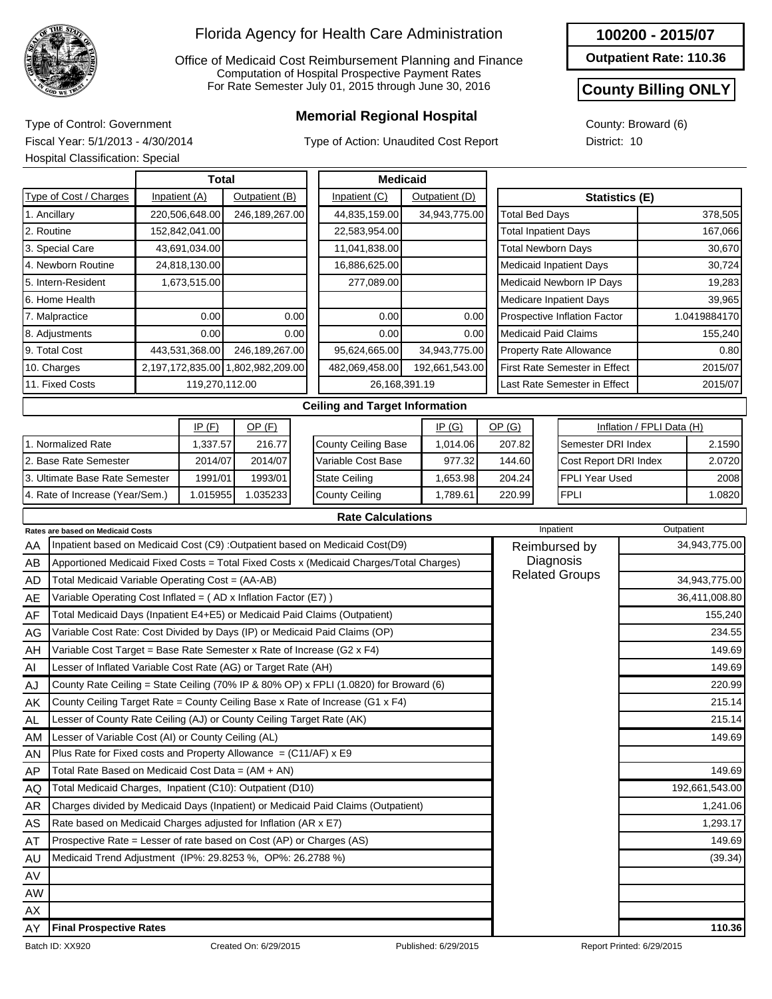

Office of Medicaid Cost Reimbursement Planning and Finance Computation of Hospital Prospective Payment Rates For Rate Semester July 01, 2015 through June 30, 2016

## **Memorial Regional Hospital** Type of Control: Government

Type of Action: Unaudited Cost Report

**Outpatient Rate: 110.36**

#### **County Billing ONLY**

County: Broward (6) District: 10

Fiscal Year: 5/1/2013 - 4/30/2014 Hospital Classification: Special

|    | Total                                                                      |                                  |                |                                   |      | <b>Medicaid</b>                                                                         |  |                |  |                                    |                                      |  |                           |               |
|----|----------------------------------------------------------------------------|----------------------------------|----------------|-----------------------------------|------|-----------------------------------------------------------------------------------------|--|----------------|--|------------------------------------|--------------------------------------|--|---------------------------|---------------|
|    | Type of Cost / Charges                                                     | Inpatient (A)<br>Outpatient (B)  |                |                                   |      | Inpatient (C)<br>Outpatient (D)                                                         |  |                |  | <b>Statistics (E)</b>              |                                      |  |                           |               |
|    | 1. Ancillary                                                               | 220,506,648.00<br>246,189,267.00 |                |                                   |      | 44,835,159.00                                                                           |  | 34,943,775.00  |  | <b>Total Bed Days</b>              |                                      |  |                           | 378,505       |
|    | 2. Routine                                                                 |                                  | 152,842,041.00 |                                   |      | 22,583,954.00                                                                           |  |                |  | <b>Total Inpatient Days</b>        |                                      |  | 167,066                   |               |
|    | 3. Special Care                                                            |                                  | 43,691,034.00  |                                   |      | 11,041,838.00                                                                           |  |                |  | <b>Total Newborn Days</b>          |                                      |  |                           | 30,670        |
|    | 4. Newborn Routine                                                         |                                  | 24,818,130.00  |                                   |      | 16,886,625.00                                                                           |  |                |  |                                    | <b>Medicaid Inpatient Days</b>       |  |                           | 30,724        |
|    | 5. Intern-Resident<br>1,673,515.00                                         |                                  |                |                                   |      | 277,089.00                                                                              |  |                |  | Medicaid Newborn IP Days           |                                      |  |                           | 19,283        |
|    | 6. Home Health                                                             |                                  |                |                                   |      |                                                                                         |  |                |  | <b>Medicare Inpatient Days</b>     |                                      |  |                           | 39,965        |
|    | 7. Malpractice                                                             |                                  | 0.00           | 0.00                              |      | 0.00                                                                                    |  | 0.00           |  | Prospective Inflation Factor       |                                      |  | 1.0419884170              |               |
|    | 8. Adjustments                                                             |                                  | 0.00           |                                   | 0.00 |                                                                                         |  | 0.00           |  | <b>Medicaid Paid Claims</b>        |                                      |  | 155,240                   |               |
|    | 9. Total Cost                                                              | 443,531,368.00                   |                | 246,189,267.00                    |      | 95,624,665.00                                                                           |  | 34,943,775.00  |  | Property Rate Allowance            |                                      |  | 0.80                      |               |
|    | 10. Charges                                                                |                                  |                | 2,197,172,835.00 1,802,982,209.00 |      | 482,069,458.00                                                                          |  | 192,661,543.00 |  |                                    | <b>First Rate Semester in Effect</b> |  | 2015/07                   |               |
|    | 11. Fixed Costs                                                            | 119,270,112.00                   |                |                                   |      | 26,168,391.19                                                                           |  |                |  |                                    | Last Rate Semester in Effect         |  |                           | 2015/07       |
|    |                                                                            |                                  |                |                                   |      | <b>Ceiling and Target Information</b>                                                   |  |                |  |                                    |                                      |  |                           |               |
|    |                                                                            |                                  | IP(F)          | $OP$ (F)                          |      | IP(G)                                                                                   |  |                |  | OP(G)                              |                                      |  | Inflation / FPLI Data (H) |               |
|    | 1. Normalized Rate                                                         |                                  | 1,337.57       | 216.77                            |      | <b>County Ceiling Base</b>                                                              |  | 1,014.06       |  | 207.82                             | Semester DRI Index                   |  | 2.1590                    |               |
|    | 2. Base Rate Semester                                                      |                                  | 2014/07        | 2014/07                           |      | Variable Cost Base                                                                      |  | 977.32         |  | 144.60                             | Cost Report DRI Index                |  | 2.0720                    |               |
|    | 3. Ultimate Base Rate Semester                                             |                                  | 1991/01        | 1993/01                           |      | <b>State Ceiling</b>                                                                    |  | 1,653.98       |  | 204.24                             | <b>FPLI Year Used</b>                |  |                           | 2008          |
|    | 4. Rate of Increase (Year/Sem.)                                            |                                  | 1.015955       | 1.035233                          |      | <b>County Ceiling</b>                                                                   |  | 1,789.61       |  | 220.99                             | <b>FPLI</b>                          |  |                           | 1.0820        |
|    |                                                                            |                                  |                |                                   |      | <b>Rate Calculations</b>                                                                |  |                |  |                                    |                                      |  |                           |               |
|    | <b>Rates are based on Medicaid Costs</b>                                   |                                  |                |                                   |      |                                                                                         |  |                |  |                                    | Inpatient                            |  | Outpatient                |               |
| AA |                                                                            |                                  |                |                                   |      | Inpatient based on Medicaid Cost (C9) :Outpatient based on Medicaid Cost(D9)            |  |                |  |                                    | Reimbursed by                        |  |                           | 34,943,775.00 |
| AB |                                                                            |                                  |                |                                   |      | Apportioned Medicaid Fixed Costs = Total Fixed Costs x (Medicaid Charges/Total Charges) |  |                |  | Diagnosis<br><b>Related Groups</b> |                                      |  |                           |               |
| AD | Total Medicaid Variable Operating Cost = (AA-AB)                           |                                  |                |                                   |      |                                                                                         |  |                |  |                                    |                                      |  |                           | 34,943,775.00 |
| AE | Variable Operating Cost Inflated = (AD x Inflation Factor (E7))            |                                  |                |                                   |      |                                                                                         |  |                |  |                                    |                                      |  |                           | 36,411,008.80 |
| AF | Total Medicaid Days (Inpatient E4+E5) or Medicaid Paid Claims (Outpatient) |                                  |                |                                   |      |                                                                                         |  |                |  |                                    |                                      |  |                           | 155,240       |

| AA        | Tinpatient based on Medicald Cost (C9) :Outpatient based on Medicald Cost(D9)           | Reimbursed by         | 34,943,773.UU  |
|-----------|-----------------------------------------------------------------------------------------|-----------------------|----------------|
| AB        | Apportioned Medicaid Fixed Costs = Total Fixed Costs x (Medicaid Charges/Total Charges) | Diagnosis             |                |
| AD        | Total Medicaid Variable Operating Cost = (AA-AB)                                        | <b>Related Groups</b> | 34,943,775.00  |
| <b>AE</b> | Variable Operating Cost Inflated = (AD x Inflation Factor (E7))                         |                       | 36,411,008.80  |
| AF        | Total Medicaid Days (Inpatient E4+E5) or Medicaid Paid Claims (Outpatient)              |                       | 155,240        |
| AG        | Variable Cost Rate: Cost Divided by Days (IP) or Medicaid Paid Claims (OP)              |                       | 234.55         |
| AH        | Variable Cost Target = Base Rate Semester x Rate of Increase (G2 $\times$ F4)           | 149.69                |                |
| AI        | Lesser of Inflated Variable Cost Rate (AG) or Target Rate (AH)                          |                       | 149.69         |
| AJ        | County Rate Ceiling = State Ceiling (70% IP & 80% OP) x FPLI (1.0820) for Broward (6)   |                       | 220.99         |
| AK        | County Ceiling Target Rate = County Ceiling Base x Rate of Increase (G1 x F4)           |                       | 215.14         |
| AL        | Lesser of County Rate Ceiling (AJ) or County Ceiling Target Rate (AK)                   |                       | 215.14         |
| AM        | Lesser of Variable Cost (AI) or County Ceiling (AL)                                     |                       | 149.69         |
| AN        | Plus Rate for Fixed costs and Property Allowance $= (C11/AF) \times E9$                 |                       |                |
| AP.       | Total Rate Based on Medicaid Cost Data = (AM + AN)                                      |                       | 149.69         |
| AQ        | Total Medicaid Charges, Inpatient (C10): Outpatient (D10)                               |                       | 192,661,543.00 |
| <b>AR</b> | Charges divided by Medicaid Days (Inpatient) or Medicaid Paid Claims (Outpatient)       |                       | 1,241.06       |
| <b>AS</b> | Rate based on Medicaid Charges adjusted for Inflation (AR x E7)                         |                       | 1,293.17       |
| AT        | Prospective Rate = Lesser of rate based on Cost (AP) or Charges (AS)                    |                       | 149.69         |
| AU        | Medicaid Trend Adjustment (IP%: 29.8253 %, OP%: 26.2788 %)                              |                       | (39.34)        |
| AV        |                                                                                         |                       |                |
| AW        |                                                                                         |                       |                |
| AX        |                                                                                         |                       |                |
| AY        | <b>Final Prospective Rates</b>                                                          |                       | 110.36         |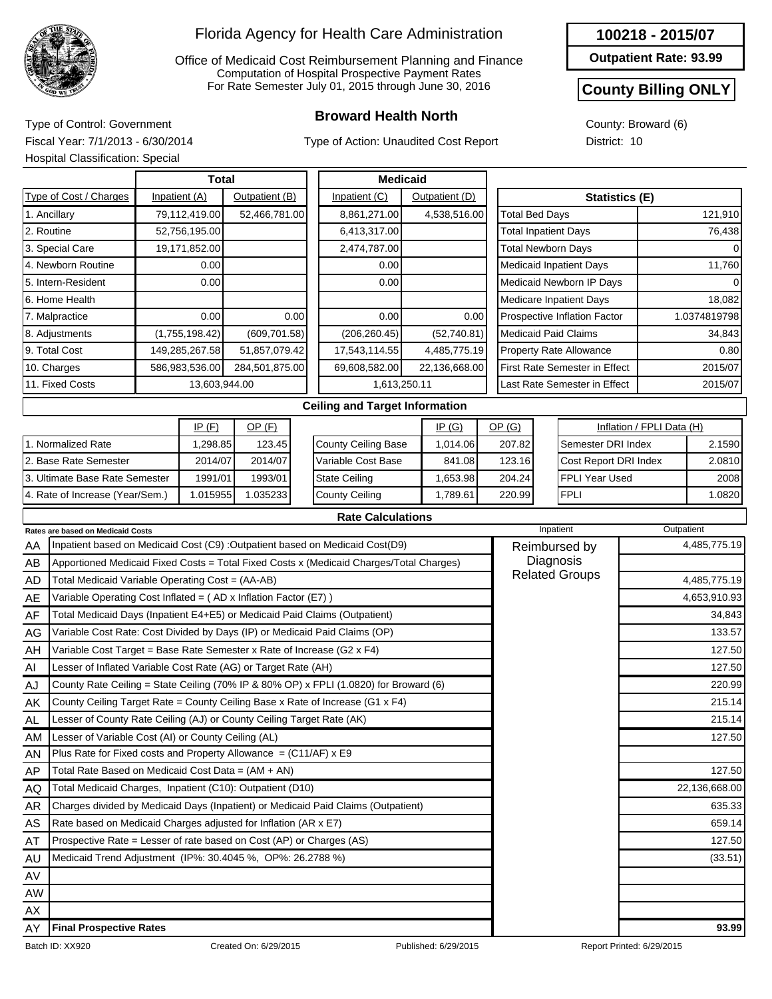

Office of Medicaid Cost Reimbursement Planning and Finance Computation of Hospital Prospective Payment Rates For Rate Semester July 01, 2015 through June 30, 2016

## **Broward Health North** Type of Control: Government

Type of Action: Unaudited Cost Report

#### **100218 - 2015/07**

**Outpatient Rate: 93.99**

### **County Billing ONLY**

County: Broward (6) District: 10

Fiscal Year: 7/1/2013 - 6/30/2014 Hospital Classification: Special

|                   | HOSpital Glassification. Special                                           |              |                |                |              |                                                                                         |  |                |                       |                                       |                                |                           |              |  |
|-------------------|----------------------------------------------------------------------------|--------------|----------------|----------------|--------------|-----------------------------------------------------------------------------------------|--|----------------|-----------------------|---------------------------------------|--------------------------------|---------------------------|--------------|--|
|                   |                                                                            | <b>Total</b> |                |                |              | <b>Medicaid</b>                                                                         |  |                |                       |                                       |                                |                           |              |  |
|                   | Type of Cost / Charges                                                     |              | Inpatient (A)  | Outpatient (B) |              | Inpatient (C)                                                                           |  | Outpatient (D) |                       |                                       |                                | <b>Statistics (E)</b>     |              |  |
|                   | 1. Ancillary                                                               |              | 79,112,419.00  | 52,466,781.00  |              | 8,861,271.00                                                                            |  | 4,538,516.00   | <b>Total Bed Days</b> |                                       |                                |                           | 121,910      |  |
|                   | 2. Routine                                                                 |              | 52,756,195.00  |                |              | 6,413,317.00                                                                            |  |                |                       |                                       | <b>Total Inpatient Days</b>    |                           | 76,438       |  |
|                   | 3. Special Care                                                            |              | 19,171,852.00  |                |              | 2,474,787.00                                                                            |  |                |                       |                                       | <b>Total Newborn Days</b>      |                           | $\Omega$     |  |
|                   | 4. Newborn Routine                                                         |              | 0.00           |                |              | 0.00                                                                                    |  |                |                       |                                       | <b>Medicaid Inpatient Days</b> | 11,760                    |              |  |
|                   | 5. Intern-Resident                                                         |              | 0.00           |                |              | 0.00                                                                                    |  |                |                       |                                       | Medicaid Newborn IP Days       |                           |              |  |
|                   | 6. Home Health                                                             |              |                |                |              |                                                                                         |  |                |                       |                                       | <b>Medicare Inpatient Days</b> |                           | 18,082       |  |
|                   | 7. Malpractice                                                             |              | 0.00           |                | 0.00         | 0.00                                                                                    |  | 0.00           |                       |                                       | Prospective Inflation Factor   |                           | 1.0374819798 |  |
|                   | 8. Adjustments                                                             |              | (1,755,198.42) | (609, 701.58)  |              | (206, 260.45)                                                                           |  | (52,740.81)    |                       |                                       | Medicaid Paid Claims           |                           | 34,843       |  |
|                   | 9. Total Cost                                                              |              | 149,285,267.58 | 51,857,079.42  |              | 17,543,114.55                                                                           |  | 4,485,775.19   |                       |                                       | Property Rate Allowance        |                           | 0.80         |  |
|                   | 10. Charges                                                                |              | 586,983,536.00 | 284,501,875.00 |              | 69,608,582.00                                                                           |  | 22,136,668.00  |                       |                                       | First Rate Semester in Effect  |                           | 2015/07      |  |
|                   | 11. Fixed Costs                                                            |              | 13,603,944.00  |                | 1,613,250.11 |                                                                                         |  |                |                       | Last Rate Semester in Effect          |                                | 2015/07                   |              |  |
|                   |                                                                            |              |                |                |              | <b>Ceiling and Target Information</b>                                                   |  |                |                       |                                       |                                |                           |              |  |
| IP(F)<br>$OP$ (F) |                                                                            |              |                |                |              |                                                                                         |  | IP(G)          | OP(G)                 |                                       |                                | Inflation / FPLI Data (H) |              |  |
|                   | 1. Normalized Rate                                                         |              | 1,298.85       | 123.45         |              | County Ceiling Base                                                                     |  | 1,014.06       | 207.82                |                                       | Semester DRI Index             |                           | 2.1590       |  |
|                   | 2. Base Rate Semester                                                      |              | 2014/07        | 2014/07        |              | Variable Cost Base                                                                      |  | 841.08         |                       | Cost Report DRI Index<br>123.16       |                                |                           | 2.0810       |  |
|                   | 3. Ultimate Base Rate Semester                                             |              | 1991/01        | 1993/01        |              | <b>State Ceiling</b>                                                                    |  | 1,653.98       | 204.24                |                                       | <b>FPLI Year Used</b>          |                           | 2008         |  |
|                   | 4. Rate of Increase (Year/Sem.)                                            |              | 1.015955       | 1.035233       |              | County Ceiling                                                                          |  | 1,789.61       | 220.99                |                                       | <b>FPLI</b>                    |                           | 1.0820       |  |
|                   |                                                                            |              |                |                |              | <b>Rate Calculations</b>                                                                |  |                |                       |                                       |                                |                           |              |  |
|                   | <b>Rates are based on Medicaid Costs</b>                                   |              |                |                |              |                                                                                         |  |                |                       |                                       | Inpatient                      |                           | Outpatient   |  |
| AA                |                                                                            |              |                |                |              | Inpatient based on Medicaid Cost (C9) : Outpatient based on Medicaid Cost(D9)           |  |                |                       |                                       | Reimbursed by                  |                           | 4,485,775.19 |  |
| AB                |                                                                            |              |                |                |              | Apportioned Medicaid Fixed Costs = Total Fixed Costs x (Medicaid Charges/Total Charges) |  |                |                       |                                       | Diagnosis                      |                           |              |  |
| <b>AD</b>         | Total Medicaid Variable Operating Cost = (AA-AB)                           |              |                |                |              |                                                                                         |  |                |                       | <b>Related Groups</b><br>4,485,775.19 |                                |                           |              |  |
| AE                | Variable Operating Cost Inflated = (AD x Inflation Factor (E7))            |              |                |                |              |                                                                                         |  |                | 4,653,910.93          |                                       |                                |                           |              |  |
| AF                | Total Medicaid Days (Inpatient E4+E5) or Medicaid Paid Claims (Outpatient) |              |                |                |              |                                                                                         |  |                |                       |                                       |                                |                           | 34,843       |  |
| AG                | Variable Cost Rate: Cost Divided by Days (IP) or Medicaid Paid Claims (OP) |              |                |                |              |                                                                                         |  |                |                       |                                       |                                |                           | 133.57       |  |
| AH                | Variable Cost Target = Base Rate Semester x Rate of Increase (G2 x F4)     |              |                |                |              |                                                                                         |  |                |                       |                                       |                                |                           | 127.50       |  |
| AI                | Lesser of Inflated Variable Cost Rate (AG) or Target Rate (AH)             |              |                |                |              |                                                                                         |  |                |                       |                                       |                                |                           | 127.50       |  |
| AJ                |                                                                            |              |                |                |              | County Rate Ceiling = State Ceiling (70% IP & 80% OP) x FPLI (1.0820) for Broward (6)   |  |                |                       |                                       |                                |                           | 220.99       |  |

| AJ | County Rate Ceiling = State Ceiling (70% IP & 80% OP) x FPLI (1.0820) for Broward (6) |                      | 220.99                    |
|----|---------------------------------------------------------------------------------------|----------------------|---------------------------|
| AK | County Ceiling Target Rate = County Ceiling Base x Rate of Increase (G1 x F4)         |                      | 215.14                    |
| AL | Lesser of County Rate Ceiling (AJ) or County Ceiling Target Rate (AK)                 |                      | 215.14                    |
| AM | Lesser of Variable Cost (AI) or County Ceiling (AL)                                   |                      | 127.50                    |
| AN | Plus Rate for Fixed costs and Property Allowance $= (C11/AF) \times E9$               |                      |                           |
| AP | Total Rate Based on Medicaid Cost Data = (AM + AN)                                    |                      | 127.50                    |
| AQ | Total Medicaid Charges, Inpatient (C10): Outpatient (D10)                             |                      | 22,136,668.00             |
| AR | Charges divided by Medicaid Days (Inpatient) or Medicaid Paid Claims (Outpatient)     |                      | 635.33                    |
| AS | Rate based on Medicaid Charges adjusted for Inflation (AR x E7)                       |                      | 659.14                    |
| AT | Prospective Rate = Lesser of rate based on Cost (AP) or Charges (AS)                  |                      | 127.50                    |
| AU | Medicaid Trend Adjustment (IP%: 30.4045 %, OP%: 26.2788 %)                            |                      | (33.51)                   |
| AV |                                                                                       |                      |                           |
| AW |                                                                                       |                      |                           |
| AX |                                                                                       |                      |                           |
| AY | <b>Final Prospective Rates</b>                                                        |                      | 93.99                     |
|    | Batch ID: XX920<br>Created On: 6/29/2015                                              | Published: 6/29/2015 | Report Printed: 6/29/2015 |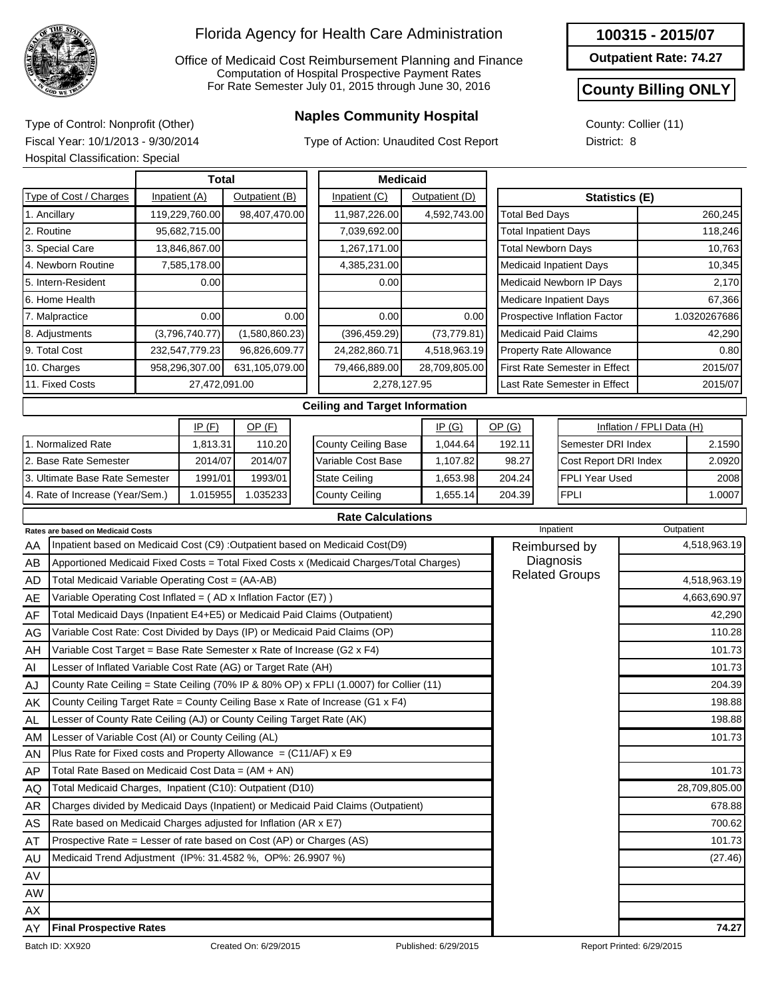

Office of Medicaid Cost Reimbursement Planning and Finance Computation of Hospital Prospective Payment Rates For Rate Semester July 01, 2015 through June 30, 2016

## **Naples Community Hospital** Type of Control: Nonprofit (Other)

Type of Action: Unaudited Cost Report

**Outpatient Rate: 74.27**

### **County Billing ONLY**

County: Collier (11) District: 8

Fiscal Year: 10/1/2013 - 9/30/2014 Hospital Classification: Special

|                                                                                              |               | Total          |                |                    | <b>Medicaid</b>                                                                         |       |               |                       |                                       |                                      |        |              |  |
|----------------------------------------------------------------------------------------------|---------------|----------------|----------------|--------------------|-----------------------------------------------------------------------------------------|-------|---------------|-----------------------|---------------------------------------|--------------------------------------|--------|--------------|--|
| Type of Cost / Charges                                                                       |               | Inpatient (A)  | Outpatient (B) |                    | Inpatient (C)<br>Outpatient (D)                                                         |       |               |                       | <b>Statistics (E)</b>                 |                                      |        |              |  |
| 1. Ancillary                                                                                 |               | 119,229,760.00 | 98,407,470.00  |                    | 11,987,226.00                                                                           |       | 4,592,743.00  | <b>Total Bed Days</b> |                                       |                                      |        | 260,245      |  |
| 2. Routine                                                                                   |               | 95,682,715.00  |                |                    | 7,039,692.00                                                                            |       |               |                       |                                       | <b>Total Inpatient Days</b>          |        | 118,246      |  |
| 3. Special Care                                                                              |               | 13,846,867.00  |                |                    | 1,267,171.00                                                                            |       |               |                       |                                       | <b>Total Newborn Days</b>            |        | 10,763       |  |
| 4. Newborn Routine                                                                           |               | 7,585,178.00   |                |                    | 4,385,231.00                                                                            |       |               |                       |                                       | <b>Medicaid Inpatient Days</b>       |        | 10,345       |  |
| 5. Intern-Resident                                                                           |               | 0.00           |                |                    | 0.00                                                                                    |       |               |                       |                                       | Medicaid Newborn IP Days             |        | 2,170        |  |
| 6. Home Health                                                                               |               |                |                |                    |                                                                                         |       |               |                       |                                       | <b>Medicare Inpatient Days</b>       |        | 67,366       |  |
| 7. Malpractice                                                                               |               | 0.00           |                | 0.00               | 0.00                                                                                    |       | 0.00          |                       |                                       | Prospective Inflation Factor         |        | 1.0320267686 |  |
| 8. Adjustments                                                                               |               | (3,796,740.77) | (1,580,860.23) |                    | (396, 459.29)                                                                           |       | (73, 779.81)  |                       |                                       | <b>Medicaid Paid Claims</b>          |        | 42,290       |  |
| 9. Total Cost                                                                                |               | 232,547,779.23 | 96,826,609.77  |                    | 24,282,860.71                                                                           |       | 4,518,963.19  |                       |                                       | <b>Property Rate Allowance</b>       |        | 0.80         |  |
| 10. Charges                                                                                  |               | 958,296,307.00 | 631,105,079.00 |                    | 79,466,889.00                                                                           |       | 28,709,805.00 |                       |                                       | <b>First Rate Semester in Effect</b> |        | 2015/07      |  |
| 11. Fixed Costs                                                                              | 27,472,091.00 |                |                |                    | 2,278,127.95                                                                            |       |               |                       | Last Rate Semester in Effect          |                                      |        | 2015/07      |  |
|                                                                                              |               |                |                |                    | <b>Ceiling and Target Information</b>                                                   |       |               |                       |                                       |                                      |        |              |  |
|                                                                                              |               | IP(F)          |                |                    |                                                                                         | IP(G) | OP(G)         |                       |                                       | Inflation / FPLI Data (H)            |        |              |  |
| 1. Normalized Rate                                                                           |               | 1,813.31       | 110.20         |                    | <b>County Ceiling Base</b>                                                              |       | 1,044.64      | 192.11                | Semester DRI Index                    |                                      |        | 2.1590       |  |
| 2. Base Rate Semester                                                                        |               | 2014/07        | 2014/07        | Variable Cost Base |                                                                                         |       | 1,107.82      | 98.27                 |                                       | Cost Report DRI Index                |        | 2.0920       |  |
| 3. Ultimate Base Rate Semester                                                               |               | 1991/01        | 1993/01        |                    | <b>State Ceiling</b>                                                                    |       | 1,653.98      | 204.24                | FPLI Year Used                        |                                      |        | 2008         |  |
| 4. Rate of Increase (Year/Sem.)                                                              |               | 1.015955       | 1.035233       |                    | <b>County Ceiling</b>                                                                   |       | 1,655.14      | 204.39                | <b>FPLI</b>                           |                                      | 1.0007 |              |  |
|                                                                                              |               |                |                |                    | <b>Rate Calculations</b>                                                                |       |               |                       |                                       |                                      |        |              |  |
| <b>Rates are based on Medicaid Costs</b>                                                     |               |                |                |                    |                                                                                         |       |               |                       |                                       | Inpatient                            |        | Outpatient   |  |
| AA                                                                                           |               |                |                |                    | Inpatient based on Medicaid Cost (C9) : Outpatient based on Medicaid Cost(D9)           |       |               |                       |                                       | Reimbursed by                        |        | 4,518,963.19 |  |
| AB                                                                                           |               |                |                |                    | Apportioned Medicaid Fixed Costs = Total Fixed Costs x (Medicaid Charges/Total Charges) |       |               |                       |                                       | Diagnosis                            |        |              |  |
| Total Medicaid Variable Operating Cost = (AA-AB)<br>AD                                       |               |                |                |                    |                                                                                         |       |               |                       | <b>Related Groups</b><br>4,518,963.19 |                                      |        |              |  |
| Variable Operating Cost Inflated = $(AD x)$ Inflation Factor (E7) )<br>AE                    |               |                |                |                    |                                                                                         |       |               |                       |                                       |                                      |        | 4,663,690.97 |  |
| AF                                                                                           |               |                |                |                    | Total Medicaid Days (Inpatient E4+E5) or Medicaid Paid Claims (Outpatient)              |       |               |                       |                                       |                                      |        | 42,290       |  |
| AG                                                                                           |               |                |                |                    | Variable Cost Rate: Cost Divided by Days (IP) or Medicaid Paid Claims (OP)              |       |               |                       |                                       |                                      |        | 110.28       |  |
| Variable Cost Target = Base Rate Semester x Rate of Increase (G2 x F4)<br>AH                 |               |                |                |                    |                                                                                         |       |               |                       | 101.73                                |                                      |        |              |  |
| Lesser of Inflated Variable Cost Rate (AG) or Target Rate (AH)<br>Al                         |               |                |                |                    |                                                                                         |       |               |                       |                                       |                                      |        | 101.73       |  |
| County Rate Ceiling = State Ceiling (70% IP & 80% OP) x FPLI (1.0007) for Collier (11)<br>AJ |               |                |                |                    |                                                                                         |       |               |                       | 204.39                                |                                      |        |              |  |
| ΑK                                                                                           |               |                |                |                    | County Ceiling Target Rate = County Ceiling Base x Rate of Increase (G1 x F4)           |       |               |                       |                                       |                                      |        | 198.88       |  |
| ΔI<br>Lesser of County Rate Ceiling (AJ) or County Ceiling Target Rate (AK)                  |               |                |                |                    |                                                                                         |       |               |                       |                                       |                                      |        | 198.88       |  |

Batch ID: XX920 Created On: 6/29/2015 Published: 6/29/2015 Published: 6/29/2015 Report Printed: 6/29/2015 AL AM AN AP AQ AR AS AT AU AV AW AX AY Lesser of County Rate Ceiling (AJ) or County Ceiling Target Rate (AK) Lesser of Variable Cost (AI) or County Ceiling (AL) Plus Rate for Fixed costs and Property Allowance =  $(C11/AF)$  x E9 Total Rate Based on Medicaid Cost Data = (AM + AN) Total Medicaid Charges, Inpatient (C10): Outpatient (D10) Charges divided by Medicaid Days (Inpatient) or Medicaid Paid Claims (Outpatient) Rate based on Medicaid Charges adjusted for Inflation (AR x E7) Prospective Rate = Lesser of rate based on Cost (AP) or Charges (AS) Medicaid Trend Adjustment (IP%: 31.4582 %, OP%: 26.9907 %) (27.46) **Final Prospective Rates 74.27**

101.73

101.73 28,709,805.00 678.88 700.62 101.73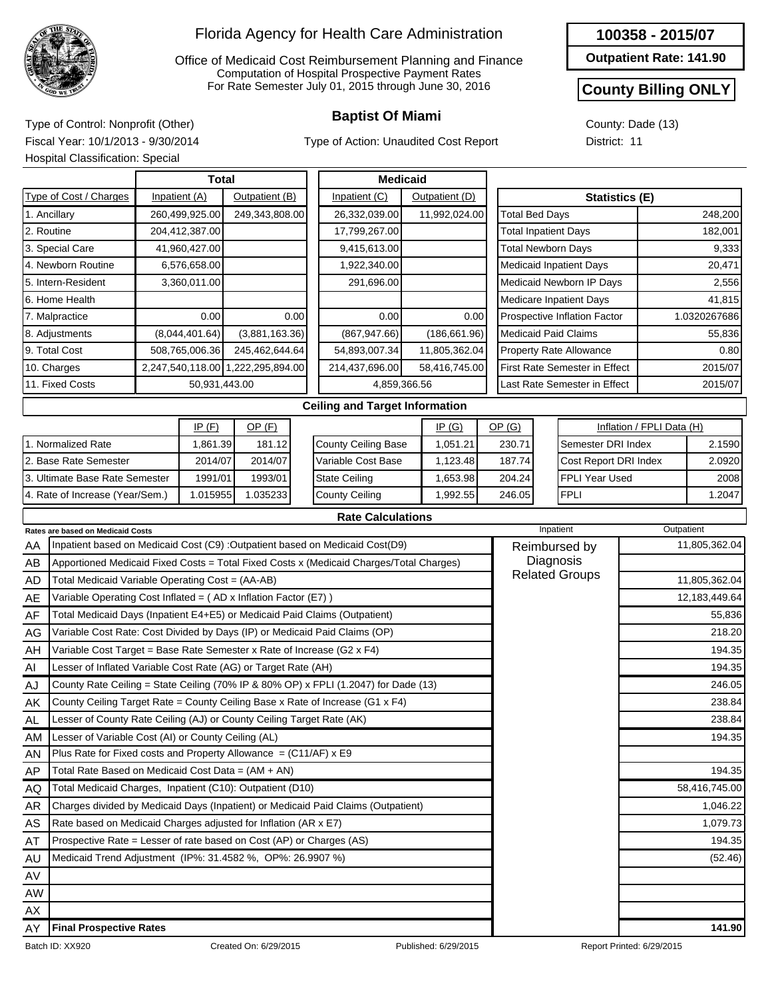

Office of Medicaid Cost Reimbursement Planning and Finance Computation of Hospital Prospective Payment Rates For Rate Semester July 01, 2015 through June 30, 2016

Type of Action: Unaudited Cost Report

#### **100358 - 2015/07**

**Outpatient Rate: 141.90**

#### **County Billing ONLY**

County: Dade (13) District: 11

**Baptist Of Miami** Type of Control: Nonprofit (Other) Fiscal Year: 10/1/2013 - 9/30/2014

|                                  | <b>Hospital Classification: Special</b>                                             |  |                  |                  |       |                                                                                         |  |                           |                       |                                      |                       |               |  |  |
|----------------------------------|-------------------------------------------------------------------------------------|--|------------------|------------------|-------|-----------------------------------------------------------------------------------------|--|---------------------------|-----------------------|--------------------------------------|-----------------------|---------------|--|--|
|                                  | Total                                                                               |  |                  |                  |       | <b>Medicaid</b>                                                                         |  |                           |                       |                                      |                       |               |  |  |
|                                  | Type of Cost / Charges                                                              |  | Inpatient (A)    | Outpatient (B)   |       | Inpatient (C)                                                                           |  | Outpatient (D)            |                       |                                      | <b>Statistics (E)</b> |               |  |  |
|                                  | 1. Ancillary                                                                        |  | 260,499,925.00   | 249,343,808.00   |       | 26,332,039.00                                                                           |  | 11,992,024.00             | <b>Total Bed Days</b> |                                      |                       | 248,200       |  |  |
|                                  | 2. Routine                                                                          |  | 204,412,387.00   |                  |       | 17,799,267.00                                                                           |  |                           |                       | <b>Total Inpatient Days</b>          |                       | 182,001       |  |  |
|                                  | 3. Special Care                                                                     |  | 41,960,427.00    |                  |       | 9,415,613.00                                                                            |  |                           |                       | <b>Total Newborn Days</b>            | 9,333                 |               |  |  |
|                                  | 4. Newborn Routine                                                                  |  | 6.576.658.00     |                  |       | 1,922,340.00                                                                            |  |                           |                       | <b>Medicaid Inpatient Days</b>       |                       | 20.471        |  |  |
|                                  | 5. Intern-Resident                                                                  |  | 3,360,011.00     |                  |       | 291,696.00                                                                              |  |                           |                       | Medicaid Newborn IP Days             |                       | 2,556         |  |  |
|                                  | 6. Home Health                                                                      |  |                  |                  |       |                                                                                         |  |                           |                       | <b>Medicare Inpatient Days</b>       |                       | 41,815        |  |  |
|                                  | 7. Malpractice                                                                      |  | 0.00             |                  | 0.00  | 0.00                                                                                    |  | 0.00                      |                       | Prospective Inflation Factor         |                       | 1.0320267686  |  |  |
|                                  | 8. Adjustments                                                                      |  | (8,044,401.64)   | (3,881,163.36)   |       | (867, 947.66)                                                                           |  | (186, 661.96)             |                       | <b>Medicaid Paid Claims</b>          |                       | 55,836        |  |  |
|                                  | 9. Total Cost                                                                       |  | 508,765,006.36   | 245,462,644.64   |       | 54,893,007.34                                                                           |  | 11,805,362.04             |                       | <b>Property Rate Allowance</b>       |                       | 0.80          |  |  |
|                                  | 10. Charges                                                                         |  | 2,247,540,118.00 | 1,222,295,894.00 |       | 214,437,696.00                                                                          |  | 58,416,745.00             |                       | <b>First Rate Semester in Effect</b> | 2015/07               |               |  |  |
| 11. Fixed Costs<br>50,931,443.00 |                                                                                     |  |                  |                  |       | Last Rate Semester in Effect<br>4,859,366.56                                            |  |                           |                       |                                      | 2015/07               |               |  |  |
|                                  |                                                                                     |  |                  |                  |       | <b>Ceiling and Target Information</b>                                                   |  |                           |                       |                                      |                       |               |  |  |
|                                  |                                                                                     |  |                  |                  | IP(G) | OP(G)                                                                                   |  | Inflation / FPLI Data (H) |                       |                                      |                       |               |  |  |
|                                  | 1. Normalized Rate                                                                  |  | 1,861.39         | 181.12           |       | <b>County Ceiling Base</b>                                                              |  | 1,051.21                  | 230.71                | Semester DRI Index                   |                       | 2.1590        |  |  |
|                                  | 2. Base Rate Semester                                                               |  | 2014/07          | 2014/07          |       | Variable Cost Base                                                                      |  | 1,123.48                  | 187.74                | Cost Report DRI Index                |                       | 2.0920        |  |  |
|                                  | 3. Ultimate Base Rate Semester                                                      |  | 1991/01          | 1993/01          |       | <b>State Ceiling</b>                                                                    |  | 1,653.98                  | 204.24                | FPLI Year Used                       |                       | 2008          |  |  |
|                                  | 4. Rate of Increase (Year/Sem.)                                                     |  | 1.015955         | 1.035233         |       | <b>County Ceiling</b>                                                                   |  | 1,992.55                  | 246.05                | <b>FPLI</b>                          |                       | 1.2047        |  |  |
|                                  |                                                                                     |  |                  |                  |       | <b>Rate Calculations</b>                                                                |  |                           |                       |                                      |                       |               |  |  |
|                                  | Rates are based on Medicaid Costs                                                   |  |                  |                  |       |                                                                                         |  |                           |                       | Inpatient                            |                       | Outpatient    |  |  |
| AA                               |                                                                                     |  |                  |                  |       | Inpatient based on Medicaid Cost (C9) :Outpatient based on Medicaid Cost(D9)            |  |                           |                       | Reimbursed by                        |                       | 11,805,362.04 |  |  |
| AB                               |                                                                                     |  |                  |                  |       | Apportioned Medicaid Fixed Costs = Total Fixed Costs x (Medicaid Charges/Total Charges) |  |                           |                       | Diagnosis<br><b>Related Groups</b>   |                       |               |  |  |
| AD                               | Total Medicaid Variable Operating Cost = (AA-AB)                                    |  |                  |                  |       |                                                                                         |  |                           |                       |                                      |                       | 11,805,362.04 |  |  |
| AE                               | Variable Operating Cost Inflated = (AD x Inflation Factor (E7))                     |  |                  |                  |       |                                                                                         |  |                           |                       |                                      |                       | 12,183,449.64 |  |  |
| AF                               |                                                                                     |  |                  |                  |       | Total Medicaid Days (Inpatient E4+E5) or Medicaid Paid Claims (Outpatient)              |  |                           |                       |                                      |                       | 55,836        |  |  |
| AG                               |                                                                                     |  |                  |                  |       | Variable Cost Rate: Cost Divided by Days (IP) or Medicaid Paid Claims (OP)              |  |                           |                       |                                      |                       | 218.20        |  |  |
| AH                               | Variable Cost Target = Base Rate Semester x Rate of Increase (G2 x F4)              |  |                  |                  |       |                                                                                         |  |                           | 194.35                |                                      |                       |               |  |  |
| Al                               | Lesser of Inflated Variable Cost Rate (AG) or Target Rate (AH)                      |  |                  |                  |       |                                                                                         |  |                           |                       |                                      |                       | 194.35        |  |  |
| AJ                               | County Rate Ceiling = State Ceiling (70% IP & 80% OP) x FPLI (1.2047) for Dade (13) |  |                  |                  |       |                                                                                         |  |                           |                       |                                      |                       | 246.05        |  |  |
| ΑK                               |                                                                                     |  |                  |                  |       | County Ceiling Target Rate = County Ceiling Base x Rate of Increase (G1 x F4)           |  |                           |                       |                                      |                       | 238.84        |  |  |
| AL                               | Lesser of County Rate Ceiling (AJ) or County Ceiling Target Rate (AK)               |  |                  |                  |       |                                                                                         |  |                           |                       |                                      | 238.84                |               |  |  |
| ΑM                               | Lesser of Variable Cost (AI) or County Ceiling (AL)                                 |  |                  |                  |       |                                                                                         |  |                           |                       |                                      |                       | 194.35        |  |  |
| AN                               | Plus Rate for Fixed costs and Property Allowance = $(C11/AF)$ x E9                  |  |                  |                  |       |                                                                                         |  |                           |                       |                                      |                       |               |  |  |

AP AQ AR AS AT AU AV AW AX Total Rate Based on Medicaid Cost Data = (AM + AN) Total Medicaid Charges, Inpatient (C10): Outpatient (D10) Charges divided by Medicaid Days (Inpatient) or Medicaid Paid Claims (Outpatient) Rate based on Medicaid Charges adjusted for Inflation (AR x E7) Prospective Rate = Lesser of rate based on Cost (AP) or Charges (AS) Medicaid Trend Adjustment (IP%: 31.4582 %, OP%: 26.9907 %) (52.46)

AY

**Final Prospective Rates 141.90**

194.35

58,416,745.00 1,046.22 1,079.73 194.35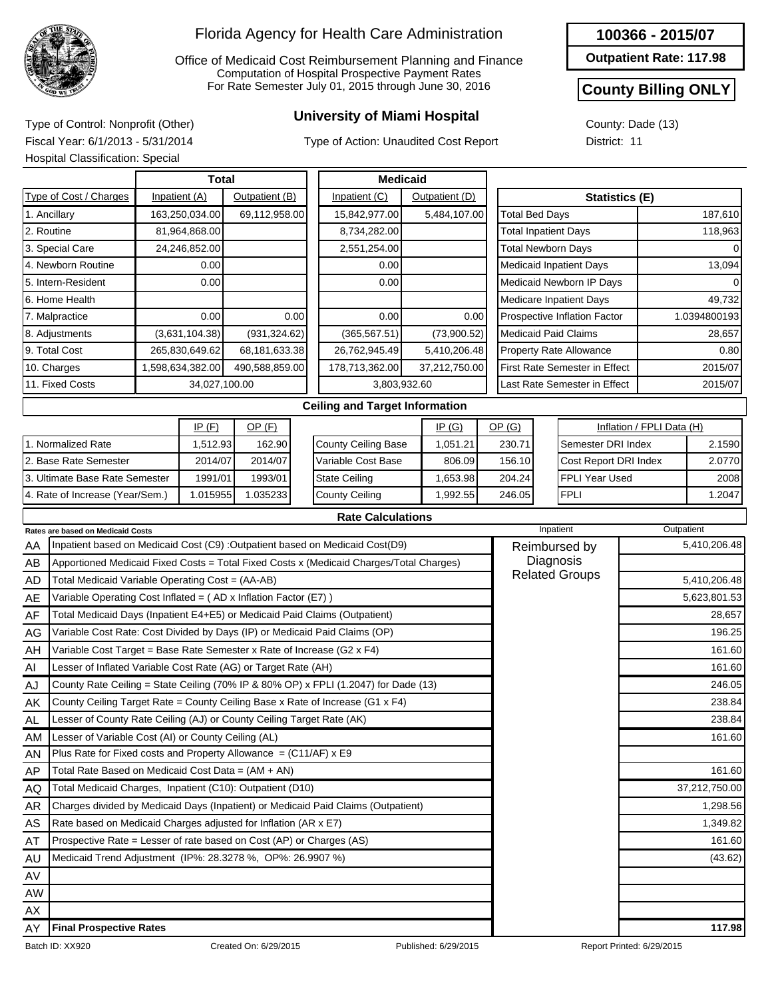

Office of Medicaid Cost Reimbursement Planning and Finance Computation of Hospital Prospective Payment Rates For Rate Semester July 01, 2015 through June 30, 2016

# **University of Miami Hospital** Type of Control: Nonprofit (Other)

Type of Action: Unaudited Cost Report

#### **100366 - 2015/07**

**Outpatient Rate: 117.98**

#### **County Billing ONLY**

County: Dade (13) District: 11

Fiscal Year: 6/1/2013 - 5/31/2014 Hospital Classification: Special

|                                           | HOSpital Classification: Special                                           |               |                  |                       |                    |                                                                                         |        |                             |                              |                                |                         |                               |                           |               |
|-------------------------------------------|----------------------------------------------------------------------------|---------------|------------------|-----------------------|--------------------|-----------------------------------------------------------------------------------------|--------|-----------------------------|------------------------------|--------------------------------|-------------------------|-------------------------------|---------------------------|---------------|
|                                           |                                                                            |               | <b>Total</b>     |                       |                    | <b>Medicaid</b>                                                                         |        |                             |                              |                                |                         |                               |                           |               |
|                                           | Type of Cost / Charges                                                     |               | Inpatient (A)    | Outpatient (B)        |                    | Inpatient (C)                                                                           |        | Outpatient (D)              |                              |                                |                         |                               | <b>Statistics (E)</b>     |               |
|                                           | 1. Ancillary                                                               |               | 163,250,034.00   | 69,112,958.00         |                    | 15,842,977.00                                                                           |        | 5,484,107.00                |                              | <b>Total Bed Days</b>          |                         |                               |                           | 187,610       |
|                                           | 2. Routine                                                                 |               | 81,964,868.00    |                       |                    | 8,734,282.00                                                                            |        |                             |                              | <b>Total Inpatient Days</b>    |                         |                               |                           | 118,963       |
|                                           | 3. Special Care                                                            |               | 24,246,852.00    |                       |                    | 2,551,254.00                                                                            |        |                             |                              | <b>Total Newborn Days</b>      |                         |                               |                           |               |
|                                           | 4. Newborn Routine                                                         |               | 0.00             |                       |                    | 0.00                                                                                    |        |                             |                              | <b>Medicaid Inpatient Days</b> |                         |                               |                           | 13,094        |
|                                           | 5. Intern-Resident                                                         |               | 0.00             |                       |                    | 0.00                                                                                    |        |                             |                              |                                |                         | Medicaid Newborn IP Days      |                           |               |
| 6. Home Health                            |                                                                            |               |                  |                       |                    |                                                                                         |        |                             |                              | <b>Medicare Inpatient Days</b> | 49,732                  |                               |                           |               |
| 7. Malpractice<br>0.00                    |                                                                            |               | 0.00             | 0.00                  |                    | 0.00                                                                                    |        |                             | Prospective Inflation Factor |                                | 1.0394800193            |                               |                           |               |
| (3,631,104.38)<br>8. Adjustments          |                                                                            | (931, 324.62) |                  | (365, 567.51)         |                    | (73,900.52)                                                                             |        | <b>Medicaid Paid Claims</b> |                              |                                | 28,657                  |                               |                           |               |
|                                           | 9. Total Cost                                                              |               | 265,830,649.62   | 68,181,633.38         |                    | 26,762,945.49                                                                           |        | 5,410,206.48                |                              |                                | Property Rate Allowance |                               | 0.80                      |               |
|                                           | 10. Charges                                                                |               | 1,598,634,382.00 | 490,588,859.00        |                    | 178,713,362.00                                                                          |        | 37,212,750.00               |                              |                                |                         | First Rate Semester in Effect | 2015/07                   |               |
|                                           | 11. Fixed Costs                                                            |               | 34,027,100.00    |                       |                    | 3,803,932.60                                                                            |        |                             |                              |                                |                         | Last Rate Semester in Effect  | 2015/07                   |               |
|                                           |                                                                            |               |                  |                       |                    | <b>Ceiling and Target Information</b>                                                   |        |                             |                              |                                |                         |                               |                           |               |
|                                           |                                                                            |               | IP(F)            | $OP$ (F)              |                    |                                                                                         |        | IP(G)                       |                              | OP(G)                          |                         |                               | Inflation / FPLI Data (H) |               |
|                                           | 1. Normalized Rate                                                         |               | 1,512.93         | 162.90                |                    | <b>County Ceiling Base</b>                                                              |        | 1,051.21                    |                              | 230.71                         |                         | Semester DRI Index            |                           | 2.1590        |
| 2. Base Rate Semester                     |                                                                            | 2014/07       | 2014/07          |                       | Variable Cost Base |                                                                                         | 806.09 |                             | 156.10                       |                                |                         | Cost Report DRI Index         |                           |               |
| 3. Ultimate Base Rate Semester<br>1991/01 |                                                                            | 1993/01       |                  | State Ceiling         |                    | 1,653.98                                                                                |        | 204.24                      |                              | FPLI Year Used                 |                         | 2008                          |                           |               |
|                                           | 1.015955<br>1.035233<br>4. Rate of Increase (Year/Sem.)                    |               |                  | <b>County Ceiling</b> |                    | 1,992.55                                                                                |        | 246.05                      |                              | <b>FPLI</b>                    |                         | 1.2047                        |                           |               |
|                                           |                                                                            |               |                  |                       |                    | <b>Rate Calculations</b>                                                                |        |                             |                              |                                |                         |                               |                           |               |
|                                           | Rates are based on Medicaid Costs                                          |               |                  |                       |                    |                                                                                         |        |                             |                              |                                |                         | Inpatient                     | Outpatient                |               |
| AA                                        |                                                                            |               |                  |                       |                    | Inpatient based on Medicaid Cost (C9) : Outpatient based on Medicaid Cost(D9)           |        |                             |                              | Reimbursed by                  |                         |                               |                           | 5,410,206.48  |
| AB                                        |                                                                            |               |                  |                       |                    | Apportioned Medicaid Fixed Costs = Total Fixed Costs x (Medicaid Charges/Total Charges) |        |                             |                              | Diagnosis                      |                         |                               |                           |               |
| AD                                        | Total Medicaid Variable Operating Cost = (AA-AB)                           |               |                  |                       |                    |                                                                                         |        |                             |                              |                                |                         | <b>Related Groups</b>         | 5,410,206.48              |               |
| AE                                        | Variable Operating Cost Inflated = (AD x Inflation Factor (E7))            |               |                  |                       |                    |                                                                                         |        |                             |                              |                                |                         |                               |                           | 5,623,801.53  |
| AF                                        | Total Medicaid Days (Inpatient E4+E5) or Medicaid Paid Claims (Outpatient) |               |                  |                       |                    |                                                                                         |        |                             |                              |                                |                         |                               |                           | 28,657        |
| AG                                        | Variable Cost Rate: Cost Divided by Days (IP) or Medicaid Paid Claims (OP) |               |                  |                       |                    |                                                                                         |        |                             |                              |                                |                         |                               |                           | 196.25        |
| AH                                        | Variable Cost Target = Base Rate Semester x Rate of Increase (G2 x F4)     |               |                  |                       |                    |                                                                                         |        |                             |                              |                                |                         |                               |                           | 161.60        |
| Al                                        | Lesser of Inflated Variable Cost Rate (AG) or Target Rate (AH)             |               |                  |                       |                    |                                                                                         |        |                             |                              |                                |                         |                               |                           | 161.60        |
| AJ                                        |                                                                            |               |                  |                       |                    | County Rate Ceiling = State Ceiling (70% IP & 80% OP) x FPLI (1.2047) for Dade (13)     |        |                             |                              |                                |                         |                               |                           | 246.05        |
| ΑK                                        |                                                                            |               |                  |                       |                    | County Ceiling Target Rate = County Ceiling Base x Rate of Increase (G1 x F4)           |        |                             |                              |                                |                         |                               |                           | 238.84        |
| AL                                        | Lesser of County Rate Ceiling (AJ) or County Ceiling Target Rate (AK)      |               |                  |                       |                    |                                                                                         |        |                             |                              |                                |                         |                               |                           | 238.84        |
| AM                                        | Lesser of Variable Cost (AI) or County Ceiling (AL)                        |               |                  |                       |                    |                                                                                         |        |                             |                              |                                |                         |                               |                           | 161.60        |
| AN                                        | Plus Rate for Fixed costs and Property Allowance = (C11/AF) x E9           |               |                  |                       |                    |                                                                                         |        |                             |                              |                                |                         |                               |                           |               |
| AP                                        | Total Rate Based on Medicaid Cost Data = $(AM + AN)$                       |               |                  |                       |                    |                                                                                         |        |                             |                              |                                |                         |                               |                           | 161.60        |
| AQ                                        | Total Medicaid Charges, Inpatient (C10): Outpatient (D10)                  |               |                  |                       |                    |                                                                                         |        |                             |                              |                                |                         |                               |                           | 37,212,750.00 |
| <b>AR</b>                                 |                                                                            |               |                  |                       |                    | Charges divided by Medicaid Days (Inpatient) or Medicaid Paid Claims (Outpatient)       |        |                             |                              |                                |                         |                               |                           | 1,298.56      |
| AS                                        | Rate based on Medicaid Charges adjusted for Inflation (AR x E7)            |               |                  |                       |                    |                                                                                         |        |                             |                              |                                |                         |                               |                           | 1,349.82      |
| AT                                        | Prospective Rate = Lesser of rate based on Cost (AP) or Charges (AS)       |               |                  |                       |                    |                                                                                         |        |                             |                              |                                |                         |                               |                           | 161.60        |
| AU                                        | Medicaid Trend Adjustment (IP%: 28.3278 %, OP%: 26.9907 %)                 |               |                  |                       |                    |                                                                                         |        |                             |                              |                                |                         |                               |                           | (43.62)       |

AW AX AY **Final Prospective Rates 117.98**

AV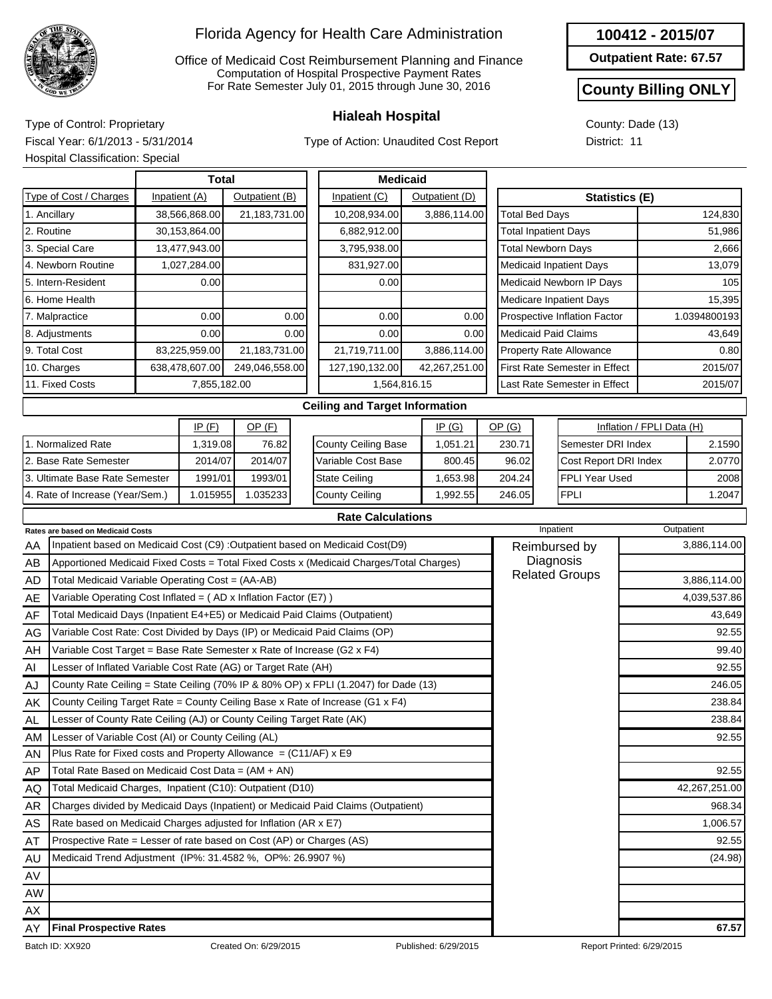

Office of Medicaid Cost Reimbursement Planning and Finance Computation of Hospital Prospective Payment Rates For Rate Semester July 01, 2015 through June 30, 2016

Type of Action: Unaudited Cost Report

| 100412 - 2015/07 |
|------------------|
|------------------|

**Outpatient Rate: 67.57**

#### **County Billing ONLY**

County: Dade (13) District: 11

**Hialeah Hospital** Type of Control: Proprietary Fiscal Year: 6/1/2013 - 5/31/2014 Hospital Classification: Special

|                 | <b>Hospital Classification: Special</b>                                    |              |               |                |      |                                                                                         |          |                              |                              |                                |                                      |                           |              |  |
|-----------------|----------------------------------------------------------------------------|--------------|---------------|----------------|------|-----------------------------------------------------------------------------------------|----------|------------------------------|------------------------------|--------------------------------|--------------------------------------|---------------------------|--------------|--|
|                 |                                                                            |              | Total         |                |      | <b>Medicaid</b>                                                                         |          |                              |                              |                                |                                      |                           |              |  |
|                 | Type of Cost / Charges                                                     |              | Inpatient (A) | Outpatient (B) |      | Inpatient (C)                                                                           |          | Outpatient (D)               |                              | <b>Statistics (E)</b>          |                                      |                           |              |  |
|                 | 1. Ancillary                                                               |              | 38,566,868.00 | 21,183,731.00  |      | 10,208,934.00                                                                           |          | 3,886,114.00                 | <b>Total Bed Days</b>        |                                |                                      |                           | 124,830      |  |
| 2. Routine      |                                                                            |              | 30,153,864.00 |                |      | 6,882,912.00                                                                            |          |                              |                              |                                | <b>Total Inpatient Days</b>          |                           | 51,986       |  |
|                 | 3. Special Care                                                            |              | 13,477,943.00 |                |      | 3,795,938.00                                                                            |          |                              |                              |                                | <b>Total Newborn Days</b>            |                           | 2,666        |  |
|                 | 4. Newborn Routine                                                         |              | 1,027,284.00  |                |      | 831,927.00                                                                              |          |                              |                              |                                | <b>Medicaid Inpatient Days</b>       |                           | 13,079       |  |
|                 | 5. Intern-Resident                                                         |              | 0.00          |                |      | 0.00                                                                                    |          |                              |                              |                                | Medicaid Newborn IP Days             |                           | 105          |  |
|                 | 6. Home Health                                                             |              |               |                |      |                                                                                         |          |                              |                              |                                | <b>Medicare Inpatient Days</b>       | 15,395                    |              |  |
| 7. Malpractice  |                                                                            | 0.00         |               | 0.00           | 0.00 |                                                                                         | 0.00     | Prospective Inflation Factor |                              |                                | 1.0394800193                         |                           |              |  |
| 8. Adjustments  |                                                                            | 0.00         |               | 0.00           | 0.00 |                                                                                         | 0.00     |                              |                              | <b>Medicaid Paid Claims</b>    | 43,649                               |                           |              |  |
|                 | 9. Total Cost<br>83,225,959.00                                             |              |               | 21,183,731.00  |      | 21,719,711.00                                                                           |          | 3,886,114.00                 |                              | <b>Property Rate Allowance</b> |                                      |                           |              |  |
|                 | 10. Charges<br>638,478,607.00                                              |              |               | 249,046,558.00 |      | 127,190,132.00                                                                          |          | 42,267,251.00                |                              |                                | <b>First Rate Semester in Effect</b> |                           | 2015/07      |  |
| 11. Fixed Costs |                                                                            | 7,855,182.00 | 1,564,816.15  |                |      |                                                                                         |          |                              | Last Rate Semester in Effect |                                | 2015/07                              |                           |              |  |
|                 |                                                                            |              |               |                |      | <b>Ceiling and Target Information</b>                                                   |          |                              |                              |                                |                                      |                           |              |  |
|                 |                                                                            |              | IP(F)         | $OP$ (F)       |      |                                                                                         |          | IP(G)                        | OP(G)                        |                                |                                      | Inflation / FPLI Data (H) |              |  |
|                 | 1. Normalized Rate                                                         |              | 1,319.08      | 76.82          |      | <b>County Ceiling Base</b>                                                              |          | 1,051.21                     | 230.71                       |                                | Semester DRI Index                   |                           | 2.1590       |  |
|                 | 2. Base Rate Semester                                                      |              | 2014/07       | 2014/07        |      | Variable Cost Base                                                                      |          | 800.45                       | 96.02                        |                                | Cost Report DRI Index                |                           | 2.0770       |  |
|                 | 3. Ultimate Base Rate Semester                                             |              | 1991/01       | 1993/01        |      | <b>State Ceiling</b>                                                                    |          | 1,653.98                     | 204.24                       |                                | <b>FPLI Year Used</b>                |                           | 2008         |  |
|                 | 4. Rate of Increase (Year/Sem.)                                            |              | 1.015955      | 1.035233       |      | <b>County Ceiling</b>                                                                   | 1,992.55 | 246.05                       |                              | <b>FPLI</b>                    |                                      | 1.2047                    |              |  |
|                 |                                                                            |              |               |                |      | <b>Rate Calculations</b>                                                                |          |                              |                              |                                |                                      |                           |              |  |
|                 | <b>Rates are based on Medicaid Costs</b>                                   |              |               |                |      |                                                                                         |          |                              |                              |                                | Inpatient                            | Outpatient                |              |  |
| AA              |                                                                            |              |               |                |      | Inpatient based on Medicaid Cost (C9) :Outpatient based on Medicaid Cost(D9)            |          |                              |                              | Reimbursed by                  |                                      |                           | 3,886,114.00 |  |
| AB              |                                                                            |              |               |                |      | Apportioned Medicaid Fixed Costs = Total Fixed Costs x (Medicaid Charges/Total Charges) |          |                              |                              |                                | Diagnosis                            |                           |              |  |
| <b>AD</b>       | Total Medicaid Variable Operating Cost = (AA-AB)                           |              |               |                |      |                                                                                         |          |                              |                              |                                | <b>Related Groups</b>                |                           | 3,886,114.00 |  |
| AE              | Variable Operating Cost Inflated = (AD x Inflation Factor (E7))            |              |               |                |      |                                                                                         |          |                              |                              |                                |                                      |                           | 4,039,537.86 |  |
| AF              | Total Medicaid Days (Inpatient E4+E5) or Medicaid Paid Claims (Outpatient) |              |               |                |      |                                                                                         |          |                              |                              |                                |                                      |                           | 43,649       |  |
| AG              |                                                                            |              |               |                |      | Variable Cost Rate: Cost Divided by Days (IP) or Medicaid Paid Claims (OP)              |          |                              |                              |                                |                                      |                           | 92.55        |  |
| AH              | Variable Cost Target = Base Rate Semester x Rate of Increase (G2 x F4)     |              |               |                |      |                                                                                         |          |                              |                              |                                |                                      |                           | 99.40        |  |
| Al              | Lesser of Inflated Variable Cost Rate (AG) or Target Rate (AH)             |              |               |                |      |                                                                                         |          |                              |                              |                                |                                      |                           | 92.55        |  |
| AJ              |                                                                            |              |               |                |      | County Rate Ceiling = State Ceiling (70% IP & 80% OP) x FPLI (1.2047) for Dade (13)     |          |                              |                              |                                |                                      |                           | 246.05       |  |
| AΚ              |                                                                            |              |               |                |      | County Ceiling Target Rate = County Ceiling Base x Rate of Increase (G1 x F4)           |          |                              |                              |                                |                                      |                           | 238.84       |  |

Lesser of Variable Cost (AI) or County Ceiling (AL)

Total Rate Based on Medicaid Cost Data = (AM + AN) Total Medicaid Charges, Inpatient (C10): Outpatient (D10)

Lesser of County Rate Ceiling (AJ) or County Ceiling Target Rate (AK)

Charges divided by Medicaid Days (Inpatient) or Medicaid Paid Claims (Outpatient)

Plus Rate for Fixed costs and Property Allowance =  $(C11/AF)$  x E9

Rate based on Medicaid Charges adjusted for Inflation (AR x E7) Prospective Rate = Lesser of rate based on Cost (AP) or Charges (AS)

Medicaid Trend Adjustment (IP%: 31.4582 %, OP%: 26.9907 %) (24.98)

238.84 92.55

92.55

42,267,251.00 968.34 1,006.57 92.55

AL AM AN AP AQ AR AS AT AU AV AW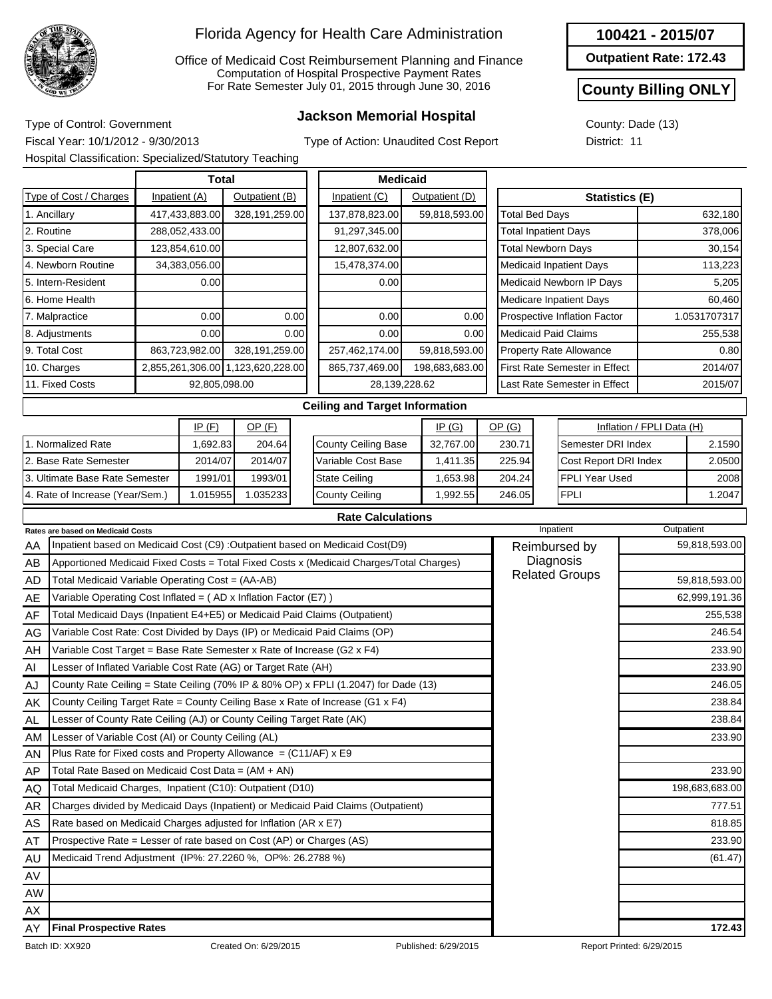

Office of Medicaid Cost Reimbursement Planning and Finance Computation of Hospital Prospective Payment Rates For Rate Semester July 01, 2015 through June 30, 2016

## **Jackson Memorial Hospital** Type of Control: Government

**100421 - 2015/07**

**Outpatient Rate: 172.43**

#### **County Billing ONLY**

County: Dade (13) District: 11

Fiscal Year: 10/1/2012 - 9/30/2013 Hospital Classification: Specialized/Statutory Teaching

| Type of Action: Unaudited Cost Report |  |  |
|---------------------------------------|--|--|
|---------------------------------------|--|--|

|                                                  |                                                                        |      | <b>Total</b>   |                                  |                | <b>Medicaid</b>                                                                         |                |                                |                              |                                 |                                |                           |               |
|--------------------------------------------------|------------------------------------------------------------------------|------|----------------|----------------------------------|----------------|-----------------------------------------------------------------------------------------|----------------|--------------------------------|------------------------------|---------------------------------|--------------------------------|---------------------------|---------------|
|                                                  | Type of Cost / Charges                                                 |      | Inpatient (A)  | Outpatient (B)                   |                | Inpatient (C)<br>Outpatient (D)                                                         |                |                                | <b>Statistics (E)</b>        |                                 |                                |                           |               |
| 1. Ancillary                                     |                                                                        |      | 417,433,883.00 | 328,191,259.00                   |                | 137,878,823.00                                                                          | 59,818,593.00  |                                |                              | <b>Total Bed Days</b>           |                                |                           | 632,180       |
| 2. Routine<br>288,052,433.00                     |                                                                        |      |                |                                  | 91,297,345.00  |                                                                                         |                | <b>Total Inpatient Days</b>    |                              |                                 |                                | 378,006                   |               |
| 123,854,610.00<br>3. Special Care                |                                                                        |      |                |                                  | 12,807,632.00  |                                                                                         |                |                                |                              | <b>Total Newborn Days</b>       |                                | 30,154                    |               |
| 4. Newborn Routine<br>34,383,056.00              |                                                                        |      |                |                                  | 15,478,374.00  |                                                                                         |                | <b>Medicaid Inpatient Days</b> |                              |                                 |                                | 113,223                   |               |
| 5. Intern-Resident                               |                                                                        | 0.00 |                |                                  | 0.00           |                                                                                         |                | Medicaid Newborn IP Days       |                              |                                 |                                | 5,205                     |               |
| 6. Home Health                                   |                                                                        |      |                |                                  |                |                                                                                         |                |                                |                              |                                 | <b>Medicare Inpatient Days</b> |                           | 60,460        |
| 7. Malpractice                                   |                                                                        |      | 0.00           |                                  | 0.00           | 0.00                                                                                    |                | 0.00                           |                              |                                 | Prospective Inflation Factor   |                           | 1.0531707317  |
| 8. Adjustments                                   |                                                                        | 0.00 |                | 0.00                             | 0.00           |                                                                                         | 0.00           |                                |                              | <b>Medicaid Paid Claims</b>     | 255,538                        |                           |               |
| 863,723,982.00<br>9. Total Cost                  |                                                                        |      | 328,191,259.00 |                                  | 257,462,174.00 |                                                                                         | 59,818,593.00  |                                | Property Rate Allowance      |                                 |                                | 0.80                      |               |
| 10. Charges<br>2,855,261,306.00 1,123,620,228.00 |                                                                        |      |                |                                  | 865,737,469.00 |                                                                                         | 198,683,683.00 | First Rate Semester in Effect  |                              |                                 |                                | 2014/07                   |               |
| 11. Fixed Costs<br>92,805,098.00                 |                                                                        |      |                | 28,139,228.62                    |                |                                                                                         |                |                                | Last Rate Semester in Effect |                                 | 2015/07                        |                           |               |
|                                                  |                                                                        |      |                |                                  |                | <b>Ceiling and Target Information</b>                                                   |                |                                |                              |                                 |                                |                           |               |
| IP(F)<br>OP(F)<br>IP(G)                          |                                                                        |      |                |                                  |                |                                                                                         |                |                                | OP(G)                        |                                 |                                | Inflation / FPLI Data (H) |               |
| 1. Normalized Rate<br>204.64<br>1,692.83         |                                                                        |      |                | County Ceiling Base<br>32,767.00 |                |                                                                                         | 230.71         |                                | Semester DRI Index           |                                 | 2.1590                         |                           |               |
|                                                  | 2. Base Rate Semester                                                  |      | 2014/07        | 2014/07                          |                | Variable Cost Base                                                                      |                | 1,411.35                       |                              | 225.94<br>Cost Report DRI Index |                                |                           | 2.0500        |
|                                                  | 3. Ultimate Base Rate Semester                                         |      | 1991/01        | 1993/01                          |                | <b>State Ceiling</b>                                                                    |                | 1,653.98                       | 204.24                       |                                 | <b>FPLI Year Used</b>          |                           | 2008          |
|                                                  | 4. Rate of Increase (Year/Sem.)                                        |      | 1.015955       | 1.035233                         |                | <b>County Ceiling</b>                                                                   |                | 1,992.55                       | 246.05                       |                                 | <b>FPLI</b>                    |                           | 1.2047        |
|                                                  |                                                                        |      |                |                                  |                | <b>Rate Calculations</b>                                                                |                |                                |                              |                                 |                                |                           |               |
|                                                  | <b>Rates are based on Medicaid Costs</b>                               |      |                |                                  |                |                                                                                         |                |                                |                              |                                 | Inpatient                      |                           | Outpatient    |
| AA                                               |                                                                        |      |                |                                  |                | Inpatient based on Medicaid Cost (C9) :Outpatient based on Medicaid Cost(D9)            |                |                                |                              |                                 | Reimbursed by                  |                           | 59,818,593.00 |
| AB                                               |                                                                        |      |                |                                  |                | Apportioned Medicaid Fixed Costs = Total Fixed Costs x (Medicaid Charges/Total Charges) |                |                                |                              |                                 | Diagnosis                      |                           |               |
| <b>AD</b>                                        | Total Medicaid Variable Operating Cost = (AA-AB)                       |      |                |                                  |                |                                                                                         |                |                                |                              |                                 | <b>Related Groups</b>          |                           | 59,818,593.00 |
| AE                                               | Variable Operating Cost Inflated = (AD x Inflation Factor (E7))        |      |                |                                  |                |                                                                                         |                |                                |                              |                                 |                                |                           | 62,999,191.36 |
| AF                                               |                                                                        |      |                |                                  |                | Total Medicaid Days (Inpatient E4+E5) or Medicaid Paid Claims (Outpatient)              |                |                                |                              |                                 |                                |                           | 255,538       |
| AG                                               |                                                                        |      |                |                                  |                | Variable Cost Rate: Cost Divided by Days (IP) or Medicaid Paid Claims (OP)              |                |                                |                              |                                 |                                |                           | 246.54        |
| AH                                               | Variable Cost Target = Base Rate Semester x Rate of Increase (G2 x F4) |      |                |                                  |                |                                                                                         |                |                                |                              |                                 |                                |                           | 233.90        |
| Al                                               | Lesser of Inflated Variable Cost Rate (AG) or Target Rate (AH)         |      |                |                                  |                |                                                                                         |                |                                |                              |                                 |                                |                           | 233.90        |
| AJ                                               |                                                                        |      |                |                                  |                | County Rate Ceiling = State Ceiling (70% IP & 80% OP) x FPLI (1.2047) for Dade (13)     |                |                                |                              |                                 |                                |                           | 246.05        |

| <i>I</i> 11 | $\frac{1}{2}$ and modificial Bays (impactorie E $\frac{1}{2}$ . Every or modificator rate Statistic Reports in $\frac{1}{2}$ | -00,000                   |
|-------------|------------------------------------------------------------------------------------------------------------------------------|---------------------------|
| AG          | Variable Cost Rate: Cost Divided by Days (IP) or Medicaid Paid Claims (OP)                                                   | 246.54                    |
| AH          | Variable Cost Target = Base Rate Semester x Rate of Increase (G2 x F4)                                                       | 233.90                    |
| AI          | Lesser of Inflated Variable Cost Rate (AG) or Target Rate (AH)                                                               | 233.90                    |
| AJ          | County Rate Ceiling = State Ceiling (70% IP & 80% OP) x FPLI (1.2047) for Dade (13)                                          | 246.05                    |
| AK          | County Ceiling Target Rate = County Ceiling Base x Rate of Increase (G1 x F4)                                                | 238.84                    |
| <b>AL</b>   | Lesser of County Rate Ceiling (AJ) or County Ceiling Target Rate (AK)                                                        | 238.84                    |
| <b>AM</b>   | Lesser of Variable Cost (AI) or County Ceiling (AL)                                                                          | 233.90                    |
| AN          | Plus Rate for Fixed costs and Property Allowance $= (C11/AF) \times E9$                                                      |                           |
| AP.         | Total Rate Based on Medicaid Cost Data = (AM + AN)                                                                           | 233.90                    |
| AQ          | Total Medicaid Charges, Inpatient (C10): Outpatient (D10)                                                                    | 198,683,683.00            |
| AR          | Charges divided by Medicaid Days (Inpatient) or Medicaid Paid Claims (Outpatient)                                            | 777.51                    |
| AS          | Rate based on Medicaid Charges adjusted for Inflation (AR x E7)                                                              | 818.85                    |
| AT          | Prospective Rate = Lesser of rate based on Cost (AP) or Charges (AS)                                                         | 233.90                    |
| AU          | Medicaid Trend Adjustment (IP%: 27.2260 %, OP%: 26.2788 %)                                                                   | (61.47)                   |
| AV          |                                                                                                                              |                           |
| AW          |                                                                                                                              |                           |
| AX          |                                                                                                                              |                           |
| AY          | <b>Final Prospective Rates</b>                                                                                               | 172.43                    |
|             | Batch ID: XX920<br>Created On: 6/29/2015<br>Published: 6/29/2015                                                             | Report Printed: 6/29/2015 |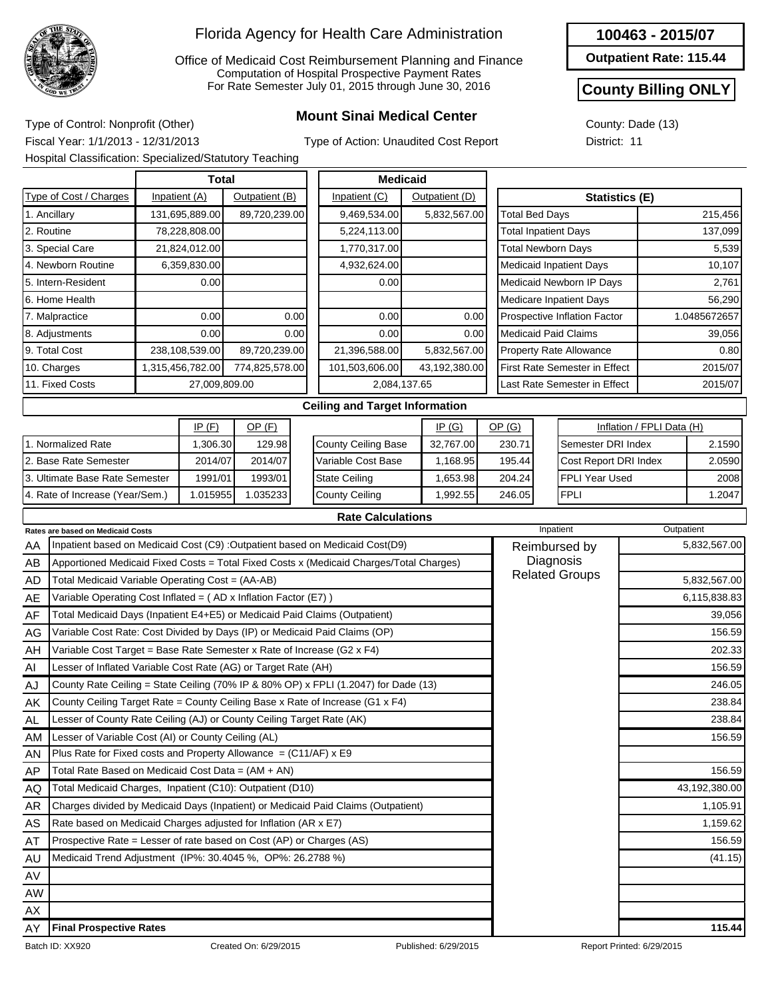

Office of Medicaid Cost Reimbursement Planning and Finance Computation of Hospital Prospective Payment Rates For Rate Semester July 01, 2015 through June 30, 2016

# **Mount Sinai Medical Center** Type of Control: Nonprofit (Other)

**100463 - 2015/07**

**Outpatient Rate: 115.44**

#### **County Billing ONLY**

County: Dade (13) District: 11

Fiscal Year: 1/1/2013 - 12/31/2013 Hospital Classification: Specialized/Statutory Teaching

|                                                         |                                                                            |         | <b>Total</b>     |                            |                    | <b>Medicaid</b>                                                                         |          |                |                              |                                    |                       |                               |              |               |
|---------------------------------------------------------|----------------------------------------------------------------------------|---------|------------------|----------------------------|--------------------|-----------------------------------------------------------------------------------------|----------|----------------|------------------------------|------------------------------------|-----------------------|-------------------------------|--------------|---------------|
|                                                         | Type of Cost / Charges                                                     |         | Inpatient (A)    | Outpatient (B)             |                    | Inpatient (C)                                                                           |          | Outpatient (D) |                              |                                    |                       | Statistics (E)                |              |               |
|                                                         | 1. Ancillary                                                               |         | 131,695,889.00   | 89,720,239.00              |                    | 9,469,534.00                                                                            |          | 5,832,567.00   |                              | <b>Total Bed Days</b>              |                       |                               |              | 215,456       |
| 2. Routine                                              |                                                                            |         | 78,228,808.00    |                            |                    | 5,224,113.00                                                                            |          |                |                              | <b>Total Inpatient Days</b>        |                       |                               |              | 137,099       |
|                                                         | 3. Special Care                                                            |         | 21,824,012.00    |                            |                    | 1,770,317.00                                                                            |          |                |                              | <b>Total Newborn Days</b>          |                       |                               |              | 5,539         |
|                                                         | 4. Newborn Routine                                                         |         | 6,359,830.00     |                            |                    | 4,932,624.00                                                                            |          |                |                              | <b>Medicaid Inpatient Days</b>     |                       |                               |              | 10,107        |
|                                                         | 5. Intern-Resident                                                         |         | 0.00             |                            |                    | 0.00                                                                                    |          |                |                              | Medicaid Newborn IP Days           |                       |                               |              | 2,761         |
|                                                         | 6. Home Health                                                             |         |                  |                            |                    |                                                                                         |          |                |                              | <b>Medicare Inpatient Days</b>     |                       |                               |              | 56,290        |
|                                                         | 7. Malpractice                                                             |         | 0.00             |                            | 0.00               | 0.00                                                                                    |          | 0.00           |                              | Prospective Inflation Factor       |                       |                               | 1.0485672657 |               |
|                                                         | 8. Adjustments                                                             |         | 0.00             |                            | 0.00               | 0.00                                                                                    |          | 0.00           |                              | <b>Medicaid Paid Claims</b>        |                       |                               |              | 39,056        |
|                                                         | 9. Total Cost                                                              |         | 238,108,539.00   | 89,720,239.00              |                    | 21,396,588.00                                                                           |          | 5,832,567.00   |                              | Property Rate Allowance            |                       |                               |              | 0.80          |
|                                                         | 10. Charges                                                                |         | 1,315,456,782.00 | 774,825,578.00             |                    | 101,503,606.00                                                                          |          | 43,192,380.00  |                              |                                    |                       | First Rate Semester in Effect |              | 2015/07       |
|                                                         | 11. Fixed Costs                                                            |         | 27,009,809.00    |                            |                    | 2,084,137.65                                                                            |          |                | Last Rate Semester in Effect |                                    |                       |                               |              | 2015/07       |
|                                                         |                                                                            |         |                  |                            |                    | <b>Ceiling and Target Information</b>                                                   |          |                |                              |                                    |                       |                               |              |               |
| IP(F)<br>$OP$ (F)                                       |                                                                            |         |                  |                            | IP(G)              |                                                                                         | OP(G)    |                |                              | Inflation / FPLI Data (H)          |                       |                               |              |               |
| 1. Normalized Rate<br>1,306.30                          |                                                                            | 129.98  |                  | <b>County Ceiling Base</b> |                    | 32,767.00                                                                               |          | 230.71         |                              | Semester DRI Index                 |                       | 2.1590                        |              |               |
|                                                         | 2. Base Rate Semester<br>2014/07                                           |         | 2014/07          |                            | Variable Cost Base |                                                                                         | 1,168.95 |                | 195.44                       |                                    | Cost Report DRI Index |                               | 2.0590       |               |
| 3. Ultimate Base Rate Semester<br>1991/01               |                                                                            | 1993/01 |                  | <b>State Ceiling</b>       |                    | 1,653.98                                                                                |          | 204.24         |                              | FPLI Year Used                     |                       | 2008                          |              |               |
| 4. Rate of Increase (Year/Sem.)<br>1.015955<br>1.035233 |                                                                            |         |                  | <b>County Ceiling</b>      |                    | 1.992.55                                                                                |          | 246.05         |                              | <b>FPLI</b>                        |                       | 1.2047                        |              |               |
| <b>Rate Calculations</b>                                |                                                                            |         |                  |                            |                    |                                                                                         |          |                |                              |                                    |                       |                               |              |               |
| <b>Rates are based on Medicaid Costs</b>                |                                                                            |         |                  |                            |                    |                                                                                         |          |                | Inpatient                    |                                    |                       |                               | Outpatient   |               |
| AA                                                      |                                                                            |         |                  |                            |                    | Inpatient based on Medicaid Cost (C9) : Outpatient based on Medicaid Cost(D9)           |          |                |                              | Reimbursed by                      |                       |                               |              | 5,832,567.00  |
| AB                                                      |                                                                            |         |                  |                            |                    | Apportioned Medicaid Fixed Costs = Total Fixed Costs x (Medicaid Charges/Total Charges) |          |                |                              | Diagnosis<br><b>Related Groups</b> |                       |                               |              |               |
| AD                                                      | Total Medicaid Variable Operating Cost = (AA-AB)                           |         |                  |                            |                    |                                                                                         |          |                |                              |                                    |                       |                               |              | 5,832,567.00  |
| AE                                                      | Variable Operating Cost Inflated = (AD x Inflation Factor (E7))            |         |                  |                            |                    |                                                                                         |          |                |                              |                                    |                       |                               |              | 6,115,838.83  |
| AF                                                      | Total Medicaid Days (Inpatient E4+E5) or Medicaid Paid Claims (Outpatient) |         |                  |                            |                    |                                                                                         |          |                |                              |                                    |                       |                               |              | 39,056        |
| AG                                                      | Variable Cost Rate: Cost Divided by Days (IP) or Medicaid Paid Claims (OP) |         |                  |                            |                    |                                                                                         |          |                |                              |                                    |                       |                               |              | 156.59        |
| AH                                                      | Variable Cost Target = Base Rate Semester x Rate of Increase (G2 x F4)     |         |                  |                            |                    |                                                                                         |          |                |                              |                                    |                       |                               |              | 202.33        |
| Al                                                      | Lesser of Inflated Variable Cost Rate (AG) or Target Rate (AH)             |         |                  |                            |                    |                                                                                         |          |                |                              |                                    |                       |                               |              | 156.59        |
| AJ                                                      |                                                                            |         |                  |                            |                    | County Rate Ceiling = State Ceiling (70% IP & 80% OP) x FPLI (1.2047) for Dade (13)     |          |                |                              |                                    |                       |                               |              | 246.05        |
| AK                                                      |                                                                            |         |                  |                            |                    | County Ceiling Target Rate = County Ceiling Base x Rate of Increase (G1 x F4)           |          |                |                              |                                    |                       |                               |              | 238.84        |
| AL                                                      | Lesser of County Rate Ceiling (AJ) or County Ceiling Target Rate (AK)      |         |                  |                            |                    |                                                                                         |          |                |                              |                                    |                       |                               |              | 238.84        |
| AM                                                      | Lesser of Variable Cost (AI) or County Ceiling (AL)                        |         |                  |                            |                    |                                                                                         |          |                |                              |                                    |                       |                               |              | 156.59        |
| AN                                                      | Plus Rate for Fixed costs and Property Allowance = $(C11/AF)$ x E9         |         |                  |                            |                    |                                                                                         |          |                |                              |                                    |                       |                               |              |               |
| AP                                                      | Total Rate Based on Medicaid Cost Data = (AM + AN)                         |         |                  |                            |                    |                                                                                         |          |                |                              |                                    |                       |                               |              | 156.59        |
| AQ                                                      | Total Medicaid Charges, Inpatient (C10): Outpatient (D10)                  |         |                  |                            |                    |                                                                                         |          |                |                              |                                    |                       |                               |              | 43,192,380.00 |
| <b>AR</b>                                               |                                                                            |         |                  |                            |                    | Charges divided by Medicaid Days (Inpatient) or Medicaid Paid Claims (Outpatient)       |          |                |                              |                                    |                       |                               |              | 1,105.91      |
| AS                                                      | Rate based on Medicaid Charges adjusted for Inflation (AR x E7)            |         |                  |                            |                    |                                                                                         |          |                |                              |                                    |                       |                               |              | 1,159.62      |
| AT                                                      | Prospective Rate = Lesser of rate based on Cost (AP) or Charges (AS)       |         |                  |                            |                    |                                                                                         |          |                |                              |                                    |                       |                               |              | 156.59        |
| AU                                                      | Medicaid Trend Adjustment (IP%: 30.4045 %, OP%: 26.2788 %)                 |         |                  |                            |                    |                                                                                         |          |                |                              |                                    |                       |                               |              | (41.15)       |
| AV                                                      |                                                                            |         |                  |                            |                    |                                                                                         |          |                |                              |                                    |                       |                               |              |               |
| AW                                                      |                                                                            |         |                  |                            |                    |                                                                                         |          |                |                              |                                    |                       |                               |              |               |

AX AY

**Final Prospective Rates 115.44**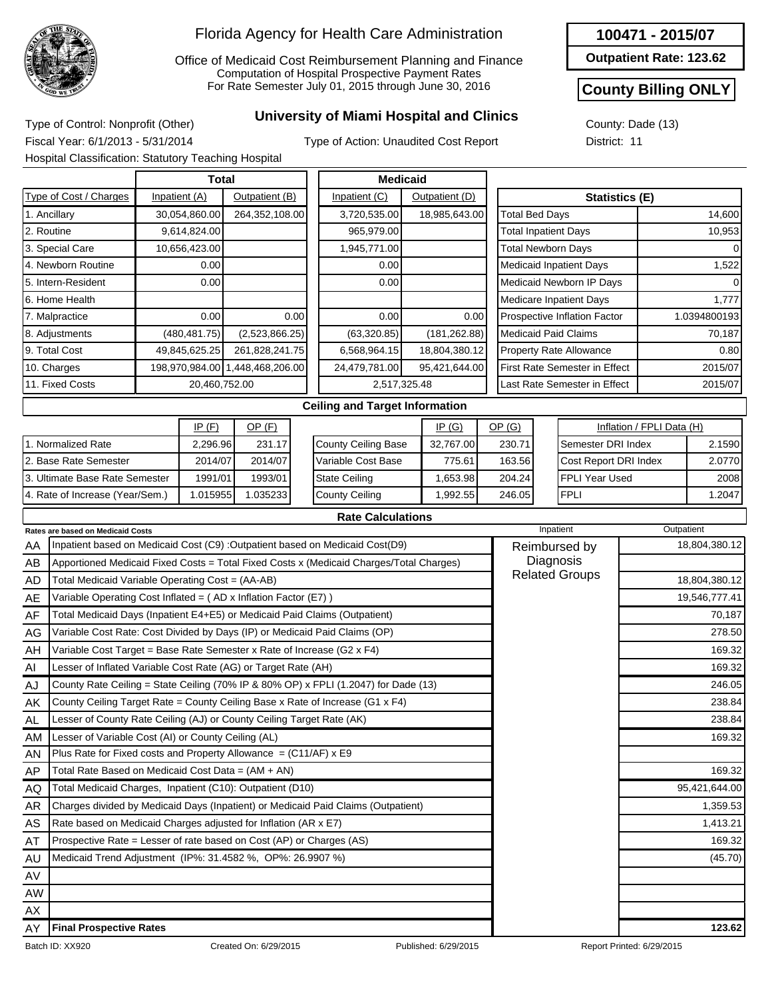

Office of Medicaid Cost Reimbursement Planning and Finance Computation of Hospital Prospective Payment Rates For Rate Semester July 01, 2015 through June 30, 2016

## **University of Miami Hospital and Clinics** Type of Control: Nonprofit (Other)

**100471 - 2015/07 Outpatient Rate: 123.62**

**County Billing ONLY**

Fiscal Year: 6/1/2013 - 5/31/2014 Hospital Classification: Statutory Teaching Hospital

Type of Action: Unaudited Cost Report

|              | County: Dade (13) |  |
|--------------|-------------------|--|
| District: 11 |                   |  |

|                        | <b>Total</b>                                     |                                 |                | <b>Medicaid</b>       |                                      |                |  |
|------------------------|--------------------------------------------------|---------------------------------|----------------|-----------------------|--------------------------------------|----------------|--|
| Type of Cost / Charges | Inpatient (A)<br>Outpatient (B)<br>Inpatient (C) |                                 | Outpatient (D) | <b>Statistics (E)</b> |                                      |                |  |
| 1. Ancillary           | 30,054,860.00                                    | 264,352,108.00                  | 3,720,535.00   | 18,985,643.00         | <b>Total Bed Days</b>                | 14,600         |  |
| 2. Routine             | 9,614,824.00                                     |                                 | 965,979.00     |                       | <b>Total Inpatient Days</b>          | 10,953         |  |
| 3. Special Care        | 10,656,423.00                                    |                                 | 1,945,771.00   |                       | <b>Total Newborn Days</b>            | $\overline{0}$ |  |
| 4. Newborn Routine     | 0.00                                             |                                 | 0.00           |                       | <b>Medicaid Inpatient Days</b>       | 1,522          |  |
| 5. Intern-Resident     | 0.00                                             |                                 | 0.00           |                       | Medicaid Newborn IP Days             | $\Omega$       |  |
| 6. Home Health         |                                                  |                                 |                |                       | <b>Medicare Inpatient Days</b>       | 1,777          |  |
| 7. Malpractice         | 0.00                                             | 0.00                            | 0.00           | 0.00                  | Prospective Inflation Factor         | 1.0394800193   |  |
| 8. Adjustments         | (480, 481.75)                                    | (2,523,866.25)                  | (63,320.85)    | (181, 262.88)         | <b>Medicaid Paid Claims</b>          | 70,187         |  |
| 9. Total Cost          | 49,845,625.25                                    | 261,828,241.75                  | 6,568,964.15   | 18,804,380.12         | <b>Property Rate Allowance</b>       | 0.80           |  |
| 10. Charges            |                                                  | 198,970,984.00 1,448,468,206.00 | 24,479,781.00  | 95,421,644.00         | <b>First Rate Semester in Effect</b> | 2015/07        |  |
| 11. Fixed Costs        | 20,460,752.00                                    |                                 |                | 2,517,325.48          | Last Rate Semester in Effect         | 2015/07        |  |
|                        |                                                  |                                 |                |                       |                                      |                |  |

|                                 | IP $(F)$ | OP (F)   |
|---------------------------------|----------|----------|
| 11. Normalized Rate             | 2.296.96 | 231.17   |
| 2. Base Rate Semester           | 2014/07  | 2014/07  |
| 13. Ultimate Base Rate Semester | 1991/01  | 1993/01  |
| 4. Rate of Increase (Year/Sem.) | 1.015955 | 1.035233 |

#### **Ceiling and Target Information**

**Rate Calculations**

|                            | IP(G)     | <u>OP (G)</u> | Inflation / FPLI Data (H) |        |  |  |  |
|----------------------------|-----------|---------------|---------------------------|--------|--|--|--|
| <b>County Ceiling Base</b> | 32,767.00 | 230.71        | Semester DRI Index        | 2.1590 |  |  |  |
| Variable Cost Base         | 775.61    | 163.56        | Cost Report DRI Index     | 2.0770 |  |  |  |
| <b>State Ceiling</b>       | 1,653.98  | 204.24        | <b>I</b> FPLI Year Used   | 2008   |  |  |  |
| County Ceiling             | 1,992.55  | 246.05        | <b>FPLI</b>               | 1.2047 |  |  |  |

|           | <b>Rates are based on Medicaid Costs</b>                                                | Inpatient             | Outpatient    |
|-----------|-----------------------------------------------------------------------------------------|-----------------------|---------------|
| AA        | Inpatient based on Medicaid Cost (C9) : Outpatient based on Medicaid Cost(D9)           | Reimbursed by         | 18,804,380.12 |
| AB        | Apportioned Medicaid Fixed Costs = Total Fixed Costs x (Medicaid Charges/Total Charges) | Diagnosis             |               |
| AD        | Total Medicaid Variable Operating Cost = (AA-AB)                                        | <b>Related Groups</b> | 18,804,380.12 |
| AE        | Variable Operating Cost Inflated = (AD x Inflation Factor (E7))                         |                       | 19,546,777.41 |
| AF        | Total Medicaid Days (Inpatient E4+E5) or Medicaid Paid Claims (Outpatient)              |                       | 70,187        |
| AG        | Variable Cost Rate: Cost Divided by Days (IP) or Medicaid Paid Claims (OP)              |                       | 278.50        |
| AH        | Variable Cost Target = Base Rate Semester x Rate of Increase (G2 x F4)                  |                       | 169.32        |
| AI        | Lesser of Inflated Variable Cost Rate (AG) or Target Rate (AH)                          |                       | 169.32        |
| AJ        | County Rate Ceiling = State Ceiling (70% IP & 80% OP) x FPLI (1.2047) for Dade (13)     |                       | 246.05        |
| AK        | County Ceiling Target Rate = County Ceiling Base x Rate of Increase (G1 x F4)           |                       | 238.84        |
| <b>AL</b> | Lesser of County Rate Ceiling (AJ) or County Ceiling Target Rate (AK)                   |                       | 238.84        |
| <b>AM</b> | Lesser of Variable Cost (AI) or County Ceiling (AL)                                     |                       | 169.32        |
| AN        | Plus Rate for Fixed costs and Property Allowance = $(C11/AF)$ x E9                      |                       |               |
| AP        | Total Rate Based on Medicaid Cost Data = (AM + AN)                                      |                       | 169.32        |
| AQ.       | Total Medicaid Charges, Inpatient (C10): Outpatient (D10)                               |                       | 95,421,644.00 |
| <b>AR</b> | Charges divided by Medicaid Days (Inpatient) or Medicaid Paid Claims (Outpatient)       |                       | 1,359.53      |
| <b>AS</b> | Rate based on Medicaid Charges adjusted for Inflation (AR x E7)                         |                       | 1,413.21      |
| AT        | Prospective Rate = Lesser of rate based on Cost (AP) or Charges (AS)                    |                       | 169.32        |
| AU        | Medicaid Trend Adjustment (IP%: 31.4582 %, OP%: 26.9907 %)                              |                       | (45.70)       |
| AV        |                                                                                         |                       |               |
| AW        |                                                                                         |                       |               |
| AX        |                                                                                         |                       |               |
| AY        | <b>Final Prospective Rates</b>                                                          |                       | 123.62        |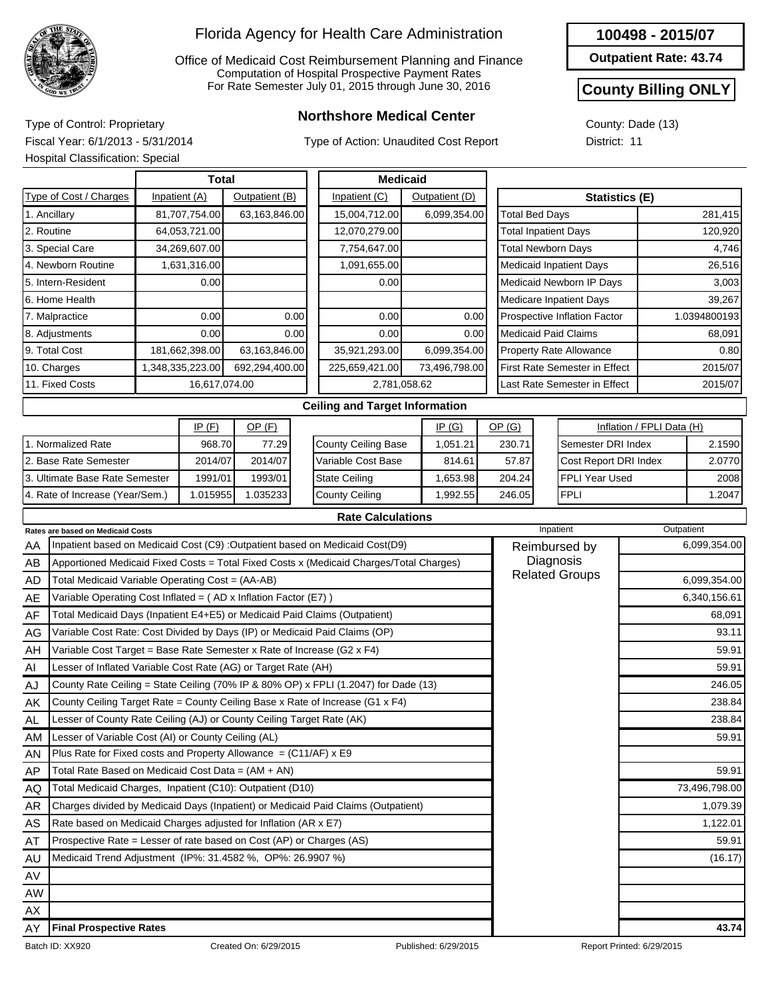

Office of Medicaid Cost Reimbursement Planning and Finance Computation of Hospital Prospective Payment Rates For Rate Semester July 01, 2015 through June 30, 2016

## **Northshore Medical Center** Type of Control: Proprietary

Type of Action: Unaudited Cost Report

#### **100498 - 2015/07**

**Outpatient Rate: 43.74**

### **County Billing ONLY**

County: Dade (13) District: 11

Fiscal Year: 6/1/2013 - 5/31/2014 Hospital Classification: Special

|                                 | <b>Total</b>     |                |      | <b>Medicaid</b>                       |  |                |                                |  |                                |                           |              |
|---------------------------------|------------------|----------------|------|---------------------------------------|--|----------------|--------------------------------|--|--------------------------------|---------------------------|--------------|
| Type of Cost / Charges          | Inpatient (A)    | Outpatient (B) |      | Inpatient (C)                         |  | Outpatient (D) |                                |  | <b>Statistics (E)</b>          |                           |              |
| 1. Ancillary                    | 81,707,754.00    | 63,163,846.00  |      | 15,004,712.00                         |  | 6,099,354.00   | Total Bed Days                 |  |                                |                           | 281,415      |
| 2. Routine                      | 64,053,721.00    |                |      | 12,070,279.00                         |  |                | <b>Total Inpatient Days</b>    |  |                                |                           | 120,920      |
| 3. Special Care                 | 34,269,607.00    |                |      | 7,754,647.00                          |  |                | <b>Total Newborn Days</b>      |  |                                |                           | 4,746        |
| 4. Newborn Routine              | 1,631,316.00     |                |      | 1,091,655.00                          |  |                | <b>Medicaid Inpatient Days</b> |  |                                | 26,516                    |              |
| 5. Intern-Resident              | 0.00             |                |      | 0.00                                  |  |                | Medicaid Newborn IP Days       |  |                                | 3,003                     |              |
| 6. Home Health                  |                  |                |      |                                       |  |                |                                |  | <b>Medicare Inpatient Days</b> |                           | 39,267       |
| 7. Malpractice                  | 0.00             |                | 0.00 | 0.00                                  |  | 0.00           | Prospective Inflation Factor   |  |                                |                           | 1.0394800193 |
| 8. Adjustments                  | 0.00             |                | 0.00 | 0.00                                  |  | 0.00           | <b>Medicaid Paid Claims</b>    |  |                                |                           | 68,091       |
| 9. Total Cost                   | 181,662,398.00   | 63,163,846.00  |      | 35,921,293.00                         |  | 6,099,354.00   | <b>Property Rate Allowance</b> |  |                                | 0.80                      |              |
| 10. Charges                     | 1,348,335,223.00 | 692,294,400.00 |      | 225,659,421.00                        |  | 73,496,798.00  |                                |  | First Rate Semester in Effect  |                           | 2015/07      |
| 11. Fixed Costs                 | 16,617,074.00    |                |      | 2,781,058.62                          |  |                |                                |  | Last Rate Semester in Effect   |                           | 2015/07      |
|                                 |                  |                |      | <b>Ceiling and Target Information</b> |  |                |                                |  |                                |                           |              |
|                                 | IP(F)            | $OP$ (F)       |      |                                       |  | IP(G)          | OP(G)                          |  |                                | Inflation / FPLI Data (H) |              |
| 1. Normalized Rate              | 968.70           | 77.29          |      | <b>County Ceiling Base</b>            |  | 1,051.21       | 230.71                         |  | Semester DRI Index             |                           | 2.1590       |
| 2. Base Rate Semester           | 2014/07          | 2014/07        |      | Variable Cost Base                    |  | 814.61         | 57.87                          |  | Cost Report DRI Index          |                           | 2.0770       |
| 3. Ultimate Base Rate Semester  | 1991/01          | 1993/01        |      | <b>State Ceiling</b>                  |  | 1,653.98       | 204.24                         |  | <b>FPLI Year Used</b>          |                           | 2008         |
| 4. Rate of Increase (Year/Sem.) | 1.015955         | 1.035233       |      | <b>County Ceiling</b>                 |  | 1,992.55       | 246.05                         |  | <b>FPLI</b>                    |                           | 1.2047       |
|                                 |                  |                |      |                                       |  |                |                                |  |                                |                           |              |

|  | <b>Rate Calculations</b> |
|--|--------------------------|
|  |                          |

|           | <b>Rates are based on Medicaid Costs</b>                                                | Inpatient             | Outpatient    |
|-----------|-----------------------------------------------------------------------------------------|-----------------------|---------------|
| AA        | Inpatient based on Medicaid Cost (C9) : Outpatient based on Medicaid Cost(D9)           | Reimbursed by         | 6,099,354.00  |
| AB        | Apportioned Medicaid Fixed Costs = Total Fixed Costs x (Medicaid Charges/Total Charges) | Diagnosis             |               |
| AD        | Total Medicaid Variable Operating Cost = (AA-AB)                                        | <b>Related Groups</b> | 6,099,354.00  |
| AE        | Variable Operating Cost Inflated = $(AD \times Inflation Factor (E7))$                  |                       | 6,340,156.61  |
| AF        | Total Medicaid Days (Inpatient E4+E5) or Medicaid Paid Claims (Outpatient)              |                       | 68,091        |
| AG        | Variable Cost Rate: Cost Divided by Days (IP) or Medicaid Paid Claims (OP)              |                       | 93.11         |
| AH        | Variable Cost Target = Base Rate Semester x Rate of Increase (G2 x F4)                  |                       | 59.91         |
| AI        | Lesser of Inflated Variable Cost Rate (AG) or Target Rate (AH)                          |                       | 59.91         |
| AJ        | County Rate Ceiling = State Ceiling (70% IP & 80% OP) x FPLI (1.2047) for Dade (13)     |                       | 246.05        |
| AK        | County Ceiling Target Rate = County Ceiling Base x Rate of Increase (G1 x F4)           |                       | 238.84        |
| AL        | Lesser of County Rate Ceiling (AJ) or County Ceiling Target Rate (AK)                   |                       | 238.84        |
| AM        | Lesser of Variable Cost (AI) or County Ceiling (AL)                                     |                       | 59.91         |
| AN        | Plus Rate for Fixed costs and Property Allowance $= (C11/AF) \times E9$                 |                       |               |
| <b>AP</b> | Total Rate Based on Medicaid Cost Data = $(AM + AN)$                                    |                       | 59.91         |
| AQ        | Total Medicaid Charges, Inpatient (C10): Outpatient (D10)                               |                       | 73,496,798.00 |
| AR        | Charges divided by Medicaid Days (Inpatient) or Medicaid Paid Claims (Outpatient)       |                       | 1,079.39      |
| AS        | Rate based on Medicaid Charges adjusted for Inflation (AR x E7)                         |                       | 1,122.01      |
| AT        | Prospective Rate = Lesser of rate based on Cost (AP) or Charges (AS)                    |                       | 59.91         |
| AU        | Medicaid Trend Adjustment (IP%: 31.4582 %, OP%: 26.9907 %)                              |                       | (16.17)       |
| AV        |                                                                                         |                       |               |
| <b>AW</b> |                                                                                         |                       |               |
| AX        |                                                                                         |                       |               |
| AY        | <b>Final Prospective Rates</b>                                                          |                       | 43.74         |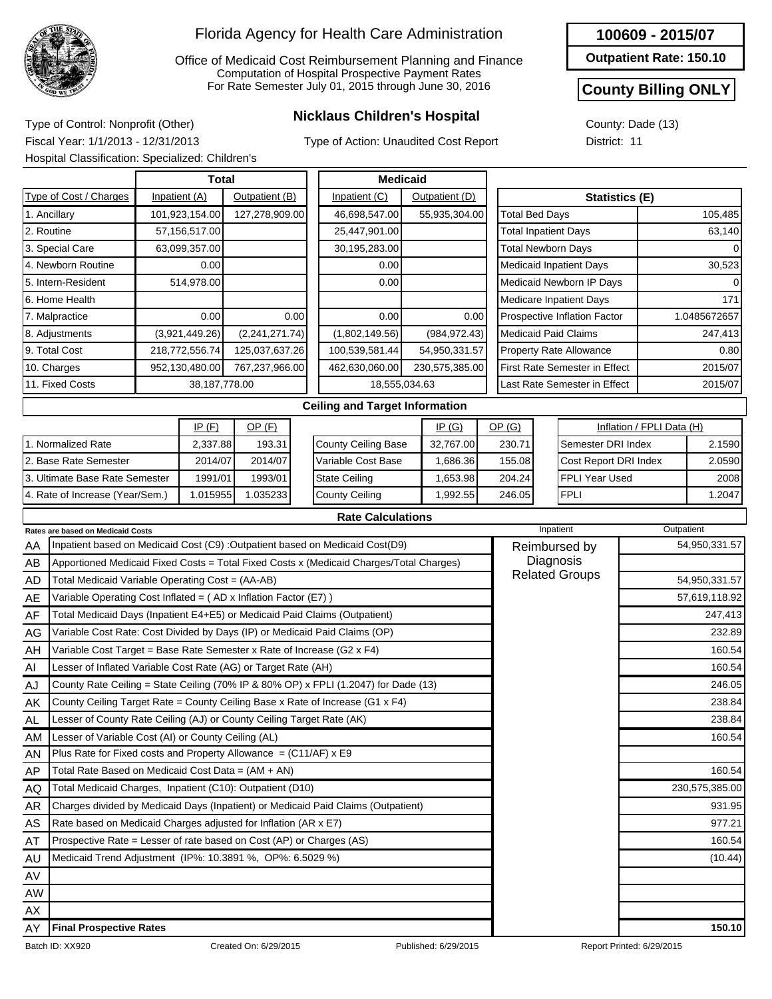

Office of Medicaid Cost Reimbursement Planning and Finance Computation of Hospital Prospective Payment Rates For Rate Semester July 01, 2015 through June 30, 2016

Type of Action: Unaudited Cost Report

#### **100609 - 2015/07**

**Outpatient Rate: 150.10**

### **County Billing ONLY**

54,950,331.57 57,619,118.92 247,413 232.89

> 160.54 160.54 246.05 238.84 238.84 160.54

160.54

931.95 977.21 160.54

230,575,385.00

County: Dade (13) District: 11

**Nicklaus Children's Hospital** Type of Control: Nonprofit (Other) Fiscal Year: 1/1/2013 - 12/31/2013 Hospital Classification: Specialized: Children's

|                                                                                    |                | <b>Total</b>                                                                  |                |                | <b>Medicaid</b>                                                                         |  |                |                                                                                                                                                            |  |                                      |                              |         |  |  |
|------------------------------------------------------------------------------------|----------------|-------------------------------------------------------------------------------|----------------|----------------|-----------------------------------------------------------------------------------------|--|----------------|------------------------------------------------------------------------------------------------------------------------------------------------------------|--|--------------------------------------|------------------------------|---------|--|--|
| Type of Cost / Charges                                                             |                | Inpatient (A)                                                                 | Outpatient (B) |                | Inpatient (C)                                                                           |  | Outpatient (D) | <b>Statistics (E)</b>                                                                                                                                      |  |                                      |                              |         |  |  |
| 1. Ancillary                                                                       |                | 101,923,154.00                                                                | 127,278,909.00 |                | 46,698,547.00                                                                           |  | 55,935,304.00  | <b>Total Bed Days</b>                                                                                                                                      |  |                                      |                              | 105,485 |  |  |
| 2. Routine                                                                         |                | 57,156,517.00                                                                 |                |                | 25,447,901.00                                                                           |  |                | <b>Total Inpatient Days</b>                                                                                                                                |  |                                      |                              | 63,140  |  |  |
| 3. Special Care                                                                    |                | 63,099,357.00                                                                 |                |                | 30,195,283.00                                                                           |  |                | <b>Total Newborn Days</b>                                                                                                                                  |  |                                      |                              |         |  |  |
| 4. Newborn Routine                                                                 |                | 0.00                                                                          |                |                | 0.00                                                                                    |  |                | <b>Medicaid Inpatient Days</b>                                                                                                                             |  |                                      |                              | 30,523  |  |  |
| 5. Intern-Resident                                                                 |                | 514.978.00                                                                    |                |                | 0.00                                                                                    |  |                |                                                                                                                                                            |  | Medicaid Newborn IP Days             |                              |         |  |  |
| 6. Home Health                                                                     |                |                                                                               |                |                |                                                                                         |  |                |                                                                                                                                                            |  | <b>Medicare Inpatient Days</b>       |                              | 171     |  |  |
| 0.00<br>0.00<br>7. Malpractice                                                     |                |                                                                               |                |                | 0.00                                                                                    |  | 0.00           |                                                                                                                                                            |  | Prospective Inflation Factor         |                              |         |  |  |
| (3,921,449.26)<br>(2,241,271.74)<br>8. Adjustments                                 |                |                                                                               |                |                | (1,802,149.56)                                                                          |  | (984, 972.43)  | <b>Medicaid Paid Claims</b>                                                                                                                                |  |                                      |                              | 247,413 |  |  |
| 9. Total Cost                                                                      | 218,772,556.74 |                                                                               |                | 125,037,637.26 | 100,539,581.44                                                                          |  | 54,950,331.57  | <b>Property Rate Allowance</b>                                                                                                                             |  |                                      |                              | 0.80    |  |  |
| 10. Charges<br>952,130,480.00                                                      |                |                                                                               | 767,237,966.00 |                | 462,630,060.00                                                                          |  | 230,575,385.00 |                                                                                                                                                            |  | <b>First Rate Semester in Effect</b> |                              | 2015/07 |  |  |
| 11. Fixed Costs                                                                    |                | 38, 187, 778.00                                                               |                |                | 18,555,034.63                                                                           |  |                |                                                                                                                                                            |  |                                      | Last Rate Semester in Effect |         |  |  |
|                                                                                    |                |                                                                               |                |                | <b>Ceiling and Target Information</b>                                                   |  |                |                                                                                                                                                            |  |                                      |                              |         |  |  |
|                                                                                    |                | IP(F)                                                                         | $OP$ $(F)$     |                | IP(G)                                                                                   |  |                | OP(G)                                                                                                                                                      |  |                                      |                              |         |  |  |
| 1. Normalized Rate                                                                 |                | 2,337.88                                                                      | 193.31         |                | County Ceiling Base                                                                     |  | 32,767.00      | 230.71                                                                                                                                                     |  |                                      |                              | 2.1590  |  |  |
| 2. Base Rate Semester                                                              |                | 2014/07                                                                       | 2014/07        |                | Variable Cost Base                                                                      |  | 1,686.36       | 155.08                                                                                                                                                     |  |                                      |                              | 2.0590  |  |  |
| 3. Ultimate Base Rate Semester                                                     |                | 1991/01                                                                       | 1993/01        |                | <b>State Ceiling</b>                                                                    |  | 1,653.98       | 204.24                                                                                                                                                     |  | <b>FPLI Year Used</b>                |                              | 2008    |  |  |
| 4. Rate of Increase (Year/Sem.)                                                    |                | 1.015955                                                                      | 1.035233       |                | County Ceiling                                                                          |  | 1,992.55       | 246.05                                                                                                                                                     |  | <b>FPLI</b>                          |                              | 1.2047  |  |  |
|                                                                                    |                |                                                                               |                |                | <b>Rate Calculations</b>                                                                |  |                |                                                                                                                                                            |  |                                      |                              |         |  |  |
| <b>Rates are based on Medicaid Costs</b>                                           |                |                                                                               |                |                |                                                                                         |  | Inpatient      |                                                                                                                                                            |  |                                      |                              |         |  |  |
| AA                                                                                 |                | Inpatient based on Medicaid Cost (C9) : Outpatient based on Medicaid Cost(D9) |                |                |                                                                                         |  | Reimbursed by  | 1.0485672657<br>2015/07<br>Inflation / FPLI Data (H)<br>Semester DRI Index<br>Cost Report DRI Index<br>Outpatient<br>54,950,331.57<br><b>54 050 221 57</b> |  |                                      |                              |         |  |  |
| AB                                                                                 |                |                                                                               |                |                | Apportioned Medicaid Fixed Costs = Total Fixed Costs x (Medicaid Charges/Total Charges) |  |                |                                                                                                                                                            |  | Diagnosis                            |                              |         |  |  |
| $Total Medical Variable$ Operating Cost $(A \wedge AB)$<br>$\mathsf{A} \mathsf{D}$ |                |                                                                               |                |                |                                                                                         |  |                |                                                                                                                                                            |  | <b>Related Groups</b>                |                              |         |  |  |

| AY | <b>Final Prospective Rates</b> | 150.10 |
|----|--------------------------------|--------|
| AX |                                |        |
| AW |                                |        |
| AV |                                |        |

Total Medicaid Variable Operating Cost = (AA-AB)

Lesser of Variable Cost (AI) or County Ceiling (AL)

Total Rate Based on Medicaid Cost Data =  $(AM + AN)$ Total Medicaid Charges, Inpatient (C10): Outpatient (D10)

Variable Operating Cost Inflated = ( AD x Inflation Factor (E7) )

Lesser of Inflated Variable Cost Rate (AG) or Target Rate (AH)

Total Medicaid Days (Inpatient E4+E5) or Medicaid Paid Claims (Outpatient) Variable Cost Rate: Cost Divided by Days (IP) or Medicaid Paid Claims (OP)

County Rate Ceiling = State Ceiling (70% IP & 80% OP) x FPLI (1.2047) for Dade (13) County Ceiling Target Rate = County Ceiling Base x Rate of Increase (G1 x F4)

Charges divided by Medicaid Days (Inpatient) or Medicaid Paid Claims (Outpatient)

Variable Cost Target = Base Rate Semester x Rate of Increase (G2 x F4)

Lesser of County Rate Ceiling (AJ) or County Ceiling Target Rate (AK)

Plus Rate for Fixed costs and Property Allowance  $= (C11/AF) \times E9$ 

Rate based on Medicaid Charges adjusted for Inflation (AR x E7) Prospective Rate = Lesser of rate based on Cost (AP) or Charges (AS)

AD AE AF AG AH AI AJ AK AL AM AN AP AQ AR AS AT AU

Medicaid Trend Adjustment (IP%: 10.3891 %, OP%: 6.5029 %) (10.44)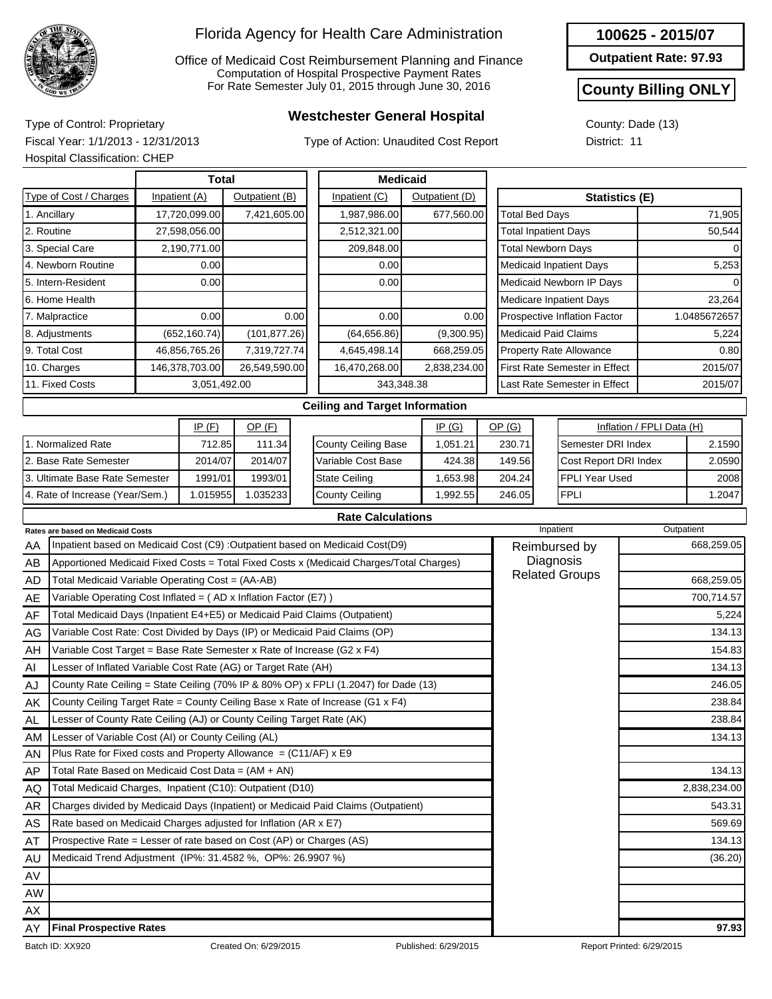

Office of Medicaid Cost Reimbursement Planning and Finance Computation of Hospital Prospective Payment Rates For Rate Semester July 01, 2015 through June 30, 2016

# **Westchester General Hospital** Type of Control: Proprietary

Type of Action: Unaudited Cost Report

**100625 - 2015/07**

**Outpatient Rate: 97.93**

#### **County Billing ONLY**

County: Dade (13) District: 11

Fiscal Year: 1/1/2013 - 12/31/2013 Hospital Classification: CHEP

|                                                                                               |                                                                 |  | <b>Total</b>  |                |      | <b>Medicaid</b>                       |                |      |                           |                                      |                           |              |
|-----------------------------------------------------------------------------------------------|-----------------------------------------------------------------|--|---------------|----------------|------|---------------------------------------|----------------|------|---------------------------|--------------------------------------|---------------------------|--------------|
|                                                                                               | Type of Cost / Charges                                          |  | Inpatient (A) | Outpatient (B) |      | Inpatient (C)                         | Outpatient (D) |      |                           | <b>Statistics (E)</b>                |                           |              |
|                                                                                               | 1. Ancillary                                                    |  | 17,720,099.00 | 7,421,605.00   |      | 1,987,986.00                          | 677,560.00     |      | <b>Total Bed Days</b>     |                                      |                           | 71,905       |
| 2. Routine                                                                                    |                                                                 |  | 27,598,056.00 |                |      | 2,512,321.00                          |                |      |                           | <b>Total Inpatient Days</b>          |                           | 50,544       |
|                                                                                               | 3. Special Care                                                 |  | 2,190,771.00  |                |      | 209,848.00                            |                |      | <b>Total Newborn Days</b> |                                      |                           |              |
|                                                                                               | 4. Newborn Routine                                              |  | 0.00          |                |      | 0.00                                  |                |      |                           | <b>Medicaid Inpatient Days</b>       |                           | 5,253        |
|                                                                                               | 5. Intern-Resident                                              |  | 0.00          |                |      | 0.00                                  |                |      |                           | Medicaid Newborn IP Days             |                           |              |
|                                                                                               | 6. Home Health                                                  |  |               |                |      |                                       |                |      |                           | Medicare Inpatient Days              |                           | 23,264       |
|                                                                                               | 7. Malpractice                                                  |  | 0.00          |                | 0.00 | 0.00                                  |                | 0.00 |                           | Prospective Inflation Factor         |                           | 1.0485672657 |
|                                                                                               | 8. Adjustments                                                  |  | (652, 160.74) | (101, 877.26)  |      | (64, 656.86)                          | (9,300.95)     |      |                           | <b>Medicaid Paid Claims</b>          |                           | 5,224        |
|                                                                                               | 9. Total Cost                                                   |  | 46,856,765.26 | 7,319,727.74   |      | 4,645,498.14                          | 668,259.05     |      |                           | Property Rate Allowance              |                           | 0.80         |
|                                                                                               | 10. Charges<br>146,378,703.00                                   |  |               | 26,549,590.00  |      | 16,470,268.00                         | 2,838,234.00   |      |                           | <b>First Rate Semester in Effect</b> |                           | 2015/07      |
| 11. Fixed Costs                                                                               |                                                                 |  | 3,051,492.00  |                |      |                                       | 343,348.38     |      |                           | Last Rate Semester in Effect         |                           | 2015/07      |
|                                                                                               |                                                                 |  |               |                |      | <b>Ceiling and Target Information</b> |                |      |                           |                                      |                           |              |
|                                                                                               |                                                                 |  | IP(F)         | $OP$ (F)       |      |                                       | IP(G)          |      | OP(G)                     |                                      | Inflation / FPLI Data (H) |              |
|                                                                                               | 1. Normalized Rate                                              |  | 712.85        | 111.34         |      | <b>County Ceiling Base</b>            | 1,051.21       |      | 230.71                    | Semester DRI Index                   |                           | 2.1590       |
|                                                                                               | 2. Base Rate Semester                                           |  | 2014/07       | 2014/07        |      | Variable Cost Base                    | 424.38         |      | 149.56                    | Cost Report DRI Index                |                           | 2.0590       |
|                                                                                               | 3. Ultimate Base Rate Semester                                  |  | 1991/01       | 1993/01        |      | <b>State Ceiling</b>                  | 1,653.98       |      | 204.24                    | <b>FPLI Year Used</b>                |                           | 2008         |
|                                                                                               | 4. Rate of Increase (Year/Sem.)                                 |  | 1.015955      | 1.035233       |      | <b>County Ceiling</b>                 | 1,992.55       |      | 246.05                    | <b>FPLI</b>                          |                           | 1.2047       |
|                                                                                               |                                                                 |  |               |                |      | <b>Rate Calculations</b>              |                |      |                           |                                      |                           |              |
| <b>Rates are based on Medicaid Costs</b>                                                      |                                                                 |  |               |                |      |                                       |                |      |                           | Inpatient                            |                           | Outpatient   |
| Inpatient based on Medicaid Cost (C9) : Outpatient based on Medicaid Cost(D9)<br>AA           |                                                                 |  |               |                |      |                                       |                |      |                           | Reimbursed by                        |                           | 668,259.05   |
| Apportioned Medicaid Fixed Costs = Total Fixed Costs x (Medicaid Charges/Total Charges)<br>AB |                                                                 |  |               |                |      |                                       |                |      |                           | Diagnosis                            |                           |              |
| <b>AD</b>                                                                                     | Total Medicaid Variable Operating Cost = (AA-AB)                |  |               |                |      |                                       |                |      |                           | <b>Related Groups</b>                |                           | 668,259.05   |
| ΔE                                                                                            | Variable Operating Cost Inflated = (AD x Inflation Factor (F7)) |  |               |                |      |                                       |                |      |                           |                                      |                           | 700 714 57   |

| AD  | Total Medicaid Variable Operating Cost = (AA-AB)                                    | Related Groups | 668,259.05   |
|-----|-------------------------------------------------------------------------------------|----------------|--------------|
| AE  | Variable Operating Cost Inflated = (AD x Inflation Factor (E7))                     |                | 700,714.57   |
| AF  | Total Medicaid Days (Inpatient E4+E5) or Medicaid Paid Claims (Outpatient)          |                | 5,224        |
| AG  | Variable Cost Rate: Cost Divided by Days (IP) or Medicaid Paid Claims (OP)          |                | 134.13       |
| AH  | Variable Cost Target = Base Rate Semester x Rate of Increase (G2 x F4)              |                | 154.83       |
| AI  | Lesser of Inflated Variable Cost Rate (AG) or Target Rate (AH)                      |                | 134.13       |
| AJ  | County Rate Ceiling = State Ceiling (70% IP & 80% OP) x FPLI (1.2047) for Dade (13) |                | 246.05       |
| AK  | County Ceiling Target Rate = County Ceiling Base x Rate of Increase (G1 x F4)       |                | 238.84       |
| AL  | Lesser of County Rate Ceiling (AJ) or County Ceiling Target Rate (AK)               |                | 238.84       |
| AM  | Lesser of Variable Cost (AI) or County Ceiling (AL)                                 |                | 134.13       |
| AN  | Plus Rate for Fixed costs and Property Allowance $= (C11/AF)$ x E9                  |                |              |
| AP. | Total Rate Based on Medicaid Cost Data = (AM + AN)                                  |                | 134.13       |
| AQ  | Total Medicaid Charges, Inpatient (C10): Outpatient (D10)                           |                | 2,838,234.00 |
| AR  | Charges divided by Medicaid Days (Inpatient) or Medicaid Paid Claims (Outpatient)   |                | 543.31       |
| AS  | Rate based on Medicaid Charges adjusted for Inflation (AR x E7)                     |                | 569.69       |
| AT  | Prospective Rate = Lesser of rate based on Cost (AP) or Charges (AS)                |                | 134.13       |
| AU  | Medicaid Trend Adjustment (IP%: 31.4582 %, OP%: 26.9907 %)                          |                | (36.20)      |
| AV  |                                                                                     |                |              |
| AW  |                                                                                     |                |              |
| AX  |                                                                                     |                |              |
| AY  | <b>Final Prospective Rates</b>                                                      |                | 97.93        |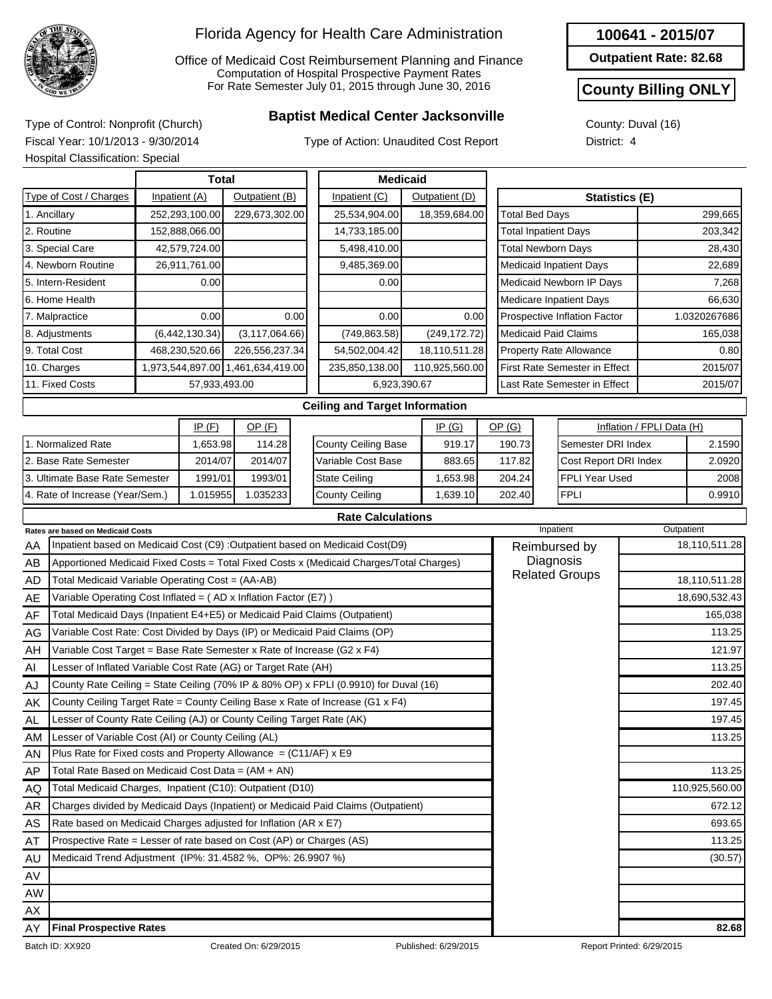

Office of Medicaid Cost Reimbursement Planning and Finance Computation of Hospital Prospective Payment Rates For Rate Semester July 01, 2015 through June 30, 2016

## **Baptist Medical Center Jacksonville** Type of Control: Nonprofit (Church)

Type of Action: Unaudited Cost Report

**Outpatient Rate: 82.68**

#### **County Billing ONLY**

County: Duval (16) District: 4

Fiscal Year: 10/1/2013 - 9/30/2014

|    | Hospital Classification: Special                                           |               |                |                                   |      |                                                                                         |                                |                                |                               |                                                                                                                 |         |  |  |  |
|----|----------------------------------------------------------------------------|---------------|----------------|-----------------------------------|------|-----------------------------------------------------------------------------------------|--------------------------------|--------------------------------|-------------------------------|-----------------------------------------------------------------------------------------------------------------|---------|--|--|--|
|    |                                                                            |               | <b>Total</b>   |                                   |      | <b>Medicaid</b>                                                                         |                                |                                |                               |                                                                                                                 |         |  |  |  |
|    | Type of Cost / Charges                                                     | Inpatient (A) |                | Outpatient (B)                    |      | Inpatient (C)                                                                           | Outpatient (D)                 |                                |                               |                                                                                                                 |         |  |  |  |
|    | 1. Ancillary                                                               |               | 252,293,100.00 | 229,673,302.00                    |      | 25,534,904.00                                                                           | 18,359,684.00                  | <b>Total Bed Days</b>          |                               |                                                                                                                 | 299,665 |  |  |  |
|    | 2. Routine                                                                 |               | 152,888,066.00 |                                   |      | 14,733,185.00                                                                           |                                | <b>Total Inpatient Days</b>    |                               |                                                                                                                 | 203,342 |  |  |  |
|    | 3. Special Care                                                            |               | 42,579,724.00  |                                   |      | 5,498,410.00                                                                            |                                | <b>Total Newborn Days</b>      |                               |                                                                                                                 | 28,430  |  |  |  |
|    | 4. Newborn Routine                                                         |               | 26,911,761.00  |                                   |      | 9,485,369.00                                                                            |                                | <b>Medicaid Inpatient Days</b> |                               |                                                                                                                 | 22,689  |  |  |  |
|    | 5. Intern-Resident                                                         |               | 0.00           |                                   |      | 0.00                                                                                    |                                |                                | Medicaid Newborn IP Days      |                                                                                                                 | 7,268   |  |  |  |
|    | 6. Home Health                                                             |               |                |                                   |      |                                                                                         | <b>Medicare Inpatient Days</b> |                                |                               | 66,630                                                                                                          |         |  |  |  |
|    | 7. Malpractice<br>0.00                                                     |               |                |                                   | 0.00 | 0.00                                                                                    | 0.00                           |                                | Prospective Inflation Factor  |                                                                                                                 |         |  |  |  |
|    | 8. Adjustments<br>(6,442,130.34)                                           |               |                | (3, 117, 064.66)                  |      | (749, 863.58)                                                                           | (249, 172.72)                  | <b>Medicaid Paid Claims</b>    |                               |                                                                                                                 | 165,038 |  |  |  |
|    | 9. Total Cost<br>468,230,520.66                                            |               |                | 226,556,237.34                    |      | 54,502,004.42                                                                           | 18,110,511.28                  | <b>Property Rate Allowance</b> |                               |                                                                                                                 | 0.80    |  |  |  |
|    | 10. Charges                                                                |               |                | 1,973,544,897.00 1,461,634,419.00 |      | 235,850,138.00                                                                          | 110,925,560.00                 |                                | First Rate Semester in Effect |                                                                                                                 | 2015/07 |  |  |  |
|    | 11. Fixed Costs                                                            |               | 57,933,493.00  |                                   |      | 6,923,390.67                                                                            |                                |                                | Last Rate Semester in Effect  |                                                                                                                 | 2015/07 |  |  |  |
|    |                                                                            |               |                |                                   |      | <b>Ceiling and Target Information</b>                                                   |                                |                                |                               |                                                                                                                 |         |  |  |  |
|    |                                                                            |               | IP(F)          | $OP$ (F)                          |      |                                                                                         | IP(G)                          | OP(G)                          |                               |                                                                                                                 |         |  |  |  |
|    | 1. Normalized Rate                                                         |               | 1,653.98       | 114.28                            |      | <b>County Ceiling Base</b>                                                              | 919.17                         | 190.73                         |                               |                                                                                                                 | 2.1590  |  |  |  |
|    | 2. Base Rate Semester                                                      |               | 2014/07        | 2014/07                           |      | Variable Cost Base                                                                      | 883.65                         | 117.82                         |                               |                                                                                                                 | 2.0920  |  |  |  |
|    | 3. Ultimate Base Rate Semester                                             |               | 1991/01        | 1993/01                           |      | <b>State Ceiling</b>                                                                    | 1,653.98                       | 204.24                         | FPLI Year Used                |                                                                                                                 | 2008    |  |  |  |
|    | 4. Rate of Increase (Year/Sem.)<br>1.015955                                |               |                | 1.035233                          |      | <b>County Ceiling</b>                                                                   | 1,639.10                       | 202.40                         | <b>FPLI</b>                   |                                                                                                                 | 0.9910  |  |  |  |
|    |                                                                            |               |                |                                   |      | <b>Rate Calculations</b>                                                                |                                |                                |                               |                                                                                                                 |         |  |  |  |
|    | Rates are based on Medicaid Costs                                          |               |                |                                   |      |                                                                                         |                                | Inpatient                      |                               | Inflation / FPLI Data (H)<br>Semester DRI Index<br>Cost Report DRI Index<br>Outpatient<br><b>Related Groups</b> |         |  |  |  |
| AA |                                                                            |               |                |                                   |      | Inpatient based on Medicaid Cost (C9) : Outpatient based on Medicaid Cost(D9)           |                                | Reimbursed by                  |                               | Statistics (E)<br>1.0320267686<br>18,110,511.28<br>18,110,511.28<br>110,925,560.00                              |         |  |  |  |
| AB |                                                                            |               |                |                                   |      | Apportioned Medicaid Fixed Costs = Total Fixed Costs x (Medicaid Charges/Total Charges) |                                | Diagnosis                      |                               |                                                                                                                 |         |  |  |  |
| AD | Total Medicaid Variable Operating Cost = (AA-AB)                           |               |                |                                   |      |                                                                                         |                                |                                |                               |                                                                                                                 |         |  |  |  |
| AE | Variable Operating Cost Inflated = (AD x Inflation Factor (E7))            |               |                |                                   |      |                                                                                         |                                |                                |                               | 18,690,532.43                                                                                                   |         |  |  |  |
| AF | Total Medicaid Days (Inpatient E4+E5) or Medicaid Paid Claims (Outpatient) |               |                |                                   |      |                                                                                         |                                |                                |                               | 165,038                                                                                                         |         |  |  |  |
| AG | Variable Cost Rate: Cost Divided by Days (IP) or Medicaid Paid Claims (OP) |               |                |                                   |      |                                                                                         |                                |                                |                               |                                                                                                                 | 113.25  |  |  |  |
| AH | Variable Cost Target = Base Rate Semester x Rate of Increase (G2 x F4)     |               |                |                                   |      |                                                                                         |                                |                                |                               |                                                                                                                 | 121.97  |  |  |  |
| Al | Lesser of Inflated Variable Cost Rate (AG) or Target Rate (AH)             |               |                |                                   |      |                                                                                         |                                |                                |                               |                                                                                                                 | 113.25  |  |  |  |
| AJ |                                                                            |               |                |                                   |      | County Rate Ceiling = State Ceiling (70% IP & 80% OP) x FPLI (0.9910) for Duval (16)    |                                |                                |                               |                                                                                                                 | 202.40  |  |  |  |
| AK |                                                                            |               |                |                                   |      | County Ceiling Target Rate = County Ceiling Base x Rate of Increase (G1 x F4)           |                                |                                |                               |                                                                                                                 | 197.45  |  |  |  |
| AL | Lesser of County Rate Ceiling (AJ) or County Ceiling Target Rate (AK)      |               |                |                                   |      |                                                                                         |                                |                                |                               |                                                                                                                 | 197.45  |  |  |  |
| AM | Lesser of Variable Cost (AI) or County Ceiling (AL)                        |               |                |                                   |      |                                                                                         |                                |                                |                               |                                                                                                                 | 113.25  |  |  |  |
| AN | Plus Rate for Fixed costs and Property Allowance = $(C11/AF)$ x E9         |               |                |                                   |      |                                                                                         |                                |                                |                               |                                                                                                                 |         |  |  |  |
| AP | Total Rate Based on Medicaid Cost Data = (AM + AN)                         |               |                |                                   |      |                                                                                         |                                |                                |                               |                                                                                                                 | 113.25  |  |  |  |
| AQ | Total Medicaid Charges, Inpatient (C10): Outpatient (D10)                  |               |                |                                   |      |                                                                                         |                                |                                |                               |                                                                                                                 |         |  |  |  |
| AR |                                                                            |               |                |                                   |      | Charges divided by Medicaid Days (Inpatient) or Medicaid Paid Claims (Outpatient)       |                                |                                |                               |                                                                                                                 | 672.12  |  |  |  |
| AS | Rate based on Medicaid Charges adjusted for Inflation (AR x E7)            |               |                |                                   |      |                                                                                         |                                |                                |                               |                                                                                                                 | 693.65  |  |  |  |
| AT | Prospective Rate = Lesser of rate based on Cost (AP) or Charges (AS)       |               |                |                                   |      |                                                                                         |                                |                                |                               |                                                                                                                 | 113.25  |  |  |  |
| AU | Medicaid Trend Adjustment (IP%: 31.4582 %, OP%: 26.9907 %)                 |               |                |                                   |      |                                                                                         |                                |                                |                               |                                                                                                                 | (30.57) |  |  |  |
| AV |                                                                            |               |                |                                   |      |                                                                                         |                                |                                |                               |                                                                                                                 |         |  |  |  |

AW AX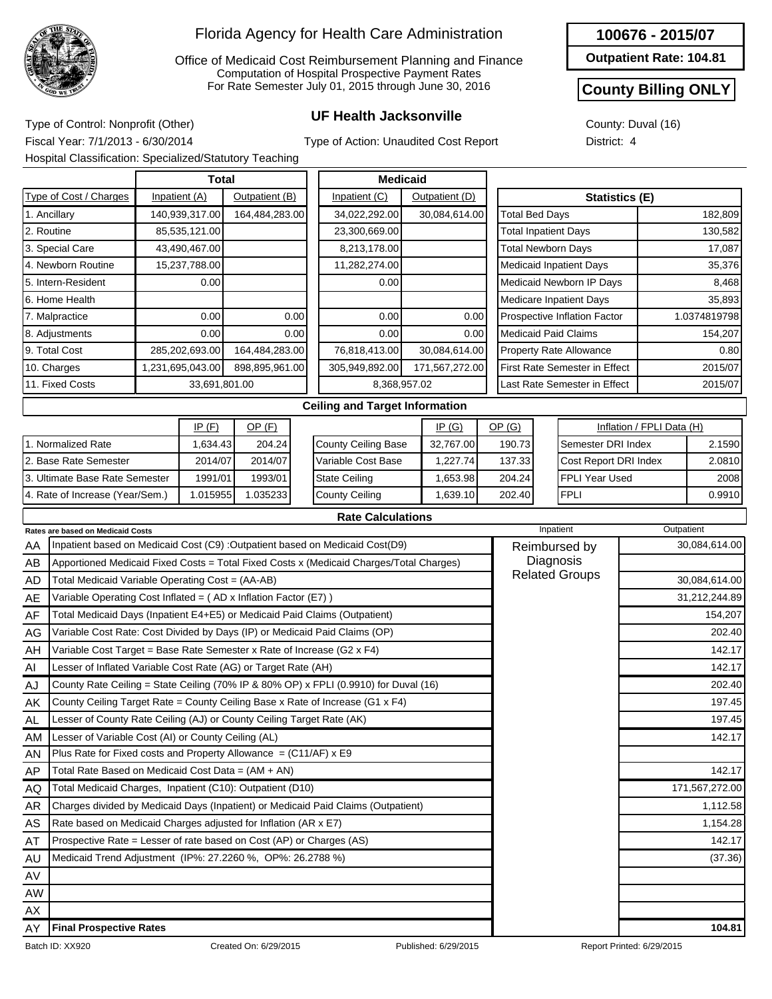

Office of Medicaid Cost Reimbursement Planning and Finance Computation of Hospital Prospective Payment Rates For Rate Semester July 01, 2015 through June 30, 2016

## **UF Health Jacksonville** Type of Control: Nonprofit (Other)

**100676 - 2015/07**

**Outpatient Rate: 104.81**

#### **County Billing ONLY**

County: Duval (16) District: 4

Fiscal Year: 7/1/2013 - 6/30/2014 Hospital Classification: Specialized/Statutory Teaching

Type of Action: Unaudited Cost Report

|                                                                            | Trospital Classification. Specialized/Statutory Teaching                          |      |                  |                |      |                                                                                         |                |                             |                                      |                                                                                                                                                                                                                                                                                                          |         |  |  |
|----------------------------------------------------------------------------|-----------------------------------------------------------------------------------|------|------------------|----------------|------|-----------------------------------------------------------------------------------------|----------------|-----------------------------|--------------------------------------|----------------------------------------------------------------------------------------------------------------------------------------------------------------------------------------------------------------------------------------------------------------------------------------------------------|---------|--|--|
|                                                                            |                                                                                   |      | Total            |                |      | <b>Medicaid</b>                                                                         |                |                             |                                      |                                                                                                                                                                                                                                                                                                          |         |  |  |
|                                                                            | Type of Cost / Charges                                                            |      | Inpatient (A)    | Outpatient (B) |      | Inpatient (C)                                                                           | Outpatient (D) |                             | <b>Statistics (E)</b>                |                                                                                                                                                                                                                                                                                                          |         |  |  |
|                                                                            | 1. Ancillary                                                                      |      | 140,939,317.00   | 164,484,283.00 |      | 34,022,292.00                                                                           | 30,084,614.00  | <b>Total Bed Days</b>       |                                      |                                                                                                                                                                                                                                                                                                          | 182,809 |  |  |
| 2. Routine                                                                 |                                                                                   |      | 85,535,121.00    |                |      | 23,300,669.00                                                                           |                | <b>Total Inpatient Days</b> |                                      |                                                                                                                                                                                                                                                                                                          | 130,582 |  |  |
|                                                                            | 3. Special Care                                                                   |      | 43,490,467.00    |                |      | 8,213,178.00                                                                            |                | <b>Total Newborn Days</b>   |                                      |                                                                                                                                                                                                                                                                                                          | 17,087  |  |  |
|                                                                            | 4. Newborn Routine                                                                |      | 15,237,788.00    |                |      | 11,282,274.00                                                                           |                |                             | <b>Medicaid Inpatient Days</b>       |                                                                                                                                                                                                                                                                                                          | 35,376  |  |  |
|                                                                            | 5. Intern-Resident                                                                |      | 0.00             |                |      | 0.00                                                                                    |                |                             | Medicaid Newborn IP Days             |                                                                                                                                                                                                                                                                                                          | 8,468   |  |  |
|                                                                            | 6. Home Health                                                                    |      |                  |                |      |                                                                                         |                |                             | Medicare Inpatient Days              |                                                                                                                                                                                                                                                                                                          | 35,893  |  |  |
|                                                                            | 7. Malpractice                                                                    | 0.00 |                  |                | 0.00 | 0.00                                                                                    | 0.00           |                             | Prospective Inflation Factor         |                                                                                                                                                                                                                                                                                                          |         |  |  |
|                                                                            | 8. Adjustments                                                                    |      | 0.00             |                | 0.00 | 0.00                                                                                    | 0.00           | <b>Medicaid Paid Claims</b> |                                      |                                                                                                                                                                                                                                                                                                          | 154,207 |  |  |
|                                                                            | 9. Total Cost                                                                     |      | 285,202,693.00   | 164,484,283.00 |      | 76,818,413.00                                                                           | 30,084,614.00  |                             | <b>Property Rate Allowance</b>       |                                                                                                                                                                                                                                                                                                          | 0.80    |  |  |
|                                                                            | 10. Charges                                                                       |      | 1,231,695,043.00 | 898,895,961.00 |      | 305,949,892.00                                                                          | 171,567,272.00 |                             | <b>First Rate Semester in Effect</b> |                                                                                                                                                                                                                                                                                                          | 2015/07 |  |  |
|                                                                            | 11. Fixed Costs                                                                   |      |                  | 33,691,801.00  |      |                                                                                         | 8,368,957.02   |                             | Last Rate Semester in Effect         |                                                                                                                                                                                                                                                                                                          | 2015/07 |  |  |
|                                                                            |                                                                                   |      |                  |                |      | <b>Ceiling and Target Information</b>                                                   |                |                             |                                      |                                                                                                                                                                                                                                                                                                          |         |  |  |
|                                                                            |                                                                                   |      | IP(F)            | $OP$ (F)       |      |                                                                                         | IP(G)          | OP(G)                       |                                      |                                                                                                                                                                                                                                                                                                          |         |  |  |
|                                                                            | 1. Normalized Rate                                                                |      | 1,634.43         | 204.24         |      | <b>County Ceiling Base</b>                                                              | 32,767.00      | 190.73                      |                                      |                                                                                                                                                                                                                                                                                                          | 2.1590  |  |  |
|                                                                            | 2. Base Rate Semester                                                             |      | 2014/07          | 2014/07        |      | Variable Cost Base                                                                      | 1,227.74       | 137.33                      |                                      |                                                                                                                                                                                                                                                                                                          | 2.0810  |  |  |
|                                                                            | 3. Ultimate Base Rate Semester                                                    |      | 1991/01          | 1993/01        |      | <b>State Ceiling</b>                                                                    | 1,653.98       | 204.24                      | FPLI Year Used                       |                                                                                                                                                                                                                                                                                                          | 2008    |  |  |
|                                                                            | 4. Rate of Increase (Year/Sem.)                                                   |      | 1.015955         | 1.035233       |      | <b>County Ceiling</b>                                                                   | 1,639.10       | 202.40                      | <b>FPLI</b>                          |                                                                                                                                                                                                                                                                                                          | 0.9910  |  |  |
|                                                                            |                                                                                   |      |                  |                |      | <b>Rate Calculations</b>                                                                |                |                             |                                      |                                                                                                                                                                                                                                                                                                          |         |  |  |
|                                                                            | Rates are based on Medicaid Costs                                                 |      |                  |                |      |                                                                                         |                |                             | Inpatient                            |                                                                                                                                                                                                                                                                                                          |         |  |  |
| AA                                                                         |                                                                                   |      |                  |                |      | Inpatient based on Medicaid Cost (C9) : Outpatient based on Medicaid Cost(D9)           |                |                             | Reimbursed by                        |                                                                                                                                                                                                                                                                                                          |         |  |  |
| AB                                                                         |                                                                                   |      |                  |                |      | Apportioned Medicaid Fixed Costs = Total Fixed Costs x (Medicaid Charges/Total Charges) |                |                             | Diagnosis                            | 1.0374819798<br>Inflation / FPLI Data (H)<br>Semester DRI Index<br>Cost Report DRI Index<br>Outpatient<br>30,084,614.00<br>30,084,614.00<br>31,212,244.89<br>154,207<br>202.40<br>142.17<br>142.17<br>202.40<br>197.45<br>197.45<br>142.17<br>142.17<br>171,567,272.00<br>1,112.58<br>1,154.28<br>142.17 |         |  |  |
| AD                                                                         | Total Medicaid Variable Operating Cost = (AA-AB)                                  |      |                  |                |      |                                                                                         |                |                             | <b>Related Groups</b>                |                                                                                                                                                                                                                                                                                                          |         |  |  |
| AE                                                                         | Variable Operating Cost Inflated = (AD x Inflation Factor (E7))                   |      |                  |                |      |                                                                                         |                |                             |                                      |                                                                                                                                                                                                                                                                                                          |         |  |  |
| AF                                                                         | Total Medicaid Days (Inpatient E4+E5) or Medicaid Paid Claims (Outpatient)        |      |                  |                |      |                                                                                         |                |                             |                                      |                                                                                                                                                                                                                                                                                                          |         |  |  |
| AG                                                                         | Variable Cost Rate: Cost Divided by Days (IP) or Medicaid Paid Claims (OP)        |      |                  |                |      |                                                                                         |                |                             |                                      |                                                                                                                                                                                                                                                                                                          |         |  |  |
| AH                                                                         | Variable Cost Target = Base Rate Semester x Rate of Increase (G2 x F4)            |      |                  |                |      |                                                                                         |                |                             |                                      |                                                                                                                                                                                                                                                                                                          |         |  |  |
| $\mathsf{Al}\hspace{0.04cm}$                                               | Lesser of Inflated Variable Cost Rate (AG) or Target Rate (AH)                    |      |                  |                |      |                                                                                         |                |                             |                                      |                                                                                                                                                                                                                                                                                                          |         |  |  |
| AJ                                                                         |                                                                                   |      |                  |                |      | County Rate Ceiling = State Ceiling (70% IP & 80% OP) x FPLI (0.9910) for Duval (16)    |                |                             |                                      |                                                                                                                                                                                                                                                                                                          |         |  |  |
| ΑK                                                                         |                                                                                   |      |                  |                |      | County Ceiling Target Rate = County Ceiling Base x Rate of Increase (G1 x F4)           |                |                             |                                      |                                                                                                                                                                                                                                                                                                          |         |  |  |
| AL.                                                                        | Lesser of County Rate Ceiling (AJ) or County Ceiling Target Rate (AK)             |      |                  |                |      |                                                                                         |                |                             |                                      |                                                                                                                                                                                                                                                                                                          |         |  |  |
| AM                                                                         | Lesser of Variable Cost (AI) or County Ceiling (AL)                               |      |                  |                |      |                                                                                         |                |                             |                                      |                                                                                                                                                                                                                                                                                                          |         |  |  |
| AN                                                                         | Plus Rate for Fixed costs and Property Allowance = (C11/AF) x E9                  |      |                  |                |      |                                                                                         |                |                             |                                      |                                                                                                                                                                                                                                                                                                          |         |  |  |
| AP                                                                         | Total Rate Based on Medicaid Cost Data = $(AM + AN)$                              |      |                  |                |      |                                                                                         |                |                             |                                      |                                                                                                                                                                                                                                                                                                          |         |  |  |
| AQ                                                                         | Total Medicaid Charges, Inpatient (C10): Outpatient (D10)                         |      |                  |                |      |                                                                                         |                |                             |                                      |                                                                                                                                                                                                                                                                                                          |         |  |  |
| AR                                                                         | Charges divided by Medicaid Days (Inpatient) or Medicaid Paid Claims (Outpatient) |      |                  |                |      |                                                                                         |                |                             |                                      |                                                                                                                                                                                                                                                                                                          |         |  |  |
| Rate based on Medicaid Charges adjusted for Inflation (AR x E7)<br>AS      |                                                                                   |      |                  |                |      |                                                                                         |                |                             |                                      |                                                                                                                                                                                                                                                                                                          |         |  |  |
| Prospective Rate = Lesser of rate based on Cost (AP) or Charges (AS)<br>AT |                                                                                   |      |                  |                |      |                                                                                         |                |                             |                                      |                                                                                                                                                                                                                                                                                                          |         |  |  |
| AU                                                                         | Medicaid Trend Adjustment (IP%: 27.2260 %, OP%: 26.2788 %)                        |      |                  |                |      |                                                                                         |                |                             |                                      | (37.36)                                                                                                                                                                                                                                                                                                  |         |  |  |
| AV                                                                         |                                                                                   |      |                  |                |      |                                                                                         |                |                             |                                      |                                                                                                                                                                                                                                                                                                          |         |  |  |
| AW                                                                         |                                                                                   |      |                  |                |      |                                                                                         |                |                             |                                      |                                                                                                                                                                                                                                                                                                          |         |  |  |
| AX                                                                         |                                                                                   |      |                  |                |      |                                                                                         |                |                             |                                      |                                                                                                                                                                                                                                                                                                          |         |  |  |
| AY                                                                         | <b>Final Prospective Rates</b>                                                    |      |                  |                |      |                                                                                         |                |                             |                                      |                                                                                                                                                                                                                                                                                                          | 104.81  |  |  |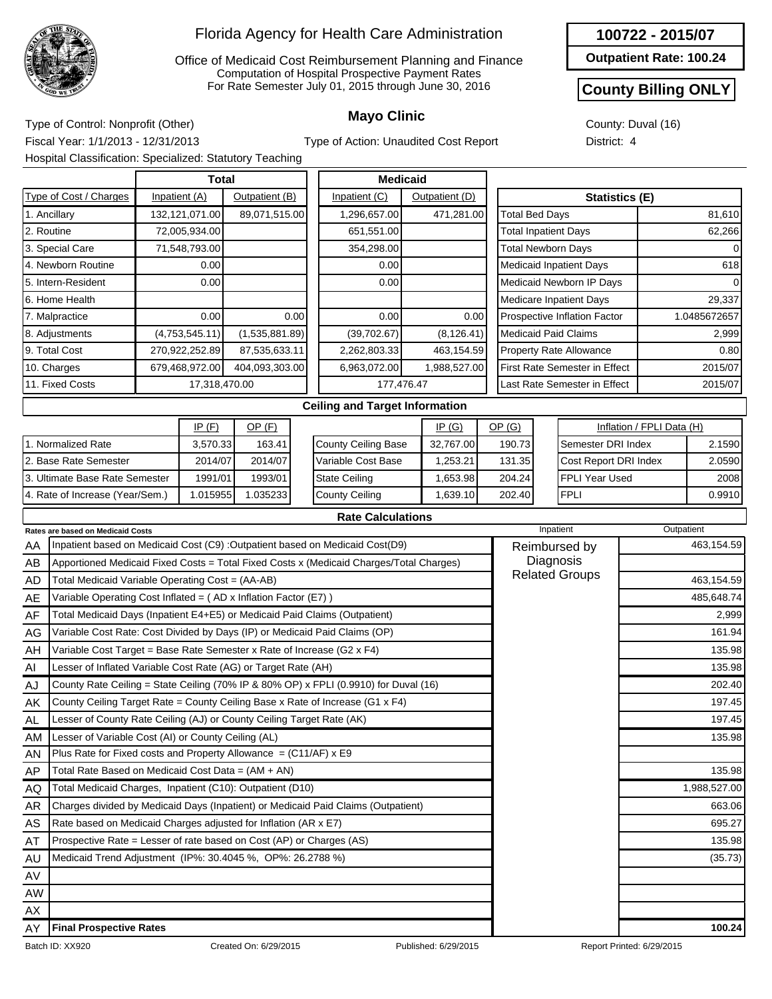

Office of Medicaid Cost Reimbursement Planning and Finance Computation of Hospital Prospective Payment Rates For Rate Semester July 01, 2015 through June 30, 2016

**100722 - 2015/07**

**Outpatient Rate: 100.24**

#### **County Billing ONLY**

County: Duval (16) District: 4

**Mayo Clinic** Type of Control: Nonprofit (Other) Fiscal Year: 1/1/2013 - 12/31/2013 Hospital Classification: Specialized: Statutory Teaching

Type of Action: Unaudited Cost Report

|                                                                            | rioopital Oldoomoditori. Opooldil20d. Olditatory Todoriniy                 |  |                |                |  |                                                                                         |                |              |                       |           |                                      |                                                                                                                                                                                                                                                                                                                                                                                    |            |  |  |
|----------------------------------------------------------------------------|----------------------------------------------------------------------------|--|----------------|----------------|--|-----------------------------------------------------------------------------------------|----------------|--------------|-----------------------|-----------|--------------------------------------|------------------------------------------------------------------------------------------------------------------------------------------------------------------------------------------------------------------------------------------------------------------------------------------------------------------------------------------------------------------------------------|------------|--|--|
|                                                                            |                                                                            |  | <b>Total</b>   |                |  | <b>Medicaid</b>                                                                         |                |              |                       |           |                                      |                                                                                                                                                                                                                                                                                                                                                                                    |            |  |  |
|                                                                            | Type of Cost / Charges                                                     |  | Inpatient (A)  | Outpatient (B) |  | Inpatient (C)                                                                           | Outpatient (D) |              |                       |           |                                      |                                                                                                                                                                                                                                                                                                                                                                                    |            |  |  |
|                                                                            | 1. Ancillary                                                               |  | 132,121,071.00 | 89,071,515.00  |  | 1,296,657.00                                                                            |                | 471,281.00   | <b>Total Bed Days</b> |           |                                      |                                                                                                                                                                                                                                                                                                                                                                                    |            |  |  |
| 2. Routine                                                                 |                                                                            |  | 72,005,934.00  |                |  | 651,551.00                                                                              |                |              |                       |           | <b>Total Inpatient Days</b>          |                                                                                                                                                                                                                                                                                                                                                                                    |            |  |  |
|                                                                            | 3. Special Care                                                            |  | 71,548,793.00  |                |  | 354,298.00                                                                              |                |              |                       |           | <b>Total Newborn Days</b>            |                                                                                                                                                                                                                                                                                                                                                                                    |            |  |  |
|                                                                            | 4. Newborn Routine                                                         |  | 0.00           |                |  | 0.00                                                                                    |                |              |                       |           | <b>Medicaid Inpatient Days</b>       |                                                                                                                                                                                                                                                                                                                                                                                    |            |  |  |
|                                                                            | 5. Intern-Resident                                                         |  | 0.00           |                |  | 0.00                                                                                    |                |              |                       |           | Medicaid Newborn IP Days             |                                                                                                                                                                                                                                                                                                                                                                                    |            |  |  |
| 6. Home Health                                                             |                                                                            |  |                |                |  |                                                                                         |                |              |                       |           | Medicare Inpatient Days              |                                                                                                                                                                                                                                                                                                                                                                                    |            |  |  |
| 7. Malpractice<br>0.00<br>0.00                                             |                                                                            |  |                |                |  | 0.00                                                                                    |                | 0.00         |                       |           | Prospective Inflation Factor         |                                                                                                                                                                                                                                                                                                                                                                                    |            |  |  |
| (4,753,545.11)<br>(1,535,881.89)<br>8. Adjustments                         |                                                                            |  |                |                |  | (39, 702.67)                                                                            |                | (8, 126.41)  |                       |           | <b>Medicaid Paid Claims</b>          |                                                                                                                                                                                                                                                                                                                                                                                    |            |  |  |
|                                                                            | 9. Total Cost                                                              |  | 270,922,252.89 | 87,535,633.11  |  | 2,262,803.33                                                                            |                | 463,154.59   |                       |           | <b>Property Rate Allowance</b>       |                                                                                                                                                                                                                                                                                                                                                                                    |            |  |  |
|                                                                            | 10. Charges                                                                |  | 679,468,972.00 | 404,093,303.00 |  | 6,963,072.00                                                                            |                | 1,988,527.00 |                       |           | <b>First Rate Semester in Effect</b> |                                                                                                                                                                                                                                                                                                                                                                                    |            |  |  |
|                                                                            | 11. Fixed Costs                                                            |  | 17,318,470.00  |                |  | 177,476.47                                                                              |                |              |                       |           | Last Rate Semester in Effect         |                                                                                                                                                                                                                                                                                                                                                                                    |            |  |  |
|                                                                            |                                                                            |  |                |                |  | <b>Ceiling and Target Information</b>                                                   |                |              |                       |           |                                      |                                                                                                                                                                                                                                                                                                                                                                                    |            |  |  |
|                                                                            |                                                                            |  | IP(F)          | OP(F)          |  |                                                                                         |                | IP(G)        | OP(G)                 |           |                                      |                                                                                                                                                                                                                                                                                                                                                                                    |            |  |  |
|                                                                            | 1. Normalized Rate                                                         |  | 3,570.33       | 163.41         |  | <b>County Ceiling Base</b>                                                              |                | 32,767.00    | 190.73                |           |                                      |                                                                                                                                                                                                                                                                                                                                                                                    | 2.1590     |  |  |
|                                                                            | 2. Base Rate Semester                                                      |  | 2014/07        | 2014/07        |  | Variable Cost Base                                                                      |                | 1,253.21     | 131.35                |           |                                      |                                                                                                                                                                                                                                                                                                                                                                                    | 2.0590     |  |  |
| 3. Ultimate Base Rate Semester                                             |                                                                            |  | 1991/01        | 1993/01        |  | <b>State Ceiling</b>                                                                    |                | 1,653.98     | 204.24                |           | <b>FPLI Year Used</b>                |                                                                                                                                                                                                                                                                                                                                                                                    | 2008       |  |  |
|                                                                            | 4. Rate of Increase (Year/Sem.)                                            |  | 1.015955       | 1.035233       |  | <b>County Ceiling</b>                                                                   |                | 1,639.10     | 202.40                |           | <b>FPLI</b>                          |                                                                                                                                                                                                                                                                                                                                                                                    | 0.9910     |  |  |
|                                                                            |                                                                            |  |                |                |  | <b>Rate Calculations</b>                                                                |                |              |                       |           |                                      |                                                                                                                                                                                                                                                                                                                                                                                    |            |  |  |
|                                                                            | Rates are based on Medicaid Costs                                          |  |                |                |  |                                                                                         |                |              |                       | Inpatient |                                      |                                                                                                                                                                                                                                                                                                                                                                                    |            |  |  |
| AA                                                                         |                                                                            |  |                |                |  | Inpatient based on Medicaid Cost (C9) : Outpatient based on Medicaid Cost(D9)           |                |              |                       |           | Reimbursed by                        |                                                                                                                                                                                                                                                                                                                                                                                    | 463,154.59 |  |  |
| AB                                                                         |                                                                            |  |                |                |  | Apportioned Medicaid Fixed Costs = Total Fixed Costs x (Medicaid Charges/Total Charges) |                |              |                       |           | Diagnosis                            | Statistics (E)<br>81,610<br>62,266<br>618<br>29,337<br>1.0485672657<br>2,999<br>0.80<br>2015/07<br>2015/07<br>Inflation / FPLI Data (H)<br>Semester DRI Index<br>Cost Report DRI Index<br>Outpatient<br>463,154.59<br>485,648.74<br>2,999<br>161.94<br>135.98<br>135.98<br>202.40<br>197.45<br>197.45<br>135.98<br>135.98<br>1,988,527.00<br>663.06<br>695.27<br>135.98<br>(35.73) |            |  |  |
| AD                                                                         | Total Medicaid Variable Operating Cost = (AA-AB)                           |  |                |                |  |                                                                                         |                |              |                       |           | <b>Related Groups</b>                | 100.24                                                                                                                                                                                                                                                                                                                                                                             |            |  |  |
| AE                                                                         | Variable Operating Cost Inflated = (AD x Inflation Factor (E7))            |  |                |                |  |                                                                                         |                |              |                       |           |                                      |                                                                                                                                                                                                                                                                                                                                                                                    |            |  |  |
| AF                                                                         | Total Medicaid Days (Inpatient E4+E5) or Medicaid Paid Claims (Outpatient) |  |                |                |  |                                                                                         |                |              |                       |           |                                      |                                                                                                                                                                                                                                                                                                                                                                                    |            |  |  |
| AG                                                                         | Variable Cost Rate: Cost Divided by Days (IP) or Medicaid Paid Claims (OP) |  |                |                |  |                                                                                         |                |              |                       |           |                                      |                                                                                                                                                                                                                                                                                                                                                                                    |            |  |  |
| AH                                                                         | Variable Cost Target = Base Rate Semester x Rate of Increase (G2 x F4)     |  |                |                |  |                                                                                         |                |              |                       |           |                                      |                                                                                                                                                                                                                                                                                                                                                                                    |            |  |  |
| Al                                                                         | Lesser of Inflated Variable Cost Rate (AG) or Target Rate (AH)             |  |                |                |  |                                                                                         |                |              |                       |           |                                      |                                                                                                                                                                                                                                                                                                                                                                                    |            |  |  |
| AJ                                                                         |                                                                            |  |                |                |  | County Rate Ceiling = State Ceiling (70% IP & 80% OP) x FPLI (0.9910) for Duval (16)    |                |              |                       |           |                                      |                                                                                                                                                                                                                                                                                                                                                                                    |            |  |  |
| ΑK                                                                         |                                                                            |  |                |                |  | County Ceiling Target Rate = County Ceiling Base x Rate of Increase (G1 x F4)           |                |              |                       |           |                                      |                                                                                                                                                                                                                                                                                                                                                                                    |            |  |  |
| AL                                                                         | Lesser of County Rate Ceiling (AJ) or County Ceiling Target Rate (AK)      |  |                |                |  |                                                                                         |                |              |                       |           |                                      |                                                                                                                                                                                                                                                                                                                                                                                    |            |  |  |
| AM                                                                         | Lesser of Variable Cost (AI) or County Ceiling (AL)                        |  |                |                |  |                                                                                         |                |              |                       |           |                                      |                                                                                                                                                                                                                                                                                                                                                                                    |            |  |  |
| AN                                                                         | Plus Rate for Fixed costs and Property Allowance = $(C11/AF)$ x E9         |  |                |                |  |                                                                                         |                |              |                       |           |                                      |                                                                                                                                                                                                                                                                                                                                                                                    |            |  |  |
| AP                                                                         | Total Rate Based on Medicaid Cost Data = (AM + AN)                         |  |                |                |  |                                                                                         |                |              |                       |           |                                      |                                                                                                                                                                                                                                                                                                                                                                                    |            |  |  |
| AQ                                                                         | Total Medicaid Charges, Inpatient (C10): Outpatient (D10)                  |  |                |                |  |                                                                                         |                |              |                       |           |                                      |                                                                                                                                                                                                                                                                                                                                                                                    |            |  |  |
| AR                                                                         |                                                                            |  |                |                |  | Charges divided by Medicaid Days (Inpatient) or Medicaid Paid Claims (Outpatient)       |                |              |                       |           |                                      |                                                                                                                                                                                                                                                                                                                                                                                    |            |  |  |
| AS                                                                         | Rate based on Medicaid Charges adjusted for Inflation (AR x E7)            |  |                |                |  |                                                                                         |                |              |                       |           |                                      |                                                                                                                                                                                                                                                                                                                                                                                    |            |  |  |
| Prospective Rate = Lesser of rate based on Cost (AP) or Charges (AS)<br>AT |                                                                            |  |                |                |  |                                                                                         |                |              |                       |           |                                      |                                                                                                                                                                                                                                                                                                                                                                                    |            |  |  |
| AU                                                                         | Medicaid Trend Adjustment (IP%: 30.4045 %, OP%: 26.2788 %)                 |  |                |                |  |                                                                                         |                |              |                       |           |                                      |                                                                                                                                                                                                                                                                                                                                                                                    |            |  |  |
| AV                                                                         |                                                                            |  |                |                |  |                                                                                         |                |              |                       |           |                                      |                                                                                                                                                                                                                                                                                                                                                                                    |            |  |  |
| AW                                                                         |                                                                            |  |                |                |  |                                                                                         |                |              |                       |           |                                      |                                                                                                                                                                                                                                                                                                                                                                                    |            |  |  |
| AX                                                                         |                                                                            |  |                |                |  |                                                                                         |                |              |                       |           |                                      |                                                                                                                                                                                                                                                                                                                                                                                    |            |  |  |
| AY                                                                         | <b>Final Prospective Rates</b>                                             |  |                |                |  |                                                                                         |                |              |                       |           |                                      |                                                                                                                                                                                                                                                                                                                                                                                    |            |  |  |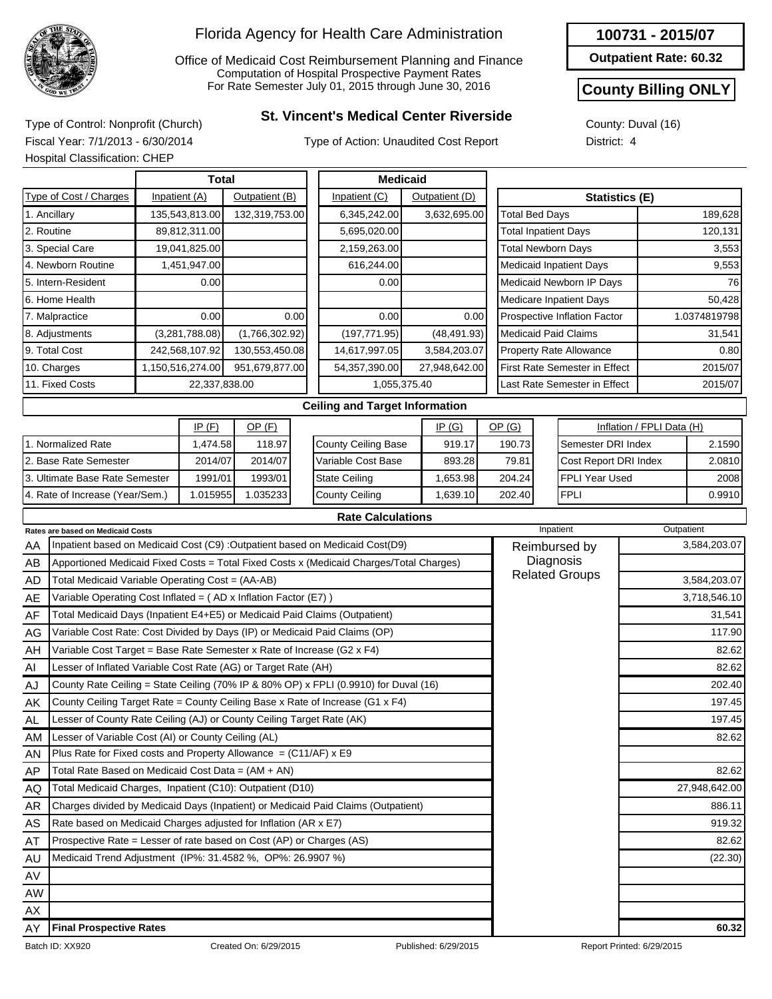

Office of Medicaid Cost Reimbursement Planning and Finance Computation of Hospital Prospective Payment Rates For Rate Semester July 01, 2015 through June 30, 2016

# **St. Vincent's Medical Center Riverside** Type of Control: Nonprofit (Church)

Type of Action: Unaudited Cost Report

**Outpatient Rate: 60.32**

### **County Billing ONLY**

County: Duval (16) District: 4

Fiscal Year: 7/1/2013 - 6/30/2014 Hospital Classification: CHEP

|            |                                                                            |               | <b>Total</b>     |                       |      | <b>Medicaid</b>                                                                         |                      |                             |                                |                           |               |
|------------|----------------------------------------------------------------------------|---------------|------------------|-----------------------|------|-----------------------------------------------------------------------------------------|----------------------|-----------------------------|--------------------------------|---------------------------|---------------|
|            | Type of Cost / Charges                                                     | Inpatient (A) |                  | Outpatient (B)        |      | Inpatient (C)                                                                           | Outpatient (D)       |                             |                                | <b>Statistics (E)</b>     |               |
|            | 1. Ancillary                                                               |               | 135,543,813.00   | 132,319,753.00        |      | 6,345,242.00                                                                            | 3,632,695.00         | <b>Total Bed Days</b>       |                                |                           | 189,628       |
| 2. Routine |                                                                            |               | 89,812,311.00    |                       |      | 5,695,020.00                                                                            |                      | <b>Total Inpatient Days</b> |                                |                           | 120,131       |
|            | 3. Special Care                                                            |               | 19,041,825.00    |                       |      | 2,159,263.00                                                                            |                      | <b>Total Newborn Days</b>   |                                |                           | 3,553         |
|            | 4. Newborn Routine                                                         |               | 1,451,947.00     |                       |      | 616,244.00                                                                              |                      |                             | <b>Medicaid Inpatient Days</b> |                           | 9,553         |
|            | 5. Intern-Resident                                                         |               | 0.00             |                       |      | 0.00                                                                                    |                      |                             | Medicaid Newborn IP Days       |                           | 76            |
|            | 6. Home Health                                                             |               |                  |                       |      |                                                                                         |                      |                             | Medicare Inpatient Days        |                           | 50,428        |
|            | 7. Malpractice                                                             |               | 0.00             |                       | 0.00 | 0.00                                                                                    | 0.00                 |                             | Prospective Inflation Factor   |                           | 1.0374819798  |
|            | 8. Adjustments                                                             |               | (3,281,788.08)   | (1,766,302.92)        |      | (197, 771.95)                                                                           | (48, 491.93)         | <b>Medicaid Paid Claims</b> |                                |                           | 31,541        |
|            | 9. Total Cost                                                              |               | 242,568,107.92   | 130,553,450.08        |      | 14,617,997.05                                                                           | 3,584,203.07         |                             | <b>Property Rate Allowance</b> | 0.80                      |               |
|            | 10. Charges                                                                |               | 1,150,516,274.00 | 951,679,877.00        |      | 54,357,390.00                                                                           | 27,948,642.00        |                             | First Rate Semester in Effect  |                           | 2015/07       |
|            | 11. Fixed Costs                                                            |               |                  | 22,337,838.00         |      |                                                                                         | 1,055,375.40         |                             | Last Rate Semester in Effect   |                           | 2015/07       |
|            |                                                                            |               |                  |                       |      | <b>Ceiling and Target Information</b>                                                   |                      |                             |                                |                           |               |
|            |                                                                            |               | IP(F)            | $OP$ $(F)$            |      |                                                                                         | IP(G)                | OP(G)                       |                                | Inflation / FPLI Data (H) |               |
|            | 1. Normalized Rate                                                         |               | 1,474.58         | 118.97                |      | County Ceiling Base                                                                     | 919.17               | 190.73                      | Semester DRI Index             |                           | 2.1590        |
|            | 2. Base Rate Semester<br>2014/07                                           |               |                  | 2014/07               |      | Variable Cost Base                                                                      | 893.28               | 79.81                       | Cost Report DRI Index          |                           | 2.0810        |
|            | 3. Ultimate Base Rate Semester                                             |               | 1991/01          | 1993/01               |      | <b>State Ceiling</b>                                                                    | 1,653.98             | 204.24                      | FPLI Year Used                 |                           | 2008          |
|            | 4. Rate of Increase (Year/Sem.)                                            |               | 1.015955         | 1.035233              |      | <b>County Ceiling</b>                                                                   | 1,639.10             | 202.40                      | <b>FPLI</b>                    |                           | 0.9910        |
|            |                                                                            |               |                  |                       |      | <b>Rate Calculations</b>                                                                |                      |                             |                                |                           |               |
|            | <b>Rates are based on Medicaid Costs</b>                                   |               |                  |                       |      |                                                                                         |                      |                             | Inpatient                      | Outpatient                |               |
| AA         |                                                                            |               |                  |                       |      | Inpatient based on Medicaid Cost (C9) : Outpatient based on Medicaid Cost(D9)           |                      |                             | Reimbursed by                  |                           | 3,584,203.07  |
| AB         |                                                                            |               |                  |                       |      | Apportioned Medicaid Fixed Costs = Total Fixed Costs x (Medicaid Charges/Total Charges) |                      |                             | Diagnosis                      |                           |               |
| AD         | Total Medicaid Variable Operating Cost = (AA-AB)                           |               |                  |                       |      |                                                                                         |                      |                             | <b>Related Groups</b>          |                           | 3,584,203.07  |
| AE         | Variable Operating Cost Inflated = (AD x Inflation Factor (E7))            |               |                  |                       |      |                                                                                         |                      |                             |                                |                           | 3,718,546.10  |
| AF         | Total Medicaid Days (Inpatient E4+E5) or Medicaid Paid Claims (Outpatient) |               |                  |                       |      |                                                                                         |                      |                             |                                |                           | 31,541        |
| AG         |                                                                            |               |                  |                       |      | Variable Cost Rate: Cost Divided by Days (IP) or Medicaid Paid Claims (OP)              |                      |                             |                                |                           | 117.90        |
| AH         | Variable Cost Target = Base Rate Semester x Rate of Increase (G2 x F4)     |               |                  |                       |      |                                                                                         |                      |                             |                                |                           | 82.62         |
| Al         | Lesser of Inflated Variable Cost Rate (AG) or Target Rate (AH)             |               |                  |                       |      |                                                                                         |                      |                             |                                |                           | 82.62         |
| AJ         |                                                                            |               |                  |                       |      | County Rate Ceiling = State Ceiling (70% IP & 80% OP) x FPLI (0.9910) for Duval (16)    |                      |                             |                                |                           | 202.40        |
| ΑK         |                                                                            |               |                  |                       |      | County Ceiling Target Rate = County Ceiling Base x Rate of Increase (G1 x $F4$ )        |                      |                             |                                |                           | 197.45        |
| <b>AL</b>  | Lesser of County Rate Ceiling (AJ) or County Ceiling Target Rate (AK)      |               |                  |                       |      |                                                                                         |                      |                             |                                |                           | 197.45        |
| AM         | Lesser of Variable Cost (AI) or County Ceiling (AL)                        |               |                  |                       |      |                                                                                         |                      |                             |                                |                           | 82.62         |
| AN         | Plus Rate for Fixed costs and Property Allowance = $(C11/AF)$ x E9         |               |                  |                       |      |                                                                                         |                      |                             |                                |                           |               |
| AP         | Total Rate Based on Medicaid Cost Data = $(AM + AN)$                       |               |                  |                       |      |                                                                                         |                      |                             |                                |                           | 82.62         |
| AQ         | Total Medicaid Charges, Inpatient (C10): Outpatient (D10)                  |               |                  |                       |      |                                                                                         |                      |                             |                                |                           | 27,948,642.00 |
| AR         |                                                                            |               |                  |                       |      | Charges divided by Medicaid Days (Inpatient) or Medicaid Paid Claims (Outpatient)       |                      |                             |                                |                           | 886.11        |
| AS         | Rate based on Medicaid Charges adjusted for Inflation (AR x E7)            |               |                  |                       |      |                                                                                         |                      |                             |                                |                           | 919.32        |
| AT         | Prospective Rate = Lesser of rate based on Cost (AP) or Charges (AS)       |               |                  |                       |      |                                                                                         |                      |                             |                                |                           | 82.62         |
| AU         | Medicaid Trend Adjustment (IP%: 31.4582 %, OP%: 26.9907 %)                 |               |                  |                       |      |                                                                                         |                      |                             |                                |                           | (22.30)       |
| AV         |                                                                            |               |                  |                       |      |                                                                                         |                      |                             |                                |                           |               |
| AW         |                                                                            |               |                  |                       |      |                                                                                         |                      |                             |                                |                           |               |
| ΑX         |                                                                            |               |                  |                       |      |                                                                                         |                      |                             |                                |                           |               |
| ΑY         | <b>Final Prospective Rates</b>                                             |               |                  |                       |      |                                                                                         |                      |                             |                                |                           | 60.32         |
|            | Batch ID: XX920                                                            |               |                  | Created On: 6/29/2015 |      |                                                                                         | Published: 6/29/2015 |                             |                                | Report Printed: 6/29/2015 |               |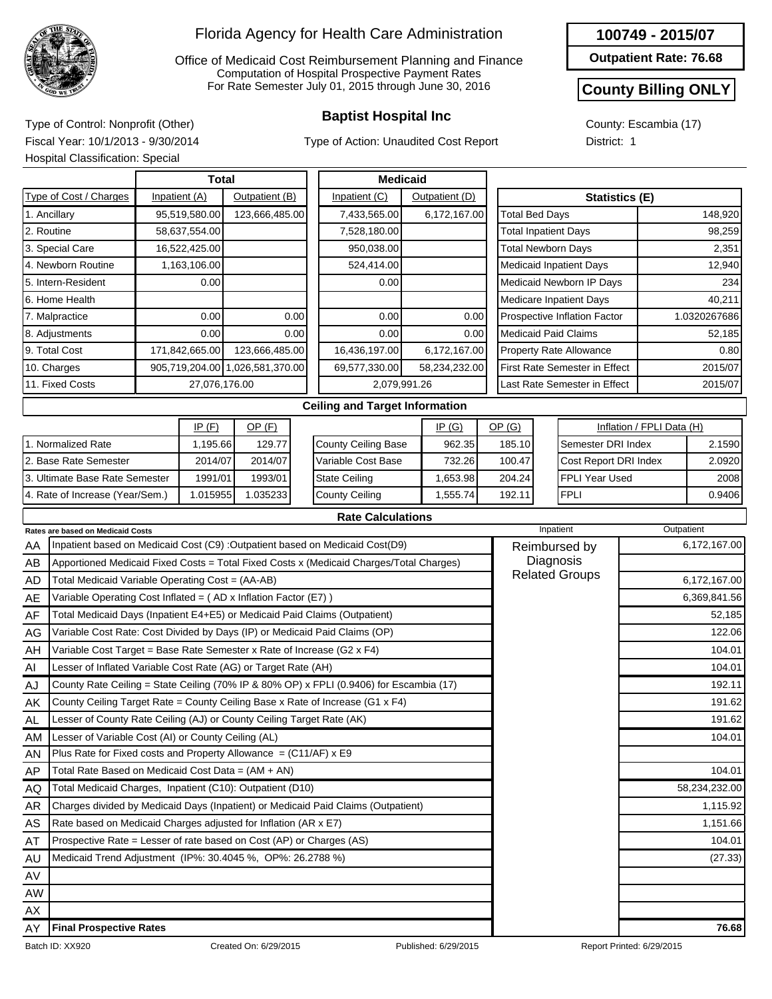

Office of Medicaid Cost Reimbursement Planning and Finance Computation of Hospital Prospective Payment Rates For Rate Semester July 01, 2015 through June 30, 2016

Type of Action: Unaudited Cost Report

#### **100749 - 2015/07**

**Outpatient Rate: 76.68**

#### **County Billing ONLY**

County: Escambia (17) District: 1

**Baptist Hospital Inc** Type of Control: Nonprofit (Other) Fiscal Year: 10/1/2013 - 9/30/2014 Hospital Classification: Special

|                                                                                  | <b>Total</b>                                                                            |                                 |                |                |      |              | <b>Medicaid</b>                                                              |  |                |  |                                      |                              |                                |                           |              |
|----------------------------------------------------------------------------------|-----------------------------------------------------------------------------------------|---------------------------------|----------------|----------------|------|--------------|------------------------------------------------------------------------------|--|----------------|--|--------------------------------------|------------------------------|--------------------------------|---------------------------|--------------|
|                                                                                  | Type of Cost / Charges                                                                  |                                 | Inpatient (A)  | Outpatient (B) |      |              | Inpatient (C)                                                                |  | Outpatient (D) |  |                                      |                              | <b>Statistics (E)</b>          |                           |              |
| 1. Ancillary                                                                     |                                                                                         |                                 | 95,519,580.00  | 123,666,485.00 |      |              | 7,433,565.00                                                                 |  | 6,172,167.00   |  | <b>Total Bed Days</b>                |                              |                                |                           | 148,920      |
| 2. Routine                                                                       |                                                                                         |                                 | 58,637,554.00  |                |      |              | 7,528,180.00                                                                 |  |                |  | <b>Total Inpatient Days</b>          |                              |                                |                           | 98,259       |
|                                                                                  | 3. Special Care                                                                         |                                 | 16,522,425.00  |                |      |              | 950,038.00                                                                   |  |                |  | <b>Total Newborn Days</b>            |                              |                                |                           | 2,351        |
|                                                                                  | 4. Newborn Routine                                                                      |                                 | 1,163,106.00   |                |      |              | 524,414.00                                                                   |  |                |  |                                      |                              | <b>Medicaid Inpatient Days</b> |                           | 12,940       |
|                                                                                  | 5. Intern-Resident                                                                      |                                 | 0.00           |                |      |              | 0.00                                                                         |  |                |  |                                      |                              | Medicaid Newborn IP Days       |                           | 234          |
|                                                                                  | 6. Home Health                                                                          |                                 |                |                |      |              |                                                                              |  |                |  |                                      | Medicare Inpatient Days      | 40,211                         |                           |              |
|                                                                                  | 7. Malpractice                                                                          |                                 | 0.00           |                | 0.00 |              | 0.00                                                                         |  | 0.00           |  |                                      |                              | Prospective Inflation Factor   |                           | 1.0320267686 |
|                                                                                  | 8. Adjustments                                                                          |                                 | 0.00           |                | 0.00 |              | 0.00                                                                         |  | 0.00           |  | <b>Medicaid Paid Claims</b>          |                              |                                | 52,185                    |              |
|                                                                                  | 9. Total Cost                                                                           |                                 | 171,842,665.00 | 123,666,485.00 |      |              | 16,436,197.00                                                                |  | 6,172,167.00   |  | <b>Property Rate Allowance</b>       |                              |                                |                           | 0.80         |
|                                                                                  | 10. Charges                                                                             | 905,719,204.00 1,026,581,370.00 |                |                |      |              | 69,577,330.00                                                                |  | 58,234,232.00  |  | <b>First Rate Semester in Effect</b> |                              |                                |                           | 2015/07      |
| 11. Fixed Costs                                                                  |                                                                                         | 27,076,176.00                   |                |                |      | 2,079,991.26 |                                                                              |  |                |  |                                      | Last Rate Semester in Effect |                                | 2015/07                   |              |
|                                                                                  |                                                                                         |                                 |                |                |      |              | <b>Ceiling and Target Information</b>                                        |  |                |  |                                      |                              |                                |                           |              |
|                                                                                  |                                                                                         |                                 | IP(F)          | OP(F)          |      |              |                                                                              |  | IP(G)          |  | OP(G)                                |                              |                                | Inflation / FPLI Data (H) |              |
|                                                                                  | 1. Normalized Rate                                                                      |                                 | 1,195.66       | 129.77         |      |              | County Ceiling Base                                                          |  | 962.35         |  | 185.10                               |                              | Semester DRI Index             |                           | 2.1590       |
|                                                                                  | 2. Base Rate Semester                                                                   |                                 | 2014/07        | 2014/07        |      |              | Variable Cost Base                                                           |  | 732.26         |  | 100.47                               |                              | Cost Report DRI Index          |                           | 2.0920       |
|                                                                                  | 3. Ultimate Base Rate Semester                                                          |                                 | 1991/01        | 1993/01        |      |              | <b>State Ceiling</b>                                                         |  | 1,653.98       |  | 204.24                               |                              | <b>FPLI Year Used</b>          |                           | 2008         |
|                                                                                  | 4. Rate of Increase (Year/Sem.)                                                         |                                 | 1.015955       | 1.035233       |      |              | <b>County Ceiling</b>                                                        |  | 1,555.74       |  | 192.11                               |                              | <b>FPLI</b>                    |                           | 0.9406       |
|                                                                                  |                                                                                         |                                 |                |                |      |              | <b>Rate Calculations</b>                                                     |  |                |  |                                      |                              |                                |                           |              |
|                                                                                  | Rates are based on Medicaid Costs                                                       |                                 |                |                |      |              |                                                                              |  |                |  |                                      |                              | Inpatient                      |                           | Outpatient   |
| AA                                                                               |                                                                                         |                                 |                |                |      |              | Inpatient based on Medicaid Cost (C9) :Outpatient based on Medicaid Cost(D9) |  |                |  |                                      |                              | Reimbursed by                  |                           | 6,172,167.00 |
| AB                                                                               | Apportioned Medicaid Fixed Costs = Total Fixed Costs x (Medicaid Charges/Total Charges) |                                 |                |                |      |              |                                                                              |  |                |  |                                      |                              | Diagnosis                      |                           |              |
| <b>AD</b>                                                                        | Total Medicaid Variable Operating Cost = (AA-AB)                                        |                                 |                |                |      |              |                                                                              |  |                |  |                                      |                              | <b>Related Groups</b>          |                           | 6,172,167.00 |
| AE                                                                               | Variable Operating Cost Inflated = (AD x Inflation Factor (E7))                         |                                 |                |                |      |              |                                                                              |  |                |  |                                      |                              |                                |                           | 6,369,841.56 |
| Total Medicaid Days (Inpatient E4+E5) or Medicaid Paid Claims (Outpatient)<br>AF |                                                                                         |                                 |                |                |      |              |                                                                              |  |                |  |                                      |                              | 52,185                         |                           |              |
| AG                                                                               | Variable Cost Rate: Cost Divided by Days (IP) or Medicaid Paid Claims (OP)              |                                 |                |                |      |              |                                                                              |  |                |  | 122.06                               |                              |                                |                           |              |
| AH                                                                               | Variable Cost Target = Base Rate Semester x Rate of Increase (G2 x F4)                  |                                 |                |                |      |              |                                                                              |  |                |  |                                      |                              |                                |                           | 104.01       |
| AI                                                                               | Lesser of Inflated Variable Cost Rate (AG) or Target Rate (AH)                          |                                 |                |                |      |              |                                                                              |  |                |  |                                      |                              |                                |                           | 104.01       |

| AH        | Variable Cost Target = Base Rate Semester x Rate of Increase (G2 $\times$ F4)           |                      | 104.01                    |
|-----------|-----------------------------------------------------------------------------------------|----------------------|---------------------------|
| AI        | Lesser of Inflated Variable Cost Rate (AG) or Target Rate (AH)                          |                      | 104.01                    |
| AJ        | County Rate Ceiling = State Ceiling (70% IP & 80% OP) x FPLI (0.9406) for Escambia (17) |                      | 192.11                    |
| AK        | County Ceiling Target Rate = County Ceiling Base x Rate of Increase (G1 $x$ F4)         |                      | 191.62                    |
| AL        | Lesser of County Rate Ceiling (AJ) or County Ceiling Target Rate (AK)                   |                      | 191.62                    |
| AM        | Lesser of Variable Cost (AI) or County Ceiling (AL)                                     |                      | 104.01                    |
| AN        | Plus Rate for Fixed costs and Property Allowance = $(C11/AF)$ x E9                      |                      |                           |
| <b>AP</b> | Total Rate Based on Medicaid Cost Data = $(AM + AN)$                                    |                      | 104.01                    |
| AQ        | Total Medicaid Charges, Inpatient (C10): Outpatient (D10)                               |                      | 58,234,232.00             |
| AR        | Charges divided by Medicaid Days (Inpatient) or Medicaid Paid Claims (Outpatient)       |                      | 1,115.92                  |
| AS        | Rate based on Medicaid Charges adjusted for Inflation (AR x E7)                         |                      | 1,151.66                  |
| AT        | Prospective Rate = Lesser of rate based on Cost (AP) or Charges (AS)                    |                      | 104.01                    |
| AU        | Medicaid Trend Adjustment (IP%: 30.4045 %, OP%: 26.2788 %)                              |                      | (27.33)                   |
| AV        |                                                                                         |                      |                           |
| AW        |                                                                                         |                      |                           |
| AX        |                                                                                         |                      |                           |
| AY        | <b>Final Prospective Rates</b>                                                          |                      | 76.68                     |
|           | Batch ID: XX920<br>Created On: 6/29/2015                                                | Published: 6/29/2015 | Report Printed: 6/29/2015 |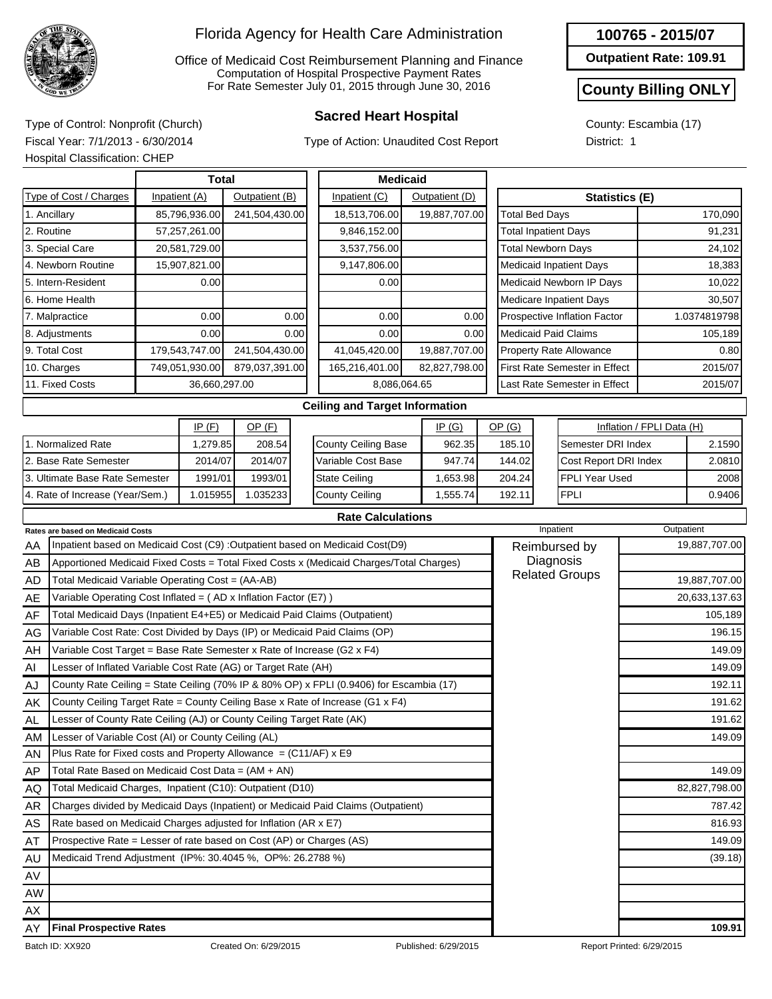

Office of Medicaid Cost Reimbursement Planning and Finance Computation of Hospital Prospective Payment Rates For Rate Semester July 01, 2015 through June 30, 2016

Type of Action: Unaudited Cost Report

#### **100765 - 2015/07**

**Outpatient Rate: 109.91**

#### **County Billing ONLY**

County: Escambia (17) District: 1

**Sacred Heart Hospital** Type of Control: Nonprofit (Church) Fiscal Year: 7/1/2013 - 6/30/2014 Hospital Classification: CHEP

|                                                         | <b>Medicaid</b> |                |                      |                                   |                                       |  |                |                       |                              |                                      |                           |              |
|---------------------------------------------------------|-----------------|----------------|----------------------|-----------------------------------|---------------------------------------|--|----------------|-----------------------|------------------------------|--------------------------------------|---------------------------|--------------|
| Type of Cost / Charges                                  |                 | Inpatient (A)  | Outpatient (B)       |                                   | Inpatient (C)                         |  | Outpatient (D) |                       |                              | <b>Statistics (E)</b>                |                           |              |
| 1. Ancillary                                            |                 | 85,796,936.00  | 241,504,430.00       |                                   | 18,513,706.00                         |  | 19,887,707.00  |                       | <b>Total Bed Days</b>        |                                      |                           | 170,090      |
| 2. Routine                                              |                 | 57,257,261.00  |                      |                                   | 9,846,152.00                          |  |                |                       | <b>Total Inpatient Days</b>  |                                      |                           | 91,231       |
| 3. Special Care                                         |                 | 20,581,729.00  |                      |                                   | 3,537,756.00                          |  |                |                       | <b>Total Newborn Days</b>    |                                      |                           | 24,102       |
| 4. Newborn Routine                                      |                 | 15,907,821.00  |                      |                                   | 9,147,806.00                          |  |                |                       |                              | <b>Medicaid Inpatient Days</b>       |                           | 18,383       |
| 5. Intern-Resident                                      |                 | 0.00           |                      |                                   | 0.00                                  |  |                |                       |                              | Medicaid Newborn IP Days             |                           | 10,022       |
| 6. Home Health                                          |                 |                |                      |                                   |                                       |  |                |                       |                              | <b>Medicare Inpatient Days</b>       |                           | 30,507       |
| 7. Malpractice                                          |                 | 0.00           |                      | 0.00                              | 0.00                                  |  | 0.00           |                       | Prospective Inflation Factor |                                      |                           | 1.0374819798 |
| 8. Adjustments                                          |                 | 0.00           |                      | 0.00                              | 0.00                                  |  | 0.00           |                       | <b>Medicaid Paid Claims</b>  |                                      |                           | 105,189      |
| 9. Total Cost                                           |                 | 179,543,747.00 | 241,504,430.00       |                                   | 41,045,420.00                         |  | 19,887,707.00  |                       |                              | <b>Property Rate Allowance</b>       |                           | 0.80         |
| 10. Charges                                             |                 | 749,051,930.00 | 879,037,391.00       |                                   | 165,216,401.00                        |  | 82,827,798.00  |                       |                              | <b>First Rate Semester in Effect</b> |                           | 2015/07      |
| 11. Fixed Costs                                         |                 | 36,660,297.00  |                      |                                   | 8,086,064.65                          |  |                |                       |                              | Last Rate Semester in Effect         |                           | 2015/07      |
|                                                         |                 |                |                      |                                   | <b>Ceiling and Target Information</b> |  |                |                       |                              |                                      |                           |              |
|                                                         |                 | IP(F)          | $OP$ (F)             |                                   |                                       |  | IP(G)          |                       | OP(G)                        |                                      | Inflation / FPLI Data (H) |              |
| 1. Normalized Rate                                      |                 | 1,279.85       | 208.54               |                                   | County Ceiling Base                   |  | 962.35         |                       | 185.10                       | Semester DRI Index                   |                           | 2.1590       |
| 2. Base Rate Semester                                   |                 | 2014/07        | 2014/07              |                                   | Variable Cost Base                    |  | 947.74         |                       | 144.02                       | Cost Report DRI Index                |                           | 2.0810       |
| 1991/01<br>1993/01<br>3. Ultimate Base Rate Semester    |                 |                | <b>State Ceiling</b> |                                   | 1,653.98                              |  | 204.24         | <b>FPLI Year Used</b> |                              | 2008                                 |                           |              |
| 1.015955<br>1.035233<br>4. Rate of Increase (Year/Sem.) |                 |                |                      | <b>County Ceiling</b><br>1,555.74 |                                       |  | 192.11         | <b>FPLI</b>           |                              | 0.9406                               |                           |              |
|                                                         |                 |                |                      |                                   | <b>Rate Calculations</b>              |  |                |                       |                              |                                      |                           |              |

|           | <b>Rates are based on Medicaid Costs</b>                                                |                      | Inpatient             | Outpatient                |
|-----------|-----------------------------------------------------------------------------------------|----------------------|-----------------------|---------------------------|
| AA        | Inpatient based on Medicaid Cost (C9) : Outpatient based on Medicaid Cost(D9)           |                      | Reimbursed by         | 19,887,707.00             |
| AB        | Apportioned Medicaid Fixed Costs = Total Fixed Costs x (Medicaid Charges/Total Charges) |                      | Diagnosis             |                           |
| AD        | Total Medicaid Variable Operating Cost = (AA-AB)                                        |                      | <b>Related Groups</b> | 19,887,707.00             |
| AE        | Variable Operating Cost Inflated = $(AD x)$ Inflation Factor (E7) )                     |                      |                       | 20,633,137.63             |
| AF        | Total Medicaid Days (Inpatient E4+E5) or Medicaid Paid Claims (Outpatient)              |                      |                       | 105,189                   |
| AG        | Variable Cost Rate: Cost Divided by Days (IP) or Medicaid Paid Claims (OP)              |                      |                       | 196.15                    |
| AH        | Variable Cost Target = Base Rate Semester x Rate of Increase (G2 x F4)                  |                      |                       | 149.09                    |
| AI        | Lesser of Inflated Variable Cost Rate (AG) or Target Rate (AH)                          |                      |                       | 149.09                    |
| AJ        | County Rate Ceiling = State Ceiling (70% IP & 80% OP) x FPLI (0.9406) for Escambia (17) |                      |                       | 192.11                    |
| AK        | County Ceiling Target Rate = County Ceiling Base x Rate of Increase (G1 x F4)           |                      |                       | 191.62                    |
| <b>AL</b> | Lesser of County Rate Ceiling (AJ) or County Ceiling Target Rate (AK)                   |                      |                       | 191.62                    |
| AM        | Lesser of Variable Cost (AI) or County Ceiling (AL)                                     |                      |                       | 149.09                    |
| AN        | Plus Rate for Fixed costs and Property Allowance = $(C11/AF)$ x E9                      |                      |                       |                           |
| AP        | Total Rate Based on Medicaid Cost Data = $(AM + AN)$                                    |                      |                       | 149.09                    |
| AQ.       | Total Medicaid Charges, Inpatient (C10): Outpatient (D10)                               |                      |                       | 82,827,798.00             |
| <b>AR</b> | Charges divided by Medicaid Days (Inpatient) or Medicaid Paid Claims (Outpatient)       |                      |                       | 787.42                    |
| AS        | Rate based on Medicaid Charges adjusted for Inflation (AR x E7)                         |                      |                       | 816.93                    |
| AT        | Prospective Rate = Lesser of rate based on Cost (AP) or Charges (AS)                    |                      |                       | 149.09                    |
| AU        | Medicaid Trend Adjustment (IP%: 30.4045 %, OP%: 26.2788 %)                              |                      |                       | (39.18)                   |
| AV        |                                                                                         |                      |                       |                           |
| AW        |                                                                                         |                      |                       |                           |
| AX        |                                                                                         |                      |                       |                           |
| AY        | <b>Final Prospective Rates</b>                                                          |                      |                       | 109.91                    |
|           | Batch ID: XX920<br>Created On: 6/29/2015                                                | Published: 6/29/2015 |                       | Report Printed: 6/29/2015 |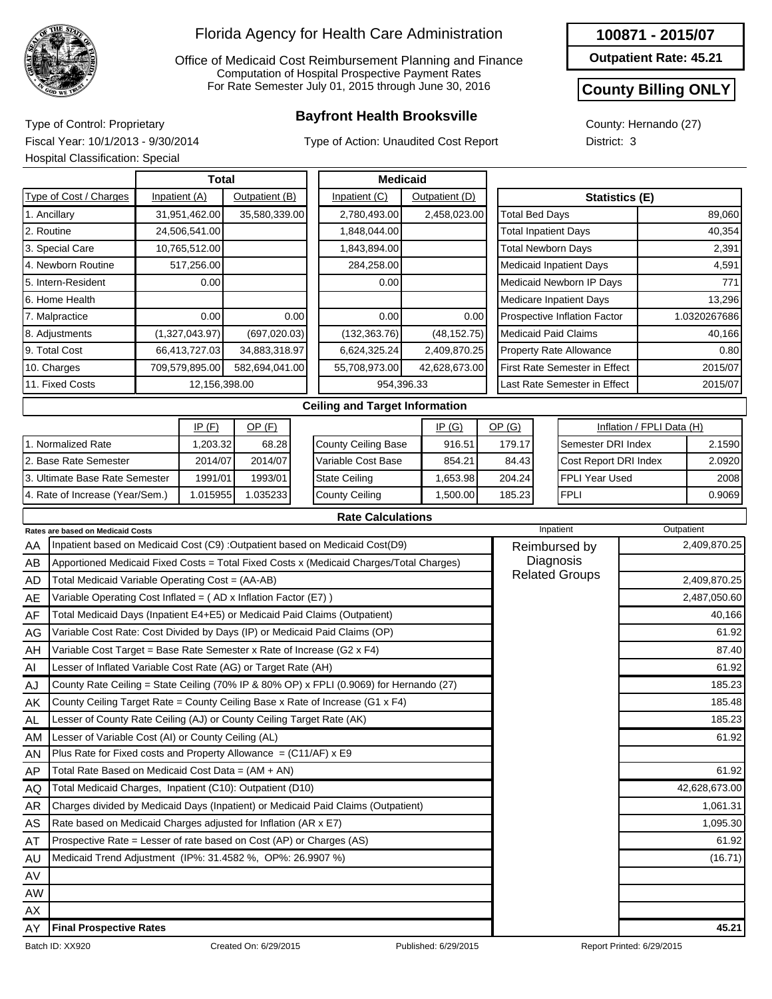

Office of Medicaid Cost Reimbursement Planning and Finance Computation of Hospital Prospective Payment Rates For Rate Semester July 01, 2015 through June 30, 2016

## **Bayfront Health Brooksville** Type of Control: Proprietary

Type of Action: Unaudited Cost Report

#### **100871 - 2015/07**

**Outpatient Rate: 45.21**

#### **County Billing ONLY**

County: Hernando (27) District: 3

Fiscal Year: 10/1/2013 - 9/30/2014 Hospital Classification: Special

|                                                                                                                               | <b>Medicaid</b> |                |                |  |                                       |  |                |  |                             |                                      |                           |                            |  |
|-------------------------------------------------------------------------------------------------------------------------------|-----------------|----------------|----------------|--|---------------------------------------|--|----------------|--|-----------------------------|--------------------------------------|---------------------------|----------------------------|--|
| Type of Cost / Charges                                                                                                        |                 | Inpatient (A)  | Outpatient (B) |  | Inpatient (C)                         |  | Outpatient (D) |  |                             | <b>Statistics (E)</b>                |                           |                            |  |
| 1. Ancillary                                                                                                                  |                 | 31,951,462.00  | 35,580,339.00  |  | 2,780,493.00                          |  | 2,458,023.00   |  | <b>Total Bed Days</b>       |                                      |                           | 89,060                     |  |
| 2. Routine                                                                                                                    |                 | 24,506,541.00  |                |  | 1,848,044.00                          |  |                |  | <b>Total Inpatient Days</b> |                                      |                           | 40,354                     |  |
| 3. Special Care                                                                                                               |                 | 10,765,512.00  |                |  | 1,843,894.00                          |  |                |  | <b>Total Newborn Days</b>   |                                      |                           | 2,391                      |  |
| 4. Newborn Routine                                                                                                            |                 | 517,256.00     |                |  | 284,258.00                            |  |                |  |                             | <b>Medicaid Inpatient Days</b>       |                           | 4,591                      |  |
| 5. Intern-Resident                                                                                                            |                 | 0.00           |                |  | 0.00                                  |  |                |  |                             | Medicaid Newborn IP Days             |                           | 771                        |  |
| 6. Home Health                                                                                                                |                 |                |                |  |                                       |  |                |  |                             | Medicare Inpatient Days              |                           | 13,296                     |  |
| 0.00<br>0.00<br>7. Malpractice                                                                                                |                 |                |                |  | 0.00                                  |  | 0.00           |  |                             | Prospective Inflation Factor         |                           | 1.0320267686               |  |
| 8. Adjustments                                                                                                                |                 | (1,327,043.97) | (697, 020.03)  |  | (132, 363.76)                         |  | (48, 152.75)   |  | <b>Medicaid Paid Claims</b> |                                      |                           | 40,166                     |  |
| 9. Total Cost                                                                                                                 |                 | 66,413,727.03  | 34,883,318.97  |  | 6,624,325.24                          |  | 2,409,870.25   |  |                             | <b>Property Rate Allowance</b>       |                           | 0.80                       |  |
| 10. Charges                                                                                                                   |                 | 709,579,895.00 | 582,694,041.00 |  | 55,708,973.00                         |  | 42,628,673.00  |  |                             | <b>First Rate Semester in Effect</b> |                           | 2015/07                    |  |
| 11. Fixed Costs                                                                                                               |                 | 12,156,398.00  |                |  | 954,396.33                            |  |                |  |                             | Last Rate Semester in Effect         |                           | 2015/07                    |  |
|                                                                                                                               |                 |                |                |  | <b>Ceiling and Target Information</b> |  |                |  |                             |                                      |                           |                            |  |
|                                                                                                                               |                 | IP(F)          | $OP$ (F)       |  |                                       |  | IP(G)          |  | OP(G)                       |                                      | Inflation / FPLI Data (H) |                            |  |
| 1. Normalized Rate                                                                                                            |                 | 1,203.32       | 68.28          |  | <b>County Ceiling Base</b>            |  | 916.51         |  | 179.17                      | Semester DRI Index                   |                           | 2.1590                     |  |
| 2. Base Rate Semester                                                                                                         |                 | 2014/07        | 2014/07        |  | Variable Cost Base                    |  | 854.21         |  | 84.43                       | Cost Report DRI Index                |                           | 2.0920                     |  |
| 3. Ultimate Base Rate Semester                                                                                                |                 | 1991/01        | 1993/01        |  | <b>State Ceiling</b>                  |  | 1,653.98       |  | 204.24                      | <b>FPLI Year Used</b>                |                           | 2008                       |  |
| 4. Rate of Increase (Year/Sem.)<br>1.035233<br>1.015955                                                                       |                 |                |                |  | <b>County Ceiling</b>                 |  | 1,500.00       |  | 185.23                      | <b>FPLI</b>                          |                           | 0.9069                     |  |
|                                                                                                                               |                 |                |                |  | <b>Rate Calculations</b>              |  |                |  |                             |                                      |                           |                            |  |
| Rates are based on Medicaid Costs<br>A.A. Howard and handed an Madissial Onat (OO) : Outpartiant handed an Madissial Osat(DO) |                 |                |                |  |                                       |  |                |  | - -                         | Inpatient<br>$\sim$ $\sim$ $\sim$    |                           | Outpatient<br>0.400.070.05 |  |

|           | <b>Rates are based on Medicaid Costs</b>                                                | Inpatient             | Outpatient    |
|-----------|-----------------------------------------------------------------------------------------|-----------------------|---------------|
| AA        | Inpatient based on Medicaid Cost (C9) : Outpatient based on Medicaid Cost(D9)           | Reimbursed by         | 2,409,870.25  |
| AB        | Apportioned Medicaid Fixed Costs = Total Fixed Costs x (Medicaid Charges/Total Charges) | Diagnosis             |               |
| <b>AD</b> | Total Medicaid Variable Operating Cost = (AA-AB)                                        | <b>Related Groups</b> | 2,409,870.25  |
| AE        | Variable Operating Cost Inflated = $(AD \times Inflation Factor (E7))$                  |                       | 2,487,050.60  |
| AF        | Total Medicaid Days (Inpatient E4+E5) or Medicaid Paid Claims (Outpatient)              |                       | 40,166        |
| AG        | Variable Cost Rate: Cost Divided by Days (IP) or Medicaid Paid Claims (OP)              |                       | 61.92         |
| AH        | Variable Cost Target = Base Rate Semester x Rate of Increase (G2 x F4)                  |                       | 87.40         |
| AI        | Lesser of Inflated Variable Cost Rate (AG) or Target Rate (AH)                          |                       | 61.92         |
| AJ        | County Rate Ceiling = State Ceiling (70% IP & 80% OP) x FPLI (0.9069) for Hernando (27) |                       | 185.23        |
| AK        | County Ceiling Target Rate = County Ceiling Base x Rate of Increase (G1 x F4)           |                       | 185.48        |
| <b>AL</b> | Lesser of County Rate Ceiling (AJ) or County Ceiling Target Rate (AK)                   |                       | 185.23        |
| AM        | Lesser of Variable Cost (AI) or County Ceiling (AL)                                     |                       | 61.92         |
| AN        | Plus Rate for Fixed costs and Property Allowance = $(C11/AF)$ x E9                      |                       |               |
| AP        | Total Rate Based on Medicaid Cost Data = (AM + AN)                                      |                       | 61.92         |
| AQ        | Total Medicaid Charges, Inpatient (C10): Outpatient (D10)                               |                       | 42,628,673.00 |
| <b>AR</b> | Charges divided by Medicaid Days (Inpatient) or Medicaid Paid Claims (Outpatient)       |                       | 1,061.31      |
| AS        | Rate based on Medicaid Charges adjusted for Inflation (AR x E7)                         |                       | 1,095.30      |
| AT        | Prospective Rate = Lesser of rate based on Cost (AP) or Charges (AS)                    |                       | 61.92         |
| AU        | Medicaid Trend Adjustment (IP%: 31.4582 %, OP%: 26.9907 %)                              |                       | (16.71)       |
| AV        |                                                                                         |                       |               |
| <b>AW</b> |                                                                                         |                       |               |
| AX        |                                                                                         |                       |               |
| AY        | <b>Final Prospective Rates</b>                                                          |                       | 45.21         |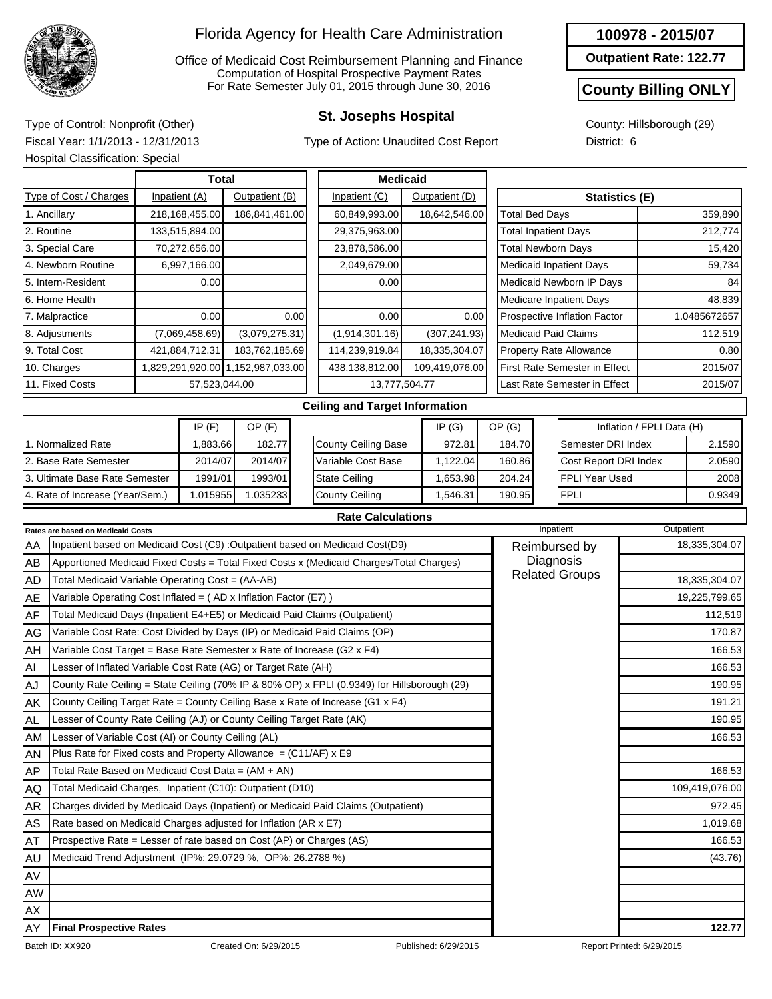

Office of Medicaid Cost Reimbursement Planning and Finance Computation of Hospital Prospective Payment Rates For Rate Semester July 01, 2015 through June 30, 2016

Type of Action: Unaudited Cost Report

#### **100978 - 2015/07**

**Outpatient Rate: 122.77**

#### **County Billing ONLY**

County: Hillsborough (29) District: 6

**St. Josephs Hospital** Type of Control: Nonprofit (Other) Fiscal Year: 1/1/2013 - 12/31/2013 Hospital Classification: Special

|                                                                                  | <b>Total</b>                                                               |  |                |                                   |      | <b>Medicaid</b> |                                                                                         |  |                |                             |                                      |  |                                |                           |               |               |
|----------------------------------------------------------------------------------|----------------------------------------------------------------------------|--|----------------|-----------------------------------|------|-----------------|-----------------------------------------------------------------------------------------|--|----------------|-----------------------------|--------------------------------------|--|--------------------------------|---------------------------|---------------|---------------|
|                                                                                  | Type of Cost / Charges                                                     |  | Inpatient (A)  | Outpatient (B)                    |      |                 | Inpatient (C)                                                                           |  | Outpatient (D) |                             |                                      |  | <b>Statistics (E)</b>          |                           |               |               |
| 1. Ancillary                                                                     |                                                                            |  | 218,168,455.00 | 186,841,461.00                    |      |                 | 60,849,993.00                                                                           |  | 18,642,546.00  |                             | <b>Total Bed Days</b>                |  |                                |                           |               | 359,890       |
| 2. Routine                                                                       |                                                                            |  | 133,515,894.00 |                                   |      |                 | 29,375,963.00                                                                           |  |                |                             | <b>Total Inpatient Days</b>          |  |                                |                           |               | 212,774       |
|                                                                                  | 3. Special Care                                                            |  | 70,272,656.00  |                                   |      |                 | 23,878,586.00                                                                           |  |                |                             | <b>Total Newborn Days</b>            |  |                                |                           |               | 15,420        |
|                                                                                  | 4. Newborn Routine                                                         |  | 6,997,166.00   |                                   |      |                 | 2,049,679.00                                                                            |  |                |                             |                                      |  | <b>Medicaid Inpatient Days</b> |                           | 59,734        |               |
|                                                                                  | 5. Intern-Resident                                                         |  | 0.00           |                                   |      |                 | 0.00                                                                                    |  |                |                             |                                      |  | Medicaid Newborn IP Days       |                           |               | 84            |
| 6. Home Health                                                                   |                                                                            |  |                |                                   |      |                 |                                                                                         |  |                |                             |                                      |  | Medicare Inpatient Days        |                           |               | 48,839        |
| 7. Malpractice                                                                   |                                                                            |  | 0.00           |                                   | 0.00 |                 | 0.00                                                                                    |  | 0.00           |                             |                                      |  | Prospective Inflation Factor   |                           |               | 1.0485672657  |
| 8. Adjustments                                                                   |                                                                            |  | (7,069,458.69) | (3,079,275.31)                    |      |                 | (1,914,301.16)                                                                          |  | (307, 241.93)  | <b>Medicaid Paid Claims</b> |                                      |  |                                |                           |               | 112,519       |
| 9. Total Cost                                                                    |                                                                            |  | 421,884,712.31 | 183,762,185.69                    |      |                 | 114,239,919.84                                                                          |  | 18,335,304.07  | Property Rate Allowance     |                                      |  |                                |                           |               | 0.80          |
| 10. Charges                                                                      |                                                                            |  |                | 1,829,291,920.00 1,152,987,033.00 |      |                 | 438,138,812.00                                                                          |  | 109,419,076.00 |                             | <b>First Rate Semester in Effect</b> |  |                                |                           |               | 2015/07       |
| 11. Fixed Costs                                                                  |                                                                            |  | 57,523,044.00  |                                   |      |                 | 13,777,504.77                                                                           |  |                |                             |                                      |  | Last Rate Semester in Effect   |                           |               | 2015/07       |
|                                                                                  |                                                                            |  |                |                                   |      |                 | <b>Ceiling and Target Information</b>                                                   |  |                |                             |                                      |  |                                |                           |               |               |
|                                                                                  |                                                                            |  | IP(F)          | OP(F)                             |      |                 |                                                                                         |  | IP(G)          |                             | OP(G)                                |  |                                | Inflation / FPLI Data (H) |               |               |
|                                                                                  | 1. Normalized Rate                                                         |  | 1,883.66       | 182.77                            |      |                 | <b>County Ceiling Base</b>                                                              |  | 972.81         |                             | 184.70                               |  | Semester DRI Index             |                           |               | 2.1590        |
|                                                                                  | 2. Base Rate Semester                                                      |  | 2014/07        | 2014/07                           |      |                 | Variable Cost Base                                                                      |  | 1,122.04       |                             | 160.86                               |  | Cost Report DRI Index          |                           |               | 2.0590        |
|                                                                                  | 3. Ultimate Base Rate Semester                                             |  | 1991/01        | 1993/01                           |      |                 | <b>State Ceiling</b>                                                                    |  | 1,653.98       |                             | 204.24                               |  | FPLI Year Used                 |                           |               | 2008          |
|                                                                                  | 4. Rate of Increase (Year/Sem.)                                            |  | 1.015955       | 1.035233                          |      |                 | <b>County Ceiling</b>                                                                   |  | 1,546.31       |                             | 190.95                               |  | <b>FPLI</b>                    |                           |               | 0.9349        |
|                                                                                  |                                                                            |  |                |                                   |      |                 | <b>Rate Calculations</b>                                                                |  |                |                             |                                      |  |                                |                           |               |               |
|                                                                                  | Rates are based on Medicaid Costs                                          |  |                |                                   |      |                 |                                                                                         |  |                |                             |                                      |  | Inpatient                      |                           | Outpatient    |               |
| AA                                                                               |                                                                            |  |                |                                   |      |                 | Inpatient based on Medicaid Cost (C9) : Outpatient based on Medicaid Cost(D9)           |  |                |                             |                                      |  | Reimbursed by                  |                           |               | 18,335,304.07 |
| AB                                                                               |                                                                            |  |                |                                   |      |                 | Apportioned Medicaid Fixed Costs = Total Fixed Costs x (Medicaid Charges/Total Charges) |  |                |                             |                                      |  | Diagnosis                      |                           |               |               |
| AD                                                                               | Total Medicaid Variable Operating Cost = (AA-AB)                           |  |                |                                   |      |                 |                                                                                         |  |                |                             |                                      |  | <b>Related Groups</b>          |                           |               | 18,335,304.07 |
| Variable Operating Cost Inflated = (AD x Inflation Factor (E7))<br>AE            |                                                                            |  |                |                                   |      |                 |                                                                                         |  |                |                             |                                      |  |                                |                           | 19,225,799.65 |               |
| Total Medicaid Days (Inpatient E4+E5) or Medicaid Paid Claims (Outpatient)<br>AF |                                                                            |  |                |                                   |      |                 |                                                                                         |  |                |                             |                                      |  |                                |                           | 112,519       |               |
| AG                                                                               | Variable Cost Rate: Cost Divided by Days (IP) or Medicaid Paid Claims (OP) |  |                |                                   |      |                 |                                                                                         |  |                |                             |                                      |  |                                |                           | 170.87        |               |
| Variable Cost Target = Base Rate Semester x Rate of Increase (G2 x F4)<br>AH     |                                                                            |  |                |                                   |      |                 |                                                                                         |  |                |                             |                                      |  |                                | 166.53                    |               |               |
| Lesser of Inflated Variable Cost Rate (AG) or Target Rate (AH)<br>AI             |                                                                            |  |                |                                   |      |                 |                                                                                         |  |                |                             |                                      |  |                                | 166.53                    |               |               |

| AE  | Variable Operating Cost Inflated = $(AD \times Inflation Factor (E7))$                      |                      | 19,225,799.65             |
|-----|---------------------------------------------------------------------------------------------|----------------------|---------------------------|
| AF  | Total Medicaid Days (Inpatient E4+E5) or Medicaid Paid Claims (Outpatient)                  |                      | 112,519                   |
| AG  | Variable Cost Rate: Cost Divided by Days (IP) or Medicaid Paid Claims (OP)                  |                      | 170.87                    |
| AH  | Variable Cost Target = Base Rate Semester x Rate of Increase (G2 $\times$ F4)               |                      | 166.53                    |
| AI  | Lesser of Inflated Variable Cost Rate (AG) or Target Rate (AH)                              |                      | 166.53                    |
| AJ  | County Rate Ceiling = State Ceiling (70% IP & 80% OP) x FPLI (0.9349) for Hillsborough (29) |                      | 190.95                    |
| AK  | County Ceiling Target Rate = County Ceiling Base x Rate of Increase (G1 $x$ F4)             |                      | 191.21                    |
| AL. | Lesser of County Rate Ceiling (AJ) or County Ceiling Target Rate (AK)                       |                      | 190.95                    |
| AM  | Lesser of Variable Cost (AI) or County Ceiling (AL)                                         |                      | 166.53                    |
| AN  | Plus Rate for Fixed costs and Property Allowance = $(C11/AF)$ x E9                          |                      |                           |
| AP  | Total Rate Based on Medicaid Cost Data = $(AM + AN)$                                        |                      | 166.53                    |
| AQ  | Total Medicaid Charges, Inpatient (C10): Outpatient (D10)                                   |                      | 109,419,076.00            |
| AR  | Charges divided by Medicaid Days (Inpatient) or Medicaid Paid Claims (Outpatient)           |                      | 972.45                    |
| AS  | Rate based on Medicaid Charges adjusted for Inflation (AR x E7)                             |                      | 1,019.68                  |
| AT  | Prospective Rate = Lesser of rate based on Cost (AP) or Charges (AS)                        |                      | 166.53                    |
| AU  | Medicaid Trend Adjustment (IP%: 29.0729 %, OP%: 26.2788 %)                                  |                      | (43.76)                   |
| AV  |                                                                                             |                      |                           |
| AW  |                                                                                             |                      |                           |
| AX  |                                                                                             |                      |                           |
| AY  | <b>Final Prospective Rates</b>                                                              |                      | 122.77                    |
|     | Batch ID: XX920<br>Created On: 6/29/2015                                                    | Published: 6/29/2015 | Report Printed: 6/29/2015 |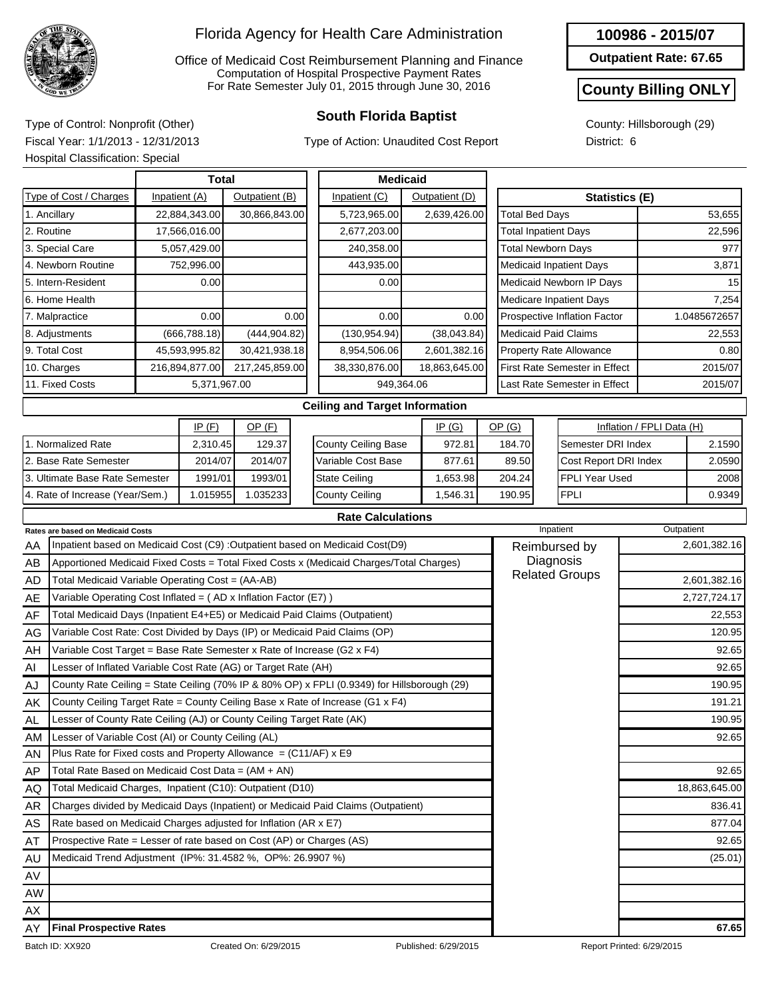

Office of Medicaid Cost Reimbursement Planning and Finance Computation of Hospital Prospective Payment Rates For Rate Semester July 01, 2015 through June 30, 2016

Type of Action: Unaudited Cost Report

#### **100986 - 2015/07**

**Outpatient Rate: 67.65**

#### **County Billing ONLY**

County: Hillsborough (29) District: 6

**South Florida Baptist** Type of Control: Nonprofit (Other) Fiscal Year: 1/1/2013 - 12/31/2013 Hospital Classification: Special

|                                                                                                   | <b>Hospital Classification: Special</b>                                    |  |                |                |                                                                               |                                                                                         |  |                |        |                              |                                      |                           |              |
|---------------------------------------------------------------------------------------------------|----------------------------------------------------------------------------|--|----------------|----------------|-------------------------------------------------------------------------------|-----------------------------------------------------------------------------------------|--|----------------|--------|------------------------------|--------------------------------------|---------------------------|--------------|
|                                                                                                   |                                                                            |  | <b>Total</b>   |                |                                                                               | <b>Medicaid</b>                                                                         |  |                |        |                              |                                      |                           |              |
|                                                                                                   | Type of Cost / Charges                                                     |  | Inpatient (A)  | Outpatient (B) |                                                                               | Inpatient (C)                                                                           |  | Outpatient (D) |        |                              |                                      | <b>Statistics (E)</b>     |              |
|                                                                                                   | 1. Ancillary                                                               |  | 22,884,343.00  | 30,866,843.00  |                                                                               | 5,723,965.00                                                                            |  | 2,639,426.00   |        | <b>Total Bed Days</b>        |                                      |                           | 53,655       |
| 2. Routine                                                                                        |                                                                            |  | 17,566,016.00  |                |                                                                               | 2,677,203.00                                                                            |  |                |        | <b>Total Inpatient Days</b>  |                                      |                           | 22,596       |
|                                                                                                   | 3. Special Care                                                            |  | 5,057,429.00   |                |                                                                               | 240,358.00                                                                              |  |                |        | <b>Total Newborn Days</b>    |                                      |                           | 977          |
|                                                                                                   | 4. Newborn Routine                                                         |  | 752,996.00     |                |                                                                               | 443,935.00                                                                              |  |                |        |                              | <b>Medicaid Inpatient Days</b>       |                           | 3,871        |
|                                                                                                   | 5. Intern-Resident                                                         |  | 0.00           |                |                                                                               | 0.00                                                                                    |  |                |        |                              | Medicaid Newborn IP Days             |                           | 15           |
|                                                                                                   | 6. Home Health                                                             |  |                |                |                                                                               |                                                                                         |  |                |        | Medicare Inpatient Days      | 7,254                                |                           |              |
|                                                                                                   | 7. Malpractice                                                             |  | 0.00           |                | 0.00                                                                          | 0.00                                                                                    |  | 0.00           |        |                              | Prospective Inflation Factor         |                           | 1.0485672657 |
| 8. Adjustments                                                                                    |                                                                            |  | (666, 788.18)  | (444, 904.82)  |                                                                               | (130, 954.94)                                                                           |  | (38,043.84)    |        |                              | <b>Medicaid Paid Claims</b>          |                           | 22,553       |
| 9. Total Cost                                                                                     |                                                                            |  | 45,593,995.82  | 30,421,938.18  |                                                                               | 8,954,506.06                                                                            |  | 2,601,382.16   |        |                              | <b>Property Rate Allowance</b>       |                           | 0.80         |
|                                                                                                   | 10. Charges                                                                |  | 216,894,877.00 | 217,245,859.00 |                                                                               | 38,330,876.00                                                                           |  | 18,863,645.00  |        |                              | <b>First Rate Semester in Effect</b> |                           | 2015/07      |
|                                                                                                   | 11. Fixed Costs                                                            |  | 5,371,967.00   |                |                                                                               | 949,364.06                                                                              |  |                |        | Last Rate Semester in Effect |                                      | 2015/07                   |              |
|                                                                                                   |                                                                            |  |                |                |                                                                               | <b>Ceiling and Target Information</b>                                                   |  |                |        |                              |                                      |                           |              |
|                                                                                                   |                                                                            |  | IP(F)          | $OP$ (F)       |                                                                               |                                                                                         |  | IP(G)          | OP(G)  |                              |                                      | Inflation / FPLI Data (H) |              |
|                                                                                                   | 1. Normalized Rate                                                         |  | 2,310.45       | 129.37         |                                                                               | <b>County Ceiling Base</b>                                                              |  | 972.81         |        | 184.70                       | Semester DRI Index                   |                           | 2.1590       |
|                                                                                                   | 2. Base Rate Semester                                                      |  | 2014/07        | 2014/07        |                                                                               | Variable Cost Base                                                                      |  | 877.61         |        | 89.50                        | Cost Report DRI Index                |                           | 2.0590       |
|                                                                                                   | 3. Ultimate Base Rate Semester                                             |  | 1991/01        | 1993/01        |                                                                               | <b>State Ceiling</b>                                                                    |  | 1,653.98       | 204.24 |                              | FPLI Year Used                       |                           | 2008         |
|                                                                                                   | 4. Rate of Increase (Year/Sem.)                                            |  | 1.015955       | 1.035233       |                                                                               | <b>County Ceiling</b>                                                                   |  | 1,546.31       |        | 190.95                       | <b>FPLI</b>                          |                           | 0.9349       |
|                                                                                                   |                                                                            |  |                |                |                                                                               | <b>Rate Calculations</b>                                                                |  |                |        |                              |                                      |                           |              |
|                                                                                                   | Rates are based on Medicaid Costs                                          |  |                |                |                                                                               |                                                                                         |  |                |        |                              | Inpatient                            |                           | Outpatient   |
| AA                                                                                                |                                                                            |  |                |                |                                                                               | Inpatient based on Medicaid Cost (C9) : Outpatient based on Medicaid Cost(D9)           |  |                |        |                              | Reimbursed by                        |                           | 2,601,382.16 |
| AB                                                                                                |                                                                            |  |                |                |                                                                               | Apportioned Medicaid Fixed Costs = Total Fixed Costs x (Medicaid Charges/Total Charges) |  |                |        | Diagnosis                    |                                      |                           |              |
| AD                                                                                                | Total Medicaid Variable Operating Cost = (AA-AB)                           |  |                |                |                                                                               |                                                                                         |  |                |        |                              | <b>Related Groups</b>                |                           | 2,601,382.16 |
| AE                                                                                                | Variable Operating Cost Inflated = (AD x Inflation Factor (E7))            |  |                |                |                                                                               |                                                                                         |  |                |        |                              |                                      |                           | 2,727,724.17 |
| AF                                                                                                | Total Medicaid Days (Inpatient E4+E5) or Medicaid Paid Claims (Outpatient) |  |                |                |                                                                               |                                                                                         |  |                |        |                              |                                      |                           | 22,553       |
| AG                                                                                                | Variable Cost Rate: Cost Divided by Days (IP) or Medicaid Paid Claims (OP) |  |                |                |                                                                               |                                                                                         |  |                |        |                              |                                      |                           | 120.95       |
| Variable Cost Target = Base Rate Semester x Rate of Increase (G2 x F4)<br>AH                      |                                                                            |  |                |                |                                                                               |                                                                                         |  |                |        |                              |                                      | 92.65                     |              |
| Al<br>Lesser of Inflated Variable Cost Rate (AG) or Target Rate (AH)                              |                                                                            |  |                |                |                                                                               |                                                                                         |  |                |        |                              |                                      | 92.65                     |              |
| County Rate Ceiling = State Ceiling (70% IP & 80% OP) x FPLI (0.9349) for Hillsborough (29)<br>AJ |                                                                            |  |                |                |                                                                               |                                                                                         |  |                |        |                              |                                      | 190.95                    |              |
| AK                                                                                                |                                                                            |  |                |                | County Ceiling Target Rate = County Ceiling Base x Rate of Increase (G1 x F4) |                                                                                         |  |                |        |                              |                                      |                           | 191.21       |
| Lesser of County Rate Ceiling (AJ) or County Ceiling Target Rate (AK)<br>AL                       |                                                                            |  |                |                |                                                                               |                                                                                         |  |                |        |                              |                                      |                           | 190.95       |
| AM                                                                                                | Lesser of Variable Cost (AI) or County Ceiling (AL)                        |  |                |                |                                                                               |                                                                                         |  |                |        |                              |                                      |                           | 92.65        |

AN AP AQ AR AS AT AU AV AW AX

Plus Rate for Fixed costs and Property Allowance =  $(C11/AF)$  x E9

Rate based on Medicaid Charges adjusted for Inflation (AR x E7) Prospective Rate = Lesser of rate based on Cost (AP) or Charges (AS)

Charges divided by Medicaid Days (Inpatient) or Medicaid Paid Claims (Outpatient)

Total Rate Based on Medicaid Cost Data = (AM + AN) Total Medicaid Charges, Inpatient (C10): Outpatient (D10)

Medicaid Trend Adjustment (IP%: 31.4582 %, OP%: 26.9907 %) (25.01)

92.65

18,863,645.00 836.41 877.04 92.65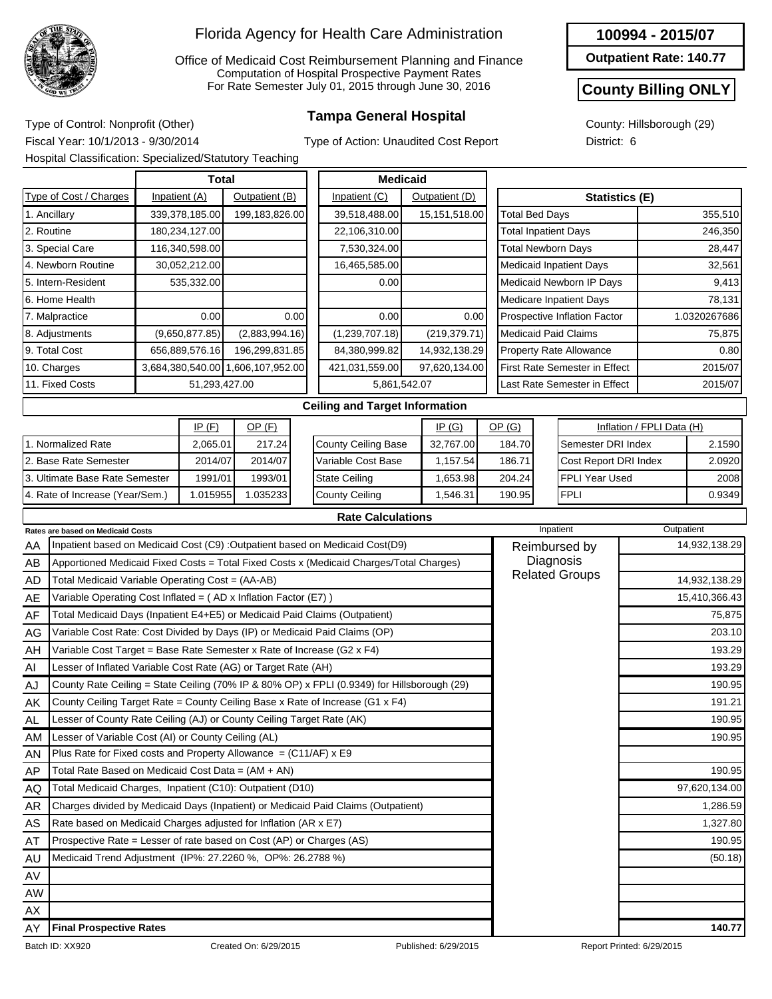

Office of Medicaid Cost Reimbursement Planning and Finance Computation of Hospital Prospective Payment Rates For Rate Semester July 01, 2015 through June 30, 2016

**100994 - 2015/07**

**Outpatient Rate: 140.77**

#### **County Billing ONLY**

County: Hillsborough (29) District: 6

**Tampa General Hospital** Type of Control: Nonprofit (Other) Fiscal Year: 10/1/2013 - 9/30/2014 Hospital Classification: Specialized/Statutory Teaching

Type of Action: Unaudited Cost Report

|                                                   |                                                                            | <b>Total</b>  |                |                |      | <b>Medicaid</b>                                                                             |  |                |  |                             |           |                                      |                           |               |  |
|---------------------------------------------------|----------------------------------------------------------------------------|---------------|----------------|----------------|------|---------------------------------------------------------------------------------------------|--|----------------|--|-----------------------------|-----------|--------------------------------------|---------------------------|---------------|--|
|                                                   | Type of Cost / Charges                                                     | Inpatient (A) |                | Outpatient (B) |      | Inpatient (C)                                                                               |  | Outpatient (D) |  |                             |           | Statistics (E)                       |                           |               |  |
|                                                   | 1. Ancillary                                                               |               | 339,378,185.00 | 199.183.826.00 |      | 39,518,488.00                                                                               |  | 15,151,518.00  |  | <b>Total Bed Days</b>       |           |                                      |                           | 355,510       |  |
|                                                   | 2. Routine                                                                 |               | 180,234,127.00 |                |      | 22,106,310.00                                                                               |  |                |  | <b>Total Inpatient Days</b> |           |                                      |                           | 246,350       |  |
|                                                   | 3. Special Care                                                            |               | 116,340,598.00 |                |      | 7,530,324.00                                                                                |  |                |  |                             |           | <b>Total Newborn Days</b>            |                           | 28,447        |  |
|                                                   | 4. Newborn Routine                                                         |               | 30,052,212.00  |                |      | 16,465,585.00                                                                               |  |                |  |                             |           | <b>Medicaid Inpatient Days</b>       |                           | 32,561        |  |
|                                                   | 5. Intern-Resident                                                         |               | 535,332.00     |                |      | 0.00                                                                                        |  |                |  |                             |           | Medicaid Newborn IP Days             |                           | 9,413         |  |
|                                                   | 6. Home Health                                                             |               |                |                |      |                                                                                             |  |                |  |                             |           | <b>Medicare Inpatient Days</b>       |                           | 78,131        |  |
|                                                   | 7. Malpractice                                                             |               | 0.00           |                | 0.00 | 0.00                                                                                        |  | 0.00           |  |                             |           | Prospective Inflation Factor         | 1.0320267686              |               |  |
|                                                   | 8. Adjustments                                                             |               | (9,650,877.85) | (2,883,994.16) |      | (1,239,707.18)                                                                              |  | (219, 379.71)  |  |                             |           | <b>Medicaid Paid Claims</b>          | 75,875                    |               |  |
| 9. Total Cost<br>656,889,576.16<br>196,299,831.85 |                                                                            |               |                |                |      | 84,380,999.82<br>14,932,138.29                                                              |  |                |  |                             |           | <b>Property Rate Allowance</b>       |                           | 0.80          |  |
| 10. Charges<br>3,684,380,540.00 1,606,107,952.00  |                                                                            |               |                |                |      | 421,031,559.00<br>97,620,134.00                                                             |  |                |  |                             |           | <b>First Rate Semester in Effect</b> |                           | 2015/07       |  |
| 11. Fixed Costs<br>51,293,427.00                  |                                                                            |               |                |                |      | 5,861,542.07                                                                                |  |                |  |                             |           | Last Rate Semester in Effect         |                           | 2015/07       |  |
|                                                   |                                                                            |               |                |                |      | <b>Ceiling and Target Information</b>                                                       |  |                |  |                             |           |                                      |                           |               |  |
|                                                   |                                                                            |               | IP(F)          | OP(F)          |      |                                                                                             |  | IP(G)          |  | OP(G)                       |           |                                      | Inflation / FPLI Data (H) |               |  |
| 1. Normalized Rate<br>2,065.01<br>217.24          |                                                                            |               |                |                |      | <b>County Ceiling Base</b>                                                                  |  | 32,767.00      |  | 184.70                      |           | Semester DRI Index                   |                           | 2.1590        |  |
|                                                   | 2. Base Rate Semester                                                      |               | 2014/07        | 2014/07        |      | Variable Cost Base                                                                          |  | 1,157.54       |  | 186.71                      |           | Cost Report DRI Index                |                           | 2.0920        |  |
|                                                   | 3. Ultimate Base Rate Semester                                             |               | 1991/01        | 1993/01        |      | <b>State Ceiling</b>                                                                        |  | 1,653.98       |  | 204.24                      |           | FPLI Year Used                       |                           | 2008          |  |
|                                                   | 4. Rate of Increase (Year/Sem.)                                            |               | 1.015955       | 1.035233       |      | <b>County Ceiling</b>                                                                       |  | 1,546.31       |  | 190.95                      |           | <b>FPLI</b>                          |                           | 0.9349        |  |
|                                                   |                                                                            |               |                |                |      | <b>Rate Calculations</b>                                                                    |  |                |  |                             |           |                                      |                           |               |  |
|                                                   | Rates are based on Medicaid Costs                                          |               |                |                |      |                                                                                             |  |                |  |                             | Inpatient |                                      |                           | Outpatient    |  |
| ΑA                                                |                                                                            |               |                |                |      | Inpatient based on Medicaid Cost (C9) : Outpatient based on Medicaid Cost(D9)               |  |                |  |                             |           | Reimbursed by                        |                           | 14,932,138.29 |  |
| AB                                                |                                                                            |               |                |                |      | Apportioned Medicaid Fixed Costs = Total Fixed Costs x (Medicaid Charges/Total Charges)     |  |                |  | Diagnosis                   |           |                                      |                           |               |  |
| AD                                                | Total Medicaid Variable Operating Cost = (AA-AB)                           |               |                |                |      |                                                                                             |  |                |  | <b>Related Groups</b>       |           | 14,932,138.29                        |                           |               |  |
| AE                                                | Variable Operating Cost Inflated = (AD x Inflation Factor (E7))            |               |                |                |      |                                                                                             |  |                |  |                             |           | 15,410,366.43                        |                           |               |  |
| AF                                                | Total Medicaid Days (Inpatient E4+E5) or Medicaid Paid Claims (Outpatient) |               |                |                |      |                                                                                             |  |                |  |                             |           |                                      |                           | 75,875        |  |
| AG                                                | Variable Cost Rate: Cost Divided by Days (IP) or Medicaid Paid Claims (OP) |               |                |                |      |                                                                                             |  |                |  |                             |           |                                      |                           | 203.10        |  |
| AH                                                | Variable Cost Target = Base Rate Semester x Rate of Increase (G2 x F4)     |               |                |                |      |                                                                                             |  |                |  |                             |           |                                      |                           | 193.29        |  |
| Al                                                | Lesser of Inflated Variable Cost Rate (AG) or Target Rate (AH)             |               |                |                |      |                                                                                             |  |                |  |                             |           |                                      |                           | 193.29        |  |
| AJ                                                |                                                                            |               |                |                |      | County Rate Ceiling = State Ceiling (70% IP & 80% OP) x FPLI (0.9349) for Hillsborough (29) |  |                |  |                             |           |                                      |                           | 190.95        |  |
| AK                                                |                                                                            |               |                |                |      | County Ceiling Target Rate = County Ceiling Base x Rate of Increase (G1 x F4)               |  |                |  |                             |           |                                      |                           | 191.21        |  |
| AL                                                | Lesser of County Rate Ceiling (AJ) or County Ceiling Target Rate (AK)      |               |                |                |      |                                                                                             |  |                |  |                             |           |                                      |                           | 190.95        |  |
| AM                                                | Lesser of Variable Cost (AI) or County Ceiling (AL)                        |               |                |                |      |                                                                                             |  |                |  |                             |           |                                      |                           | 190.95        |  |
| AN                                                | Plus Rate for Fixed costs and Property Allowance = $(C11/AF)$ x E9         |               |                |                |      |                                                                                             |  |                |  |                             |           |                                      |                           |               |  |
| AP                                                | Total Rate Based on Medicaid Cost Data = $(AM + AN)$                       |               |                |                |      |                                                                                             |  |                |  |                             |           |                                      |                           | 190.95        |  |
| AQ                                                | Total Medicaid Charges, Inpatient (C10): Outpatient (D10)                  |               |                |                |      |                                                                                             |  |                |  |                             |           |                                      |                           | 97,620,134.00 |  |
| AR                                                |                                                                            |               |                |                |      | Charges divided by Medicaid Days (Inpatient) or Medicaid Paid Claims (Outpatient)           |  |                |  |                             |           |                                      |                           | 1,286.59      |  |
| AS                                                | Rate based on Medicaid Charges adjusted for Inflation (AR x E7)            |               |                |                |      |                                                                                             |  |                |  |                             |           |                                      |                           | 1,327.80      |  |
| AT                                                | Prospective Rate = Lesser of rate based on Cost (AP) or Charges (AS)       |               |                |                |      |                                                                                             |  |                |  |                             | 190.95    |                                      |                           |               |  |
| AU                                                | Medicaid Trend Adjustment (IP%: 27.2260 %, OP%: 26.2788 %)                 |               |                |                |      |                                                                                             |  |                |  |                             |           |                                      |                           | (50.18)       |  |
| AV                                                |                                                                            |               |                |                |      |                                                                                             |  |                |  |                             |           |                                      |                           |               |  |
| AW                                                |                                                                            |               |                |                |      |                                                                                             |  |                |  |                             |           |                                      |                           |               |  |
| АX                                                |                                                                            |               |                |                |      |                                                                                             |  |                |  |                             |           |                                      |                           |               |  |
| AY                                                | <b>Final Prospective Rates</b>                                             |               |                |                |      |                                                                                             |  |                |  |                             |           |                                      |                           | 140.77        |  |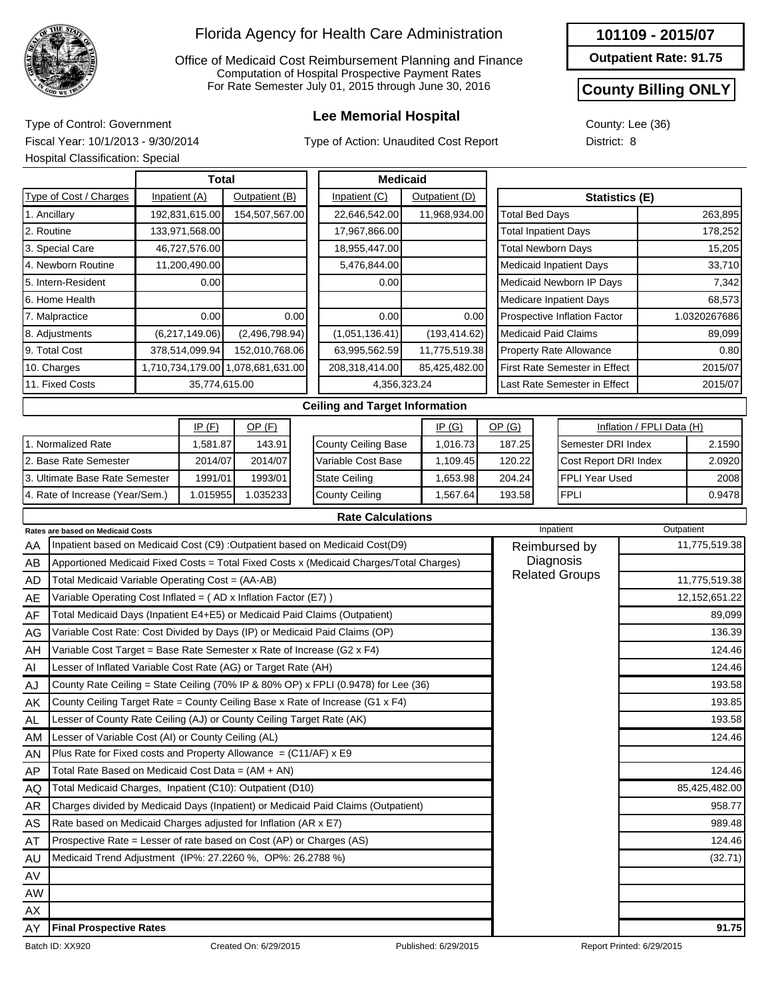

Office of Medicaid Cost Reimbursement Planning and Finance Computation of Hospital Prospective Payment Rates For Rate Semester July 01, 2015 through June 30, 2016

## **Lee Memorial Hospital** Type of Control: Government

Type of Action: Unaudited Cost Report

|  |  |  | 101109 - 2015/07 |  |
|--|--|--|------------------|--|
|--|--|--|------------------|--|

**Outpatient Rate: 91.75**

### **County Billing ONLY**

County: Lee (36) District: 8

Fiscal Year: 10/1/2013 - 9/30/2014 Hospital Classification: Special

|                                 |  | Total          |                                   |      | <b>Medicaid</b>                       |  |                |                                      |  |                                |                           |         |
|---------------------------------|--|----------------|-----------------------------------|------|---------------------------------------|--|----------------|--------------------------------------|--|--------------------------------|---------------------------|---------|
| Type of Cost / Charges          |  | Inpatient (A)  | Outpatient (B)                    |      | Inpatient (C)                         |  | Outpatient (D) | <b>Statistics (E)</b>                |  |                                |                           |         |
| 1. Ancillary                    |  | 192,831,615.00 | 154,507,567.00                    |      | 22,646,542.00                         |  | 11,968,934.00  | <b>Total Bed Days</b>                |  |                                |                           | 263,895 |
| 2. Routine                      |  | 133,971,568.00 |                                   |      | 17,967,866.00                         |  |                | <b>Total Inpatient Days</b>          |  |                                |                           | 178,252 |
| 3. Special Care                 |  | 46,727,576.00  |                                   |      | 18,955,447.00                         |  |                | <b>Total Newborn Days</b>            |  |                                |                           | 15,205  |
| 4. Newborn Routine              |  | 11,200,490.00  |                                   |      | 5,476,844.00                          |  |                |                                      |  | <b>Medicaid Inpatient Days</b> |                           | 33,710  |
| 5. Intern-Resident              |  | 0.00           |                                   |      | 0.00                                  |  |                |                                      |  | Medicaid Newborn IP Days       |                           | 7,342   |
| 6. Home Health                  |  |                |                                   |      |                                       |  |                |                                      |  | <b>Medicare Inpatient Days</b> |                           | 68,573  |
| 7. Malpractice                  |  | 0.00           |                                   | 0.00 | 0.00                                  |  | 0.00           | <b>Prospective Inflation Factor</b>  |  |                                | 1.0320267686              |         |
| 8. Adjustments                  |  | (6,217,149.06) | (2,496,798.94)                    |      | (1,051,136.41)                        |  | (193, 414.62)  | <b>Medicaid Paid Claims</b>          |  |                                |                           | 89,099  |
| 9. Total Cost                   |  | 378,514,099.94 | 152,010,768.06                    |      | 63,995,562.59                         |  | 11,775,519.38  | <b>Property Rate Allowance</b>       |  |                                | 0.80                      |         |
| 10. Charges                     |  |                | 1,710,734,179.00 1,078,681,631.00 |      | 208,318,414.00                        |  | 85,425,482.00  | <b>First Rate Semester in Effect</b> |  |                                | 2015/07                   |         |
| 11. Fixed Costs                 |  | 35,774,615.00  |                                   |      | 4,356,323.24                          |  |                | Last Rate Semester in Effect         |  |                                | 2015/07                   |         |
|                                 |  |                |                                   |      | <b>Ceiling and Target Information</b> |  |                |                                      |  |                                |                           |         |
|                                 |  | IP(F)          | $OP$ (F)                          |      |                                       |  | IP(G)          | OP(G)                                |  |                                | Inflation / FPLI Data (H) |         |
| 1. Normalized Rate              |  | 1,581.87       | 143.91                            |      | <b>County Ceiling Base</b>            |  | 1,016.73       | 187.25                               |  | Semester DRI Index             |                           | 2.1590  |
| 2. Base Rate Semester           |  | 2014/07        | 2014/07                           |      | Variable Cost Base                    |  | 1,109.45       | 120.22                               |  | Cost Report DRI Index          |                           | 2.0920  |
| 3. Ultimate Base Rate Semester  |  | 1991/01        | 1993/01                           |      | <b>State Ceiling</b>                  |  | 1,653.98       | 204.24                               |  | FPLI Year Used                 |                           | 2008    |
| 4. Rate of Increase (Year/Sem.) |  | 1.015955       | 1.035233                          |      | <b>County Ceiling</b>                 |  | 1,567.64       | <b>FPLI</b><br>193.58                |  |                                | 0.9478                    |         |
|                                 |  |                |                                   |      | <b>Rate Calculations</b>              |  |                |                                      |  |                                |                           |         |

|           | <b>Rates are based on Medicaid Costs</b>                                                | Inpatient             | Outpatient                |
|-----------|-----------------------------------------------------------------------------------------|-----------------------|---------------------------|
| AA        | Inpatient based on Medicaid Cost (C9) : Outpatient based on Medicaid Cost(D9)           | Reimbursed by         | 11,775,519.38             |
| AB        | Apportioned Medicaid Fixed Costs = Total Fixed Costs x (Medicaid Charges/Total Charges) | Diagnosis             |                           |
| <b>AD</b> | Total Medicaid Variable Operating Cost = (AA-AB)                                        | <b>Related Groups</b> | 11,775,519.38             |
| AE        | Variable Operating Cost Inflated = $(AD x)$ Inflation Factor (E7) )                     |                       | 12, 152, 651.22           |
| AF        | Total Medicaid Days (Inpatient E4+E5) or Medicaid Paid Claims (Outpatient)              |                       | 89,099                    |
| AG        | Variable Cost Rate: Cost Divided by Days (IP) or Medicaid Paid Claims (OP)              |                       | 136.39                    |
| AH        | Variable Cost Target = Base Rate Semester x Rate of Increase (G2 x F4)                  |                       | 124.46                    |
| Al        | Lesser of Inflated Variable Cost Rate (AG) or Target Rate (AH)                          |                       | 124.46                    |
| AJ        | County Rate Ceiling = State Ceiling (70% IP & 80% OP) x FPLI (0.9478) for Lee (36)      |                       | 193.58                    |
| AK        | County Ceiling Target Rate = County Ceiling Base x Rate of Increase (G1 x F4)           |                       | 193.85                    |
| AL        | Lesser of County Rate Ceiling (AJ) or County Ceiling Target Rate (AK)                   |                       | 193.58                    |
| AM        | Lesser of Variable Cost (AI) or County Ceiling (AL)                                     |                       | 124.46                    |
| AN        | Plus Rate for Fixed costs and Property Allowance = $(C11/AF)$ x E9                      |                       |                           |
| AP        | Total Rate Based on Medicaid Cost Data = $(AM + AN)$                                    |                       | 124.46                    |
| AQ        | Total Medicaid Charges, Inpatient (C10): Outpatient (D10)                               |                       | 85,425,482.00             |
| AR        | Charges divided by Medicaid Days (Inpatient) or Medicaid Paid Claims (Outpatient)       |                       | 958.77                    |
| AS        | Rate based on Medicaid Charges adjusted for Inflation (AR x E7)                         |                       | 989.48                    |
| AT        | Prospective Rate = Lesser of rate based on Cost (AP) or Charges (AS)                    |                       | 124.46                    |
| AU        | Medicaid Trend Adjustment (IP%: 27.2260 %, OP%: 26.2788 %)                              |                       | (32.71)                   |
| AV        |                                                                                         |                       |                           |
| AW        |                                                                                         |                       |                           |
| AX        |                                                                                         |                       |                           |
| AY        | <b>Final Prospective Rates</b>                                                          |                       | 91.75                     |
|           | Batch ID: XX920<br>Created On: 6/29/2015                                                | Published: 6/29/2015  | Report Printed: 6/29/2015 |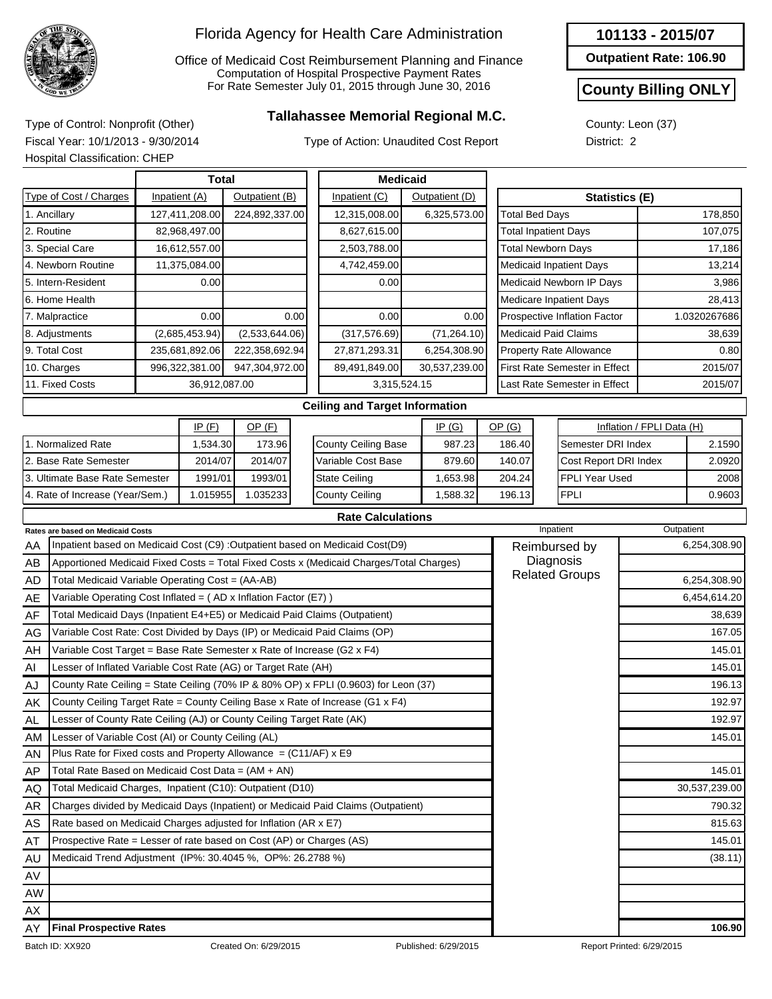

Office of Medicaid Cost Reimbursement Planning and Finance Computation of Hospital Prospective Payment Rates For Rate Semester July 01, 2015 through June 30, 2016

## **Tallahassee Memorial Regional M.C.** Type of Control: Nonprofit (Other)

Type of Action: Unaudited Cost Report

**Outpatient Rate: 106.90**

#### **County Billing ONLY**

County: Leon (37) District: 2

Fiscal Year: 10/1/2013 - 9/30/2014 Hospital Classification: CHEP

|                                          |                                                                                         |  | <b>Total</b>   |                |      |                                       | <b>Medicaid</b> |                |                              |                                 |                                |                       |         |              |  |
|------------------------------------------|-----------------------------------------------------------------------------------------|--|----------------|----------------|------|---------------------------------------|-----------------|----------------|------------------------------|---------------------------------|--------------------------------|-----------------------|---------|--------------|--|
|                                          | Type of Cost / Charges                                                                  |  | Inpatient (A)  | Outpatient (B) |      | Inpatient (C)                         |                 | Outpatient (D) |                              |                                 |                                | <b>Statistics (E)</b> |         |              |  |
|                                          | 1. Ancillary                                                                            |  | 127,411,208.00 | 224,892,337.00 |      | 12,315,008.00                         |                 | 6,325,573.00   |                              | <b>Total Bed Days</b>           |                                |                       |         | 178,850      |  |
|                                          | 2. Routine                                                                              |  | 82,968,497.00  |                |      | 8,627,615.00                          |                 |                |                              | <b>Total Inpatient Days</b>     |                                |                       | 107,075 |              |  |
|                                          | 3. Special Care                                                                         |  | 16,612,557.00  |                |      | 2,503,788.00                          |                 |                |                              | <b>Total Newborn Days</b>       |                                |                       | 17,186  |              |  |
|                                          | 4. Newborn Routine                                                                      |  | 11,375,084.00  |                |      | 4,742,459.00                          |                 |                |                              | <b>Medicaid Inpatient Days</b>  |                                |                       | 13,214  |              |  |
|                                          | 5. Intern-Resident                                                                      |  | 0.00           |                |      | 0.00                                  |                 |                |                              | Medicaid Newborn IP Days        |                                |                       |         | 3,986        |  |
|                                          | 6. Home Health                                                                          |  |                |                |      |                                       |                 |                |                              | <b>Medicare Inpatient Days</b>  |                                |                       |         | 28,413       |  |
|                                          | 7. Malpractice                                                                          |  | 0.00           |                | 0.00 | 0.00                                  |                 | 0.00           |                              | Prospective Inflation Factor    |                                |                       |         | 1.0320267686 |  |
|                                          | 8. Adjustments                                                                          |  | (2,685,453.94) | (2,533,644.06) |      | (317, 576.69)                         |                 | (71, 264.10)   |                              | <b>Medicaid Paid Claims</b>     |                                |                       |         | 38,639       |  |
|                                          | 9. Total Cost                                                                           |  | 235,681,892.06 | 222,358,692.94 |      | 27,871,293.31                         |                 | 6,254,308.90   |                              |                                 | <b>Property Rate Allowance</b> |                       |         | 0.80         |  |
|                                          | 10. Charges                                                                             |  | 996,322,381.00 | 947,304,972.00 |      | 89,491,849.00                         |                 | 30,537,239.00  |                              | First Rate Semester in Effect   |                                |                       |         | 2015/07      |  |
|                                          | 11. Fixed Costs                                                                         |  | 36,912,087.00  |                |      | 3,315,524.15                          |                 |                |                              | Last Rate Semester in Effect    |                                |                       |         | 2015/07      |  |
|                                          |                                                                                         |  |                |                |      | <b>Ceiling and Target Information</b> |                 |                |                              |                                 |                                |                       |         |              |  |
| IP(F)<br>OP(F)<br>IP(G)                  |                                                                                         |  |                |                |      |                                       |                 | OP(G)          |                              |                                 | Inflation / FPLI Data (H)      |                       |         |              |  |
|                                          | 1. Normalized Rate                                                                      |  | 1,534.30       | 173.96         |      | <b>County Ceiling Base</b>            | 987.23          |                | 186.40<br>Semester DRI Index |                                 |                                |                       | 2.1590  |              |  |
|                                          | 2. Base Rate Semester                                                                   |  | 2014/07        | 2014/07        |      | Variable Cost Base<br>879.60          |                 |                |                              | 140.07<br>Cost Report DRI Index |                                |                       |         | 2.0920       |  |
|                                          | 3. Ultimate Base Rate Semester                                                          |  | 1991/01        | 1993/01        |      | <b>State Ceiling</b>                  |                 | 1,653.98       |                              | 204.24                          |                                | FPLI Year Used        |         | 2008         |  |
|                                          | 4. Rate of Increase (Year/Sem.)                                                         |  | 1.015955       | 1.035233       |      | <b>County Ceiling</b>                 |                 | 1,588.32       |                              | <b>FPLI</b><br>196.13           |                                |                       | 0.9603  |              |  |
|                                          |                                                                                         |  |                |                |      | <b>Rate Calculations</b>              |                 |                |                              |                                 |                                |                       |         |              |  |
| <b>Rates are based on Medicaid Costs</b> |                                                                                         |  |                |                |      |                                       |                 |                |                              | Inpatient                       |                                | Outpatient            |         |              |  |
| AA                                       | Inpatient based on Medicaid Cost (C9) : Outpatient based on Medicaid Cost(D9)           |  |                |                |      |                                       |                 |                |                              | Reimbursed by                   |                                |                       |         | 6,254,308.90 |  |
| AB                                       | Apportioned Medicaid Fixed Costs = Total Fixed Costs x (Medicaid Charges/Total Charges) |  |                |                |      |                                       |                 |                |                              |                                 | Diagnosis                      |                       |         |              |  |
| <b>AD</b>                                | Total Medicaid Variable Operating Cost = (AA-AB)                                        |  |                |                |      |                                       |                 |                |                              | <b>Related Groups</b>           |                                |                       |         | 6,254,308.90 |  |
| AE                                       | Variable Operating Cost Inflated = (AD x Inflation Factor (E7))                         |  |                |                |      |                                       |                 |                |                              |                                 |                                |                       |         | 6,454,614.20 |  |
| AF                                       | Total Medicaid Days (Inpatient E4+E5) or Medicaid Paid Claims (Outpatient)              |  |                |                |      |                                       |                 |                |                              |                                 |                                |                       |         | 38,639       |  |
| AG                                       | Variable Cost Rate: Cost Divided by Days (IP) or Medicaid Paid Claims (OP)              |  |                |                |      |                                       |                 |                |                              |                                 |                                |                       |         | 167.05       |  |
|                                          |                                                                                         |  |                |                |      |                                       |                 |                |                              |                                 |                                |                       |         |              |  |

| AF        | Total Medicaid Days (Inpatient E4+E5) or Medicaid Paid Claims (Outpatient)          | 38,639        |
|-----------|-------------------------------------------------------------------------------------|---------------|
| AG        | Variable Cost Rate: Cost Divided by Days (IP) or Medicaid Paid Claims (OP)          | 167.05        |
| AH        | Variable Cost Target = Base Rate Semester x Rate of Increase (G2 x F4)              | 145.01        |
| Al        | Lesser of Inflated Variable Cost Rate (AG) or Target Rate (AH)                      | 145.01        |
| AJ        | County Rate Ceiling = State Ceiling (70% IP & 80% OP) x FPLI (0.9603) for Leon (37) | 196.13        |
| AK        | County Ceiling Target Rate = County Ceiling Base x Rate of Increase (G1 x F4)       | 192.97        |
| AL        | Lesser of County Rate Ceiling (AJ) or County Ceiling Target Rate (AK)               | 192.97        |
| AM        | Lesser of Variable Cost (AI) or County Ceiling (AL)                                 | 145.01        |
| <b>AN</b> | Plus Rate for Fixed costs and Property Allowance $= (C11/AF) \times E9$             |               |
| AP        | Total Rate Based on Medicaid Cost Data = (AM + AN)                                  | 145.01        |
| AQ        | Total Medicaid Charges, Inpatient (C10): Outpatient (D10)                           | 30,537,239.00 |
| AR        | Charges divided by Medicaid Days (Inpatient) or Medicaid Paid Claims (Outpatient)   | 790.32        |
| AS        | Rate based on Medicaid Charges adjusted for Inflation (AR x E7)                     | 815.63        |
| AT        | Prospective Rate = Lesser of rate based on Cost (AP) or Charges (AS)                | 145.01        |
| AU        | Medicaid Trend Adjustment (IP%: 30.4045 %, OP%: 26.2788 %)                          | (38.11)       |
| AV        |                                                                                     |               |
| AW.       |                                                                                     |               |
| AX.       |                                                                                     |               |
| AY        | <b>Final Prospective Rates</b>                                                      | 106.90        |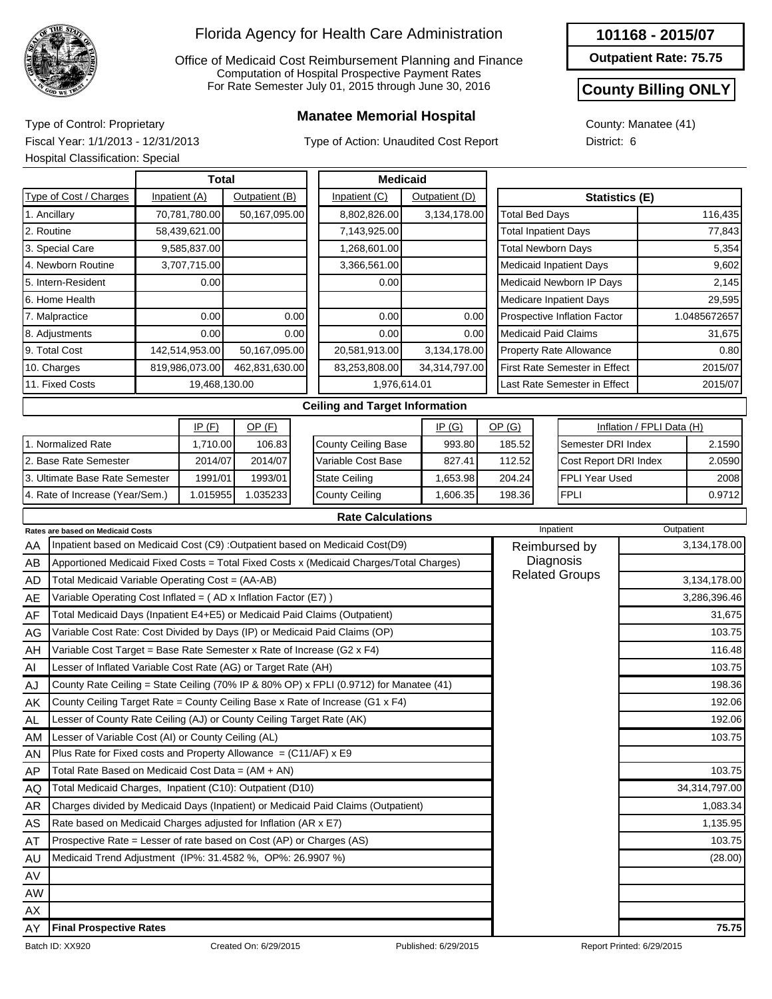

Office of Medicaid Cost Reimbursement Planning and Finance Computation of Hospital Prospective Payment Rates For Rate Semester July 01, 2015 through June 30, 2016

## **Manatee Memorial Hospital** Type of Control: Proprietary

Type of Action: Unaudited Cost Report

#### **101168 - 2015/07**

**Outpatient Rate: 75.75**

### **County Billing ONLY**

0.9712

County: Manatee (41) District: 6

Fiscal Year: 1/1/2013 - 12/31/2013 Hospital Classification: Special

4. Rate of Increase (Year/Sem.)

|                                |               | <b>Total</b>   |                |      | <b>Medicaid</b>                       |                |                                 |                    |                                      |                           |              |
|--------------------------------|---------------|----------------|----------------|------|---------------------------------------|----------------|---------------------------------|--------------------|--------------------------------------|---------------------------|--------------|
| Type of Cost / Charges         | Inpatient (A) |                | Outpatient (B) |      | Inpatient (C)                         | Outpatient (D) | <b>Statistics (E)</b>           |                    |                                      |                           |              |
| 1. Ancillary                   |               | 70,781,780.00  | 50,167,095.00  |      | 8,802,826.00                          | 3,134,178.00   | <b>Total Bed Days</b>           |                    |                                      |                           | 116,435      |
| 2. Routine                     |               | 58,439,621.00  |                |      | 7,143,925.00                          |                | <b>Total Inpatient Days</b>     |                    |                                      |                           | 77,843       |
| 3. Special Care                |               | 9,585,837.00   |                |      | 1,268,601.00                          |                | <b>Total Newborn Days</b>       |                    |                                      |                           | 5,354        |
| 4. Newborn Routine             |               | 3,707,715.00   |                |      | 3,366,561.00                          |                | <b>Medicaid Inpatient Days</b>  |                    |                                      |                           | 9,602        |
| 5. Intern-Resident             |               | 0.00           |                |      | 0.00                                  |                | Medicaid Newborn IP Days        |                    |                                      |                           | 2,145        |
| 6. Home Health                 |               |                |                |      |                                       |                | Medicare Inpatient Days         |                    |                                      |                           | 29,595       |
| 7. Malpractice                 |               | 0.00           |                | 0.00 | 0.00                                  | 0.00           | Prospective Inflation Factor    |                    |                                      |                           | 1.0485672657 |
| 8. Adjustments                 |               | 0.00           |                | 0.00 | 0.00                                  | 0.00           | <b>Medicaid Paid Claims</b>     |                    |                                      |                           | 31,675       |
| 9. Total Cost                  |               | 142,514,953.00 | 50,167,095.00  |      | 20,581,913.00                         | 3,134,178.00   |                                 |                    | <b>Property Rate Allowance</b>       |                           | 0.80         |
| 10. Charges                    |               | 819,986,073.00 | 462,831,630.00 |      | 83,253,808.00                         | 34,314,797.00  |                                 |                    | <b>First Rate Semester in Effect</b> |                           | 2015/07      |
| 11. Fixed Costs                |               | 19,468,130.00  |                |      | 1,976,614.01                          |                |                                 |                    | Last Rate Semester in Effect         |                           | 2015/07      |
|                                |               |                |                |      | <b>Ceiling and Target Information</b> |                |                                 |                    |                                      |                           |              |
|                                |               | IP(F)          | $OP$ (F)       |      |                                       | IP(G)          | OP(G)                           |                    |                                      | Inflation / FPLI Data (H) |              |
| 1. Normalized Rate             |               | 1,710.00       | 106.83         |      | <b>County Ceiling Base</b>            | 993.80         | 185.52                          | Semester DRI Index |                                      |                           | 2.1590       |
| 2. Base Rate Semester          |               | 2014/07        | 2014/07        |      | Variable Cost Base                    | 827.41         | 112.52<br>Cost Report DRI Index |                    |                                      | 2.0590                    |              |
| 3. Ultimate Base Rate Semester |               | 1991/01        | 1993/01        |      | <b>State Ceiling</b>                  | 1,653.98       | FPLI Year Used<br>204.24        |                    |                                      |                           | 2008         |

|--|

1,606.35

198.36

FPLI

County Ceiling

|           | <b>Rates are based on Medicaid Costs</b>                                                | Inpatient             | Outpatient    |
|-----------|-----------------------------------------------------------------------------------------|-----------------------|---------------|
| AA        | Inpatient based on Medicaid Cost (C9) : Outpatient based on Medicaid Cost(D9)           | Reimbursed by         | 3,134,178.00  |
| AB        | Apportioned Medicaid Fixed Costs = Total Fixed Costs x (Medicaid Charges/Total Charges) | Diagnosis             |               |
| AD        | Total Medicaid Variable Operating Cost = (AA-AB)                                        | <b>Related Groups</b> | 3,134,178.00  |
| AE        | Variable Operating Cost Inflated = $(AD x)$ Inflation Factor (E7) )                     |                       | 3,286,396.46  |
| AF        | Total Medicaid Days (Inpatient E4+E5) or Medicaid Paid Claims (Outpatient)              |                       | 31,675        |
| AG        | Variable Cost Rate: Cost Divided by Days (IP) or Medicaid Paid Claims (OP)              |                       | 103.75        |
| AH        | Variable Cost Target = Base Rate Semester x Rate of Increase (G2 x F4)                  |                       | 116.48        |
| AI        | Lesser of Inflated Variable Cost Rate (AG) or Target Rate (AH)                          |                       | 103.75        |
| AJ        | County Rate Ceiling = State Ceiling (70% IP & 80% OP) x FPLI (0.9712) for Manatee (41)  |                       | 198.36        |
| AK        | County Ceiling Target Rate = County Ceiling Base x Rate of Increase (G1 x F4)           | 192.06                |               |
| <b>AL</b> | Lesser of County Rate Ceiling (AJ) or County Ceiling Target Rate (AK)                   |                       | 192.06        |
| AM        | Lesser of Variable Cost (AI) or County Ceiling (AL)                                     |                       | 103.75        |
| AN        | Plus Rate for Fixed costs and Property Allowance $= (C11/AF) \times E9$                 |                       |               |
| <b>AP</b> | Total Rate Based on Medicaid Cost Data = $(AM + AN)$                                    |                       | 103.75        |
| AQ        | Total Medicaid Charges, Inpatient (C10): Outpatient (D10)                               |                       | 34,314,797.00 |
| AR        | Charges divided by Medicaid Days (Inpatient) or Medicaid Paid Claims (Outpatient)       |                       | 1,083.34      |
| AS        | Rate based on Medicaid Charges adjusted for Inflation (AR x E7)                         |                       | 1,135.95      |
| AT        | Prospective Rate = Lesser of rate based on Cost (AP) or Charges (AS)                    |                       | 103.75        |
| AU        | Medicaid Trend Adjustment (IP%: 31.4582 %, OP%: 26.9907 %)                              |                       | (28.00)       |
| AV        |                                                                                         |                       |               |
| <b>AW</b> |                                                                                         |                       |               |
| AX        |                                                                                         |                       |               |
| AY        | <b>Final Prospective Rates</b>                                                          |                       | 75.75         |

1.015955 1.035233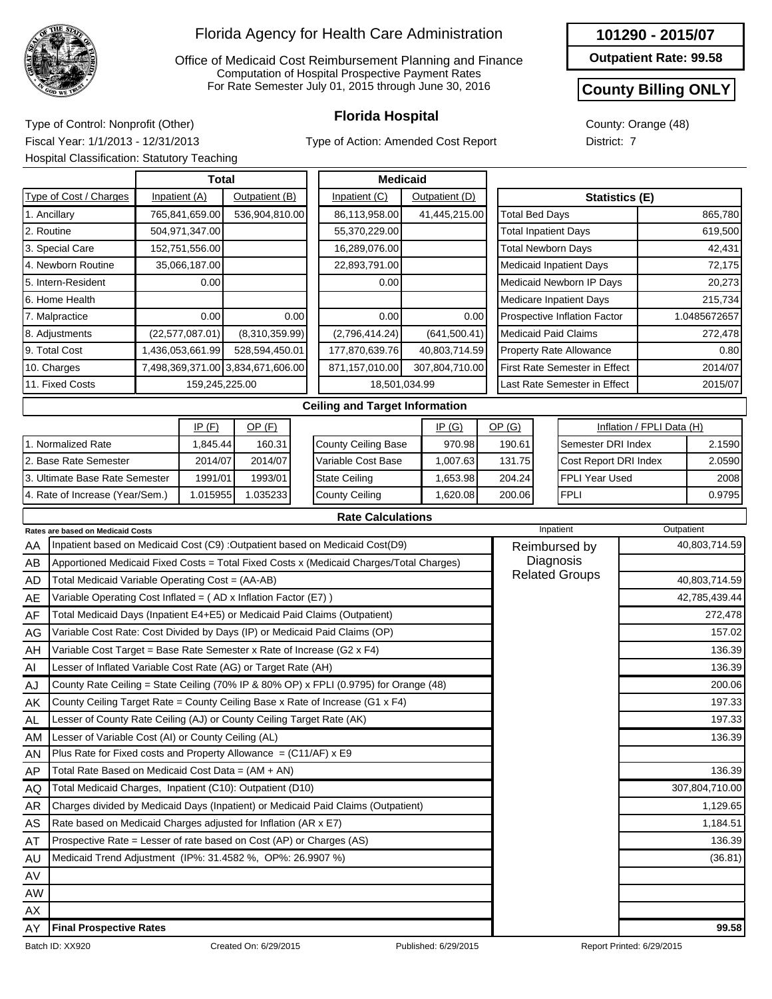

Office of Medicaid Cost Reimbursement Planning and Finance Computation of Hospital Prospective Payment Rates For Rate Semester July 01, 2015 through June 30, 2016

Type of Action: Amended Cost Report

|  |  |  |  | 101290 - 2015/07 |
|--|--|--|--|------------------|
|--|--|--|--|------------------|

**Outpatient Rate: 99.58**

#### **County Billing ONLY**

2008 0.9795

County: Orange (48) District: 7

**Florida Hospital** Type of Control: Nonprofit (Other) Fiscal Year: 1/1/2013 - 12/31/2013 Hospital Classification: Statutory Teaching

3. Ultimate Base Rate Semester 4. Rate of Increase (Year/Sem.)

1991/01

1.015955 1.035233

1993/01

|                        | Total             |                                   |      | <b>Medicaid</b>                       |                |                                      |                                |                           |              |
|------------------------|-------------------|-----------------------------------|------|---------------------------------------|----------------|--------------------------------------|--------------------------------|---------------------------|--------------|
| Type of Cost / Charges | Inpatient (A)     | Outpatient (B)                    |      | Inpatient (C)                         | Outpatient (D) |                                      | Statistics (E)                 |                           |              |
| 1. Ancillary           | 765,841,659.00    | 536,904,810.00                    |      | 86,113,958.00                         | 41,445,215.00  | <b>Total Bed Days</b>                |                                |                           | 865,780      |
| 2. Routine             | 504,971,347.00    |                                   |      | 55,370,229.00                         |                | <b>Total Inpatient Days</b>          |                                |                           | 619,500      |
| 3. Special Care        | 152,751,556.00    |                                   |      | 16,289,076.00                         |                | <b>Total Newborn Days</b>            |                                |                           | 42,431       |
| 4. Newborn Routine     | 35,066,187.00     |                                   |      | 22,893,791.00                         |                |                                      | Medicaid Inpatient Days        |                           | 72,175       |
| 5. Intern-Resident     | 0.00              |                                   |      | 0.00                                  |                |                                      | Medicaid Newborn IP Days       |                           | 20,273       |
| 6. Home Health         |                   |                                   |      |                                       |                |                                      | Medicare Inpatient Days        |                           | 215,734      |
| 7. Malpractice         | 0.00              |                                   | 0.00 | 0.00                                  | 0.00           |                                      | Prospective Inflation Factor   |                           | 1.0485672657 |
| 8. Adjustments         | (22, 577, 087.01) | (8,310,359.99)                    |      | (2,796,414.24)                        | (641, 500.41)  | <b>Medicaid Paid Claims</b>          |                                |                           | 272,478      |
| 9. Total Cost          | 1,436,053,661.99  | 528,594,450.01                    |      | 177,870,639.76                        | 40,803,714.59  |                                      | <b>Property Rate Allowance</b> |                           | 0.80         |
| 10. Charges            |                   | 7,498,369,371.00 3,834,671,606.00 |      | 871,157,010.00                        | 307,804,710.00 | <b>First Rate Semester in Effect</b> |                                |                           | 2014/07      |
| 11. Fixed Costs        | 159,245,225.00    |                                   |      | 18,501,034.99                         |                |                                      | Last Rate Semester in Effect   |                           | 2015/07      |
|                        |                   |                                   |      | <b>Ceiling and Target Information</b> |                |                                      |                                |                           |              |
|                        | IP(F)             | $OP$ $(F)$                        |      |                                       | IP(G)          | OP(G)                                |                                | Inflation / FPLI Data (H) |              |
| 1. Normalized Rate     | 1,845.44          | 160.31                            |      | <b>County Ceiling Base</b>            | 970.98         | 190.61                               | Semester DRI Index             |                           | 2.1590       |
| 2. Base Rate Semester  | 2014/07           | 2014/07                           |      | Variable Cost Base                    | 1,007.63       | 131.75                               | Cost Report DRI Index          |                           | 2.0590       |

#### **Rate Calculations**

1,653.98 1,620.08 204.24 200.06 FPLI Year Used

FPLI

State Ceiling County Ceiling

|           | Rates are based on Medicaid Costs                                                       | Inpatient             | Outpatient     |
|-----------|-----------------------------------------------------------------------------------------|-----------------------|----------------|
| AA        | Inpatient based on Medicaid Cost (C9) : Outpatient based on Medicaid Cost(D9)           | Reimbursed by         | 40,803,714.59  |
| AB        | Apportioned Medicaid Fixed Costs = Total Fixed Costs x (Medicaid Charges/Total Charges) | Diagnosis             |                |
| <b>AD</b> | Total Medicaid Variable Operating Cost = (AA-AB)                                        | <b>Related Groups</b> | 40,803,714.59  |
| AE        | Variable Operating Cost Inflated = (AD x Inflation Factor (E7))                         |                       | 42,785,439.44  |
| AF        | Total Medicaid Days (Inpatient E4+E5) or Medicaid Paid Claims (Outpatient)              |                       | 272,478        |
| AG        | Variable Cost Rate: Cost Divided by Days (IP) or Medicaid Paid Claims (OP)              |                       | 157.02         |
| AH        | Variable Cost Target = Base Rate Semester x Rate of Increase (G2 x F4)                  |                       | 136.39         |
| AI        | Lesser of Inflated Variable Cost Rate (AG) or Target Rate (AH)                          |                       | 136.39         |
| AJ        | County Rate Ceiling = State Ceiling (70% IP & 80% OP) x FPLI (0.9795) for Orange (48)   |                       | 200.06         |
| AK        | County Ceiling Target Rate = County Ceiling Base x Rate of Increase (G1 x F4)           |                       | 197.33         |
| AL.       | Lesser of County Rate Ceiling (AJ) or County Ceiling Target Rate (AK)                   |                       | 197.33         |
| AM        | Lesser of Variable Cost (AI) or County Ceiling (AL)                                     |                       | 136.39         |
| AN        | Plus Rate for Fixed costs and Property Allowance = $(C11/AF)$ x E9                      |                       |                |
| AP        | Total Rate Based on Medicaid Cost Data = (AM + AN)                                      |                       | 136.39         |
| AQ        | Total Medicaid Charges, Inpatient (C10): Outpatient (D10)                               |                       | 307,804,710.00 |
| AR        | Charges divided by Medicaid Days (Inpatient) or Medicaid Paid Claims (Outpatient)       |                       | 1,129.65       |
| AS        | Rate based on Medicaid Charges adjusted for Inflation (AR x E7)                         |                       | 1,184.51       |
| AT        | Prospective Rate = Lesser of rate based on Cost (AP) or Charges (AS)                    |                       | 136.39         |
| AU        | Medicaid Trend Adjustment (IP%: 31.4582 %, OP%: 26.9907 %)                              |                       | (36.81)        |
| AV        |                                                                                         |                       |                |
| <b>AW</b> |                                                                                         |                       |                |
| AX        |                                                                                         |                       |                |
| AY        | <b>Final Prospective Rates</b>                                                          |                       | 99.58          |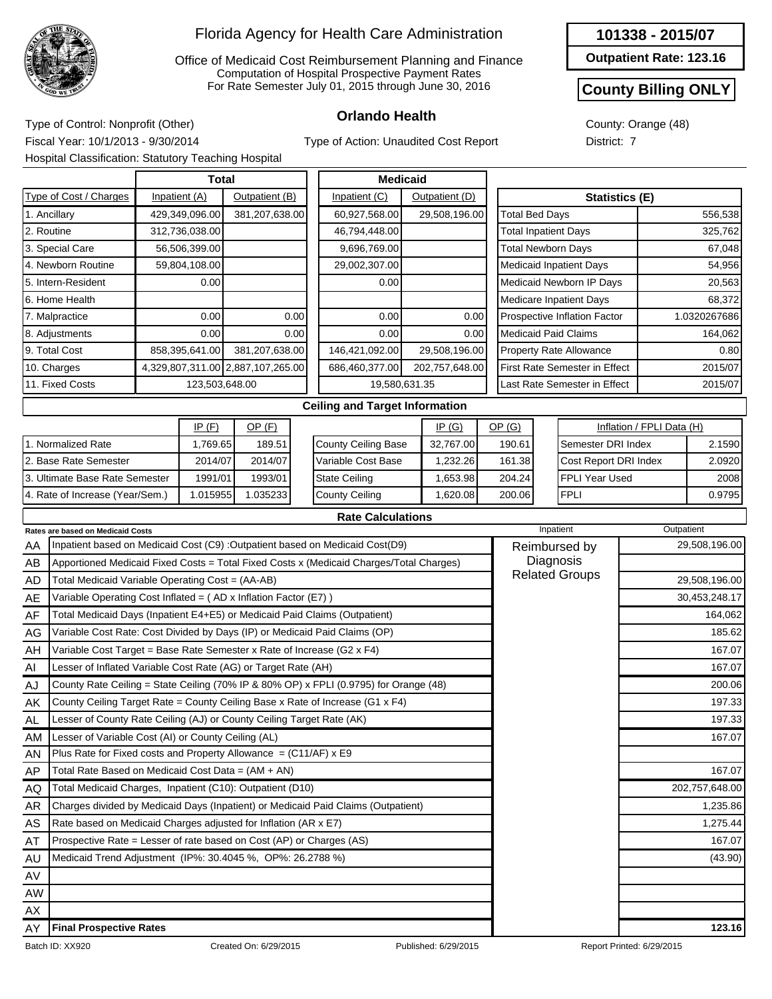

Office of Medicaid Cost Reimbursement Planning and Finance Computation of Hospital Prospective Payment Rates For Rate Semester July 01, 2015 through June 30, 2016

**101338 - 2015/07**

**Outpatient Rate: 123.16**

#### **County Billing ONLY**

County: Orange (48) District: 7

**Orlando Health** Type of Control: Nonprofit (Other) Fiscal Year: 10/1/2013 - 9/30/2014 Hospital Classification: Statutory Teaching Hospital

Type of Action: Unaudited Cost Report

|            |                                                                            |               | <b>Total</b>   |                                   |      | <b>Medicaid</b>                                                                         |                |                       |           |                                    |                           |                |
|------------|----------------------------------------------------------------------------|---------------|----------------|-----------------------------------|------|-----------------------------------------------------------------------------------------|----------------|-----------------------|-----------|------------------------------------|---------------------------|----------------|
|            | Type of Cost / Charges                                                     | Inpatient (A) |                | Outpatient (B)                    |      | Inpatient (C)                                                                           | Outpatient (D) |                       |           | Statistics (E)                     |                           |                |
|            | 1. Ancillary                                                               |               | 429,349,096.00 | 381,207,638.00                    |      | 60,927,568.00                                                                           | 29,508,196.00  | <b>Total Bed Days</b> |           |                                    |                           | 556,538        |
| 2. Routine |                                                                            |               | 312,736,038.00 |                                   |      | 46,794,448.00                                                                           |                |                       |           | <b>Total Inpatient Days</b>        |                           | 325,762        |
|            | 3. Special Care                                                            |               | 56,506,399.00  |                                   |      | 9,696,769.00                                                                            |                |                       |           | <b>Total Newborn Days</b>          |                           | 67,048         |
|            | 4. Newborn Routine                                                         |               | 59,804,108.00  |                                   |      | 29,002,307.00                                                                           |                |                       |           | <b>Medicaid Inpatient Days</b>     |                           | 54,956         |
|            | 5. Intern-Resident                                                         |               | 0.00           |                                   |      | 0.00                                                                                    |                |                       |           | Medicaid Newborn IP Days           |                           | 20,563         |
|            | 6. Home Health                                                             |               |                |                                   |      |                                                                                         |                |                       |           | Medicare Inpatient Days            |                           | 68,372         |
|            | 7. Malpractice                                                             |               | 0.00           |                                   | 0.00 | 0.00                                                                                    | 0.00           |                       |           | Prospective Inflation Factor       |                           | 1.0320267686   |
|            | 8. Adjustments                                                             |               | 0.00           |                                   | 0.00 | 0.00                                                                                    | 0.00           |                       |           | <b>Medicaid Paid Claims</b>        |                           | 164,062        |
|            | 9. Total Cost                                                              |               | 858,395,641.00 | 381,207,638.00                    |      | 146,421,092.00                                                                          | 29,508,196.00  |                       |           | Property Rate Allowance            |                           | 0.80           |
|            | 10. Charges                                                                |               |                | 4,329,807,311.00 2,887,107,265.00 |      | 686,460,377.00                                                                          | 202,757,648.00 |                       |           | First Rate Semester in Effect      |                           | 2015/07        |
|            | 11. Fixed Costs                                                            |               | 123,503,648.00 |                                   |      | 19,580,631.35                                                                           |                |                       |           | Last Rate Semester in Effect       |                           | 2015/07        |
|            |                                                                            |               |                |                                   |      | <b>Ceiling and Target Information</b>                                                   |                |                       |           |                                    |                           |                |
|            |                                                                            |               | IP(F)          | $OP$ (F)                          |      |                                                                                         | IP(G)          | OP(G)                 |           |                                    | Inflation / FPLI Data (H) |                |
|            | 1. Normalized Rate                                                         |               | 1,769.65       | 189.51                            |      | <b>County Ceiling Base</b>                                                              | 32,767.00      | 190.61                |           | Semester DRI Index                 |                           | 2.1590         |
|            | 2. Base Rate Semester                                                      |               | 2014/07        | 2014/07                           |      | Variable Cost Base                                                                      | 1,232.26       | 161.38                |           | Cost Report DRI Index              |                           | 2.0920         |
|            | 3. Ultimate Base Rate Semester                                             |               | 1991/01        | 1993/01                           |      | <b>State Ceiling</b>                                                                    | 1,653.98       | 204.24                |           | FPLI Year Used                     |                           | 2008           |
|            | 4. Rate of Increase (Year/Sem.)                                            |               | 1.015955       | 1.035233                          |      | <b>County Ceiling</b>                                                                   | 1,620.08       | 200.06                |           | <b>FPLI</b>                        |                           | 0.9795         |
|            |                                                                            |               |                |                                   |      | <b>Rate Calculations</b>                                                                |                |                       |           |                                    |                           |                |
|            | Rates are based on Medicaid Costs                                          |               |                |                                   |      |                                                                                         |                |                       | Inpatient |                                    |                           | Outpatient     |
| AA         |                                                                            |               |                |                                   |      | Inpatient based on Medicaid Cost (C9) : Outpatient based on Medicaid Cost(D9)           |                |                       |           | Reimbursed by                      |                           | 29,508,196.00  |
| AB         |                                                                            |               |                |                                   |      | Apportioned Medicaid Fixed Costs = Total Fixed Costs x (Medicaid Charges/Total Charges) |                |                       |           | Diagnosis<br><b>Related Groups</b> |                           |                |
| <b>AD</b>  | Total Medicaid Variable Operating Cost = (AA-AB)                           |               |                |                                   |      |                                                                                         |                |                       |           |                                    |                           | 29,508,196.00  |
| AE         | Variable Operating Cost Inflated = $(AD x)$ Inflation Factor (E7) )        |               |                |                                   |      |                                                                                         |                |                       |           |                                    |                           | 30,453,248.17  |
| AF         | Total Medicaid Days (Inpatient E4+E5) or Medicaid Paid Claims (Outpatient) |               |                |                                   |      |                                                                                         |                |                       |           |                                    |                           | 164,062        |
| AG         | Variable Cost Rate: Cost Divided by Days (IP) or Medicaid Paid Claims (OP) |               |                |                                   |      |                                                                                         |                |                       |           |                                    |                           | 185.62         |
| AH         | Variable Cost Target = Base Rate Semester x Rate of Increase (G2 x F4)     |               |                |                                   |      |                                                                                         |                |                       |           |                                    |                           | 167.07         |
| Al         | Lesser of Inflated Variable Cost Rate (AG) or Target Rate (AH)             |               |                |                                   |      |                                                                                         |                |                       |           |                                    |                           | 167.07         |
| AJ         |                                                                            |               |                |                                   |      | County Rate Ceiling = State Ceiling (70% IP & 80% OP) x FPLI (0.9795) for Orange (48)   |                |                       |           |                                    |                           | 200.06         |
| AK         |                                                                            |               |                |                                   |      | County Ceiling Target Rate = County Ceiling Base x Rate of Increase (G1 x F4)           |                |                       |           |                                    |                           | 197.33         |
| AL         | Lesser of County Rate Ceiling (AJ) or County Ceiling Target Rate (AK)      |               |                |                                   |      |                                                                                         |                |                       |           |                                    |                           | 197.33         |
| AM         | Lesser of Variable Cost (AI) or County Ceiling (AL)                        |               |                |                                   |      |                                                                                         |                |                       |           |                                    |                           | 167.07         |
| AN         | Plus Rate for Fixed costs and Property Allowance = $(C11/AF)$ x E9         |               |                |                                   |      |                                                                                         |                |                       |           |                                    |                           |                |
| AP         | Total Rate Based on Medicaid Cost Data = (AM + AN)                         |               |                |                                   |      |                                                                                         |                |                       |           |                                    |                           | 167.07         |
| AQ         | Total Medicaid Charges, Inpatient (C10): Outpatient (D10)                  |               |                |                                   |      |                                                                                         |                |                       |           |                                    |                           | 202,757,648.00 |
| AR         |                                                                            |               |                |                                   |      | Charges divided by Medicaid Days (Inpatient) or Medicaid Paid Claims (Outpatient)       |                |                       |           |                                    |                           | 1,235.86       |
| AS         | Rate based on Medicaid Charges adjusted for Inflation (AR x E7)            |               |                |                                   |      |                                                                                         |                |                       |           |                                    |                           | 1,275.44       |
| AT         | Prospective Rate = Lesser of rate based on Cost (AP) or Charges (AS)       |               |                |                                   |      |                                                                                         |                |                       |           |                                    |                           | 167.07         |
| AU         | Medicaid Trend Adjustment (IP%: 30.4045 %, OP%: 26.2788 %)                 |               |                |                                   |      |                                                                                         |                |                       |           |                                    |                           | (43.90)        |
| AV         |                                                                            |               |                |                                   |      |                                                                                         |                |                       |           |                                    |                           |                |
| AW         |                                                                            |               |                |                                   |      |                                                                                         |                |                       |           |                                    |                           |                |
| AX         |                                                                            |               |                |                                   |      |                                                                                         |                |                       |           |                                    |                           |                |
| AY         | <b>Final Prospective Rates</b>                                             |               |                |                                   |      |                                                                                         |                |                       |           |                                    |                           | 123.16         |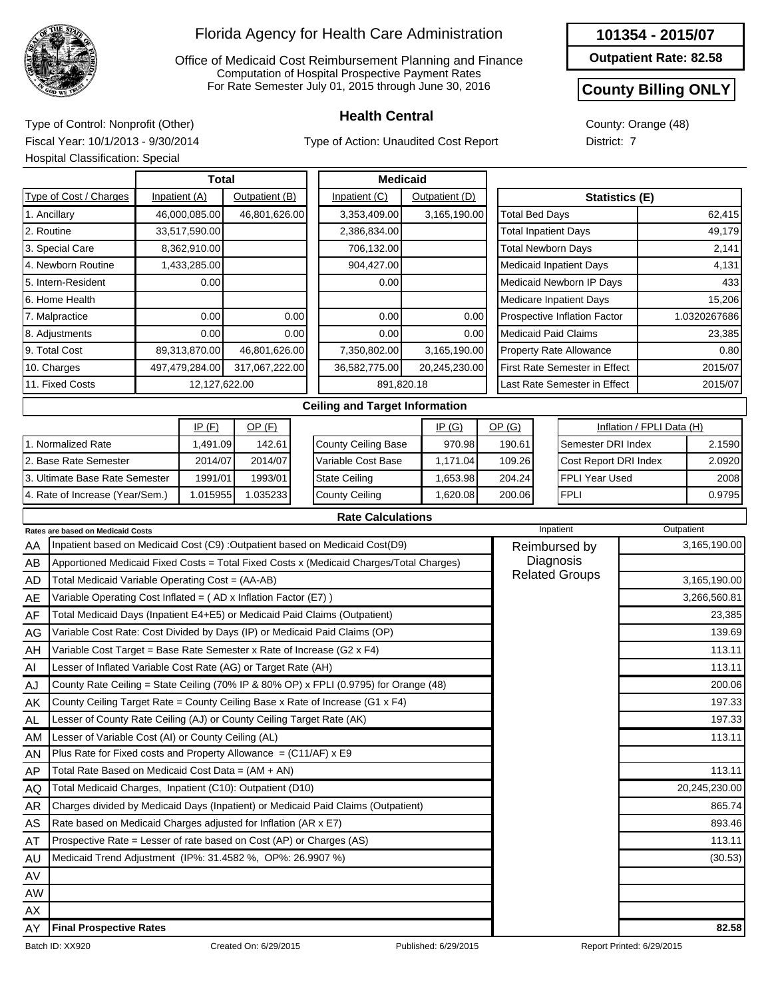

Office of Medicaid Cost Reimbursement Planning and Finance Computation of Hospital Prospective Payment Rates For Rate Semester July 01, 2015 through June 30, 2016

Type of Action: Unaudited Cost Report

**Outpatient Rate: 82.58**

#### **County Billing ONLY**

County: Orange (48) District: 7

**Health Central** Type of Control: Nonprofit (Other) Fiscal Year: 10/1/2013 - 9/30/2014 Hospital Classification: Special

|            |                                                                            | <b>Total</b>   |                | <b>Medicaid</b>                                                                         |                |                             |                                      |                           |              |
|------------|----------------------------------------------------------------------------|----------------|----------------|-----------------------------------------------------------------------------------------|----------------|-----------------------------|--------------------------------------|---------------------------|--------------|
|            | Type of Cost / Charges                                                     | Inpatient (A)  | Outpatient (B) | Inpatient (C)                                                                           | Outpatient (D) |                             | <b>Statistics (E)</b>                |                           |              |
|            | 1. Ancillary                                                               | 46,000,085.00  | 46,801,626.00  | 3,353,409.00                                                                            | 3,165,190.00   | <b>Total Bed Days</b>       |                                      |                           | 62,415       |
| 2. Routine |                                                                            | 33,517,590.00  |                | 2,386,834.00                                                                            |                | <b>Total Inpatient Days</b> |                                      |                           | 49,179       |
|            | 3. Special Care                                                            | 8,362,910.00   |                | 706,132.00                                                                              |                | <b>Total Newborn Days</b>   |                                      |                           | 2,141        |
|            | 4. Newborn Routine                                                         | 1,433,285.00   |                | 904,427.00                                                                              |                |                             | <b>Medicaid Inpatient Days</b>       |                           | 4,131        |
|            | 5. Intern-Resident                                                         | 0.00           |                | 0.00                                                                                    |                |                             | Medicaid Newborn IP Days             |                           | 433          |
|            | 6. Home Health                                                             |                |                |                                                                                         |                |                             | Medicare Inpatient Days              |                           | 15,206       |
|            | 7. Malpractice                                                             | 0.00           | 0.00           | 0.00                                                                                    | 0.00           |                             | Prospective Inflation Factor         |                           | 1.0320267686 |
|            | 8. Adjustments                                                             | 0.00           | 0.00           | 0.00                                                                                    | 0.00           | <b>Medicaid Paid Claims</b> |                                      |                           | 23,385       |
|            | 9. Total Cost                                                              | 89,313,870.00  | 46,801,626.00  | 7,350,802.00                                                                            | 3,165,190.00   |                             | Property Rate Allowance              |                           | 0.80         |
|            | 10. Charges                                                                | 497,479,284.00 | 317,067,222.00 | 36,582,775.00                                                                           | 20,245,230.00  |                             | <b>First Rate Semester in Effect</b> |                           | 2015/07      |
|            | 11. Fixed Costs                                                            | 12,127,622.00  |                | 891,820.18                                                                              |                |                             | Last Rate Semester in Effect         |                           | 2015/07      |
|            |                                                                            |                |                | <b>Ceiling and Target Information</b>                                                   |                |                             |                                      |                           |              |
|            |                                                                            | IP(F)          | $OP$ (F)       |                                                                                         | IP(G)          | OP(G)                       |                                      | Inflation / FPLI Data (H) |              |
|            | 1. Normalized Rate                                                         | 1,491.09       | 142.61         | <b>County Ceiling Base</b>                                                              | 970.98         | 190.61                      | Semester DRI Index                   |                           | 2.1590       |
|            | 2. Base Rate Semester                                                      | 2014/07        | 2014/07        | Variable Cost Base                                                                      | 1,171.04       | 109.26                      | Cost Report DRI Index                |                           | 2.0920       |
|            | 3. Ultimate Base Rate Semester                                             | 1991/01        | 1993/01        | <b>State Ceiling</b>                                                                    | 1,653.98       | 204.24                      | <b>FPLI Year Used</b>                |                           | 2008         |
|            | 4. Rate of Increase (Year/Sem.)                                            | 1.015955       | 1.035233       | <b>County Ceiling</b>                                                                   | 1,620.08       | 200.06                      | <b>FPLI</b>                          |                           | 0.9795       |
|            |                                                                            |                |                | <b>Rate Calculations</b>                                                                |                |                             |                                      |                           |              |
|            | <b>Rates are based on Medicaid Costs</b>                                   |                |                |                                                                                         |                |                             | Inpatient                            | Outpatient                |              |
| AA         |                                                                            |                |                | Inpatient based on Medicaid Cost (C9) : Outpatient based on Medicaid Cost(D9)           |                |                             | Reimbursed by                        |                           | 3,165,190.00 |
| AB         |                                                                            |                |                | Apportioned Medicaid Fixed Costs = Total Fixed Costs x (Medicaid Charges/Total Charges) |                |                             | Diagnosis                            |                           |              |
| <b>AD</b>  | Total Medicaid Variable Operating Cost = (AA-AB)                           |                |                |                                                                                         |                |                             | <b>Related Groups</b>                |                           | 3,165,190.00 |
| AE         | Variable Operating Cost Inflated = (AD x Inflation Factor (E7))            |                |                |                                                                                         |                |                             |                                      |                           | 3,266,560.81 |
| AF         | Total Medicaid Days (Inpatient E4+E5) or Medicaid Paid Claims (Outpatient) |                |                |                                                                                         |                |                             |                                      |                           | 23,385       |

| AF  | Total Medicaid Days (Inpatient E4+E5) or Medicaid Paid Claims (Outpatient)            | 23,385        |
|-----|---------------------------------------------------------------------------------------|---------------|
| AG  | Variable Cost Rate: Cost Divided by Days (IP) or Medicaid Paid Claims (OP)            | 139.69        |
| AH  | Variable Cost Target = Base Rate Semester x Rate of Increase (G2 x F4)                | 113.11        |
| Al  | Lesser of Inflated Variable Cost Rate (AG) or Target Rate (AH)                        | 113.11        |
| AJ  | County Rate Ceiling = State Ceiling (70% IP & 80% OP) x FPLI (0.9795) for Orange (48) | 200.06        |
| AK  | County Ceiling Target Rate = County Ceiling Base x Rate of Increase (G1 x F4)         | 197.33        |
| AL. | Lesser of County Rate Ceiling (AJ) or County Ceiling Target Rate (AK)                 | 197.33        |
| AM  | Lesser of Variable Cost (AI) or County Ceiling (AL)                                   | 113.11        |
| AN  | Plus Rate for Fixed costs and Property Allowance $= (C11/AF)$ x E9                    |               |
| AP. | Total Rate Based on Medicaid Cost Data = $(AM + AN)$                                  | 113.11        |
| AQ  | Total Medicaid Charges, Inpatient (C10): Outpatient (D10)                             | 20,245,230.00 |
| AR  | Charges divided by Medicaid Days (Inpatient) or Medicaid Paid Claims (Outpatient)     | 865.74        |
| AS  | Rate based on Medicaid Charges adjusted for Inflation (AR x E7)                       | 893.46        |
| AT  | Prospective Rate = Lesser of rate based on Cost (AP) or Charges (AS)                  | 113.11        |
| AU  | Medicaid Trend Adjustment (IP%: 31.4582 %, OP%: 26.9907 %)                            | (30.53)       |
| AV  |                                                                                       |               |
| AW  |                                                                                       |               |
| AX  |                                                                                       |               |
| AY  | <b>Final Prospective Rates</b>                                                        | 82.58         |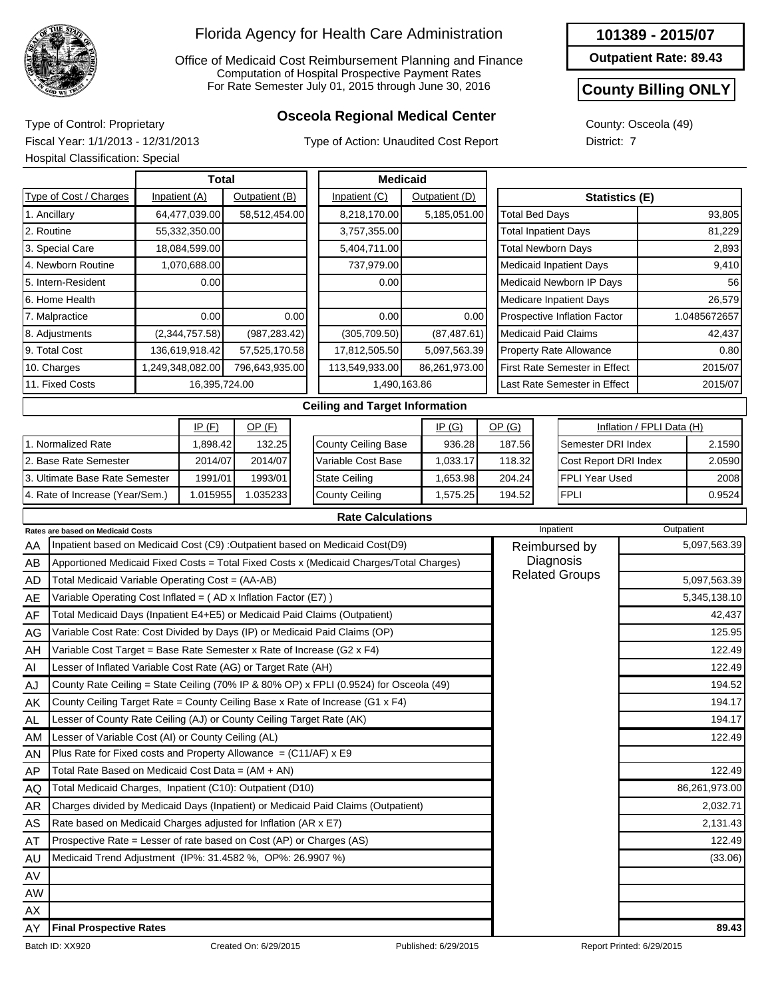

AL AM AN AP AQ AR AS AT AU AV AW

#### Florida Agency for Health Care Administration

Office of Medicaid Cost Reimbursement Planning and Finance Computation of Hospital Prospective Payment Rates For Rate Semester July 01, 2015 through June 30, 2016

## **Osceola Regional Medical Center** Type of Control: Proprietary

Type of Action: Unaudited Cost Report

**Outpatient Rate: 89.43**

### **County Billing ONLY**

County: Osceola (49) District: 7

Fiscal Year: 1/1/2013 - 12/31/2013 Hospital Classification: Special

|            | Hospital Classification: Special                                       |                  |                |      |                                                                                                                                                                         |                 |                |                       |  |                                      |                           |              |
|------------|------------------------------------------------------------------------|------------------|----------------|------|-------------------------------------------------------------------------------------------------------------------------------------------------------------------------|-----------------|----------------|-----------------------|--|--------------------------------------|---------------------------|--------------|
|            |                                                                        | <b>Total</b>     |                |      |                                                                                                                                                                         | <b>Medicaid</b> |                |                       |  |                                      |                           |              |
|            | Type of Cost / Charges                                                 | Inpatient (A)    | Outpatient (B) |      | Inpatient (C)                                                                                                                                                           |                 | Outpatient (D) |                       |  | <b>Statistics (E)</b>                |                           |              |
|            | 1. Ancillary                                                           | 64,477,039.00    | 58,512,454.00  |      | 8,218,170.00                                                                                                                                                            |                 | 5,185,051.00   | <b>Total Bed Days</b> |  |                                      |                           | 93,805       |
| 2. Routine |                                                                        | 55,332,350.00    |                |      | 3,757,355.00                                                                                                                                                            |                 |                |                       |  | <b>Total Inpatient Days</b>          |                           | 81,229       |
|            | 3. Special Care                                                        | 18,084,599.00    |                |      | 5,404,711.00                                                                                                                                                            |                 |                |                       |  | <b>Total Newborn Days</b>            |                           | 2,893        |
|            | 4. Newborn Routine                                                     | 1,070,688.00     |                |      | 737,979.00                                                                                                                                                              |                 |                |                       |  | <b>Medicaid Inpatient Days</b>       |                           | 9,410        |
|            | 5. Intern-Resident                                                     | 0.00             |                |      | 0.00                                                                                                                                                                    |                 |                |                       |  | Medicaid Newborn IP Days             |                           | 56           |
|            | 6. Home Health                                                         |                  |                |      |                                                                                                                                                                         |                 |                |                       |  | <b>Medicare Inpatient Days</b>       |                           | 26,579       |
|            | 7. Malpractice                                                         | 0.00             |                | 0.00 | 0.00                                                                                                                                                                    |                 | 0.00           |                       |  | Prospective Inflation Factor         |                           | 1.0485672657 |
|            | 8. Adjustments                                                         | (2,344,757.58)   | (987, 283.42)  |      | (305, 709.50)                                                                                                                                                           |                 | (87, 487.61)   |                       |  | <b>Medicaid Paid Claims</b>          |                           | 42,437       |
|            | 9. Total Cost                                                          | 136,619,918.42   | 57,525,170.58  |      | 17,812,505.50                                                                                                                                                           |                 | 5,097,563.39   |                       |  | Property Rate Allowance              |                           | 0.80         |
|            | 10. Charges                                                            | 1,249,348,082.00 | 796,643,935.00 |      | 113,549,933.00                                                                                                                                                          |                 | 86,261,973.00  |                       |  | <b>First Rate Semester in Effect</b> |                           | 2015/07      |
|            | 11. Fixed Costs                                                        | 16,395,724.00    |                |      | 1,490,163.86                                                                                                                                                            |                 |                |                       |  | Last Rate Semester in Effect         |                           | 2015/07      |
|            |                                                                        |                  |                |      | <b>Ceiling and Target Information</b>                                                                                                                                   |                 |                |                       |  |                                      |                           |              |
|            |                                                                        | IP(F)            | $OP$ (F)       |      |                                                                                                                                                                         |                 | IP(G)          | OP(G)                 |  |                                      | Inflation / FPLI Data (H) |              |
|            | 1. Normalized Rate                                                     | 1,898.42         | 132.25         |      | <b>County Ceiling Base</b>                                                                                                                                              |                 | 936.28         | 187.56                |  | Semester DRI Index                   |                           | 2.1590       |
|            | 2. Base Rate Semester                                                  | 2014/07          | 2014/07        |      | Variable Cost Base                                                                                                                                                      |                 | 1,033.17       | 118.32                |  | Cost Report DRI Index                |                           | 2.0590       |
|            | 3. Ultimate Base Rate Semester                                         | 1991/01          | 1993/01        |      | <b>State Ceiling</b>                                                                                                                                                    |                 | 1,653.98       | 204.24                |  | <b>FPLI Year Used</b>                |                           | 2008         |
|            | 4. Rate of Increase (Year/Sem.)                                        | 1.015955         | 1.035233       |      | <b>County Ceiling</b>                                                                                                                                                   |                 | 1,575.25       | 194.52                |  | <b>FPLI</b>                          |                           | 0.9524       |
|            |                                                                        |                  |                |      | <b>Rate Calculations</b>                                                                                                                                                |                 |                |                       |  |                                      |                           |              |
|            | <b>Rates are based on Medicaid Costs</b>                               |                  |                |      |                                                                                                                                                                         |                 |                |                       |  | Inpatient                            |                           | Outpatient   |
| AA         |                                                                        |                  |                |      | Inpatient based on Medicaid Cost (C9) : Outpatient based on Medicaid Cost(D9)                                                                                           |                 |                |                       |  | Reimbursed by                        |                           | 5,097,563.39 |
| AB         |                                                                        |                  |                |      | Apportioned Medicaid Fixed Costs = Total Fixed Costs x (Medicaid Charges/Total Charges)                                                                                 |                 |                |                       |  | Diagnosis                            |                           |              |
| <b>AD</b>  | Total Medicaid Variable Operating Cost = (AA-AB)                       |                  |                |      |                                                                                                                                                                         |                 |                |                       |  | <b>Related Groups</b>                |                           | 5,097,563.39 |
| AE         | Variable Operating Cost Inflated = $(AD x)$ Inflation Factor (E7) )    |                  |                |      |                                                                                                                                                                         |                 |                |                       |  |                                      |                           | 5,345,138.10 |
| AF         |                                                                        |                  |                |      | Total Medicaid Days (Inpatient E4+E5) or Medicaid Paid Claims (Outpatient)                                                                                              |                 |                |                       |  |                                      |                           | 42,437       |
| AG         |                                                                        |                  |                |      | Variable Cost Rate: Cost Divided by Days (IP) or Medicaid Paid Claims (OP)                                                                                              |                 |                |                       |  |                                      |                           | 125.95       |
| AH         | Variable Cost Target = Base Rate Semester x Rate of Increase (G2 x F4) |                  |                |      |                                                                                                                                                                         |                 |                |                       |  |                                      |                           | 122.49       |
| Al         | Lesser of Inflated Variable Cost Rate (AG) or Target Rate (AH)         |                  |                |      |                                                                                                                                                                         |                 |                |                       |  |                                      |                           | 122.49       |
| AJ         |                                                                        |                  |                |      |                                                                                                                                                                         |                 |                |                       |  |                                      |                           | 194.52       |
| AK         |                                                                        |                  |                |      | County Rate Ceiling = State Ceiling (70% IP & 80% OP) x FPLI (0.9524) for Osceola (49)<br>County Ceiling Target Rate = County Ceiling Base x Rate of Increase (G1 x F4) |                 |                |                       |  |                                      |                           | 194.17       |

Lesser of County Rate Ceiling (AJ) or County Ceiling Target Rate (AK)

Charges divided by Medicaid Days (Inpatient) or Medicaid Paid Claims (Outpatient)

Plus Rate for Fixed costs and Property Allowance  $= (C11/AF) \times E9$ 

Rate based on Medicaid Charges adjusted for Inflation (AR x E7) Prospective Rate = Lesser of rate based on Cost (AP) or Charges (AS)

Lesser of Variable Cost (AI) or County Ceiling (AL)

Total Rate Based on Medicaid Cost Data = (AM + AN) Total Medicaid Charges, Inpatient (C10): Outpatient (D10)

Medicaid Trend Adjustment (IP%: 31.4582 %, OP%: 26.9907 %) (33.06)

194.17 122.49

122.49

86,261,973.00 2,032.71 2,131.43 122.49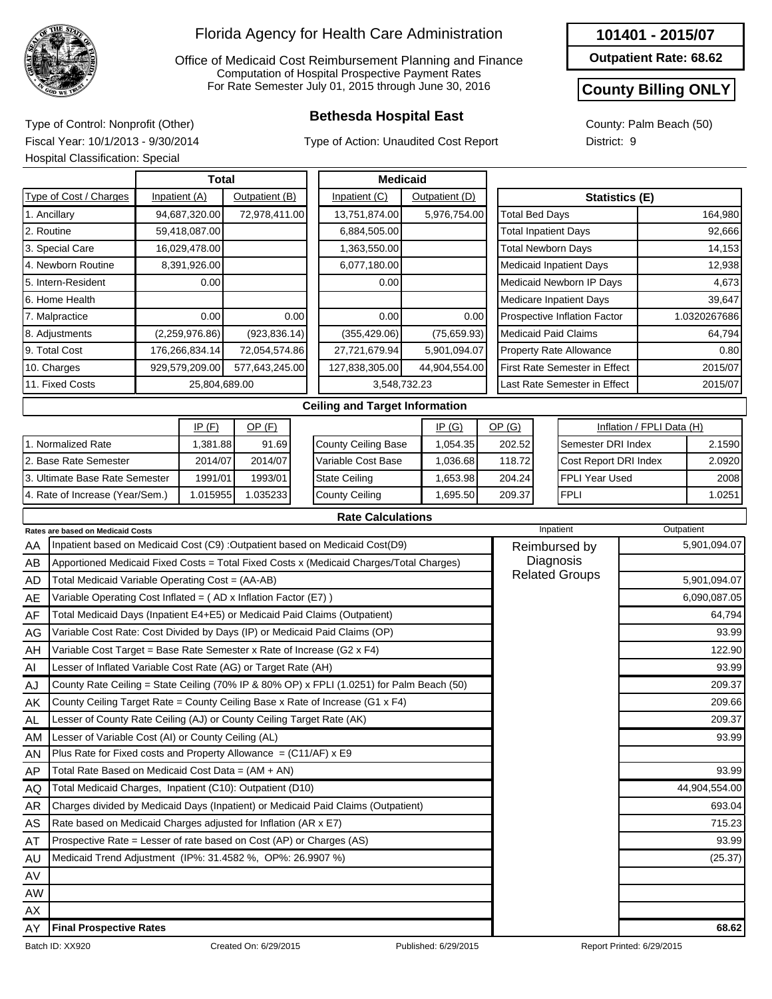

Office of Medicaid Cost Reimbursement Planning and Finance Computation of Hospital Prospective Payment Rates For Rate Semester July 01, 2015 through June 30, 2016

Type of Action: Unaudited Cost Report

#### **101401 - 2015/07**

**Outpatient Rate: 68.62**

#### **County Billing ONLY**

County: Palm Beach (50) District: 9

**Bethesda Hospital East** Type of Control: Nonprofit (Other) Fiscal Year: 10/1/2013 - 9/30/2014 Hospital Classification: Special

|    | noopital Olacollication. Opocia                                            |                |                |      |                                                                                           |                |                             |                                |                           |            |               |
|----|----------------------------------------------------------------------------|----------------|----------------|------|-------------------------------------------------------------------------------------------|----------------|-----------------------------|--------------------------------|---------------------------|------------|---------------|
|    |                                                                            | <b>Total</b>   |                |      | <b>Medicaid</b>                                                                           |                |                             |                                |                           |            |               |
|    | Type of Cost / Charges                                                     | Inpatient (A)  | Outpatient (B) |      | Inpatient (C)                                                                             | Outpatient (D) |                             |                                | Statistics (E)            |            |               |
|    | 1. Ancillary                                                               | 94,687,320.00  | 72,978,411.00  |      | 13,751,874.00                                                                             | 5,976,754.00   | <b>Total Bed Days</b>       |                                |                           |            | 164,980       |
|    | 2. Routine                                                                 | 59,418,087.00  |                |      | 6,884,505.00                                                                              |                | <b>Total Inpatient Days</b> |                                |                           |            | 92,666        |
|    | 3. Special Care                                                            | 16,029,478.00  |                |      | 1,363,550.00                                                                              |                | <b>Total Newborn Days</b>   |                                |                           |            | 14,153        |
|    | 4. Newborn Routine                                                         | 8,391,926.00   |                |      | 6,077,180.00                                                                              |                |                             | <b>Medicaid Inpatient Days</b> |                           |            | 12,938        |
|    | 5. Intern-Resident                                                         | 0.00           |                |      | 0.00                                                                                      |                |                             | Medicaid Newborn IP Days       |                           |            | 4,673         |
|    | 6. Home Health                                                             |                |                |      |                                                                                           |                |                             | Medicare Inpatient Days        |                           |            | 39,647        |
|    | 7. Malpractice                                                             | 0.00           |                | 0.00 | 0.00                                                                                      | 0.00           |                             | Prospective Inflation Factor   |                           |            | 1.0320267686  |
|    | 8. Adjustments                                                             | (2,259,976.86) | (923, 836.14)  |      | (355, 429.06)                                                                             | (75,659.93)    | <b>Medicaid Paid Claims</b> |                                |                           |            | 64,794        |
|    | 9. Total Cost                                                              | 176,266,834.14 | 72,054,574.86  |      | 27,721,679.94                                                                             | 5,901,094.07   |                             | <b>Property Rate Allowance</b> |                           |            | 0.80          |
|    | 10. Charges                                                                | 929,579,209.00 | 577,643,245.00 |      | 127,838,305.00                                                                            | 44,904,554.00  |                             | First Rate Semester in Effect  |                           |            | 2015/07       |
|    | 11. Fixed Costs                                                            | 25,804,689.00  |                |      | 3,548,732.23                                                                              |                |                             | Last Rate Semester in Effect   |                           |            | 2015/07       |
|    |                                                                            |                |                |      | <b>Ceiling and Target Information</b>                                                     |                |                             |                                |                           |            |               |
|    |                                                                            | IP(F)          | $OP$ (F)       |      |                                                                                           | IP(G)          | OP(G)                       |                                | Inflation / FPLI Data (H) |            |               |
|    | 1. Normalized Rate                                                         | 1,381.88       | 91.69          |      | County Ceiling Base                                                                       | 1,054.35       | 202.52                      | Semester DRI Index             |                           |            | 2.1590        |
|    | 2. Base Rate Semester                                                      | 2014/07        | 2014/07        |      | Variable Cost Base                                                                        | 1,036.68       | 118.72                      | Cost Report DRI Index          |                           |            | 2.0920        |
|    | 3. Ultimate Base Rate Semester                                             | 1991/01        | 1993/01        |      | <b>State Ceiling</b>                                                                      | 1,653.98       | 204.24                      | <b>FPLI Year Used</b>          |                           |            | 2008          |
|    | 4. Rate of Increase (Year/Sem.)                                            | 1.015955       | 1.035233       |      | <b>County Ceiling</b>                                                                     | 1,695.50       | 209.37                      | <b>FPLI</b>                    |                           |            | 1.0251        |
|    |                                                                            |                |                |      | <b>Rate Calculations</b>                                                                  |                |                             |                                |                           |            |               |
|    | Rates are based on Medicaid Costs                                          |                |                |      |                                                                                           |                |                             | Inpatient                      |                           | Outpatient |               |
| AA |                                                                            |                |                |      | Inpatient based on Medicaid Cost (C9) : Outpatient based on Medicaid Cost(D9)             |                |                             | Reimbursed by                  |                           |            | 5,901,094.07  |
| АB |                                                                            |                |                |      | Apportioned Medicaid Fixed Costs = Total Fixed Costs x (Medicaid Charges/Total Charges)   |                |                             | Diagnosis                      |                           |            |               |
| AD | Total Medicaid Variable Operating Cost = (AA-AB)                           |                |                |      |                                                                                           |                |                             | <b>Related Groups</b>          |                           |            | 5,901,094.07  |
| AE | Variable Operating Cost Inflated = (AD x Inflation Factor (E7))            |                |                |      |                                                                                           |                |                             |                                |                           |            | 6,090,087.05  |
| AF | Total Medicaid Days (Inpatient E4+E5) or Medicaid Paid Claims (Outpatient) |                |                |      |                                                                                           |                |                             |                                |                           |            | 64,794        |
| AG | Variable Cost Rate: Cost Divided by Days (IP) or Medicaid Paid Claims (OP) |                |                |      |                                                                                           |                |                             |                                |                           |            | 93.99         |
| AH | Variable Cost Target = Base Rate Semester x Rate of Increase (G2 x F4)     |                |                |      |                                                                                           |                |                             |                                |                           |            | 122.90        |
| Al | Lesser of Inflated Variable Cost Rate (AG) or Target Rate (AH)             |                |                |      |                                                                                           |                |                             |                                |                           |            | 93.99         |
| AJ |                                                                            |                |                |      | County Rate Ceiling = State Ceiling (70% IP & 80% OP) x FPLI (1.0251) for Palm Beach (50) |                |                             |                                |                           |            | 209.37        |
| AΚ |                                                                            |                |                |      | County Ceiling Target Rate = County Ceiling Base x Rate of Increase (G1 x F4)             |                |                             |                                |                           |            | 209.66        |
| AL | Lesser of County Rate Ceiling (AJ) or County Ceiling Target Rate (AK)      |                |                |      |                                                                                           |                |                             |                                |                           |            | 209.37        |
| AM | Lesser of Variable Cost (AI) or County Ceiling (AL)                        |                |                |      |                                                                                           |                |                             |                                |                           |            | 93.99         |
| AN | Plus Rate for Fixed costs and Property Allowance = $(C11/AF)$ x E9         |                |                |      |                                                                                           |                |                             |                                |                           |            |               |
| AP | Total Rate Based on Medicaid Cost Data = (AM + AN)                         |                |                |      |                                                                                           |                |                             |                                |                           |            | 93.99         |
| AQ | Total Medicaid Charges, Inpatient (C10): Outpatient (D10)                  |                |                |      |                                                                                           |                |                             |                                |                           |            | 44,904,554.00 |
| AR |                                                                            |                |                |      | Charges divided by Medicaid Days (Inpatient) or Medicaid Paid Claims (Outpatient)         |                |                             |                                |                           |            | 693.04        |
| AS | Rate based on Medicaid Charges adjusted for Inflation (AR x E7)            |                |                |      |                                                                                           |                |                             |                                |                           |            | 715.23        |
| AT | Prospective Rate = Lesser of rate based on Cost (AP) or Charges (AS)       |                |                |      |                                                                                           |                |                             |                                |                           |            | 93.99         |
| AU | Medicaid Trend Adjustment (IP%: 31.4582 %, OP%: 26.9907 %)                 |                |                |      |                                                                                           |                |                             |                                |                           |            | (25.37)       |

AV

AY

**Final Prospective Rates 68.62**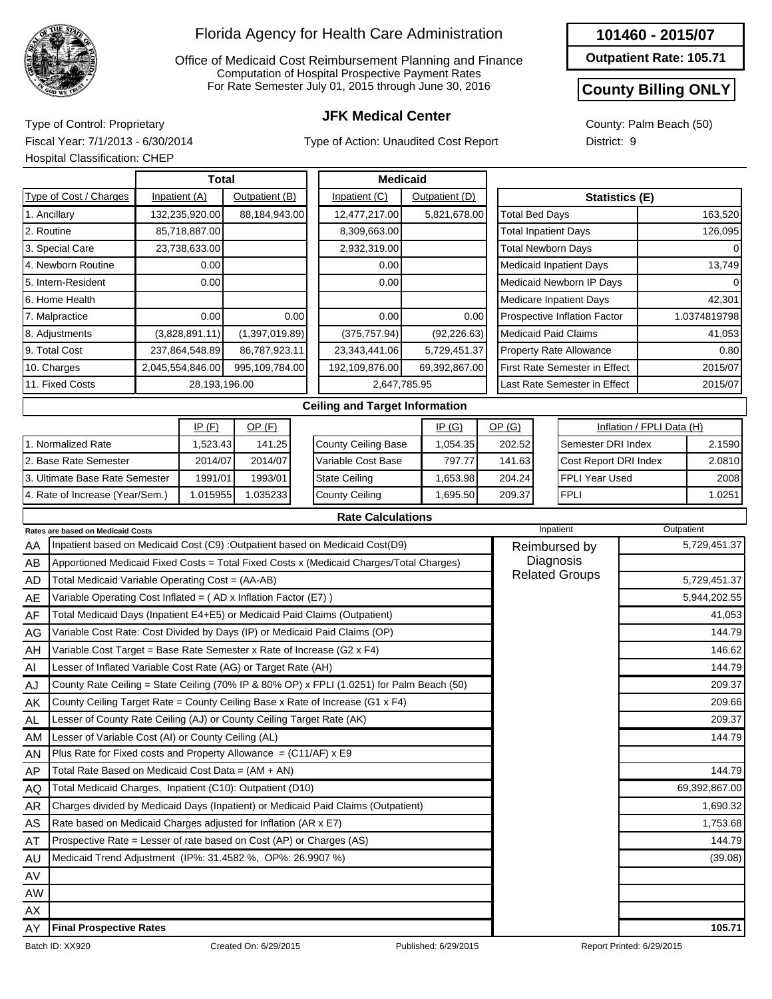

Office of Medicaid Cost Reimbursement Planning and Finance Computation of Hospital Prospective Payment Rates For Rate Semester July 01, 2015 through June 30, 2016

Type of Action: Unaudited Cost Report

**Outpatient Rate: 105.71**

### **County Billing ONLY**

County: Palm Beach (50) District: 9

**JFK Medical Center** Type of Control: Proprietary Fiscal Year: 7/1/2013 - 6/30/2014 Hospital Classification: CHEP

|               |                                          | <b>Total</b>     |                |      | <b>Medicaid</b>                                                                         |                |                                |                                      |                           |              |
|---------------|------------------------------------------|------------------|----------------|------|-----------------------------------------------------------------------------------------|----------------|--------------------------------|--------------------------------------|---------------------------|--------------|
|               | Type of Cost / Charges                   | Inpatient (A)    | Outpatient (B) |      | Inpatient (C)                                                                           | Outpatient (D) |                                | <b>Statistics (E)</b>                |                           |              |
| 1. Ancillary  |                                          | 132,235,920.00   | 88,184,943.00  |      | 12,477,217.00                                                                           | 5,821,678.00   | <b>Total Bed Days</b>          |                                      |                           | 163,520      |
| 2. Routine    |                                          | 85,718,887.00    |                |      | 8,309,663.00                                                                            |                | <b>Total Inpatient Days</b>    |                                      |                           | 126,095      |
|               | 3. Special Care                          | 23,738,633.00    |                |      | 2,932,319.00                                                                            |                | <b>Total Newborn Days</b>      |                                      |                           |              |
|               | 4. Newborn Routine                       | 0.00             |                |      | 0.00                                                                                    |                | Medicaid Inpatient Days        |                                      |                           | 13,749       |
|               | 5. Intern-Resident                       | 0.00             |                |      | 0.00                                                                                    |                |                                | Medicaid Newborn IP Days             |                           |              |
|               | 6. Home Health                           |                  |                |      |                                                                                         |                | <b>Medicare Inpatient Days</b> |                                      |                           | 42,301       |
|               | 7. Malpractice                           | 0.00             |                | 0.00 | 0.00                                                                                    | 0.00           |                                | Prospective Inflation Factor         |                           | 1.0374819798 |
|               | 8. Adjustments                           | (3,828,891.11)   | (1,397,019.89) |      | (375, 757.94)                                                                           | (92, 226.63)   | <b>Medicaid Paid Claims</b>    |                                      |                           | 41,053       |
| 9. Total Cost |                                          | 237,864,548.89   | 86,787,923.11  |      | 23,343,441.06                                                                           | 5,729,451.37   |                                | <b>Property Rate Allowance</b>       |                           | 0.80         |
| 10. Charges   |                                          | 2,045,554,846.00 | 995,109,784.00 |      | 192,109,876.00                                                                          | 69,392,867.00  |                                | <b>First Rate Semester in Effect</b> |                           | 2015/07      |
|               | 11. Fixed Costs                          | 28,193,196.00    |                |      | 2,647,785.95                                                                            |                |                                | Last Rate Semester in Effect         |                           | 2015/07      |
|               |                                          |                  |                |      | <b>Ceiling and Target Information</b>                                                   |                |                                |                                      |                           |              |
|               |                                          | IP(F)            | $OP$ $(F)$     |      |                                                                                         | IP(G)          | OP(G)                          |                                      | Inflation / FPLI Data (H) |              |
|               | 1. Normalized Rate                       | 1,523.43         | 141.25         |      | County Ceiling Base                                                                     | 1,054.35       | 202.52                         | Semester DRI Index                   |                           | 2.1590       |
|               | 2. Base Rate Semester                    | 2014/07          | 2014/07        |      | Variable Cost Base                                                                      | 797.77         | 141.63                         | Cost Report DRI Index                |                           | 2.0810       |
|               | 3. Ultimate Base Rate Semester           | 1991/01          | 1993/01        |      | <b>State Ceiling</b>                                                                    | 1,653.98       | 204.24                         | <b>FPLI Year Used</b>                |                           | 2008         |
|               | 4. Rate of Increase (Year/Sem.)          | 1.015955         | 1.035233       |      | <b>County Ceiling</b>                                                                   | 1,695.50       | 209.37                         | <b>FPLI</b>                          |                           | 1.0251       |
|               |                                          |                  |                |      | <b>Rate Calculations</b>                                                                |                |                                |                                      |                           |              |
|               | <b>Rates are based on Medicaid Costs</b> |                  |                |      |                                                                                         |                |                                | Inpatient                            |                           | Outpatient   |
| AA            |                                          |                  |                |      | Inpatient based on Medicaid Cost (C9) :Outpatient based on Medicaid Cost(D9)            |                | Reimbursed by                  |                                      |                           | 5,729,451.37 |
| AB            |                                          |                  |                |      | Apportioned Medicaid Fixed Costs = Total Fixed Costs x (Medicaid Charges/Total Charges) |                | Diagnosis<br><b>D.L.</b> 0     |                                      |                           |              |

| AB        | Apportioned Medicaid Fixed Costs = Total Fixed Costs x (Medicaid Charges/Total Charges)   | Diagnosis             |               |
|-----------|-------------------------------------------------------------------------------------------|-----------------------|---------------|
| AD.       | Total Medicaid Variable Operating Cost = (AA-AB)                                          | <b>Related Groups</b> | 5,729,451.37  |
| AE        | Variable Operating Cost Inflated = (AD x Inflation Factor (E7))                           |                       | 5,944,202.55  |
| AF        | Total Medicaid Days (Inpatient E4+E5) or Medicaid Paid Claims (Outpatient)                |                       | 41,053        |
| AG        | Variable Cost Rate: Cost Divided by Days (IP) or Medicaid Paid Claims (OP)                |                       | 144.79        |
| AH        | Variable Cost Target = Base Rate Semester x Rate of Increase (G2 x F4)                    |                       | 146.62        |
| AI        | Lesser of Inflated Variable Cost Rate (AG) or Target Rate (AH)                            |                       | 144.79        |
| AJ        | County Rate Ceiling = State Ceiling (70% IP & 80% OP) x FPLI (1.0251) for Palm Beach (50) |                       | 209.37        |
| AK        | County Ceiling Target Rate = County Ceiling Base x Rate of Increase (G1 x F4)             |                       | 209.66        |
| AL.       | Lesser of County Rate Ceiling (AJ) or County Ceiling Target Rate (AK)                     |                       | 209.37        |
| AM.       | Lesser of Variable Cost (AI) or County Ceiling (AL)                                       |                       | 144.79        |
| <b>AN</b> | Plus Rate for Fixed costs and Property Allowance = $(C11/AF)$ x E9                        |                       |               |
| AP        | Total Rate Based on Medicaid Cost Data = $(AM + AN)$                                      |                       | 144.79        |
| AQ        | Total Medicaid Charges, Inpatient (C10): Outpatient (D10)                                 |                       | 69,392,867.00 |
| AR        | Charges divided by Medicaid Days (Inpatient) or Medicaid Paid Claims (Outpatient)         |                       | 1,690.32      |
| AS        | Rate based on Medicaid Charges adjusted for Inflation (AR x E7)                           |                       | 1,753.68      |
| AT        | Prospective Rate = Lesser of rate based on Cost (AP) or Charges (AS)                      |                       | 144.79        |
| AU        | Medicaid Trend Adjustment (IP%: 31.4582 %, OP%: 26.9907 %)                                |                       | (39.08)       |
| AV        |                                                                                           |                       |               |
| AW        |                                                                                           |                       |               |
| AX        |                                                                                           |                       |               |
| AY        | <b>Final Prospective Rates</b>                                                            |                       | 105.71        |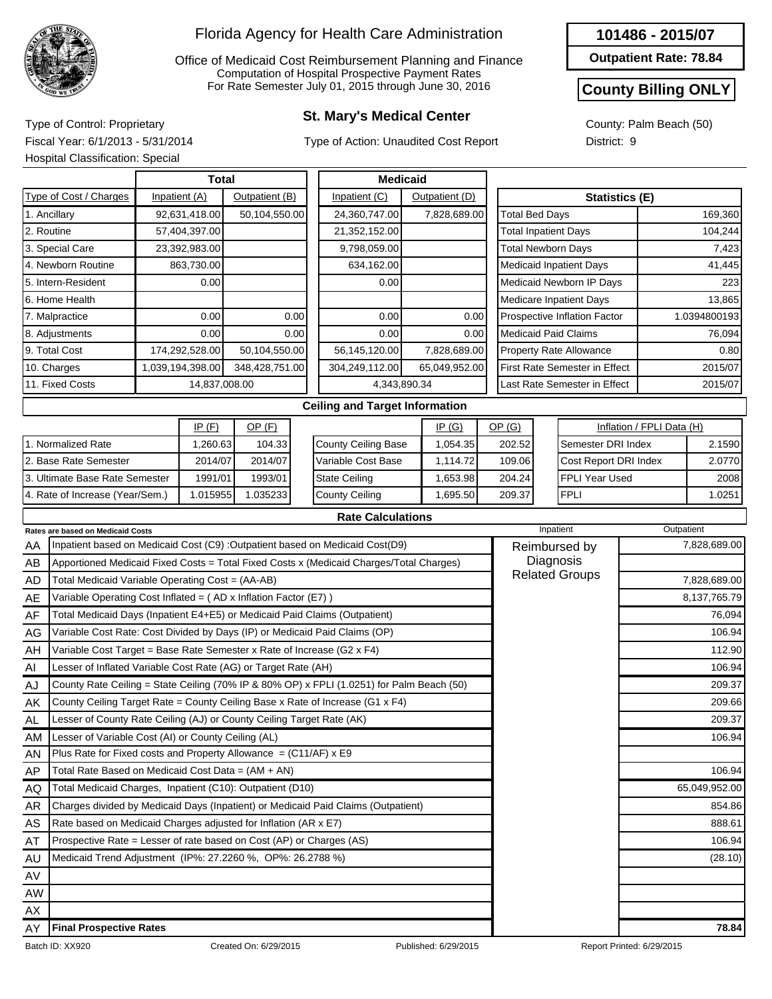

Office of Medicaid Cost Reimbursement Planning and Finance Computation of Hospital Prospective Payment Rates For Rate Semester July 01, 2015 through June 30, 2016

## **St. Mary's Medical Center** Type of Control: Proprietary

Type of Action: Unaudited Cost Report

#### **101486 - 2015/07**

**Outpatient Rate: 78.84**

#### **County Billing ONLY**

County: Palm Beach (50) District: 9

Fiscal Year: 6/1/2013 - 5/31/2014 Hospital Classification: Special

|    | Hospital Classification: Special                                           |                  |                |      |                                                                                           |                |                             |                                      |                           |               |
|----|----------------------------------------------------------------------------|------------------|----------------|------|-------------------------------------------------------------------------------------------|----------------|-----------------------------|--------------------------------------|---------------------------|---------------|
|    |                                                                            | <b>Total</b>     |                |      | <b>Medicaid</b>                                                                           |                |                             |                                      |                           |               |
|    | Type of Cost / Charges                                                     | Inpatient (A)    | Outpatient (B) |      | Inpatient (C)                                                                             | Outpatient (D) |                             | Statistics (E)                       |                           |               |
|    | 1. Ancillary                                                               | 92,631,418.00    | 50,104,550.00  |      | 24,360,747.00                                                                             | 7,828,689.00   | <b>Total Bed Days</b>       |                                      |                           | 169,360       |
|    | 2. Routine                                                                 | 57,404,397.00    |                |      | 21,352,152.00                                                                             |                | <b>Total Inpatient Days</b> |                                      |                           | 104,244       |
|    | 3. Special Care                                                            | 23,392,983.00    |                |      | 9,798,059.00                                                                              |                | <b>Total Newborn Days</b>   |                                      |                           | 7,423         |
|    | 4. Newborn Routine                                                         | 863,730.00       |                |      | 634,162.00                                                                                |                |                             | <b>Medicaid Inpatient Days</b>       |                           | 41,445        |
|    | 5. Intern-Resident                                                         | 0.00             |                |      | 0.00                                                                                      |                |                             | Medicaid Newborn IP Days             |                           | 223           |
|    | 6. Home Health                                                             |                  |                |      |                                                                                           |                |                             | Medicare Inpatient Days              |                           | 13,865        |
|    | 7. Malpractice                                                             | 0.00             |                | 0.00 | 0.00                                                                                      | 0.00           |                             | Prospective Inflation Factor         |                           | 1.0394800193  |
|    | 8. Adjustments                                                             | 0.00             |                | 0.00 | 0.00                                                                                      | 0.00           | <b>Medicaid Paid Claims</b> |                                      |                           | 76,094        |
|    | 9. Total Cost                                                              | 174,292,528.00   | 50,104,550.00  |      | 56,145,120.00                                                                             | 7,828,689.00   |                             | <b>Property Rate Allowance</b>       |                           | 0.80          |
|    | 10. Charges                                                                | 1,039,194,398.00 | 348,428,751.00 |      | 304,249,112.00                                                                            | 65,049,952.00  |                             | <b>First Rate Semester in Effect</b> |                           | 2015/07       |
|    | 11. Fixed Costs                                                            | 14,837,008.00    |                |      | 4,343,890.34                                                                              |                |                             | Last Rate Semester in Effect         |                           | 2015/07       |
|    |                                                                            |                  |                |      | <b>Ceiling and Target Information</b>                                                     |                |                             |                                      |                           |               |
|    |                                                                            | IP(F)            | $OP$ (F)       |      |                                                                                           | IP(G)          | OP(G)                       |                                      | Inflation / FPLI Data (H) |               |
|    | 1. Normalized Rate                                                         | 1,260.63         | 104.33         |      | <b>County Ceiling Base</b>                                                                | 1,054.35       | 202.52                      | Semester DRI Index                   |                           | 2.1590        |
|    | 2. Base Rate Semester                                                      | 2014/07          | 2014/07        |      | Variable Cost Base                                                                        | 1,114.72       | 109.06                      | Cost Report DRI Index                |                           | 2.0770        |
|    | 3. Ultimate Base Rate Semester                                             | 1991/01          | 1993/01        |      | <b>State Ceiling</b>                                                                      | 1,653.98       | 204.24                      | <b>FPLI Year Used</b>                |                           | 2008          |
|    | 4. Rate of Increase (Year/Sem.)                                            | 1.015955         | 1.035233       |      | <b>County Ceiling</b>                                                                     | 1,695.50       | 209.37                      | <b>FPLI</b>                          |                           | 1.0251        |
|    |                                                                            |                  |                |      | <b>Rate Calculations</b>                                                                  |                |                             |                                      |                           |               |
|    | Rates are based on Medicaid Costs                                          |                  |                |      |                                                                                           |                |                             | Inpatient                            | Outpatient                |               |
| ΑA |                                                                            |                  |                |      | Inpatient based on Medicaid Cost (C9) : Outpatient based on Medicaid Cost(D9)             |                |                             | Reimbursed by                        |                           | 7,828,689.00  |
| AB |                                                                            |                  |                |      | Apportioned Medicaid Fixed Costs = Total Fixed Costs x (Medicaid Charges/Total Charges)   |                |                             | Diagnosis<br><b>Related Groups</b>   |                           |               |
| AD | Total Medicaid Variable Operating Cost = (AA-AB)                           |                  |                |      |                                                                                           |                |                             |                                      |                           | 7,828,689.00  |
| AE | Variable Operating Cost Inflated = $(AD x)$ Inflation Factor (E7) )        |                  |                |      |                                                                                           |                |                             |                                      |                           | 8,137,765.79  |
| AF | Total Medicaid Days (Inpatient E4+E5) or Medicaid Paid Claims (Outpatient) |                  |                |      |                                                                                           |                |                             |                                      |                           | 76,094        |
| AG | Variable Cost Rate: Cost Divided by Days (IP) or Medicaid Paid Claims (OP) |                  |                |      |                                                                                           |                |                             |                                      |                           | 106.94        |
| AH | Variable Cost Target = Base Rate Semester x Rate of Increase (G2 x $F4$ )  |                  |                |      |                                                                                           |                |                             |                                      |                           | 112.90        |
| Al | Lesser of Inflated Variable Cost Rate (AG) or Target Rate (AH)             |                  |                |      |                                                                                           |                |                             |                                      |                           | 106.94        |
| AJ |                                                                            |                  |                |      | County Rate Ceiling = State Ceiling (70% IP & 80% OP) x FPLI (1.0251) for Palm Beach (50) |                |                             |                                      |                           | 209.37        |
| AΚ |                                                                            |                  |                |      | County Ceiling Target Rate = County Ceiling Base x Rate of Increase (G1 x F4)             |                |                             |                                      |                           | 209.66        |
| AL | Lesser of County Rate Ceiling (AJ) or County Ceiling Target Rate (AK)      |                  |                |      |                                                                                           |                |                             |                                      |                           | 209.37        |
| AM | Lesser of Variable Cost (AI) or County Ceiling (AL)                        |                  |                |      |                                                                                           |                |                             |                                      |                           | 106.94        |
| AN | Plus Rate for Fixed costs and Property Allowance = $(C11/AF)$ x E9         |                  |                |      |                                                                                           |                |                             |                                      |                           |               |
| AΡ | Total Rate Based on Medicaid Cost Data = (AM + AN)                         |                  |                |      |                                                                                           |                |                             |                                      |                           | 106.94        |
| AQ | Total Medicaid Charges, Inpatient (C10): Outpatient (D10)                  |                  |                |      |                                                                                           |                |                             |                                      |                           | 65,049,952.00 |

AW AX AY **Final Prospective Rates 78.84**

AR AS AT AU AV

Charges divided by Medicaid Days (Inpatient) or Medicaid Paid Claims (Outpatient)

Rate based on Medicaid Charges adjusted for Inflation (AR x E7) Prospective Rate = Lesser of rate based on Cost (AP) or Charges (AS)

Medicaid Trend Adjustment (IP%: 27.2260 %, OP%: 26.2788 %) (28.10)

854.86 888.61 106.94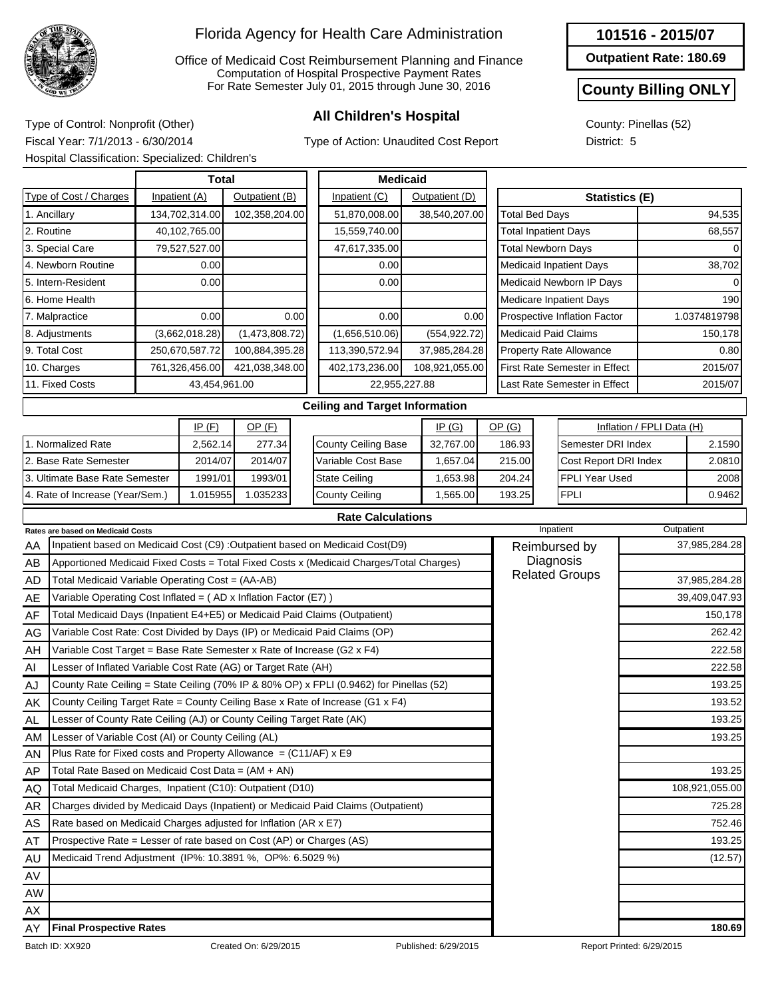

Office of Medicaid Cost Reimbursement Planning and Finance Computation of Hospital Prospective Payment Rates For Rate Semester July 01, 2015 through June 30, 2016

Type of Action: Unaudited Cost Report

#### **101516 - 2015/07**

**Outpatient Rate: 180.69**

## **County Billing ONLY**

County: Pinellas (52) District: 5

**All Children's Hospital** Type of Control: Nonprofit (Other) Fiscal Year: 7/1/2013 - 6/30/2014 Hospital Classification: Specialized: Children's

|                        | Total          |                      |                                       | <b>Medicaid</b> |                                      |              |
|------------------------|----------------|----------------------|---------------------------------------|-----------------|--------------------------------------|--------------|
| Type of Cost / Charges | Inpatient (A)  | Outpatient (B)       | Inpatient (C)                         | Outpatient (D)  | <b>Statistics (E)</b>                |              |
| . Ancillary            | 134,702,314.00 | 102,358,204.00       | 51,870,008.00                         | 38,540,207.00   | <b>Total Bed Days</b>                | 94,535       |
| 2. Routine             | 40,102,765.00  |                      | 15,559,740.00                         |                 | <b>Total Inpatient Days</b>          | 68,557       |
| 3. Special Care        | 79,527,527.00  |                      | 47,617,335.00                         |                 | <b>Total Newborn Days</b>            |              |
| 4. Newborn Routine     | 0.00           |                      | 0.00                                  |                 | <b>Medicaid Inpatient Days</b>       | 38,702       |
| 5. Intern-Resident     | 0.00           |                      | 0.00                                  |                 | Medicaid Newborn IP Days             |              |
| 6. Home Health         |                |                      |                                       |                 | Medicare Inpatient Days              | 190          |
| 7. Malpractice         | 0.00           | 0.00                 | 0.00                                  | 0.00            | Prospective Inflation Factor         | 1.0374819798 |
| 8. Adjustments         | (3,662,018.28) | (1,473,808.72)       | (1,656,510.06)                        | (554, 922.72)   | <b>Medicaid Paid Claims</b>          | 150,178      |
| 9. Total Cost          | 250,670,587.72 | 100,884,395.28       | 113,390,572.94                        | 37,985,284.28   | <b>Property Rate Allowance</b>       | 0.80         |
| 10. Charges            | 761,326,456.00 | 421,038,348.00       | 402,173,236.00                        | 108,921,055.00  | <b>First Rate Semester in Effect</b> | 2015/07      |
| 11. Fixed Costs        | 43,454,961.00  |                      |                                       | 22,955,227.88   | Last Rate Semester in Effect         | 2015/07      |
|                        |                |                      | <b>Ceiling and Target Information</b> |                 |                                      |              |
|                        | $\overline{1}$ | $\sim$ $\sim$ $\sim$ |                                       | $\overline{1}$  | $\sim$ $\sim$ $\sim$ $\sim$          | $1.0 - 1.0$  |

|                                 | IP(F)    | OP (F)   |
|---------------------------------|----------|----------|
| 1. Normalized Rate              | 2,562.14 | 277.34   |
| 2. Base Rate Semester           | 2014/07  | 2014/07  |
| 3. Ultimate Base Rate Semester  | 1991/01  | 1993/01  |
| 4. Rate of Increase (Year/Sem.) | 1.015955 | 1.035233 |

|                            | IP(G)     | <u>OP (G)</u> | Inflation / FPLI Data (H) |        |  |  |
|----------------------------|-----------|---------------|---------------------------|--------|--|--|
| <b>County Ceiling Base</b> | 32,767.00 | 186.93        | Semester DRI Index        | 2.1590 |  |  |
| Variable Cost Base         | 1,657.04  | 215.00        | Cost Report DRI Index     | 2.0810 |  |  |
| <b>State Ceiling</b>       | 1,653.98  | 204.24        | <b>IFPLI Year Used</b>    | 2008   |  |  |
| County Ceiling             | 1,565.00  | 193.25        | <b>FPLI</b>               | 0.9462 |  |  |

| <b>Rate Calculations</b> |  |
|--------------------------|--|
|                          |  |

|           | <b>Rates are based on Medicaid Costs</b>                                                | Inpatient             | Outpatient     |  |  |
|-----------|-----------------------------------------------------------------------------------------|-----------------------|----------------|--|--|
| AA        | Inpatient based on Medicaid Cost (C9) : Outpatient based on Medicaid Cost(D9)           | Reimbursed by         | 37,985,284.28  |  |  |
| AB        | Apportioned Medicaid Fixed Costs = Total Fixed Costs x (Medicaid Charges/Total Charges) | Diagnosis             |                |  |  |
| AD        | Total Medicaid Variable Operating Cost = (AA-AB)                                        | <b>Related Groups</b> | 37,985,284.28  |  |  |
| AE        | Variable Operating Cost Inflated = $(AD x)$ Inflation Factor (E7) )                     |                       | 39,409,047.93  |  |  |
| AF        | Total Medicaid Days (Inpatient E4+E5) or Medicaid Paid Claims (Outpatient)              |                       | 150,178        |  |  |
| AG        | Variable Cost Rate: Cost Divided by Days (IP) or Medicaid Paid Claims (OP)              |                       | 262.42         |  |  |
| AH        | Variable Cost Target = Base Rate Semester x Rate of Increase (G2 x F4)                  |                       | 222.58         |  |  |
| AI        | Lesser of Inflated Variable Cost Rate (AG) or Target Rate (AH)                          |                       | 222.58         |  |  |
| AJ        | County Rate Ceiling = State Ceiling (70% IP & 80% OP) x FPLI (0.9462) for Pinellas (52) |                       | 193.25         |  |  |
| AK        | County Ceiling Target Rate = County Ceiling Base x Rate of Increase (G1 x F4)           |                       | 193.52         |  |  |
| <b>AL</b> | Lesser of County Rate Ceiling (AJ) or County Ceiling Target Rate (AK)                   |                       | 193.25         |  |  |
| <b>AM</b> | Lesser of Variable Cost (AI) or County Ceiling (AL)                                     |                       | 193.25         |  |  |
| AN        | Plus Rate for Fixed costs and Property Allowance = $(C11/AF)$ x E9                      |                       |                |  |  |
| AP        | Total Rate Based on Medicaid Cost Data = (AM + AN)                                      |                       | 193.25         |  |  |
| AQ        | Total Medicaid Charges, Inpatient (C10): Outpatient (D10)                               |                       | 108,921,055.00 |  |  |
| <b>AR</b> | Charges divided by Medicaid Days (Inpatient) or Medicaid Paid Claims (Outpatient)       |                       | 725.28         |  |  |
| AS        | Rate based on Medicaid Charges adjusted for Inflation (AR x E7)                         |                       | 752.46         |  |  |
| AT        | Prospective Rate = Lesser of rate based on Cost (AP) or Charges (AS)                    |                       | 193.25         |  |  |
| AU        | Medicaid Trend Adjustment (IP%: 10.3891 %, OP%: 6.5029 %)                               |                       | (12.57)        |  |  |
| AV        |                                                                                         |                       |                |  |  |
| <b>AW</b> |                                                                                         |                       |                |  |  |
| AX        |                                                                                         |                       |                |  |  |
| AY        | <b>Final Prospective Rates</b>                                                          |                       | 180.69         |  |  |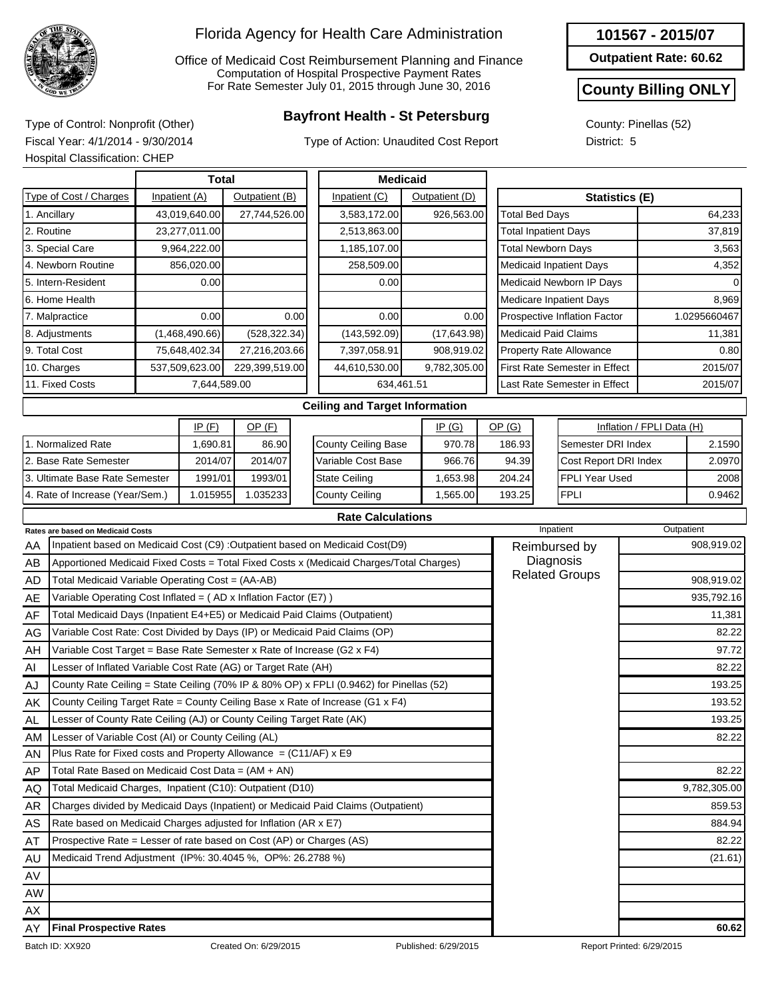

Office of Medicaid Cost Reimbursement Planning and Finance Computation of Hospital Prospective Payment Rates For Rate Semester July 01, 2015 through June 30, 2016

## **Bayfront Health - St Petersburg** Type of Control: Nonprofit (Other)

Type of Action: Unaudited Cost Report

**Outpatient Rate: 60.62**

#### **County Billing ONLY**

County: Pinellas (52) District: 5

Fiscal Year: 4/1/2014 - 9/30/2014 Hospital Classification: CHEP

| <b>Total</b> |                                                                        |  |                |                |      |                                                                                         | <b>Medicaid</b> |                |                                |                                      |                           |              |
|--------------|------------------------------------------------------------------------|--|----------------|----------------|------|-----------------------------------------------------------------------------------------|-----------------|----------------|--------------------------------|--------------------------------------|---------------------------|--------------|
|              | Type of Cost / Charges                                                 |  | Inpatient (A)  | Outpatient (B) |      | Inpatient (C)                                                                           |                 | Outpatient (D) |                                |                                      | <b>Statistics (E)</b>     |              |
|              | 1. Ancillary                                                           |  | 43,019,640.00  | 27,744,526.00  |      | 3,583,172.00                                                                            |                 | 926,563.00     | <b>Total Bed Days</b>          |                                      |                           | 64,233       |
|              | 2. Routine                                                             |  | 23,277,011.00  |                |      | 2,513,863.00                                                                            |                 |                | <b>Total Inpatient Days</b>    |                                      |                           | 37,819       |
|              | 3. Special Care                                                        |  | 9,964,222.00   |                |      | 1,185,107.00                                                                            |                 |                | <b>Total Newborn Days</b>      |                                      |                           | 3,563        |
|              | 4. Newborn Routine                                                     |  | 856,020.00     |                |      | 258,509.00                                                                              |                 |                |                                | <b>Medicaid Inpatient Days</b>       |                           | 4,352        |
|              | 5. Intern-Resident                                                     |  | 0.00           |                |      | 0.00                                                                                    |                 |                |                                | Medicaid Newborn IP Days             |                           |              |
|              | 6. Home Health                                                         |  |                |                |      |                                                                                         |                 |                |                                | <b>Medicare Inpatient Days</b>       |                           | 8,969        |
|              | 7. Malpractice                                                         |  | 0.00           |                | 0.00 | 0.00                                                                                    |                 | 0.00           |                                | Prospective Inflation Factor         |                           | 1.0295660467 |
|              | 8. Adjustments                                                         |  | (1,468,490.66) | (528, 322.34)  |      | (143, 592.09)                                                                           |                 | (17, 643.98)   | <b>Medicaid Paid Claims</b>    |                                      |                           | 11,381       |
|              | 9. Total Cost                                                          |  | 75,648,402.34  | 27,216,203.66  |      | 7,397,058.91                                                                            |                 | 908,919.02     |                                | <b>Property Rate Allowance</b>       | 0.80                      |              |
|              | 10. Charges                                                            |  | 537,509,623.00 | 229,399,519.00 |      | 44,610,530.00                                                                           |                 | 9,782,305.00   |                                | <b>First Rate Semester in Effect</b> |                           | 2015/07      |
|              | 11. Fixed Costs                                                        |  | 7,644,589.00   |                |      |                                                                                         | 634,461.51      |                |                                | Last Rate Semester in Effect         |                           | 2015/07      |
|              |                                                                        |  |                |                |      | <b>Ceiling and Target Information</b>                                                   |                 |                |                                |                                      |                           |              |
|              |                                                                        |  | IP(F)          | OP(F)          |      |                                                                                         |                 | IP(G)          | OP(G)                          |                                      | Inflation / FPLI Data (H) |              |
|              | 1. Normalized Rate                                                     |  | 1,690.81       | 86.90          |      | County Ceiling Base                                                                     |                 | 970.78         | 186.93                         | Semester DRI Index                   |                           | 2.1590       |
|              | 2. Base Rate Semester                                                  |  | 2014/07        | 2014/07        |      | Variable Cost Base                                                                      |                 | 966.76         | Cost Report DRI Index<br>94.39 |                                      |                           | 2.0970       |
|              | 3. Ultimate Base Rate Semester                                         |  | 1991/01        | 1993/01        |      | <b>State Ceiling</b>                                                                    |                 | 1,653.98       | 204.24                         | <b>FPLI Year Used</b>                |                           | 2008         |
|              | 4. Rate of Increase (Year/Sem.)                                        |  | 1.015955       | 1.035233       |      | <b>County Ceiling</b>                                                                   |                 | 1,565.00       | 193.25                         | <b>FPLI</b>                          |                           | 0.9462       |
|              |                                                                        |  |                |                |      | <b>Rate Calculations</b>                                                                |                 |                |                                |                                      |                           |              |
|              | Rates are based on Medicaid Costs                                      |  |                |                |      |                                                                                         |                 |                |                                | Inpatient                            | Outpatient                |              |
| AA           |                                                                        |  |                |                |      | Inpatient based on Medicaid Cost (C9) : Outpatient based on Medicaid Cost(D9)           |                 |                |                                | Reimbursed by                        |                           | 908,919.02   |
| AB           |                                                                        |  |                |                |      | Apportioned Medicaid Fixed Costs = Total Fixed Costs x (Medicaid Charges/Total Charges) |                 |                |                                | Diagnosis                            |                           |              |
| AD           | Total Medicaid Variable Operating Cost = (AA-AB)                       |  |                |                |      |                                                                                         |                 |                |                                | <b>Related Groups</b>                |                           | 908,919.02   |
| AE           | Variable Operating Cost Inflated = $(AD x Inflation Factor (E7))$      |  |                |                |      |                                                                                         |                 |                |                                |                                      |                           | 935,792.16   |
| AF           |                                                                        |  |                |                |      | Total Medicaid Days (Inpatient E4+E5) or Medicaid Paid Claims (Outpatient)              |                 |                |                                |                                      |                           | 11,381       |
| AG           |                                                                        |  |                |                |      | Variable Cost Rate: Cost Divided by Days (IP) or Medicaid Paid Claims (OP)              |                 |                |                                |                                      |                           | 82.22        |
| AH           | Variable Cost Target = Base Rate Semester x Rate of Increase (G2 x F4) |  |                |                |      |                                                                                         |                 |                |                                |                                      |                           | 97.72        |
| Al           | Lesser of Inflated Variable Cost Rate (AG) or Target Rate (AH)         |  |                |                |      |                                                                                         |                 |                |                                |                                      |                           | 82.22        |
| AJ           |                                                                        |  |                |                |      | County Rate Ceiling = State Ceiling (70% IP & 80% OP) x FPLI (0.9462) for Pinellas (52) |                 |                |                                |                                      |                           | 193.25       |
| AK           |                                                                        |  |                |                |      | County Ceiling Target Rate = County Ceiling Base x Rate of Increase (G1 x F4)           |                 |                |                                |                                      |                           | 193.52       |
| AL           | Lesser of County Rate Ceiling (AJ) or County Ceiling Target Rate (AK)  |  |                |                |      |                                                                                         |                 |                |                                |                                      |                           | 193.25       |
| AM           | Lesser of Variable Cost (AI) or County Ceiling (AL)                    |  |                |                |      |                                                                                         |                 |                |                                |                                      |                           | 82.22        |
| AN           | Plus Rate for Fixed costs and Property Allowance = $(C11/AF)$ x E9     |  |                |                |      |                                                                                         |                 |                |                                |                                      |                           |              |
| AP           | Total Rate Based on Medicaid Cost Data = $(AM + AN)$                   |  |                |                |      |                                                                                         |                 |                |                                |                                      |                           | 82.22        |
| AQ           | Total Medicaid Charges, Inpatient (C10): Outpatient (D10)              |  |                |                |      |                                                                                         |                 |                |                                |                                      |                           | 9,782,305.00 |
| AR           |                                                                        |  |                |                |      | Charges divided by Medicaid Days (Inpatient) or Medicaid Paid Claims (Outpatient)       |                 |                |                                |                                      |                           | 859.53       |
| AS           | Rate based on Medicaid Charges adjusted for Inflation (AR x E7)        |  |                |                |      |                                                                                         |                 |                |                                |                                      |                           | 884.94       |
| AT           | Prospective Rate = Lesser of rate based on Cost (AP) or Charges (AS)   |  |                |                |      |                                                                                         |                 |                |                                |                                      |                           | 82.22        |
| AU           | Medicaid Trend Adjustment (IP%: 30.4045 %, OP%: 26.2788 %)             |  |                |                |      |                                                                                         |                 |                |                                |                                      |                           | (21.61)      |
| AV           |                                                                        |  |                |                |      |                                                                                         |                 |                |                                |                                      |                           |              |
| AW           |                                                                        |  |                |                |      |                                                                                         |                 |                |                                |                                      |                           |              |

#### AY **Final Prospective Rates 60.62**

AX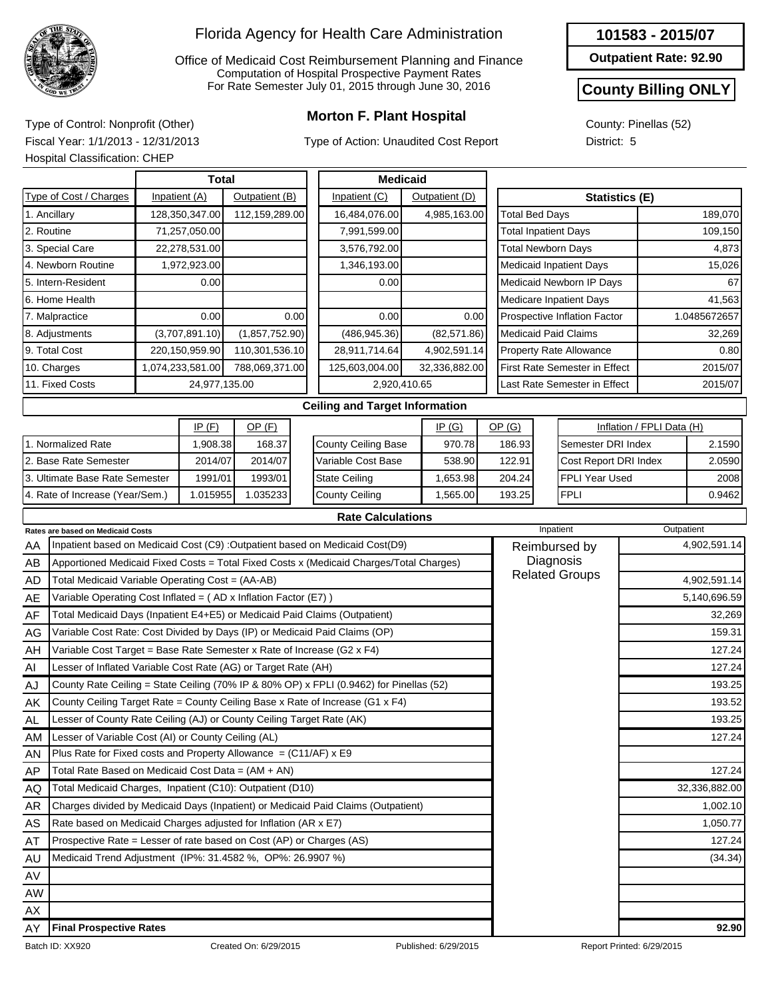

Office of Medicaid Cost Reimbursement Planning and Finance Computation of Hospital Prospective Payment Rates For Rate Semester July 01, 2015 through June 30, 2016

## **Morton F. Plant Hospital** Type of Control: Nonprofit (Other)

Type of Action: Unaudited Cost Report

#### **101583 - 2015/07**

**Outpatient Rate: 92.90**

#### **County Billing ONLY**

County: Pinellas (52) District: 5

Fiscal Year: 1/1/2013 - 12/31/2013

|                                       | <b>Hospital Classification: CHEP</b>                                       |      |                  |                |                |                                                                                         |      |                |  |                             |                                |                                      |                           |               |  |
|---------------------------------------|----------------------------------------------------------------------------|------|------------------|----------------|----------------|-----------------------------------------------------------------------------------------|------|----------------|--|-----------------------------|--------------------------------|--------------------------------------|---------------------------|---------------|--|
|                                       |                                                                            |      | <b>Total</b>     |                |                | <b>Medicaid</b>                                                                         |      |                |  |                             |                                |                                      |                           |               |  |
|                                       | Type of Cost / Charges                                                     |      | Inpatient (A)    | Outpatient (B) |                | Inpatient (C)                                                                           |      | Outpatient (D) |  |                             |                                | Statistics (E)                       |                           |               |  |
|                                       | 1. Ancillary                                                               |      | 128,350,347.00   | 112,159,289.00 |                | 16,484,076.00                                                                           |      | 4,985,163.00   |  | <b>Total Bed Days</b>       |                                |                                      |                           | 189,070       |  |
|                                       | 2. Routine                                                                 |      | 71,257,050.00    |                |                | 7,991,599.00                                                                            |      |                |  | <b>Total Inpatient Days</b> |                                |                                      |                           | 109,150       |  |
|                                       | 3. Special Care                                                            |      | 22,278,531.00    |                |                | 3,576,792.00                                                                            |      |                |  | <b>Total Newborn Days</b>   |                                |                                      |                           | 4,873         |  |
|                                       | 4. Newborn Routine                                                         |      | 1,972,923.00     |                |                | 1,346,193.00                                                                            |      |                |  |                             |                                | <b>Medicaid Inpatient Days</b>       |                           | 15,026        |  |
|                                       | 5. Intern-Resident                                                         |      | 0.00             |                |                | 0.00                                                                                    |      |                |  |                             |                                | Medicaid Newborn IP Days             |                           | 67            |  |
| 6. Home Health                        |                                                                            |      |                  |                |                |                                                                                         |      |                |  |                             | <b>Medicare Inpatient Days</b> |                                      | 41,563                    |               |  |
| 7. Malpractice                        |                                                                            | 0.00 |                  | 0.00           | 0.00           |                                                                                         | 0.00 |                |  |                             | Prospective Inflation Factor   |                                      | 1.0485672657              |               |  |
|                                       | 8. Adjustments                                                             |      | (3,707,891.10)   | (1,857,752.90) |                | (486, 945.36)                                                                           |      | (82, 571.86)   |  |                             |                                | <b>Medicaid Paid Claims</b>          |                           | 32,269        |  |
|                                       | 9. Total Cost                                                              |      | 220,150,959.90   | 110,301,536.10 |                | 28,911,714.64                                                                           |      | 4,902,591.14   |  |                             |                                | <b>Property Rate Allowance</b>       | 0.80                      |               |  |
|                                       | 10. Charges                                                                |      | 1,074,233,581.00 | 788,069,371.00 |                | 125,603,004.00                                                                          |      | 32,336,882.00  |  |                             |                                | <b>First Rate Semester in Effect</b> | 2015/07                   |               |  |
|                                       | 11. Fixed Costs                                                            |      | 24,977,135.00    |                |                | 2,920,410.65                                                                            |      |                |  |                             |                                | Last Rate Semester in Effect         |                           | 2015/07       |  |
| <b>Ceiling and Target Information</b> |                                                                            |      |                  |                |                |                                                                                         |      |                |  |                             |                                |                                      |                           |               |  |
| IP(F)                                 |                                                                            |      |                  | $OP$ (F)       |                |                                                                                         |      | IP(G)          |  | OP(G)                       |                                |                                      | Inflation / FPLI Data (H) |               |  |
|                                       | 1. Normalized Rate                                                         |      | 1,908.38         | 168.37         |                | County Ceiling Base                                                                     |      | 970.78         |  | 186.93                      |                                | Semester DRI Index                   |                           | 2.1590        |  |
|                                       | 2. Base Rate Semester                                                      |      | 2014/07          | 2014/07        |                | Variable Cost Base                                                                      |      | 538.90         |  | 122.91                      |                                | Cost Report DRI Index                |                           | 2.0590        |  |
|                                       | 3. Ultimate Base Rate Semester                                             |      | 1991/01          | 1993/01        |                | <b>State Ceiling</b>                                                                    |      | 1,653.98       |  | 204.24                      |                                | <b>FPLI Year Used</b>                |                           | 2008          |  |
|                                       | 4. Rate of Increase (Year/Sem.)                                            |      | 1.015955         | 1.035233       | County Ceiling |                                                                                         |      | 1,565.00       |  | 193.25                      |                                | <b>FPLI</b>                          |                           | 0.9462        |  |
|                                       |                                                                            |      |                  |                |                | <b>Rate Calculations</b>                                                                |      |                |  |                             |                                |                                      |                           |               |  |
|                                       | Rates are based on Medicaid Costs                                          |      |                  |                |                |                                                                                         |      |                |  |                             | Inpatient                      |                                      |                           | Outpatient    |  |
| AA                                    |                                                                            |      |                  |                |                | Inpatient based on Medicaid Cost (C9) : Outpatient based on Medicaid Cost(D9)           |      |                |  |                             |                                | Reimbursed by                        | 4,902,591.14              |               |  |
| AB                                    |                                                                            |      |                  |                |                | Apportioned Medicaid Fixed Costs = Total Fixed Costs x (Medicaid Charges/Total Charges) |      |                |  |                             |                                | Diagnosis<br><b>Related Groups</b>   |                           |               |  |
| AD                                    | Total Medicaid Variable Operating Cost = (AA-AB)                           |      |                  |                |                |                                                                                         |      |                |  |                             |                                |                                      |                           | 4,902,591.14  |  |
| AE                                    | Variable Operating Cost Inflated = $(AD x)$ Inflation Factor $(E7)$ )      |      |                  |                |                |                                                                                         |      |                |  |                             |                                |                                      |                           | 5,140,696.59  |  |
| AF                                    | Total Medicaid Days (Inpatient E4+E5) or Medicaid Paid Claims (Outpatient) |      |                  |                |                |                                                                                         |      |                |  |                             |                                |                                      |                           | 32,269        |  |
| AG                                    |                                                                            |      |                  |                |                | Variable Cost Rate: Cost Divided by Days (IP) or Medicaid Paid Claims (OP)              |      |                |  |                             |                                |                                      |                           | 159.31        |  |
| AH                                    | Variable Cost Target = Base Rate Semester x Rate of Increase (G2 x F4)     |      |                  |                |                |                                                                                         |      |                |  |                             |                                |                                      |                           | 127.24        |  |
| AI                                    | Lesser of Inflated Variable Cost Rate (AG) or Target Rate (AH)             |      |                  |                |                |                                                                                         |      |                |  |                             |                                |                                      |                           | 127.24        |  |
| AJ                                    |                                                                            |      |                  |                |                | County Rate Ceiling = State Ceiling (70% IP & 80% OP) x FPLI (0.9462) for Pinellas (52) |      |                |  |                             |                                |                                      |                           | 193.25        |  |
| AK                                    |                                                                            |      |                  |                |                | County Ceiling Target Rate = County Ceiling Base x Rate of Increase (G1 x F4)           |      |                |  |                             |                                |                                      |                           | 193.52        |  |
| <b>AL</b>                             | Lesser of County Rate Ceiling (AJ) or County Ceiling Target Rate (AK)      |      |                  |                |                |                                                                                         |      |                |  |                             |                                |                                      |                           | 193.25        |  |
| AM                                    | Lesser of Variable Cost (AI) or County Ceiling (AL)                        |      |                  |                |                |                                                                                         |      |                |  |                             |                                |                                      |                           | 127.24        |  |
| AN                                    | Plus Rate for Fixed costs and Property Allowance = $(C11/AF)$ x E9         |      |                  |                |                |                                                                                         |      |                |  |                             |                                |                                      |                           |               |  |
| <b>AP</b>                             | Total Rate Based on Medicaid Cost Data = (AM + AN)                         |      |                  |                |                |                                                                                         |      |                |  |                             |                                |                                      |                           | 127.24        |  |
| AQ                                    | Total Medicaid Charges, Inpatient (C10): Outpatient (D10)                  |      |                  |                |                |                                                                                         |      |                |  |                             |                                |                                      |                           | 32,336,882.00 |  |

**Final Prospective Rates 92.90**

AR AS AT AU AV AW AX AY

Charges divided by Medicaid Days (Inpatient) or Medicaid Paid Claims (Outpatient)

Rate based on Medicaid Charges adjusted for Inflation (AR x E7) Prospective Rate = Lesser of rate based on Cost (AP) or Charges (AS)

Medicaid Trend Adjustment (IP%: 31.4582 %, OP%: 26.9907 %) (34.34) (34.34)

1,002.10 1,050.77 127.24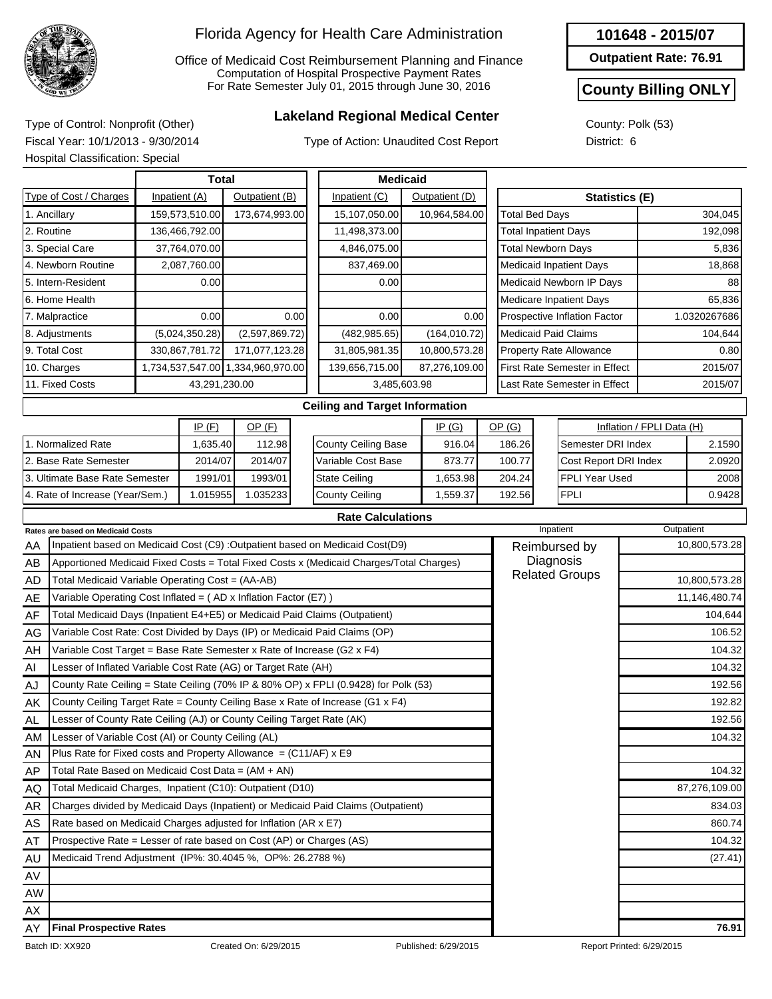

Office of Medicaid Cost Reimbursement Planning and Finance Computation of Hospital Prospective Payment Rates For Rate Semester July 01, 2015 through June 30, 2016

## **Lakeland Regional Medical Center** Type of Control: Nonprofit (Other)

Type of Action: Unaudited Cost Report

**Outpatient Rate: 76.91**

#### **County Billing ONLY**

County: Polk (53) District: 6

Fiscal Year: 10/1/2013 - 9/30/2014 Hospital Classification: Special

| <b>Total</b>                      |                                             |                |                                   |      |  | <b>Medicaid</b>                                                               |  |                |               |                                |           |                                      |                           |              |
|-----------------------------------|---------------------------------------------|----------------|-----------------------------------|------|--|-------------------------------------------------------------------------------|--|----------------|---------------|--------------------------------|-----------|--------------------------------------|---------------------------|--------------|
| Type of Cost / Charges            |                                             | Inpatient (A)  | Outpatient (B)                    |      |  | Inpatient (C)                                                                 |  | Outpatient (D) |               |                                |           | <b>Statistics (E)</b>                |                           |              |
| 1. Ancillary                      |                                             | 159,573,510.00 | 173,674,993.00                    |      |  | 15,107,050.00                                                                 |  | 10,964,584.00  |               | <b>Total Bed Days</b>          |           |                                      |                           | 304,045      |
| 2. Routine                        |                                             | 136,466,792.00 |                                   |      |  | 11,498,373.00                                                                 |  |                |               | <b>Total Inpatient Days</b>    |           |                                      |                           | 192,098      |
| 3. Special Care                   |                                             | 37,764,070.00  |                                   |      |  | 4,846,075.00                                                                  |  |                |               | <b>Total Newborn Days</b>      |           |                                      |                           | 5,836        |
| 4. Newborn Routine                |                                             | 2,087,760.00   |                                   |      |  | 837,469.00                                                                    |  |                |               |                                |           | <b>Medicaid Inpatient Days</b>       |                           | 18,868       |
| 5. Intern-Resident                |                                             | 0.00           |                                   |      |  | 0.00                                                                          |  |                |               | Medicaid Newborn IP Days       |           |                                      |                           | 88           |
| 6. Home Health                    |                                             |                |                                   |      |  |                                                                               |  |                |               |                                |           | Medicare Inpatient Days              |                           | 65.836       |
| 7. Malpractice                    |                                             | 0.00           |                                   | 0.00 |  | 0.00                                                                          |  | 0.00           |               | Prospective Inflation Factor   |           |                                      |                           | 1.0320267686 |
| 8. Adjustments                    |                                             | (5,024,350.28) | (2,597,869.72)                    |      |  | (482, 985.65)                                                                 |  | (164, 010.72)  |               |                                |           | <b>Medicaid Paid Claims</b>          |                           | 104,644      |
| 9. Total Cost                     |                                             | 330,867,781.72 | 171,077,123.28                    |      |  | 31,805,981.35                                                                 |  | 10,800,573.28  |               | <b>Property Rate Allowance</b> |           |                                      |                           | 0.80         |
| 10. Charges                       |                                             |                | 1,734,537,547.00 1,334,960,970.00 |      |  | 139,656,715.00                                                                |  | 87,276,109.00  |               |                                |           | <b>First Rate Semester in Effect</b> |                           | 2015/07      |
| 11. Fixed Costs                   |                                             | 43,291,230.00  |                                   |      |  | 3,485,603.98                                                                  |  |                |               |                                |           | Last Rate Semester in Effect         |                           | 2015/07      |
|                                   |                                             |                |                                   |      |  | <b>Ceiling and Target Information</b>                                         |  |                |               |                                |           |                                      |                           |              |
|                                   |                                             | $IP$ $(F)$     | $OP$ (F)                          |      |  |                                                                               |  | IP(G)          |               | OP(G)                          |           |                                      | Inflation / FPLI Data (H) |              |
| 1. Normalized Rate                |                                             | 1,635.40       | 112.98                            |      |  | <b>County Ceiling Base</b>                                                    |  | 916.04         |               | 186.26                         |           | Semester DRI Index                   |                           | 2.1590       |
| 2. Base Rate Semester             |                                             | 2014/07        | 2014/07                           |      |  | Variable Cost Base                                                            |  | 873.77         |               | 100.77                         |           | Cost Report DRI Index                |                           | 2.0920       |
| 3. Ultimate Base Rate Semester    |                                             | 1991/01        | 1993/01                           |      |  | <b>State Ceiling</b>                                                          |  | 1,653.98       |               | 204.24                         |           | <b>FPLI Year Used</b>                |                           | 2008         |
|                                   | 4. Rate of Increase (Year/Sem.)<br>1.015955 |                | 1.035233                          |      |  | <b>County Ceiling</b>                                                         |  | 1,559.37       |               | 192.56                         |           | <b>FPLI</b>                          |                           | 0.9428       |
|                                   |                                             |                |                                   |      |  | <b>Rate Calculations</b>                                                      |  |                |               |                                |           |                                      |                           |              |
| Rates are based on Medicaid Costs |                                             |                |                                   |      |  |                                                                               |  |                |               |                                | Inpatient |                                      | Outpatient                |              |
| AA                                |                                             |                |                                   |      |  | Inpatient based on Medicaid Cost (C9) : Outpatient based on Medicaid Cost(D9) |  |                | Reimbursed by | 10,800,573.28                  |           |                                      |                           |              |

| AA        | Inpatient based on Medicaid Cost (C9) :Outpatient based on Medicaid Cost(D9)            | Reimbursed by         | 10,800,573.28 |
|-----------|-----------------------------------------------------------------------------------------|-----------------------|---------------|
| AB        | Apportioned Medicaid Fixed Costs = Total Fixed Costs x (Medicaid Charges/Total Charges) | Diagnosis             |               |
| <b>AD</b> | Total Medicaid Variable Operating Cost = (AA-AB)                                        | <b>Related Groups</b> | 10,800,573.28 |
| AE        | Variable Operating Cost Inflated = $(AD \times Inflation Factor (E7))$                  |                       | 11,146,480.74 |
| AF        | Total Medicaid Days (Inpatient E4+E5) or Medicaid Paid Claims (Outpatient)              |                       | 104,644       |
| AG        | Variable Cost Rate: Cost Divided by Days (IP) or Medicaid Paid Claims (OP)              |                       | 106.52        |
| AH        | Variable Cost Target = Base Rate Semester x Rate of Increase (G2 $x$ F4)                |                       | 104.32        |
| AI        | Lesser of Inflated Variable Cost Rate (AG) or Target Rate (AH)                          |                       | 104.32        |
| AJ        | County Rate Ceiling = State Ceiling (70% IP & 80% OP) x FPLI (0.9428) for Polk (53)     |                       | 192.56        |
| AK        | County Ceiling Target Rate = County Ceiling Base x Rate of Increase (G1 x F4)           |                       | 192.82        |
| AL        | Lesser of County Rate Ceiling (AJ) or County Ceiling Target Rate (AK)                   |                       | 192.56        |
| AM.       | Lesser of Variable Cost (AI) or County Ceiling (AL)                                     |                       | 104.32        |
| AN        | Plus Rate for Fixed costs and Property Allowance = $(C11/AF)$ x E9                      |                       |               |
| AP        | Total Rate Based on Medicaid Cost Data = $(AM + AN)$                                    |                       | 104.32        |
| AQ        | Total Medicaid Charges, Inpatient (C10): Outpatient (D10)                               |                       | 87,276,109.00 |
| AR        | Charges divided by Medicaid Days (Inpatient) or Medicaid Paid Claims (Outpatient)       |                       | 834.03        |
| AS        | Rate based on Medicaid Charges adjusted for Inflation (AR x E7)                         |                       | 860.74        |
| AT        | Prospective Rate = Lesser of rate based on Cost (AP) or Charges (AS)                    |                       | 104.32        |
| AU        | Medicaid Trend Adjustment (IP%: 30.4045 %, OP%: 26.2788 %)                              |                       | (27.41)       |
| AV        |                                                                                         |                       |               |
| AW        |                                                                                         |                       |               |
| AX        |                                                                                         |                       |               |
| AY        | <b>Final Prospective Rates</b>                                                          |                       | 76.91         |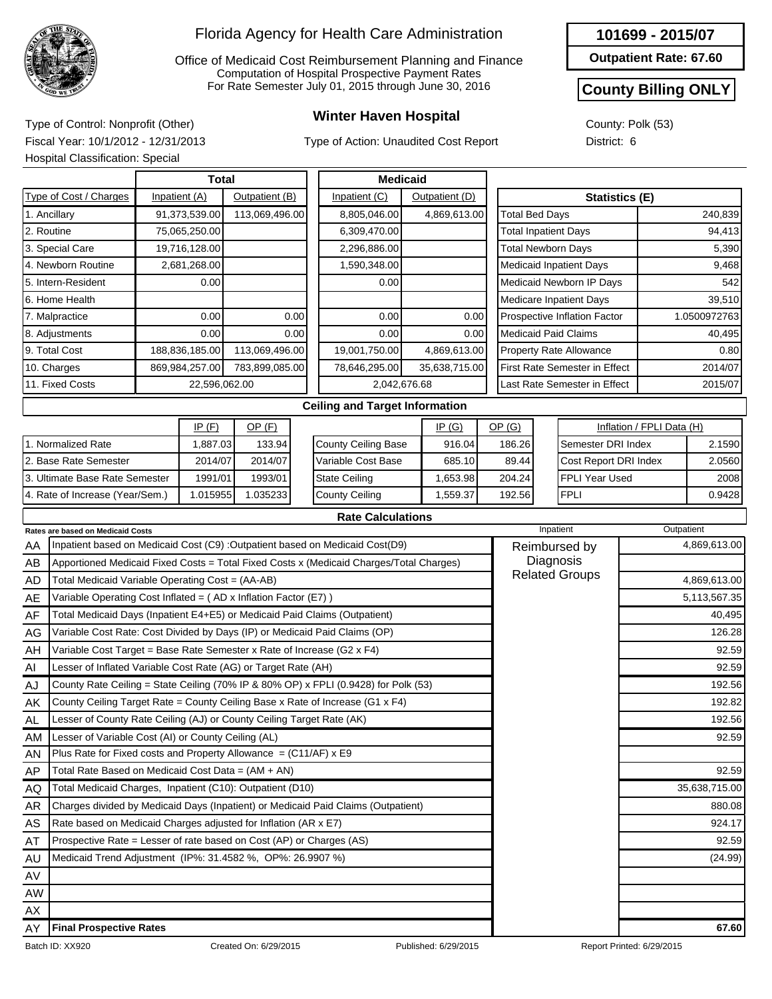

Office of Medicaid Cost Reimbursement Planning and Finance Computation of Hospital Prospective Payment Rates For Rate Semester July 01, 2015 through June 30, 2016

Type of Action: Unaudited Cost Report

#### **101699 - 2015/07**

**Outpatient Rate: 67.60**

#### **County Billing ONLY**

County: Polk (53) District: 6

**Winter Haven Hospital** Type of Control: Nonprofit (Other) Fiscal Year: 10/1/2012 - 12/31/2013 Hospital Classification: Special

|                                                                                               | Total          |                |                |      |               | <b>Medicaid</b>                       |               |                |               |                                      |                                |                           |              |  |
|-----------------------------------------------------------------------------------------------|----------------|----------------|----------------|------|---------------|---------------------------------------|---------------|----------------|---------------|--------------------------------------|--------------------------------|---------------------------|--------------|--|
| Type of Cost / Charges                                                                        |                | Inpatient (A)  | Outpatient (B) |      |               | Inpatient (C)                         |               | Outpatient (D) |               | <b>Statistics (E)</b>                |                                |                           |              |  |
| 1. Ancillary                                                                                  |                | 91,373,539.00  | 113,069,496.00 |      |               | 8,805,046.00                          |               | 4,869,613.00   |               | <b>Total Bed Days</b>                |                                |                           | 240,839      |  |
| 2. Routine                                                                                    |                | 75,065,250.00  |                |      |               | 6,309,470.00                          |               |                |               | <b>Total Inpatient Days</b>          |                                | 94,413                    |              |  |
| 3. Special Care                                                                               |                | 19,716,128.00  |                |      |               | 2,296,886.00                          |               |                |               | <b>Total Newborn Days</b>            |                                |                           | 5,390        |  |
| 4. Newborn Routine                                                                            |                | 2,681,268.00   |                |      |               | 1,590,348.00                          |               |                |               |                                      | <b>Medicaid Inpatient Days</b> |                           | 9,468        |  |
| 5. Intern-Resident<br>0.00                                                                    |                |                |                |      |               | 0.00                                  |               |                |               |                                      | Medicaid Newborn IP Days       |                           | 542          |  |
| 6. Home Health                                                                                |                |                |                |      |               |                                       |               |                |               |                                      | Medicare Inpatient Days        |                           | 39,510       |  |
| 7. Malpractice                                                                                |                | 0.00           | 0.00           |      |               | 0.00                                  |               | 0.00           |               |                                      | Prospective Inflation Factor   |                           | 1.0500972763 |  |
| 8. Adjustments                                                                                |                | 0.00           |                | 0.00 |               | 0.00<br>0.00                          |               |                |               | <b>Medicaid Paid Claims</b>          |                                |                           | 40,495       |  |
| 9. Total Cost                                                                                 |                | 188,836,185.00 | 113,069,496.00 |      |               | 19,001,750.00                         |               | 4,869,613.00   |               |                                      | <b>Property Rate Allowance</b> |                           | 0.80         |  |
| 10. Charges                                                                                   | 869,984,257.00 | 783,899,085.00 |                |      | 78,646,295.00 |                                       | 35,638,715.00 |                |               | First Rate Semester in Effect        |                                | 2014/07                   |              |  |
| 11. Fixed Costs                                                                               |                | 22,596,062.00  |                |      |               | 2,042,676.68                          |               |                |               |                                      | Last Rate Semester in Effect   |                           | 2015/07      |  |
|                                                                                               |                |                |                |      |               | <b>Ceiling and Target Information</b> |               |                |               |                                      |                                |                           |              |  |
|                                                                                               |                | IP(F)          | OP(F)          |      |               |                                       |               | IP(G)          |               | OP(G)                                |                                | Inflation / FPLI Data (H) |              |  |
| 1. Normalized Rate                                                                            |                | 1,887.03       | 133.94         |      |               | <b>County Ceiling Base</b>            |               | 916.04         |               | 186.26<br>Semester DRI Index         |                                |                           | 2.1590       |  |
| 2. Base Rate Semester                                                                         |                | 2014/07        | 2014/07        |      |               | Variable Cost Base                    |               | 685.10         |               | 89.44                                | Cost Report DRI Index          |                           | 2.0560       |  |
| 3. Ultimate Base Rate Semester                                                                |                | 1991/01        | 1993/01        |      |               | <b>State Ceiling</b>                  |               | 1,653.98       |               | 204.24                               | <b>FPLI Year Used</b>          |                           | 2008         |  |
| 4. Rate of Increase (Year/Sem.)                                                               |                | 1.015955       | 1.035233       |      |               | County Ceiling                        |               | 1,559.37       |               | 192.56                               | <b>FPLI</b>                    |                           | 0.9428       |  |
|                                                                                               |                |                |                |      |               | <b>Rate Calculations</b>              |               |                |               |                                      |                                |                           |              |  |
| <b>Rates are based on Medicaid Costs</b>                                                      |                |                |                |      |               |                                       |               |                |               |                                      | Inpatient                      |                           | Outpatient   |  |
| Inpatient based on Medicaid Cost (C9) :Outpatient based on Medicaid Cost(D9)<br>AA            |                |                |                |      |               |                                       |               |                | Reimbursed by |                                      |                                |                           | 4,869,613.00 |  |
| Apportioned Medicaid Fixed Costs = Total Fixed Costs x (Medicaid Charges/Total Charges)<br>AB |                |                |                |      |               |                                       |               |                |               | Diagnosis<br>$D - L + L - L - R - L$ |                                |                           |              |  |

| AВ | TApportioned Medicald Fixed Costs = Total Fixed Costs x (Medicald Charges/Total Charges) | Diagnosis             |               |
|----|------------------------------------------------------------------------------------------|-----------------------|---------------|
| AD | Total Medicaid Variable Operating Cost = (AA-AB)                                         | <b>Related Groups</b> | 4,869,613.00  |
| AE | Variable Operating Cost Inflated = $(AD x Inflation Factor (E7))$                        |                       | 5,113,567.35  |
| AF | Total Medicaid Days (Inpatient E4+E5) or Medicaid Paid Claims (Outpatient)               |                       | 40,495        |
| AG | Variable Cost Rate: Cost Divided by Days (IP) or Medicaid Paid Claims (OP)               |                       | 126.28        |
| AH | Variable Cost Target = Base Rate Semester x Rate of Increase (G2 $\times$ F4)            |                       | 92.59         |
| Al | Lesser of Inflated Variable Cost Rate (AG) or Target Rate (AH)                           |                       | 92.59         |
| AJ | County Rate Ceiling = State Ceiling (70% IP & 80% OP) x FPLI (0.9428) for Polk (53)      |                       | 192.56        |
| AK | County Ceiling Target Rate = County Ceiling Base x Rate of Increase (G1 x F4)            |                       | 192.82        |
| AL | Lesser of County Rate Ceiling (AJ) or County Ceiling Target Rate (AK)                    |                       | 192.56        |
| AM | Lesser of Variable Cost (AI) or County Ceiling (AL)                                      |                       | 92.59         |
| AN | Plus Rate for Fixed costs and Property Allowance = $(C11/AF)$ x E9                       |                       |               |
| AP | Total Rate Based on Medicaid Cost Data = $(AM + AN)$                                     |                       | 92.59         |
| AQ | Total Medicaid Charges, Inpatient (C10): Outpatient (D10)                                |                       | 35,638,715.00 |
| AR | Charges divided by Medicaid Days (Inpatient) or Medicaid Paid Claims (Outpatient)        |                       | 880.08        |
| AS | Rate based on Medicaid Charges adjusted for Inflation (AR x E7)                          |                       | 924.17        |
| AT | Prospective Rate = Lesser of rate based on Cost (AP) or Charges (AS)                     |                       | 92.59         |
| AU | Medicaid Trend Adjustment (IP%: 31.4582 %, OP%: 26.9907 %)                               |                       | (24.99)       |
| AV |                                                                                          |                       |               |
| AW |                                                                                          |                       |               |
| AX |                                                                                          |                       |               |
| AY | <b>Final Prospective Rates</b>                                                           |                       | 67.60         |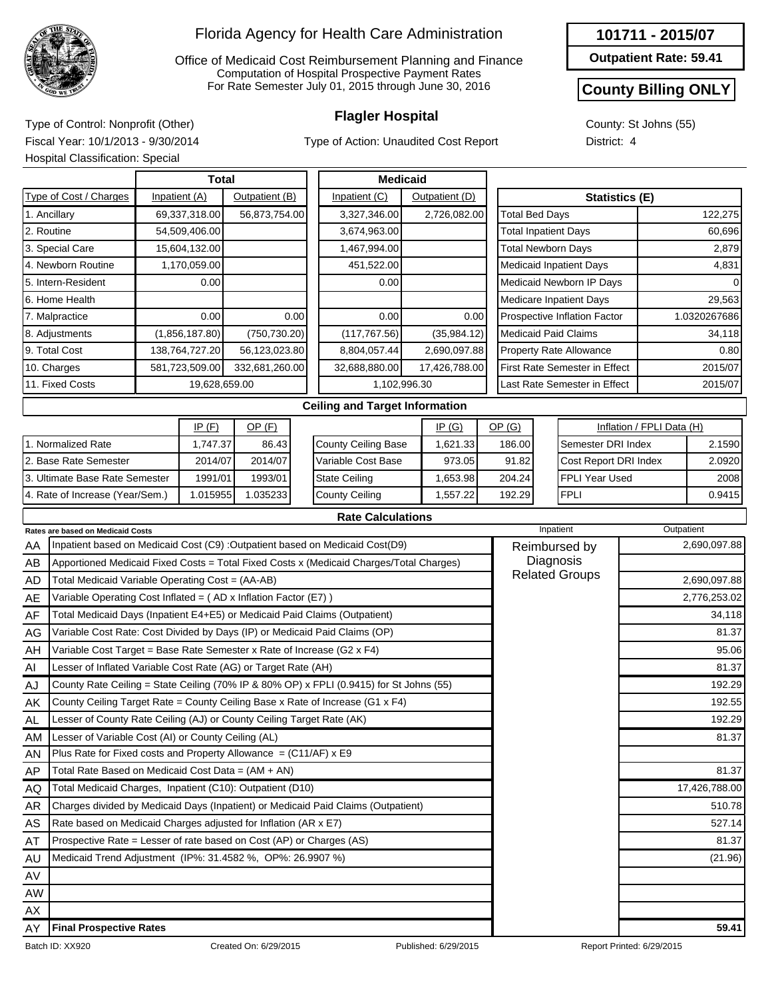

Office of Medicaid Cost Reimbursement Planning and Finance Computation of Hospital Prospective Payment Rates For Rate Semester July 01, 2015 through June 30, 2016

Type of Action: Unaudited Cost Report

**Outpatient Rate: 59.41**

### **County Billing ONLY**

County: St Johns (55) District: 4

**Flagler Hospital** Type of Control: Nonprofit (Other) Fiscal Year: 10/1/2013 - 9/30/2014 Hospital Classification: Special

|                                                                              |  | <b>Total</b>   |                |      |                                                                                         | <b>Medicaid</b> |                |                             |                                      |                           |              |  |
|------------------------------------------------------------------------------|--|----------------|----------------|------|-----------------------------------------------------------------------------------------|-----------------|----------------|-----------------------------|--------------------------------------|---------------------------|--------------|--|
| Type of Cost / Charges                                                       |  | Inpatient (A)  | Outpatient (B) |      | Inpatient (C)                                                                           |                 | Outpatient (D) |                             | <b>Statistics (E)</b>                |                           |              |  |
| 1. Ancillary                                                                 |  | 69,337,318.00  | 56,873,754.00  |      | 3,327,346.00                                                                            |                 | 2,726,082.00   | <b>Total Bed Days</b>       |                                      |                           | 122,275      |  |
| 2. Routine                                                                   |  | 54,509,406.00  |                |      | 3,674,963.00                                                                            |                 |                | <b>Total Inpatient Days</b> |                                      |                           | 60,696       |  |
| 3. Special Care                                                              |  | 15,604,132.00  |                |      | 1,467,994.00                                                                            |                 |                | <b>Total Newborn Days</b>   |                                      |                           | 2,879        |  |
| 4. Newborn Routine                                                           |  | 1,170,059.00   |                |      | 451,522.00                                                                              |                 |                |                             | <b>Medicaid Inpatient Days</b>       |                           | 4,831        |  |
| 5. Intern-Resident                                                           |  | 0.00           |                |      | 0.00                                                                                    |                 |                |                             | Medicaid Newborn IP Days             |                           |              |  |
| 6. Home Health                                                               |  |                |                |      |                                                                                         |                 |                |                             | <b>Medicare Inpatient Days</b>       | 29,563                    |              |  |
| 7. Malpractice                                                               |  | 0.00           |                | 0.00 | 0.00                                                                                    |                 | 0.00           |                             | Prospective Inflation Factor         | 1.0320267686              |              |  |
| 8. Adjustments                                                               |  | (1,856,187.80) | (750, 730.20)  |      | (117, 767.56)                                                                           |                 | (35,984.12)    |                             | <b>Medicaid Paid Claims</b>          |                           | 34,118       |  |
| 9. Total Cost                                                                |  | 138,764,727.20 | 56,123,023.80  |      | 8,804,057.44                                                                            |                 | 2,690,097.88   |                             | Property Rate Allowance              | 0.80                      |              |  |
| 10. Charges                                                                  |  | 581,723,509.00 | 332,681,260.00 |      | 32,688,880.00                                                                           |                 | 17,426,788.00  |                             | <b>First Rate Semester in Effect</b> |                           | 2015/07      |  |
| 11. Fixed Costs<br>19,628,659.00                                             |  |                |                |      |                                                                                         | 1,102,996.30    |                |                             | Last Rate Semester in Effect         |                           | 2015/07      |  |
|                                                                              |  |                |                |      | <b>Ceiling and Target Information</b>                                                   |                 |                |                             |                                      |                           |              |  |
|                                                                              |  | IP(F)          | OP(F)          |      |                                                                                         |                 | IP(G)          | OP(G)                       |                                      | Inflation / FPLI Data (H) |              |  |
| 1. Normalized Rate                                                           |  | 1,747.37       | 86.43          |      | County Ceiling Base                                                                     | 1.621.33        | 186.00         | Semester DRI Index          |                                      | 2.1590                    |              |  |
| 2. Base Rate Semester                                                        |  | 2014/07        | 2014/07        |      | Variable Cost Base                                                                      |                 | 973.05         | 91.82                       | Cost Report DRI Index                | 2.0920                    |              |  |
| 3. Ultimate Base Rate Semester                                               |  | 1991/01        | 1993/01        |      | <b>State Ceiling</b>                                                                    |                 | 1,653.98       | 204.24                      | <b>FPLI Year Used</b>                | 2008                      |              |  |
| 4. Rate of Increase (Year/Sem.)                                              |  | 1.015955       | 1.035233       |      | <b>County Ceiling</b>                                                                   |                 | 1,557.22       | 192.29                      | <b>FPLI</b>                          |                           | 0.9415       |  |
|                                                                              |  |                |                |      | <b>Rate Calculations</b>                                                                |                 |                |                             |                                      |                           |              |  |
| Rates are based on Medicaid Costs                                            |  |                |                |      |                                                                                         |                 |                |                             | Inpatient                            |                           | Outpatient   |  |
| AA                                                                           |  |                |                |      | Inpatient based on Medicaid Cost (C9) : Outpatient based on Medicaid Cost(D9)           |                 |                |                             | Reimbursed by                        |                           | 2,690,097.88 |  |
| AB                                                                           |  |                |                |      | Apportioned Medicaid Fixed Costs = Total Fixed Costs x (Medicaid Charges/Total Charges) |                 |                |                             | Diagnosis                            |                           |              |  |
| Total Medicaid Variable Operating Cost = (AA-AB)<br><b>AD</b>                |  |                |                |      |                                                                                         |                 |                |                             | <b>Related Groups</b>                |                           | 2,690,097.88 |  |
| Variable Operating Cost Inflated = (AD x Inflation Factor (E7))<br>AE        |  |                |                |      |                                                                                         |                 |                |                             |                                      |                           | 2,776,253.02 |  |
| AF                                                                           |  |                |                |      | Total Medicaid Days (Inpatient E4+E5) or Medicaid Paid Claims (Outpatient)              |                 |                |                             |                                      |                           | 34,118       |  |
| AG                                                                           |  |                |                |      | Variable Cost Rate: Cost Divided by Days (IP) or Medicaid Paid Claims (OP)              |                 |                |                             |                                      |                           | 81.37        |  |
| Variable Cost Target = Base Rate Semester x Rate of Increase (G2 x F4)<br>AH |  |                |                |      |                                                                                         |                 |                |                             |                                      |                           | 95.06        |  |
| Lesser of Inflated Variable Cost Rate (AG) or Target Rate (AH)<br>AI         |  |                |                |      |                                                                                         |                 |                |                             |                                      |                           | 81.37        |  |

|    | <b>Rates are based on Medicaid Costs</b>                                                | Inpatient             | Outpatient    |
|----|-----------------------------------------------------------------------------------------|-----------------------|---------------|
| AA | Inpatient based on Medicaid Cost (C9) : Outpatient based on Medicaid Cost(D9)           | Reimbursed by         | 2,690,097.88  |
| AB | Apportioned Medicaid Fixed Costs = Total Fixed Costs x (Medicaid Charges/Total Charges) | Diagnosis             |               |
| AD | Total Medicaid Variable Operating Cost = (AA-AB)                                        | <b>Related Groups</b> | 2,690,097.88  |
| AE | Variable Operating Cost Inflated = $(AD x Inflation Factor (E7))$                       |                       | 2,776,253.02  |
| AF | Total Medicaid Days (Inpatient E4+E5) or Medicaid Paid Claims (Outpatient)              |                       | 34,118        |
| AG | Variable Cost Rate: Cost Divided by Days (IP) or Medicaid Paid Claims (OP)              |                       | 81.37         |
| AH | Variable Cost Target = Base Rate Semester x Rate of Increase (G2 x F4)                  |                       | 95.06         |
| AI | Lesser of Inflated Variable Cost Rate (AG) or Target Rate (AH)                          |                       | 81.37         |
| AJ | County Rate Ceiling = State Ceiling (70% IP & 80% OP) x FPLI (0.9415) for St Johns (55) |                       | 192.29        |
| AΚ | County Ceiling Target Rate = County Ceiling Base x Rate of Increase (G1 x F4)           |                       | 192.55        |
| AL | Lesser of County Rate Ceiling (AJ) or County Ceiling Target Rate (AK)                   |                       | 192.29        |
| AM | Lesser of Variable Cost (AI) or County Ceiling (AL)                                     |                       | 81.37         |
| AN | Plus Rate for Fixed costs and Property Allowance = $(C11/AF)$ x E9                      |                       |               |
| AP | Total Rate Based on Medicaid Cost Data = (AM + AN)                                      |                       | 81.37         |
| AQ | Total Medicaid Charges, Inpatient (C10): Outpatient (D10)                               |                       | 17,426,788.00 |
| AR | Charges divided by Medicaid Days (Inpatient) or Medicaid Paid Claims (Outpatient)       |                       | 510.78        |
| AS | Rate based on Medicaid Charges adjusted for Inflation (AR x E7)                         |                       | 527.14        |
| AT | Prospective Rate = Lesser of rate based on Cost (AP) or Charges (AS)                    |                       | 81.37         |
| AU | Medicaid Trend Adjustment (IP%: 31.4582 %, OP%: 26.9907 %)                              |                       | (21.96)       |
| AV |                                                                                         |                       |               |
| AW |                                                                                         |                       |               |
| AX |                                                                                         |                       |               |
| AY | <b>Final Prospective Rates</b>                                                          |                       | 59.41         |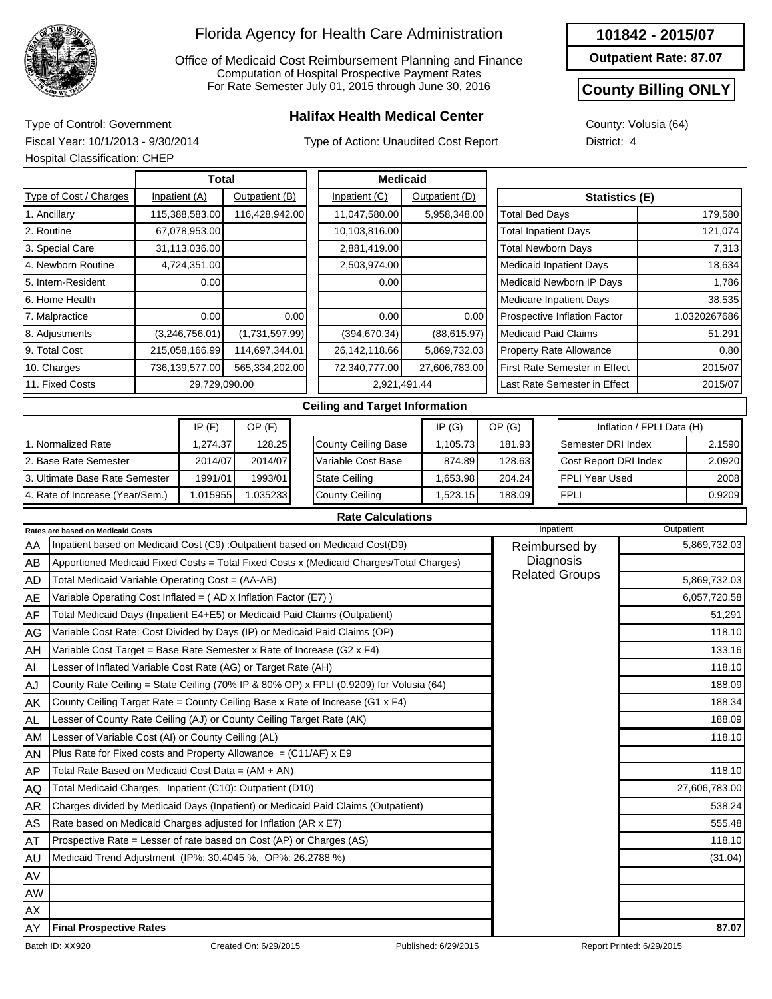

Office of Medicaid Cost Reimbursement Planning and Finance Computation of Hospital Prospective Payment Rates For Rate Semester July 01, 2015 through June 30, 2016

## **Halifax Health Medical Center** Type of Control: Government

Type of Action: Unaudited Cost Report

| 101842 - 2015/07 |
|------------------|
|------------------|

**Outpatient Rate: 87.07**

#### **County Billing ONLY**

County: Volusia (64) District: 4

Fiscal Year: 10/1/2013 - 9/30/2014 Hospital Classification: CHEP

| Total                                                     |                                                  |  |                |                       |                                 | <b>Medicaid</b>                                                                         |              |              |                               |                                |                                    |                           |              |
|-----------------------------------------------------------|--------------------------------------------------|--|----------------|-----------------------|---------------------------------|-----------------------------------------------------------------------------------------|--------------|--------------|-------------------------------|--------------------------------|------------------------------------|---------------------------|--------------|
| Type of Cost / Charges<br>Inpatient (A)<br>Outpatient (B) |                                                  |  |                |                       | Inpatient (C)<br>Outpatient (D) |                                                                                         |              |              |                               |                                | Statistics (E)                     |                           |              |
|                                                           | 1. Ancillary                                     |  | 115,388,583.00 | 116,428,942.00        |                                 | 11,047,580.00                                                                           |              | 5,958,348.00 |                               | <b>Total Bed Days</b>          |                                    |                           | 179,580      |
| 67,078,953.00<br>2. Routine                               |                                                  |  |                |                       | 10,103,816.00                   |                                                                                         |              |              | <b>Total Inpatient Days</b>   |                                |                                    | 121,074                   |              |
|                                                           | 3. Special Care                                  |  | 31,113,036.00  |                       |                                 | 2,881,419.00                                                                            |              |              |                               | <b>Total Newborn Days</b>      |                                    |                           | 7,313        |
| 4. Newborn Routine<br>4,724,351.00                        |                                                  |  |                |                       | 2,503,974.00                    |                                                                                         |              |              |                               | <b>Medicaid Inpatient Days</b> |                                    | 18,634                    |              |
| 5. Intern-Resident                                        |                                                  |  | 0.00           |                       |                                 | 0.00                                                                                    |              |              |                               |                                | Medicaid Newborn IP Days           |                           | 1,786        |
| 6. Home Health                                            |                                                  |  |                |                       |                                 |                                                                                         |              |              |                               | <b>Medicare Inpatient Days</b> |                                    | 38,535                    |              |
| 0.00<br>7. Malpractice                                    |                                                  |  |                | 0.00                  | 0.00                            |                                                                                         | 0.00         |              |                               | Prospective Inflation Factor   |                                    | 1.0320267686              |              |
| (3,246,756.01)<br>8. Adjustments                          |                                                  |  | (1,731,597.99) |                       | (394, 670.34)                   |                                                                                         | (88, 615.97) |              |                               | <b>Medicaid Paid Claims</b>    |                                    | 51,291                    |              |
| 9. Total Cost<br>215,058,166.99                           |                                                  |  | 114,697,344.01 |                       | 26,142,118.66                   |                                                                                         | 5,869,732.03 |              |                               | <b>Property Rate Allowance</b> |                                    | 0.80                      |              |
| 736,139,577.00<br>565,334,202.00<br>10. Charges           |                                                  |  |                | 72,340,777.00         |                                 | 27,606,783.00                                                                           |              |              | First Rate Semester in Effect |                                | 2015/07                            |                           |              |
| 11. Fixed Costs<br>29,729,090.00                          |                                                  |  |                | 2,921,491.44          |                                 |                                                                                         |              |              | Last Rate Semester in Effect  |                                | 2015/07                            |                           |              |
| <b>Ceiling and Target Information</b>                     |                                                  |  |                |                       |                                 |                                                                                         |              |              |                               |                                |                                    |                           |              |
| IP(F)<br>$OP$ (F)<br>IP(G)                                |                                                  |  |                |                       |                                 |                                                                                         |              |              |                               | OP(G)                          |                                    | Inflation / FPLI Data (H) |              |
|                                                           | 1. Normalized Rate                               |  | 1,274.37       | 128.25                |                                 | <b>County Ceiling Base</b>                                                              | 1.105.73     |              | 181.93                        | Semester DRI Index             |                                    | 2.1590                    |              |
|                                                           | 2. Base Rate Semester                            |  | 2014/07        | 2014/07               |                                 | Variable Cost Base                                                                      |              | 874.89       |                               | 128.63                         | Cost Report DRI Index              |                           | 2.0920       |
|                                                           | 3. Ultimate Base Rate Semester                   |  | 1991/01        | 1993/01               |                                 | <b>State Ceiling</b>                                                                    |              | 1,653.98     | 204.24                        |                                | <b>FPLI Year Used</b>              |                           | 2008         |
| 1.015955<br>4. Rate of Increase (Year/Sem.)<br>1.035233   |                                                  |  |                | <b>County Ceiling</b> |                                 | 1,523.15                                                                                |              | 188.09       | <b>FPLI</b>                   |                                | 0.9209                             |                           |              |
|                                                           |                                                  |  |                |                       |                                 | <b>Rate Calculations</b>                                                                |              |              |                               |                                |                                    |                           |              |
|                                                           | <b>Rates are based on Medicaid Costs</b>         |  |                |                       |                                 |                                                                                         |              |              |                               | Inpatient                      | Outpatient                         |                           |              |
| AA                                                        |                                                  |  |                |                       |                                 | Inpatient based on Medicaid Cost (C9) : Outpatient based on Medicaid Cost(D9)           |              |              |                               |                                | Reimbursed by                      |                           | 5,869,732.03 |
| AB                                                        |                                                  |  |                |                       |                                 | Apportioned Medicaid Fixed Costs = Total Fixed Costs x (Medicaid Charges/Total Charges) |              |              |                               |                                | Diagnosis<br><b>Related Groups</b> |                           |              |
| AD                                                        | Total Medicaid Variable Operating Cost = (AA-AB) |  |                |                       |                                 |                                                                                         |              |              |                               |                                |                                    |                           | 5,869,732.03 |

| AD        | Total Medicald Variable Operating Cost = (AA-AB)                                       | 5,869,732.03  |
|-----------|----------------------------------------------------------------------------------------|---------------|
| AE        | Variable Operating Cost Inflated = (AD x Inflation Factor (E7))                        | 6,057,720.58  |
| AF        | Total Medicaid Days (Inpatient E4+E5) or Medicaid Paid Claims (Outpatient)             | 51,291        |
| AG        | Variable Cost Rate: Cost Divided by Days (IP) or Medicaid Paid Claims (OP)             | 118.10        |
| AH        | Variable Cost Target = Base Rate Semester x Rate of Increase (G2 x F4)                 | 133.16        |
| AI        | Lesser of Inflated Variable Cost Rate (AG) or Target Rate (AH)                         | 118.10        |
| AJ        | County Rate Ceiling = State Ceiling (70% IP & 80% OP) x FPLI (0.9209) for Volusia (64) | 188.09        |
| AK.       | County Ceiling Target Rate = County Ceiling Base x Rate of Increase (G1 x F4)          | 188.34        |
| AL        | Lesser of County Rate Ceiling (AJ) or County Ceiling Target Rate (AK)                  | 188.09        |
| AM        | Lesser of Variable Cost (AI) or County Ceiling (AL)                                    | 118.10        |
| AN.       | Plus Rate for Fixed costs and Property Allowance $= (C11/AF) \times E9$                |               |
| AP        | Total Rate Based on Medicaid Cost Data = $(AM + AN)$                                   | 118.10        |
| AQ        | Total Medicaid Charges, Inpatient (C10): Outpatient (D10)                              | 27,606,783.00 |
| AR        | Charges divided by Medicaid Days (Inpatient) or Medicaid Paid Claims (Outpatient)      | 538.24        |
| AS        | Rate based on Medicaid Charges adjusted for Inflation (AR x E7)                        | 555.48        |
| AT        | Prospective Rate = Lesser of rate based on Cost (AP) or Charges (AS)                   | 118.10        |
| AU        | Medicaid Trend Adjustment (IP%: 30.4045 %, OP%: 26.2788 %)                             | (31.04)       |
| AV        |                                                                                        |               |
| <b>AW</b> |                                                                                        |               |
| AX        |                                                                                        |               |
| AY        | <b>Final Prospective Rates</b>                                                         | 87.07         |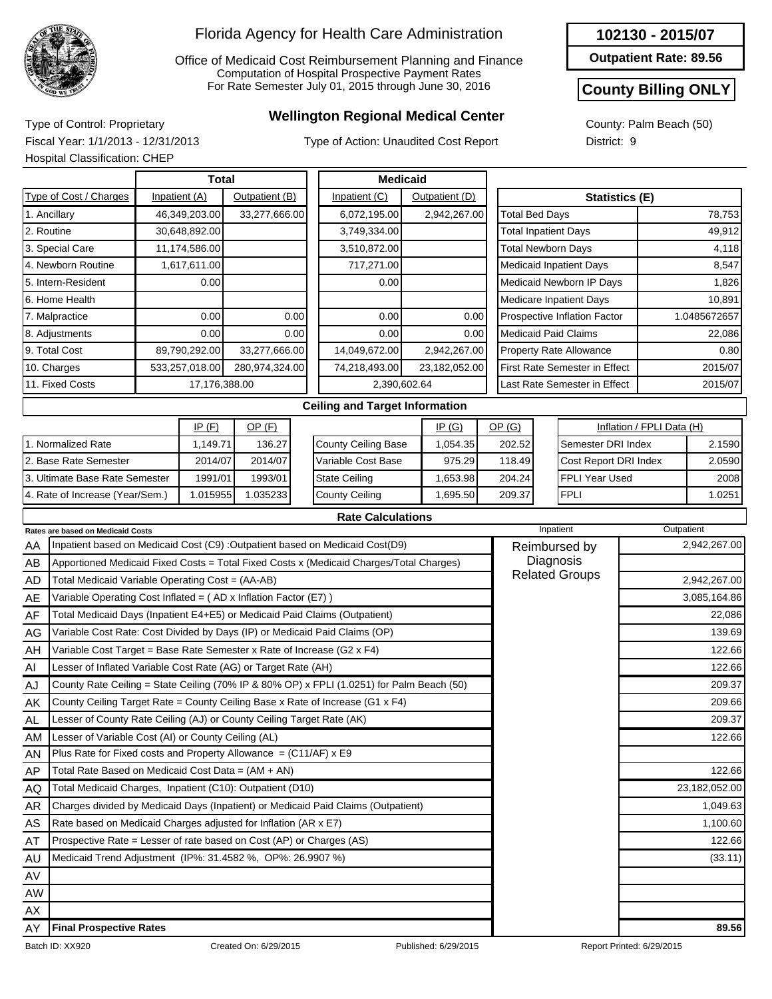

Office of Medicaid Cost Reimbursement Planning and Finance Computation of Hospital Prospective Payment Rates For Rate Semester July 01, 2015 through June 30, 2016

## **Wellington Regional Medical Center** Type of Control: Proprietary

Type of Action: Unaudited Cost Report

**102130 - 2015/07**

**Outpatient Rate: 89.56**

#### **County Billing ONLY**

County: Palm Beach (50) District: 9

Fiscal Year: 1/1/2013 - 12/31/2013 Hospital Classification: CHEP

|                                  | <b>Hospital Classification: CHEP</b>                                       |                |               |                 |               |                                                                                         |                       |          |                               |                                                    |         |                                |                           |              |  |
|----------------------------------|----------------------------------------------------------------------------|----------------|---------------|-----------------|---------------|-----------------------------------------------------------------------------------------|-----------------------|----------|-------------------------------|----------------------------------------------------|---------|--------------------------------|---------------------------|--------------|--|
|                                  |                                                                            |                |               | <b>Medicaid</b> |               |                                                                                         |                       |          |                               |                                                    |         |                                |                           |              |  |
|                                  | Type of Cost / Charges                                                     |                | Inpatient (A) | Outpatient (B)  | Inpatient (C) | <b>Statistics (E)</b>                                                                   |                       |          |                               |                                                    |         |                                |                           |              |  |
|                                  | 1. Ancillary                                                               | 46,349,203.00  | 6,072,195.00  |                 | 2,942,267.00  |                                                                                         | <b>Total Bed Days</b> |          |                               |                                                    | 78,753  |                                |                           |              |  |
|                                  | 2. Routine                                                                 |                | 30,648,892.00 |                 |               | 3,749,334.00                                                                            |                       |          |                               | <b>Total Inpatient Days</b>                        |         |                                |                           | 49,912       |  |
|                                  | 3. Special Care                                                            |                | 11,174,586.00 |                 |               | 3,510,872.00                                                                            |                       |          |                               | <b>Total Newborn Days</b>                          |         |                                |                           | 4,118        |  |
|                                  | 4. Newborn Routine                                                         |                | 1,617,611.00  |                 |               | 717,271.00                                                                              |                       |          |                               |                                                    |         | <b>Medicaid Inpatient Days</b> |                           | 8,547        |  |
|                                  | 5. Intern-Resident                                                         |                | 0.00          |                 |               | 0.00                                                                                    |                       |          |                               |                                                    |         | Medicaid Newborn IP Days       |                           | 1,826        |  |
|                                  | 6. Home Health                                                             |                |               |                 |               |                                                                                         |                       |          |                               |                                                    |         | Medicare Inpatient Days        |                           | 10,891       |  |
|                                  | 7. Malpractice                                                             |                | 0.00          |                 | 0.00          | 0.00                                                                                    |                       | 0.00     |                               |                                                    |         | Prospective Inflation Factor   | 1.0485672657              |              |  |
|                                  | 0.00<br>8. Adjustments<br>0.00                                             |                |               |                 |               | 0.00                                                                                    |                       | 0.00     |                               | <b>Medicaid Paid Claims</b>                        |         |                                | 22,086                    |              |  |
|                                  | 9. Total Cost                                                              | 33,277,666.00  | 14,049,672.00 |                 | 2,942,267.00  |                                                                                         |                       |          | Property Rate Allowance       | 0.80                                               |         |                                |                           |              |  |
|                                  | 10. Charges                                                                | 280,974,324.00 | 74,218,493.00 | 23,182,052.00   |               |                                                                                         |                       |          | First Rate Semester in Effect |                                                    | 2015/07 |                                |                           |              |  |
| 11. Fixed Costs<br>17,176,388.00 |                                                                            |                |               |                 |               | 2,390,602.64                                                                            |                       |          |                               |                                                    |         | Last Rate Semester in Effect   |                           | 2015/07      |  |
|                                  |                                                                            |                |               |                 |               | <b>Ceiling and Target Information</b>                                                   |                       |          |                               |                                                    |         |                                |                           |              |  |
| IP(F)<br>$OP$ (F)                |                                                                            |                |               |                 |               |                                                                                         |                       | IP(G)    |                               | OP(G)                                              |         |                                | Inflation / FPLI Data (H) |              |  |
|                                  | 1. Normalized Rate                                                         |                | 1,149.71      | 136.27          |               | County Ceiling Base                                                                     | 1,054.35              |          |                               | 202.52                                             |         | Semester DRI Index             |                           | 2.1590       |  |
|                                  | 2. Base Rate Semester                                                      |                | 2014/07       | 2014/07         |               | Variable Cost Base                                                                      |                       | 975.29   |                               | 118.49                                             |         | Cost Report DRI Index          |                           | 2.0590       |  |
|                                  | 3. Ultimate Base Rate Semester                                             |                | 1991/01       | 1993/01         |               | <b>State Ceiling</b>                                                                    |                       | 1,653.98 |                               | 204.24                                             |         | <b>FPLI Year Used</b>          |                           | 2008         |  |
|                                  | 4. Rate of Increase (Year/Sem.)                                            |                | 1.015955      | 1.035233        |               | <b>County Ceiling</b><br>1,695.50                                                       |                       |          |                               | <b>FPLI</b><br>209.37                              |         |                                |                           | 1.0251       |  |
|                                  |                                                                            |                |               |                 |               | <b>Rate Calculations</b>                                                                |                       |          |                               |                                                    |         |                                |                           |              |  |
|                                  | Rates are based on Medicaid Costs                                          |                |               |                 |               |                                                                                         |                       |          |                               |                                                    |         | Inpatient                      |                           | Outpatient   |  |
| AA                               |                                                                            |                |               |                 |               | Inpatient based on Medicaid Cost (C9) : Outpatient based on Medicaid Cost(D9)           |                       |          |                               |                                                    |         | Reimbursed by                  |                           | 2,942,267.00 |  |
| AВ                               |                                                                            |                |               |                 |               | Apportioned Medicaid Fixed Costs = Total Fixed Costs x (Medicaid Charges/Total Charges) |                       |          |                               | Diagnosis<br><b>Related Groups</b><br>2,942,267.00 |         |                                |                           |              |  |
| AD                               | Total Medicaid Variable Operating Cost = (AA-AB)                           |                |               |                 |               |                                                                                         |                       |          |                               |                                                    |         |                                |                           |              |  |
| AE                               | Variable Operating Cost Inflated = (AD x Inflation Factor (E7))            |                |               |                 |               |                                                                                         |                       |          |                               |                                                    |         |                                |                           | 3,085,164.86 |  |
| AF                               | Total Medicaid Days (Inpatient E4+E5) or Medicaid Paid Claims (Outpatient) |                |               |                 |               |                                                                                         |                       |          |                               |                                                    |         |                                |                           | 22,086       |  |
| AG                               | Variable Cost Rate: Cost Divided by Days (IP) or Medicaid Paid Claims (OP) |                |               |                 |               |                                                                                         |                       |          |                               |                                                    |         |                                |                           | 139.69       |  |
| $\overline{H}$                   | Variable Cost Target = Base Rate Semester x Rate of Increase (G2 x F4)     |                |               |                 |               |                                                                                         |                       |          |                               |                                                    |         |                                |                           | 122.66       |  |

| AY        | <b>Final Prospective Rates</b>                                                            |                       | 89.56         |
|-----------|-------------------------------------------------------------------------------------------|-----------------------|---------------|
| AX        |                                                                                           |                       |               |
| AW        |                                                                                           |                       |               |
| AV        |                                                                                           |                       |               |
| AU        | Medicaid Trend Adjustment (IP%: 31.4582 %, OP%: 26.9907 %)                                |                       | (33.11)       |
| AT        | Prospective Rate = Lesser of rate based on Cost (AP) or Charges (AS)                      |                       | 122.66        |
| AS        | Rate based on Medicaid Charges adjusted for Inflation (AR x E7)                           |                       | 1,100.60      |
| <b>AR</b> | Charges divided by Medicaid Days (Inpatient) or Medicaid Paid Claims (Outpatient)         |                       | 1,049.63      |
| AQ        | Total Medicaid Charges, Inpatient (C10): Outpatient (D10)                                 |                       | 23,182,052.00 |
| AP        | Total Rate Based on Medicaid Cost Data = $(AM + AN)$                                      |                       | 122.66        |
| AN        | Plus Rate for Fixed costs and Property Allowance = (C11/AF) x E9                          |                       |               |
| AM        | Lesser of Variable Cost (AI) or County Ceiling (AL)                                       |                       | 122.66        |
| AL        | Lesser of County Rate Ceiling (AJ) or County Ceiling Target Rate (AK)                     |                       | 209.37        |
| AK        | County Ceiling Target Rate = County Ceiling Base x Rate of Increase (G1 x F4)             |                       | 209.66        |
| AJ        | County Rate Ceiling = State Ceiling (70% IP & 80% OP) x FPLI (1.0251) for Palm Beach (50) |                       | 209.37        |
| AI        | Lesser of Inflated Variable Cost Rate (AG) or Target Rate (AH)                            |                       | 122.66        |
| AH        | Variable Cost Target = Base Rate Semester x Rate of Increase (G2 x F4)                    |                       | 122.66        |
| AG        | Variable Cost Rate: Cost Divided by Days (IP) or Medicaid Paid Claims (OP)                |                       | 139.69        |
| AF        | Total Medicaid Days (Inpatient E4+E5) or Medicaid Paid Claims (Outpatient)                |                       | 22,086        |
| AE        | Variable Operating Cost Inflated = $(AD \times Inflation Factor (E7))$                    |                       | 3,085,164.86  |
| AD        | Total Medicaid Variable Operating Cost = (AA-AB)                                          | <b>Related Groups</b> | 2,942,267.00  |
| <b>AD</b> | Apportioned Medicald Fixed Costs = Total Fixed Costs x (Medicald Charges) Total Charges)  | <b>Diuyi IVOIU</b>    |               |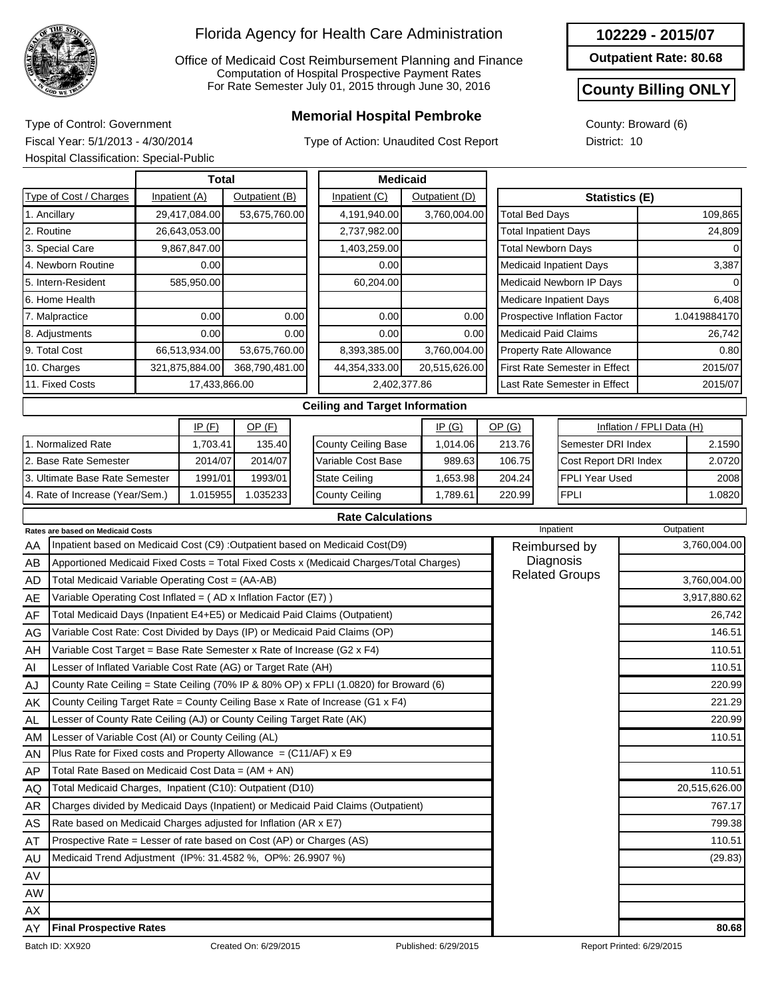

Office of Medicaid Cost Reimbursement Planning and Finance Computation of Hospital Prospective Payment Rates For Rate Semester July 01, 2015 through June 30, 2016

## **Memorial Hospital Pembroke** Type of Control: Government

Type of Action: Unaudited Cost Report

**Outpatient Rate: 80.68**

#### **County Billing ONLY**

County: Broward (6) District: 10

Fiscal Year: 5/1/2013 - 4/30/2014 Hospital Classification: Special-Public

|                                 |                | Total         |                |      | <b>Medicaid</b>                       |                |          |                               |                              |                                |         |              |
|---------------------------------|----------------|---------------|----------------|------|---------------------------------------|----------------|----------|-------------------------------|------------------------------|--------------------------------|---------|--------------|
| Type of Cost / Charges          |                | Inpatient (A) | Outpatient (B) |      | Inpatient (C)                         | Outpatient (D) |          |                               | Statistics (E)               |                                |         |              |
| 1. Ancillary                    |                | 29,417,084.00 | 53,675,760.00  |      | 4,191,940.00                          | 3,760,004.00   |          | <b>Total Bed Days</b>         |                              |                                |         | 109,865      |
| 2. Routine                      |                | 26,643,053.00 |                |      | 2,737,982.00                          |                |          |                               |                              | <b>Total Inpatient Days</b>    |         | 24,809       |
| 3. Special Care                 |                | 9,867,847.00  |                |      | 1,403,259.00                          |                |          |                               |                              | <b>Total Newborn Days</b>      |         | 0            |
| 4. Newborn Routine              |                | 0.00          |                |      | 0.00                                  |                |          |                               |                              | <b>Medicaid Inpatient Days</b> |         | 3,387        |
| 5. Intern-Resident              |                | 585,950.00    |                |      | 60,204.00                             |                |          |                               |                              | Medicaid Newborn IP Days       |         |              |
| 6. Home Health                  |                |               |                |      |                                       |                |          |                               | Medicare Inpatient Days      |                                | 6,408   |              |
| 7. Malpractice                  |                | 0.00          |                | 0.00 | 0.00                                  |                | 0.00     |                               | Prospective Inflation Factor |                                |         | 1.0419884170 |
| 8. Adjustments                  |                | 0.00          |                | 0.00 | 0.00                                  |                | 0.00     |                               | <b>Medicaid Paid Claims</b>  |                                |         | 26,742       |
| 9. Total Cost                   |                | 66,513,934.00 | 53,675,760.00  |      | 8,393,385.00                          | 3,760,004.00   |          |                               |                              | <b>Property Rate Allowance</b> |         | 0.80         |
| 10. Charges                     | 321,875,884.00 |               | 368,790,481.00 |      | 44,354,333.00                         | 20,515,626.00  |          | First Rate Semester in Effect |                              |                                | 2015/07 |              |
| 11. Fixed Costs                 |                |               | 17,433,866.00  |      | 2,402,377.86                          |                |          |                               | Last Rate Semester in Effect |                                |         | 2015/07      |
|                                 |                |               |                |      | <b>Ceiling and Target Information</b> |                |          |                               |                              |                                |         |              |
| IP(F)<br>$OP$ (F)               |                |               |                |      | IP(G)                                 |                | OP(G)    |                               |                              | Inflation / FPLI Data (H)      |         |              |
| 1. Normalized Rate              |                | 1,703.41      | 135.40         |      | <b>County Ceiling Base</b>            |                | 1,014.06 | 213.76                        |                              | Semester DRI Index             |         | 2.1590       |
| <b>Base Rate Semester</b>       |                | 2014/07       | 2014/07        |      | Variable Cost Base                    |                | 989.63   | 106.75                        |                              | Cost Report DRI Index          |         | 2.0720       |
| 3. Ultimate Base Rate Semester  |                | 1991/01       | 1993/01        |      | <b>State Ceiling</b>                  |                | 1,653.98 | 204.24                        |                              | FPLI Year Used                 |         | 2008         |
| 4. Rate of Increase (Year/Sem.) |                | 1.015955      | 1.035233       |      | <b>County Ceiling</b>                 |                | 1,789.61 | 220.99                        |                              | <b>FPLI</b>                    |         | 1.0820       |

| <b>Rate Calculations</b> |
|--------------------------|
|--------------------------|

|           | <b>Rates are based on Medicaid Costs</b>                                                | Inpatient     | Outpatient    |
|-----------|-----------------------------------------------------------------------------------------|---------------|---------------|
| AA        | Inpatient based on Medicaid Cost (C9) : Outpatient based on Medicaid Cost(D9)           | Reimbursed by | 3,760,004.00  |
| AB        | Apportioned Medicaid Fixed Costs = Total Fixed Costs x (Medicaid Charges/Total Charges) |               |               |
| AD        | Total Medicaid Variable Operating Cost = (AA-AB)                                        | 3,760,004.00  |               |
| AE        | Variable Operating Cost Inflated = $(AD x)$ Inflation Factor (E7) )                     |               | 3,917,880.62  |
| AF        | Total Medicaid Days (Inpatient E4+E5) or Medicaid Paid Claims (Outpatient)              |               | 26,742        |
| AG        | Variable Cost Rate: Cost Divided by Days (IP) or Medicaid Paid Claims (OP)              |               | 146.51        |
| AH        | Variable Cost Target = Base Rate Semester x Rate of Increase (G2 x F4)                  |               | 110.51        |
| AI        | Lesser of Inflated Variable Cost Rate (AG) or Target Rate (AH)                          |               | 110.51        |
| AJ        | County Rate Ceiling = State Ceiling (70% IP & 80% OP) x FPLI (1.0820) for Broward (6)   |               | 220.99        |
| AK        | County Ceiling Target Rate = County Ceiling Base x Rate of Increase (G1 x F4)           |               | 221.29        |
| <b>AL</b> | Lesser of County Rate Ceiling (AJ) or County Ceiling Target Rate (AK)                   |               | 220.99        |
| AM        | Lesser of Variable Cost (AI) or County Ceiling (AL)                                     |               | 110.51        |
| AN        | Plus Rate for Fixed costs and Property Allowance = $(C11/AF)$ x E9                      |               |               |
| <b>AP</b> | Total Rate Based on Medicaid Cost Data = $(AM + AN)$                                    |               | 110.51        |
| AQ        | Total Medicaid Charges, Inpatient (C10): Outpatient (D10)                               |               | 20,515,626.00 |
| AR        | Charges divided by Medicaid Days (Inpatient) or Medicaid Paid Claims (Outpatient)       |               | 767.17        |
| AS        | Rate based on Medicaid Charges adjusted for Inflation (AR x E7)                         |               | 799.38        |
| AT        | Prospective Rate = Lesser of rate based on Cost (AP) or Charges (AS)                    |               | 110.51        |
| AU        | Medicaid Trend Adjustment (IP%: 31.4582 %, OP%: 26.9907 %)                              |               | (29.83)       |
| AV        |                                                                                         |               |               |
| <b>AW</b> |                                                                                         |               |               |
| AX        |                                                                                         |               |               |
| AY        | <b>Final Prospective Rates</b>                                                          |               | 80.68         |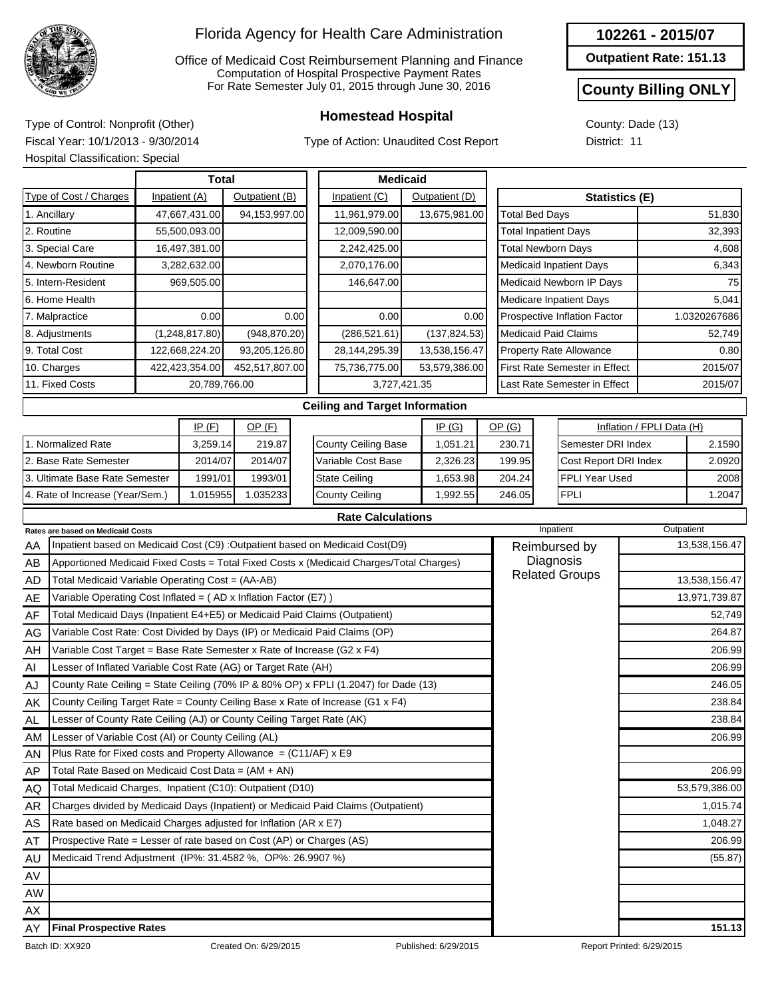

Office of Medicaid Cost Reimbursement Planning and Finance Computation of Hospital Prospective Payment Rates For Rate Semester July 01, 2015 through June 30, 2016

Type of Action: Unaudited Cost Report

**Outpatient Rate: 151.13**

#### **County Billing ONLY**

County: Dade (13) District: 11

**Homestead Hospital** Type of Control: Nonprofit (Other) Fiscal Year: 10/1/2013 - 9/30/2014 Hospital Classification: Special

|                                                                                           | Hospital Classification: Special                                           |               |                |                |                                   |                                                                                         |       |               |                                 |                                    |             |                                      |               |               |  |
|-------------------------------------------------------------------------------------------|----------------------------------------------------------------------------|---------------|----------------|----------------|-----------------------------------|-----------------------------------------------------------------------------------------|-------|---------------|---------------------------------|------------------------------------|-------------|--------------------------------------|---------------|---------------|--|
|                                                                                           |                                                                            |               | <b>Total</b>   |                |                                   | <b>Medicaid</b>                                                                         |       |               |                                 |                                    |             |                                      |               |               |  |
|                                                                                           | Type of Cost / Charges                                                     | Inpatient (C) |                |                |                                   | Statistics (E)                                                                          |       |               |                                 |                                    |             |                                      |               |               |  |
|                                                                                           | 1. Ancillary                                                               |               | 47,667,431.00  | 94,153,997.00  |                                   | 11,961,979.00<br>13,675,981.00                                                          |       |               |                                 | <b>Total Bed Days</b>              |             |                                      | 51,830        |               |  |
|                                                                                           | 2. Routine                                                                 |               | 55,500,093.00  |                |                                   | 12,009,590.00                                                                           |       |               |                                 | <b>Total Inpatient Days</b>        |             |                                      |               | 32,393        |  |
|                                                                                           | 3. Special Care                                                            |               | 16,497,381.00  |                |                                   | 2,242,425.00                                                                            |       |               |                                 | <b>Total Newborn Days</b>          |             |                                      |               | 4,608         |  |
|                                                                                           | 4. Newborn Routine                                                         |               | 3,282,632.00   |                |                                   | 2,070,176.00                                                                            |       |               |                                 |                                    |             | <b>Medicaid Inpatient Days</b>       |               | 6,343         |  |
|                                                                                           | 5. Intern-Resident                                                         |               | 969,505.00     |                |                                   | 146,647.00                                                                              |       |               |                                 |                                    |             | Medicaid Newborn IP Days             |               |               |  |
|                                                                                           | 6. Home Health                                                             |               |                |                |                                   |                                                                                         |       |               |                                 |                                    |             | <b>Medicare Inpatient Days</b>       |               | 5,041         |  |
|                                                                                           | 7. Malpractice                                                             |               | 0.00           |                | 0.00                              | 0.00                                                                                    |       | 0.00          |                                 |                                    |             | Prospective Inflation Factor         | 1.0320267686  |               |  |
|                                                                                           | 8. Adjustments                                                             |               | (1,248,817.80) | (948, 870.20)  |                                   | (286, 521.61)                                                                           |       | (137, 824.53) |                                 | <b>Medicaid Paid Claims</b>        |             |                                      |               | 52,749        |  |
|                                                                                           | 9. Total Cost                                                              |               | 122,668,224.20 | 93,205,126.80  |                                   | 28,144,295.39                                                                           |       | 13,538,156.47 |                                 |                                    |             | <b>Property Rate Allowance</b>       | 0.80          |               |  |
|                                                                                           | 10. Charges                                                                |               | 422,423,354.00 | 452,517,807.00 |                                   | 75,736,775.00                                                                           |       | 53,579,386.00 |                                 |                                    |             | <b>First Rate Semester in Effect</b> | 2015/07       |               |  |
| 11. Fixed Costs                                                                           |                                                                            |               | 20,789,766.00  |                |                                   | 3,727,421.35                                                                            |       |               |                                 |                                    |             | Last Rate Semester in Effect         |               | 2015/07       |  |
| <b>Ceiling and Target Information</b>                                                     |                                                                            |               |                |                |                                   |                                                                                         |       |               |                                 |                                    |             |                                      |               |               |  |
|                                                                                           |                                                                            |               | IP(G)          |                |                                   |                                                                                         | OP(G) |               |                                 | Inflation / FPLI Data (H)          |             |                                      |               |               |  |
| 1. Normalized Rate<br>3,259.14                                                            |                                                                            |               |                | 219.87         |                                   | <b>County Ceiling Base</b>                                                              |       | 1,051.21      |                                 | 230.71                             |             | Semester DRI Index                   |               | 2.1590        |  |
| 2. Base Rate Semester<br>2014/07<br>2014/07                                               |                                                                            |               |                |                |                                   | Variable Cost Base<br>2,326.23<br>199.95                                                |       |               | Cost Report DRI Index           |                                    | 2.0920      |                                      |               |               |  |
| 1993/01<br>3. Ultimate Base Rate Semester<br>1991/01                                      |                                                                            |               |                |                | <b>State Ceiling</b><br>1,653.98  |                                                                                         |       |               | 204.24<br><b>FPLI Year Used</b> |                                    |             |                                      | 2008          |               |  |
| 1.015955<br>4. Rate of Increase (Year/Sem.)                                               |                                                                            |               | 1.035233       |                | <b>County Ceiling</b><br>1,992.55 |                                                                                         |       |               | 246.05                          |                                    | <b>FPLI</b> |                                      | 1.2047        |               |  |
|                                                                                           |                                                                            |               |                |                |                                   | <b>Rate Calculations</b>                                                                |       |               |                                 |                                    |             |                                      |               |               |  |
|                                                                                           | Rates are based on Medicaid Costs                                          |               |                |                |                                   |                                                                                         |       |               |                                 |                                    |             | Inpatient                            |               | Outpatient    |  |
| AA                                                                                        |                                                                            |               |                |                |                                   | Inpatient based on Medicaid Cost (C9) : Outpatient based on Medicaid Cost(D9)           |       |               |                                 |                                    |             | Reimbursed by                        | 13,538,156.47 |               |  |
| AB                                                                                        |                                                                            |               |                |                |                                   | Apportioned Medicaid Fixed Costs = Total Fixed Costs x (Medicaid Charges/Total Charges) |       |               |                                 | Diagnosis<br><b>Related Groups</b> |             |                                      |               |               |  |
| AD                                                                                        | Total Medicaid Variable Operating Cost = (AA-AB)                           |               |                |                |                                   |                                                                                         |       |               |                                 |                                    |             |                                      | 13,538,156.47 |               |  |
| AE                                                                                        | Variable Operating Cost Inflated = (AD x Inflation Factor (E7))            |               |                |                |                                   |                                                                                         |       |               |                                 |                                    |             |                                      |               | 13,971,739.87 |  |
| AF                                                                                        | Total Medicaid Days (Inpatient E4+E5) or Medicaid Paid Claims (Outpatient) |               |                |                |                                   |                                                                                         |       |               |                                 |                                    |             |                                      |               | 52,749        |  |
| Variable Cost Rate: Cost Divided by Days (IP) or Medicaid Paid Claims (OP)<br>AG          |                                                                            |               |                |                |                                   |                                                                                         |       |               |                                 |                                    | 264.87      |                                      |               |               |  |
| AH                                                                                        | Variable Cost Target = Base Rate Semester x Rate of Increase (G2 x F4)     |               |                |                |                                   |                                                                                         |       |               |                                 |                                    |             |                                      |               | 206.99        |  |
| Lesser of Inflated Variable Cost Rate (AG) or Target Rate (AH)<br>AI                      |                                                                            |               |                |                |                                   |                                                                                         |       |               |                                 |                                    | 206.99      |                                      |               |               |  |
| County Rate Ceiling = State Ceiling (70% IP & 80% OP) x FPLI (1.2047) for Dade (13)<br>AJ |                                                                            |               |                |                |                                   |                                                                                         |       |               |                                 |                                    |             |                                      | 246.05        |               |  |
| County Ceiling Target Rate = County Ceiling Base x Rate of Increase (G1 x F4)<br>AΚ       |                                                                            |               |                |                |                                   |                                                                                         |       |               |                                 |                                    |             |                                      |               | 238.84        |  |
| AL                                                                                        | Lesser of County Rate Ceiling (AJ) or County Ceiling Target Rate (AK)      |               |                |                |                                   |                                                                                         |       |               |                                 |                                    |             |                                      |               | 238.84        |  |
| ΑM                                                                                        | Lesser of Variable Cost (AI) or County Ceiling (AL)                        |               |                |                |                                   |                                                                                         |       |               |                                 |                                    |             |                                      |               | 206.99        |  |
| ΑN                                                                                        | Plus Rate for Fixed costs and Property Allowance $= (C11/AF) \times E9$    |               |                |                |                                   |                                                                                         |       |               |                                 |                                    |             |                                      |               |               |  |
| AP                                                                                        | Total Rate Based on Medicaid Cost Data = $(AM + AN)$                       |               |                |                |                                   |                                                                                         |       |               |                                 |                                    |             |                                      |               | 206.99        |  |
| AQ                                                                                        | Total Medicaid Charges, Inpatient (C10): Outpatient (D10)                  |               |                |                |                                   |                                                                                         |       |               |                                 |                                    |             |                                      |               | 53,579,386.00 |  |

AR AS AT AU AV AW AX AY

Charges divided by Medicaid Days (Inpatient) or Medicaid Paid Claims (Outpatient)

Rate based on Medicaid Charges adjusted for Inflation (AR x E7) Prospective Rate = Lesser of rate based on Cost (AP) or Charges (AS)

Medicaid Trend Adjustment (IP%: 31.4582 %, OP%: 26.9907 %) (55.87)

**Final Prospective Rates 151.13**

1,015.74 1,048.27 206.99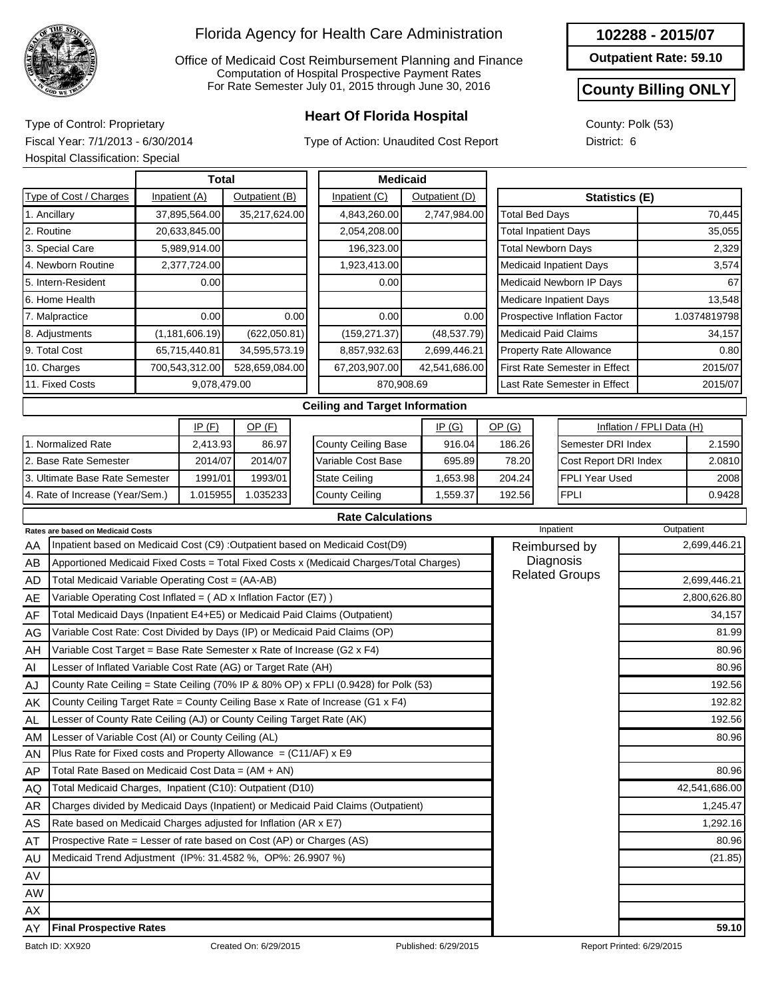

Office of Medicaid Cost Reimbursement Planning and Finance Computation of Hospital Prospective Payment Rates For Rate Semester July 01, 2015 through June 30, 2016

## **Heart Of Florida Hospital** Type of Control: Proprietary

Type of Action: Unaudited Cost Report

#### **102288 - 2015/07**

**Outpatient Rate: 59.10**

### **County Billing ONLY**

County: Polk (53) District: 6

Fiscal Year: 7/1/2013 - 6/30/2014 Hospital Classification: Special

|                                 | <b>Total</b>     |                |      | <b>Medicaid</b>                       |                |                                |                                |                           |              |
|---------------------------------|------------------|----------------|------|---------------------------------------|----------------|--------------------------------|--------------------------------|---------------------------|--------------|
| Type of Cost / Charges          | Inpatient (A)    | Outpatient (B) |      | Inpatient (C)                         | Outpatient (D) |                                | <b>Statistics (E)</b>          |                           |              |
| 1. Ancillary                    | 37,895,564.00    | 35,217,624.00  |      | 4,843,260.00                          | 2,747,984.00   | <b>Total Bed Days</b>          |                                |                           | 70,445       |
| 2. Routine                      | 20,633,845.00    |                |      | 2,054,208.00                          |                | <b>Total Inpatient Days</b>    |                                |                           | 35,055       |
| 3. Special Care                 | 5,989,914.00     |                |      | 196,323.00                            |                | <b>Total Newborn Days</b>      |                                |                           | 2,329        |
| 4. Newborn Routine              | 2,377,724.00     |                |      | 1,923,413.00                          |                | <b>Medicaid Inpatient Days</b> |                                |                           | 3,574        |
| 5. Intern-Resident              | 0.00             |                |      | 0.00                                  |                | Medicaid Newborn IP Days       |                                |                           | 67           |
| 6. Home Health                  |                  |                |      |                                       |                |                                | <b>Medicare Inpatient Days</b> |                           | 13,548       |
| 7. Malpractice                  | 0.00             |                | 0.00 | 0.00                                  | 0.00           |                                | Prospective Inflation Factor   |                           | 1.0374819798 |
| 8. Adjustments                  | (1, 181, 606.19) | (622,050.81)   |      | (159, 271.37)                         | (48, 537.79)   | <b>Medicaid Paid Claims</b>    |                                |                           | 34,157       |
| 9. Total Cost                   | 65,715,440.81    | 34,595,573.19  |      | 8,857,932.63                          | 2,699,446.21   | <b>Property Rate Allowance</b> |                                |                           | 0.80         |
| 10. Charges                     | 700,543,312.00   | 528,659,084.00 |      | 67,203,907.00                         | 42,541,686.00  |                                | First Rate Semester in Effect  |                           | 2015/07      |
| 11. Fixed Costs                 | 9,078,479.00     |                |      | 870,908.69                            |                |                                | Last Rate Semester in Effect   |                           | 2015/07      |
|                                 |                  |                |      | <b>Ceiling and Target Information</b> |                |                                |                                |                           |              |
|                                 | IP(F)            | $OP$ $(F)$     |      |                                       | IP(G)          | OP(G)                          |                                | Inflation / FPLI Data (H) |              |
| 1. Normalized Rate              | 2,413.93         | 86.97          |      | <b>County Ceiling Base</b>            | 916.04         | 186.26                         | Semester DRI Index             |                           | 2.1590       |
| 2. Base Rate Semester           | 2014/07          | 2014/07        |      | Variable Cost Base                    | 695.89         | 78.20                          | Cost Report DRI Index          |                           | 2.0810       |
| 3. Ultimate Base Rate Semester  | 1991/01          | 1993/01        |      | <b>State Ceiling</b>                  | 1,653.98       | 204.24                         | <b>FPLI Year Used</b>          |                           | 2008         |
| 4. Rate of Increase (Year/Sem.) | 1.015955         | 1.035233       |      | <b>County Ceiling</b>                 | 1,559.37       | 192.56                         | <b>FPLI</b>                    |                           | 0.9428       |
|                                 |                  |                |      |                                       |                |                                |                                |                           |              |

|--|

|           | <b>Rates are based on Medicaid Costs</b>                                                | Inpatient             | Outpatient    |
|-----------|-----------------------------------------------------------------------------------------|-----------------------|---------------|
| AA        | Inpatient based on Medicaid Cost (C9) : Outpatient based on Medicaid Cost(D9)           | Reimbursed by         | 2,699,446.21  |
| AB        | Apportioned Medicaid Fixed Costs = Total Fixed Costs x (Medicaid Charges/Total Charges) | Diagnosis             |               |
| AD        | Total Medicaid Variable Operating Cost = (AA-AB)                                        | <b>Related Groups</b> | 2,699,446.21  |
| AE        | Variable Operating Cost Inflated = $(AD x Inflation Factor (E7))$                       |                       | 2,800,626.80  |
| AF        | Total Medicaid Days (Inpatient E4+E5) or Medicaid Paid Claims (Outpatient)              |                       | 34,157        |
| AG        | Variable Cost Rate: Cost Divided by Days (IP) or Medicaid Paid Claims (OP)              |                       | 81.99         |
| AH        | Variable Cost Target = Base Rate Semester x Rate of Increase (G2 x F4)                  |                       | 80.96         |
| AI        | Lesser of Inflated Variable Cost Rate (AG) or Target Rate (AH)                          |                       | 80.96         |
| AJ        | County Rate Ceiling = State Ceiling (70% IP & 80% OP) x FPLI (0.9428) for Polk (53)     |                       | 192.56        |
| AK        | County Ceiling Target Rate = County Ceiling Base x Rate of Increase (G1 x F4)           |                       | 192.82        |
| <b>AL</b> | Lesser of County Rate Ceiling (AJ) or County Ceiling Target Rate (AK)                   |                       | 192.56        |
| AM        | Lesser of Variable Cost (AI) or County Ceiling (AL)                                     |                       | 80.96         |
| AN        | Plus Rate for Fixed costs and Property Allowance = $(C11/AF)$ x E9                      |                       |               |
| <b>AP</b> | Total Rate Based on Medicaid Cost Data = $(AM + AN)$                                    |                       | 80.96         |
| AQ        | Total Medicaid Charges, Inpatient (C10): Outpatient (D10)                               |                       | 42,541,686.00 |
| AR        | Charges divided by Medicaid Days (Inpatient) or Medicaid Paid Claims (Outpatient)       |                       | 1,245.47      |
| AS        | Rate based on Medicaid Charges adjusted for Inflation (AR x E7)                         |                       | 1,292.16      |
| AT        | Prospective Rate = Lesser of rate based on Cost (AP) or Charges (AS)                    |                       | 80.96         |
| AU        | Medicaid Trend Adjustment (IP%: 31.4582 %, OP%: 26.9907 %)                              |                       | (21.85)       |
| AV        |                                                                                         |                       |               |
| <b>AW</b> |                                                                                         |                       |               |
| AX        |                                                                                         |                       |               |
| AY        | <b>Final Prospective Rates</b>                                                          |                       | 59.10         |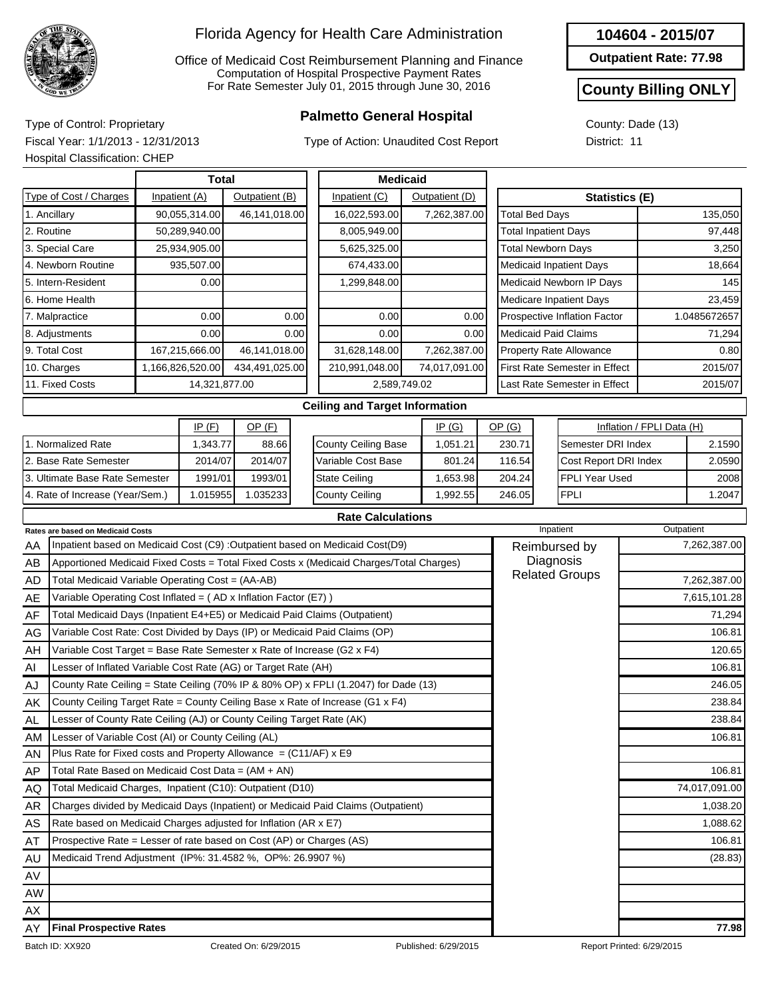

Office of Medicaid Cost Reimbursement Planning and Finance Computation of Hospital Prospective Payment Rates For Rate Semester July 01, 2015 through June 30, 2016

## **Palmetto General Hospital** Type of Control: Proprietary

Type of Action: Unaudited Cost Report

#### **104604 - 2015/07**

**Outpatient Rate: 77.98**

#### **County Billing ONLY**

1.2047

County: Dade (13) District: 11

Fiscal Year: 1/1/2013 - 12/31/2013 Hospital Classification: CHEP

4. Rate of Increase (Year/Sem.)

|                                | Total            |                |      | <b>Medicaid</b>                       |                |                                |  |                                      |                           |              |
|--------------------------------|------------------|----------------|------|---------------------------------------|----------------|--------------------------------|--|--------------------------------------|---------------------------|--------------|
| Type of Cost / Charges         | Inpatient (A)    | Outpatient (B) |      | Inpatient (C)                         | Outpatient (D) |                                |  | Statistics (E)                       |                           |              |
| 1. Ancillary                   | 90,055,314.00    | 46,141,018.00  |      | 16,022,593.00                         | 7,262,387.00   | <b>Total Bed Days</b>          |  |                                      |                           | 135,050      |
| 2. Routine                     | 50,289,940.00    |                |      | 8,005,949.00                          |                | <b>Total Inpatient Days</b>    |  |                                      |                           | 97,448       |
| 3. Special Care                | 25,934,905.00    |                |      | 5,625,325.00                          |                | <b>Total Newborn Days</b>      |  |                                      |                           | 3,250        |
| 4. Newborn Routine             | 935,507.00       |                |      | 674,433.00                            |                | <b>Medicaid Inpatient Days</b> |  |                                      |                           | 18,664       |
| 5. Intern-Resident             | 0.00             |                |      | 1,299,848.00                          |                |                                |  | Medicaid Newborn IP Days             |                           | 145          |
| 66. Home Health                |                  |                |      |                                       |                |                                |  | Medicare Inpatient Days              |                           | 23,459       |
| 7. Malpractice                 | 0.00             |                | 0.00 | 0.00                                  | 0.00           | Prospective Inflation Factor   |  |                                      |                           | 1.0485672657 |
| 8. Adjustments                 | 0.00             |                | 0.00 | 0.00                                  | 0.00           | <b>Medicaid Paid Claims</b>    |  |                                      | 71,294                    |              |
| 9. Total Cost                  | 167,215,666.00   | 46,141,018.00  |      | 31,628,148.00                         | 7,262,387.00   |                                |  | <b>Property Rate Allowance</b>       |                           | 0.80         |
| 10. Charges                    | 1,166,826,520.00 | 434,491,025.00 |      | 210,991,048.00                        | 74,017,091.00  |                                |  | <b>First Rate Semester in Effect</b> |                           | 2015/07      |
| 11. Fixed Costs                | 14,321,877.00    |                |      | 2,589,749.02                          |                |                                |  | Last Rate Semester in Effect         |                           | 2015/07      |
|                                |                  |                |      | <b>Ceiling and Target Information</b> |                |                                |  |                                      |                           |              |
|                                | IP(F)            | $OP$ $(F)$     |      |                                       | IP(G)          | OP(G)                          |  |                                      | Inflation / FPLI Data (H) |              |
| 1. Normalized Rate             | 1,343.77         | 88.66          |      | <b>County Ceiling Base</b>            | 1,051.21       | 230.71                         |  | Semester DRI Index                   |                           | 2.1590       |
| 2. Base Rate Semester          | 2014/07          | 2014/07        |      | Variable Cost Base                    | 801.24         | 116.54                         |  | Cost Report DRI Index                |                           | 2.0590       |
| 3. Ultimate Base Rate Semester | 1991/01          | 1993/01        |      | <b>State Ceiling</b>                  | 1,653.98       | 204.24                         |  | FPLI Year Used                       |                           | 2008         |

#### **Rate Calculations**

1,992.55

246.05

FPLI

County Ceiling

|           | <b>Rates are based on Medicaid Costs</b>                                                | Inpatient             | Outpatient    |
|-----------|-----------------------------------------------------------------------------------------|-----------------------|---------------|
| AA        | Inpatient based on Medicaid Cost (C9) :Outpatient based on Medicaid Cost(D9)            | Reimbursed by         | 7,262,387.00  |
| AB        | Apportioned Medicaid Fixed Costs = Total Fixed Costs x (Medicaid Charges/Total Charges) | Diagnosis             |               |
| AD        | Total Medicaid Variable Operating Cost = (AA-AB)                                        | <b>Related Groups</b> | 7,262,387.00  |
| AE        | Variable Operating Cost Inflated = $(AD x Inflation Factor (E7))$                       |                       | 7,615,101.28  |
| AF        | Total Medicaid Days (Inpatient E4+E5) or Medicaid Paid Claims (Outpatient)              |                       | 71,294        |
| AG        | Variable Cost Rate: Cost Divided by Days (IP) or Medicaid Paid Claims (OP)              |                       | 106.81        |
| AH        | Variable Cost Target = Base Rate Semester x Rate of Increase (G2 $\times$ F4)           |                       | 120.65        |
| AI        | Lesser of Inflated Variable Cost Rate (AG) or Target Rate (AH)                          |                       | 106.81        |
| AJ        | County Rate Ceiling = State Ceiling (70% IP & 80% OP) x FPLI (1.2047) for Dade (13)     |                       | 246.05        |
| AK        | County Ceiling Target Rate = County Ceiling Base x Rate of Increase (G1 x F4)           |                       | 238.84        |
| AL.       | Lesser of County Rate Ceiling (AJ) or County Ceiling Target Rate (AK)                   |                       | 238.84        |
| AM        | Lesser of Variable Cost (AI) or County Ceiling (AL)                                     |                       | 106.81        |
| <b>AN</b> | Plus Rate for Fixed costs and Property Allowance = $(C11/AF)$ x E9                      |                       |               |
| AP        | Total Rate Based on Medicaid Cost Data = (AM + AN)                                      |                       | 106.81        |
| AQ        | Total Medicaid Charges, Inpatient (C10): Outpatient (D10)                               |                       | 74,017,091.00 |
| AR        | Charges divided by Medicaid Days (Inpatient) or Medicaid Paid Claims (Outpatient)       |                       | 1,038.20      |
| AS        | Rate based on Medicaid Charges adjusted for Inflation (AR x E7)                         |                       | 1,088.62      |
| AT        | Prospective Rate = Lesser of rate based on Cost (AP) or Charges (AS)                    |                       | 106.81        |
| AU        | Medicaid Trend Adjustment (IP%: 31.4582 %, OP%: 26.9907 %)                              |                       | (28.83)       |
| AV        |                                                                                         |                       |               |
| <b>AW</b> |                                                                                         |                       |               |
| AX        |                                                                                         |                       |               |
| AY        | <b>Final Prospective Rates</b>                                                          |                       | 77.98         |

1.015955 1.035233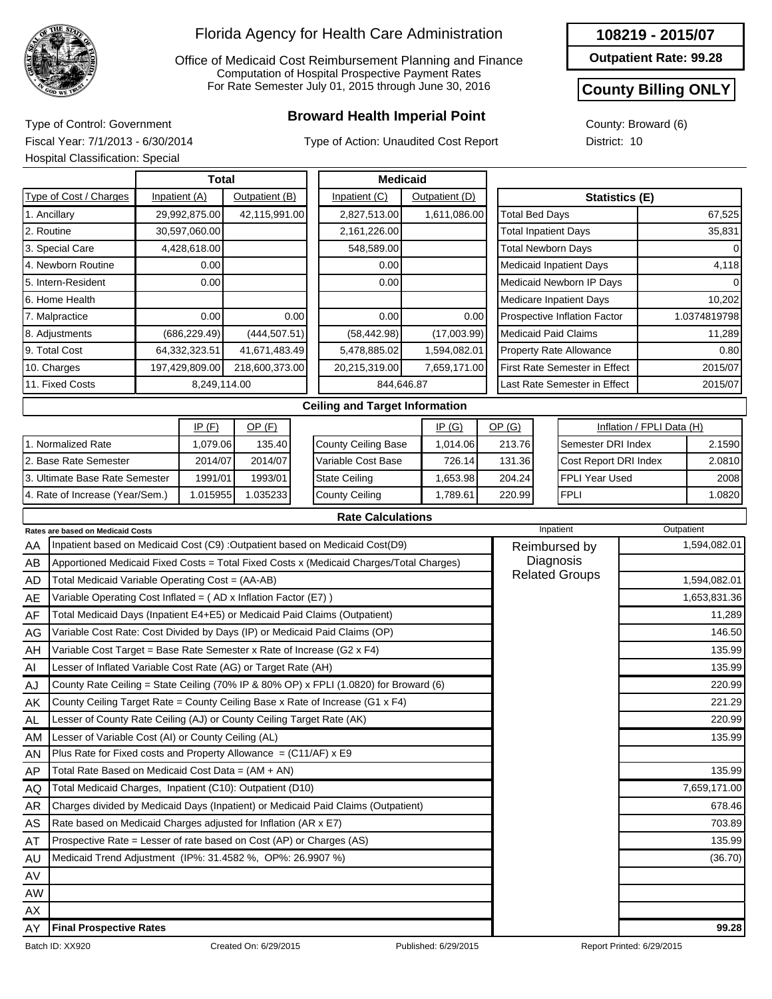

Office of Medicaid Cost Reimbursement Planning and Finance Computation of Hospital Prospective Payment Rates For Rate Semester July 01, 2015 through June 30, 2016

## **Broward Health Imperial Point** Type of Control: Government

Type of Action: Unaudited Cost Report

#### **108219 - 2015/07**

**Outpatient Rate: 99.28**

#### **County Billing ONLY**

County: Broward (6) District: 10

Fiscal Year: 7/1/2013 - 6/30/2014 Hospital Classification: Special

|     | <b>Hospital Classification: Special</b>                                    |                |                |      |                                                                                         |                |       |                             |                                      |                |                           |              |
|-----|----------------------------------------------------------------------------|----------------|----------------|------|-----------------------------------------------------------------------------------------|----------------|-------|-----------------------------|--------------------------------------|----------------|---------------------------|--------------|
|     |                                                                            | Total          |                |      | <b>Medicaid</b>                                                                         |                |       |                             |                                      |                |                           |              |
|     | Type of Cost / Charges                                                     | Inpatient (A)  | Outpatient (B) |      | Inpatient (C)                                                                           | Outpatient (D) |       |                             |                                      | Statistics (E) |                           |              |
|     | 1. Ancillary                                                               | 29,992,875.00  | 42,115,991.00  |      | 2,827,513.00                                                                            | 1,611,086.00   |       | <b>Total Bed Days</b>       |                                      |                |                           | 67,525       |
|     | 2. Routine                                                                 | 30,597,060.00  |                |      | 2,161,226.00                                                                            |                |       | <b>Total Inpatient Days</b> |                                      |                | 35,831                    |              |
|     | 3. Special Care                                                            | 4,428,618.00   |                |      | 548,589.00                                                                              |                |       |                             | <b>Total Newborn Days</b>            |                |                           | 0            |
|     | 4. Newborn Routine                                                         | 0.00           |                |      | 0.00                                                                                    |                |       |                             | <b>Medicaid Inpatient Days</b>       |                |                           | 4,118        |
|     | 5. Intern-Resident                                                         | 0.00           |                |      | 0.00                                                                                    |                |       |                             | Medicaid Newborn IP Days             |                |                           |              |
|     | 6. Home Health                                                             |                |                |      |                                                                                         |                |       |                             | <b>Medicare Inpatient Days</b>       |                |                           | 10,202       |
|     | 7. Malpractice                                                             | 0.00           |                | 0.00 | 0.00                                                                                    | 0.00           |       |                             | Prospective Inflation Factor         |                |                           | 1.0374819798 |
|     | 8. Adjustments                                                             | (686, 229.49)  | (444, 507.51)  |      | (58, 442.98)                                                                            | (17,003.99)    |       |                             | <b>Medicaid Paid Claims</b>          |                |                           | 11,289       |
|     | 9. Total Cost                                                              | 64,332,323.51  | 41,671,483.49  |      | 5,478,885.02                                                                            | 1,594,082.01   |       |                             | <b>Property Rate Allowance</b>       |                |                           | 0.80         |
|     | 10. Charges                                                                | 197,429,809.00 | 218,600,373.00 |      | 20,215,319.00                                                                           | 7,659,171.00   |       |                             | <b>First Rate Semester in Effect</b> |                |                           | 2015/07      |
|     | 11. Fixed Costs                                                            | 8,249,114.00   |                |      | 844,646.87                                                                              |                |       |                             | Last Rate Semester in Effect         |                |                           | 2015/07      |
|     |                                                                            |                |                |      | <b>Ceiling and Target Information</b>                                                   |                |       |                             |                                      |                |                           |              |
|     |                                                                            | IP(F)          | $OP$ (F)       |      |                                                                                         | <u>IP (G)</u>  | OP(G) |                             |                                      |                | Inflation / FPLI Data (H) |              |
|     | 1. Normalized Rate                                                         | 1,079.06       | 135.40         |      | <b>County Ceiling Base</b>                                                              | 1,014.06       |       | 213.76                      | Semester DRI Index                   |                |                           | 2.1590       |
|     | 2. Base Rate Semester                                                      | 2014/07        | 2014/07        |      | Variable Cost Base                                                                      | 726.14         |       | 131.36                      | Cost Report DRI Index                |                |                           | 2.0810       |
|     | 3. Ultimate Base Rate Semester                                             | 1991/01        | 1993/01        |      | <b>State Ceiling</b>                                                                    | 1,653.98       |       | 204.24                      | <b>FPLI Year Used</b>                |                |                           | 2008         |
|     | 4. Rate of Increase (Year/Sem.)                                            | 1.015955       | 1.035233       |      | <b>County Ceiling</b>                                                                   | 1,789.61       |       | 220.99                      | <b>FPLI</b>                          |                |                           | 1.0820       |
|     |                                                                            |                |                |      | <b>Rate Calculations</b>                                                                |                |       |                             |                                      |                |                           |              |
|     | Rates are based on Medicaid Costs                                          |                |                |      |                                                                                         |                |       |                             | Inpatient                            |                | Outpatient                |              |
| AA  |                                                                            |                |                |      | Inpatient based on Medicaid Cost (C9) : Outpatient based on Medicaid Cost(D9)           |                |       |                             | Reimbursed by                        |                |                           | 1,594,082.01 |
| AВ  |                                                                            |                |                |      | Apportioned Medicaid Fixed Costs = Total Fixed Costs x (Medicaid Charges/Total Charges) |                |       |                             | Diagnosis<br><b>Related Groups</b>   |                |                           |              |
| AD  | Total Medicaid Variable Operating Cost = (AA-AB)                           |                |                |      |                                                                                         |                |       |                             |                                      |                |                           | 1,594,082.01 |
| AE  | Variable Operating Cost Inflated = $(AD x Inflation Factor (E7))$          |                |                |      |                                                                                         |                |       |                             |                                      |                |                           | 1,653,831.36 |
| AF  | Total Medicaid Days (Inpatient E4+E5) or Medicaid Paid Claims (Outpatient) |                |                |      |                                                                                         |                |       |                             |                                      |                |                           | 11,289       |
| AG  | Variable Cost Rate: Cost Divided by Days (IP) or Medicaid Paid Claims (OP) |                |                |      |                                                                                         |                |       |                             |                                      |                |                           | 146.50       |
| AH  | Variable Cost Target = Base Rate Semester x Rate of Increase (G2 x F4)     |                |                |      |                                                                                         |                |       |                             |                                      |                |                           | 135.99       |
| AI  | Lesser of Inflated Variable Cost Rate (AG) or Target Rate (AH)             |                |                |      |                                                                                         |                |       |                             |                                      |                |                           | 135.99       |
| AJ  |                                                                            |                |                |      | County Rate Ceiling = State Ceiling (70% IP & 80% OP) x FPLI (1.0820) for Broward (6)   |                |       |                             |                                      |                |                           | 220.99       |
| ΑK  |                                                                            |                |                |      | County Ceiling Target Rate = County Ceiling Base x Rate of Increase (G1 x F4)           |                |       |                             |                                      |                |                           | 221.29       |
| AL  | Lesser of County Rate Ceiling (AJ) or County Ceiling Target Rate (AK)      |                |                |      |                                                                                         |                |       |                             |                                      |                |                           | 220.99       |
| AM  | Lesser of Variable Cost (AI) or County Ceiling (AL)                        |                |                |      |                                                                                         |                |       |                             |                                      |                |                           | 135.99       |
| AN  | Plus Rate for Fixed costs and Property Allowance = $(C11/AF)$ x E9         |                |                |      |                                                                                         |                |       |                             |                                      |                |                           |              |
| AP  | Total Rate Based on Medicaid Cost Data = $(AM + AN)$                       |                |                |      |                                                                                         |                |       |                             |                                      |                |                           | 135.99       |
| AQ  | Total Medicaid Charges, Inpatient (C10): Outpatient (D10)                  |                |                |      |                                                                                         |                |       |                             |                                      |                |                           | 7,659,171.00 |
| AR. |                                                                            |                |                |      | Charges divided by Medicaid Days (Inpatient) or Medicaid Paid Claims (Outpatient)       |                |       |                             |                                      |                |                           | 678.46       |

AR AS AT AU AV AW AX AY

Rate based on Medicaid Charges adjusted for Inflation (AR x E7) Prospective Rate = Lesser of rate based on Cost (AP) or Charges (AS)

Medicaid Trend Adjustment (IP%: 31.4582 %, OP%: 26.9907 %) (36.70) (36.70

**Final Prospective Rates 99.28**

703.89 135.99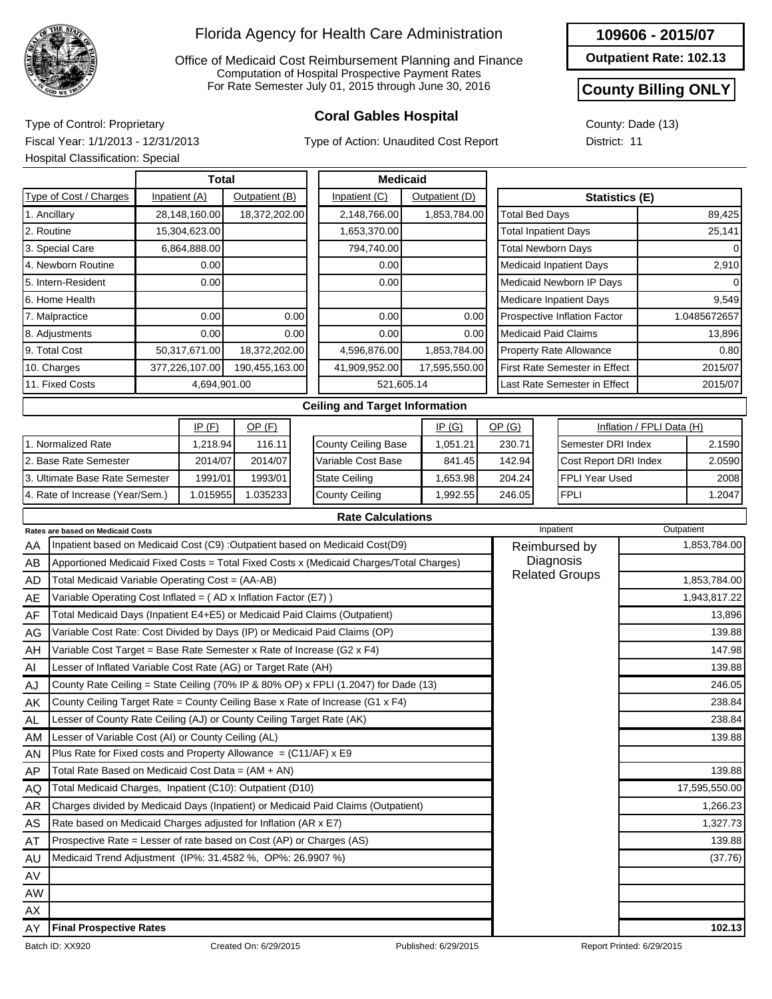

Office of Medicaid Cost Reimbursement Planning and Finance Computation of Hospital Prospective Payment Rates For Rate Semester July 01, 2015 through June 30, 2016

## **Coral Gables Hospital** Type of Control: Proprietary

Type of Action: Unaudited Cost Report

|  |  |  |  |  | 109606 - 2015/07 |  |  |  |  |
|--|--|--|--|--|------------------|--|--|--|--|
|--|--|--|--|--|------------------|--|--|--|--|

**Outpatient Rate: 102.13**

#### **County Billing ONLY**

County: Dade (13) District: 11

Fiscal Year: 1/1/2013 - 12/31/2013 Hospital Classification: Special

|    |                                                                            | <b>Total</b>   |                |      | <b>Medicaid</b>                                                                         |  |                |  |                                |                                |                               |         |                           |              |
|----|----------------------------------------------------------------------------|----------------|----------------|------|-----------------------------------------------------------------------------------------|--|----------------|--|--------------------------------|--------------------------------|-------------------------------|---------|---------------------------|--------------|
|    | Type of Cost / Charges                                                     | Inpatient (A)  | Outpatient (B) |      | Inpatient (C)                                                                           |  | Outpatient (D) |  | <b>Statistics (E)</b>          |                                |                               |         |                           |              |
|    | 1. Ancillary                                                               | 28,148,160.00  | 18,372,202.00  |      | 2,148,766.00                                                                            |  | 1.853.784.00   |  | <b>Total Bed Days</b>          |                                |                               |         |                           | 89,425       |
|    | 2. Routine                                                                 | 15,304,623.00  |                |      | 1,653,370.00                                                                            |  |                |  | <b>Total Inpatient Days</b>    |                                |                               |         |                           | 25,141       |
|    | 3. Special Care                                                            | 6,864,888.00   |                |      | 794,740.00                                                                              |  |                |  | <b>Total Newborn Days</b>      |                                |                               |         |                           |              |
|    | 4. Newborn Routine                                                         | 0.00           |                |      | 0.00                                                                                    |  |                |  |                                | <b>Medicaid Inpatient Days</b> |                               |         | 2,910                     |              |
|    | 5. Intern-Resident                                                         | 0.00           |                |      | 0.00                                                                                    |  |                |  | Medicaid Newborn IP Days       |                                |                               |         |                           |              |
|    | 6. Home Health                                                             |                |                |      |                                                                                         |  |                |  | <b>Medicare Inpatient Days</b> |                                |                               |         | 9,549                     |              |
|    | 7. Malpractice                                                             | 0.00           |                | 0.00 | 0.00                                                                                    |  | 0.00           |  |                                | Prospective Inflation Factor   |                               |         |                           | 1.0485672657 |
|    | 8. Adjustments                                                             | 0.00           |                | 0.00 | 0.00                                                                                    |  | 0.00           |  | <b>Medicaid Paid Claims</b>    |                                |                               |         |                           | 13,896       |
|    | 9. Total Cost                                                              | 50,317,671.00  | 18,372,202.00  |      | 4,596,876.00                                                                            |  | 1,853,784.00   |  | Property Rate Allowance        |                                |                               |         |                           | 0.80         |
|    | 10. Charges                                                                | 377,226,107.00 | 190,455,163.00 |      | 41,909,952.00                                                                           |  | 17,595,550.00  |  |                                |                                | First Rate Semester in Effect | 2015/07 |                           |              |
|    | 11. Fixed Costs                                                            | 4,694,901.00   |                |      | 521,605.14                                                                              |  |                |  |                                |                                | Last Rate Semester in Effect  |         |                           | 2015/07      |
|    |                                                                            |                |                |      | <b>Ceiling and Target Information</b>                                                   |  |                |  |                                |                                |                               |         |                           |              |
|    |                                                                            | IP(F)          | $OP$ (F)       |      |                                                                                         |  | IP(G)          |  | OP(G)                          |                                |                               |         | Inflation / FPLI Data (H) |              |
|    | 1. Normalized Rate                                                         | 1,218.94       | 116.11         |      | County Ceiling Base                                                                     |  | 1,051.21       |  | 230.71                         |                                | Semester DRI Index            |         |                           | 2.1590       |
|    | 2. Base Rate Semester                                                      | 2014/07        | 2014/07        |      | Variable Cost Base                                                                      |  | 841.45         |  | 142.94                         |                                | Cost Report DRI Index         |         |                           | 2.0590       |
|    | 3. Ultimate Base Rate Semester                                             | 1991/01        | 1993/01        |      | <b>State Ceiling</b>                                                                    |  | 1,653.98       |  | 204.24                         |                                | <b>FPLI Year Used</b>         |         |                           | 2008         |
|    | 4. Rate of Increase (Year/Sem.)                                            | 1.015955       | 1.035233       |      | County Ceiling                                                                          |  | 1,992.55       |  | 246.05                         |                                | <b>FPLI</b>                   |         |                           | 1.2047       |
|    |                                                                            |                |                |      | <b>Rate Calculations</b>                                                                |  |                |  |                                |                                |                               |         |                           |              |
|    | <b>Rates are based on Medicaid Costs</b>                                   |                |                |      |                                                                                         |  |                |  |                                |                                | Inpatient                     |         | Outpatient                |              |
| AA |                                                                            |                |                |      | Inpatient based on Medicaid Cost (C9) :Outpatient based on Medicaid Cost(D9)            |  |                |  | Reimbursed by                  |                                |                               |         |                           | 1,853,784.00 |
| AB |                                                                            |                |                |      | Apportioned Medicaid Fixed Costs = Total Fixed Costs x (Medicaid Charges/Total Charges) |  |                |  | Diagnosis                      |                                |                               |         |                           |              |
| AD | Total Medicaid Variable Operating Cost = (AA-AB)                           |                |                |      |                                                                                         |  |                |  |                                |                                | <b>Related Groups</b>         |         |                           | 1,853,784.00 |
| AE | Variable Operating Cost Inflated = (AD x Inflation Factor (E7))            |                |                |      |                                                                                         |  |                |  |                                |                                |                               |         |                           | 1,943,817.22 |
| AF | Total Medicaid Days (Inpatient E4+E5) or Medicaid Paid Claims (Outpatient) |                |                |      |                                                                                         |  |                |  |                                |                                |                               |         |                           | 13,896       |
| AG | Variable Cost Rate: Cost Divided by Days (IP) or Medicaid Paid Claims (OP) |                |                |      |                                                                                         |  |                |  |                                |                                |                               |         |                           | 139.88       |

AH AI AJ AK AL AM AN AP AQ AR AS AT AU AV AW AX AY

Variable Cost Target = Base Rate Semester x Rate of Increase (G2 x F4)

Lesser of County Rate Ceiling (AJ) or County Ceiling Target Rate (AK)

Plus Rate for Fixed costs and Property Allowance  $= (C11/AF) \times E9$ 

Rate based on Medicaid Charges adjusted for Inflation (AR x E7) Prospective Rate = Lesser of rate based on Cost (AP) or Charges (AS)

County Rate Ceiling = State Ceiling (70% IP & 80% OP) x FPLI (1.2047) for Dade (13) County Ceiling Target Rate = County Ceiling Base x Rate of Increase (G1 x F4)

Charges divided by Medicaid Days (Inpatient) or Medicaid Paid Claims (Outpatient)

Lesser of Inflated Variable Cost Rate (AG) or Target Rate (AH)

Lesser of Variable Cost (AI) or County Ceiling (AL)

Total Rate Based on Medicaid Cost Data = (AM + AN) Total Medicaid Charges, Inpatient (C10): Outpatient (D10)

Medicaid Trend Adjustment (IP%: 31.4582 %, OP%: 26.9907 %) (37.76)

**Final Prospective Rates 102.13**

147.98 139.88 246.05 238.84 238.84 139.88

139.88 17,595,550.00 1,266.23 1,327.73 139.88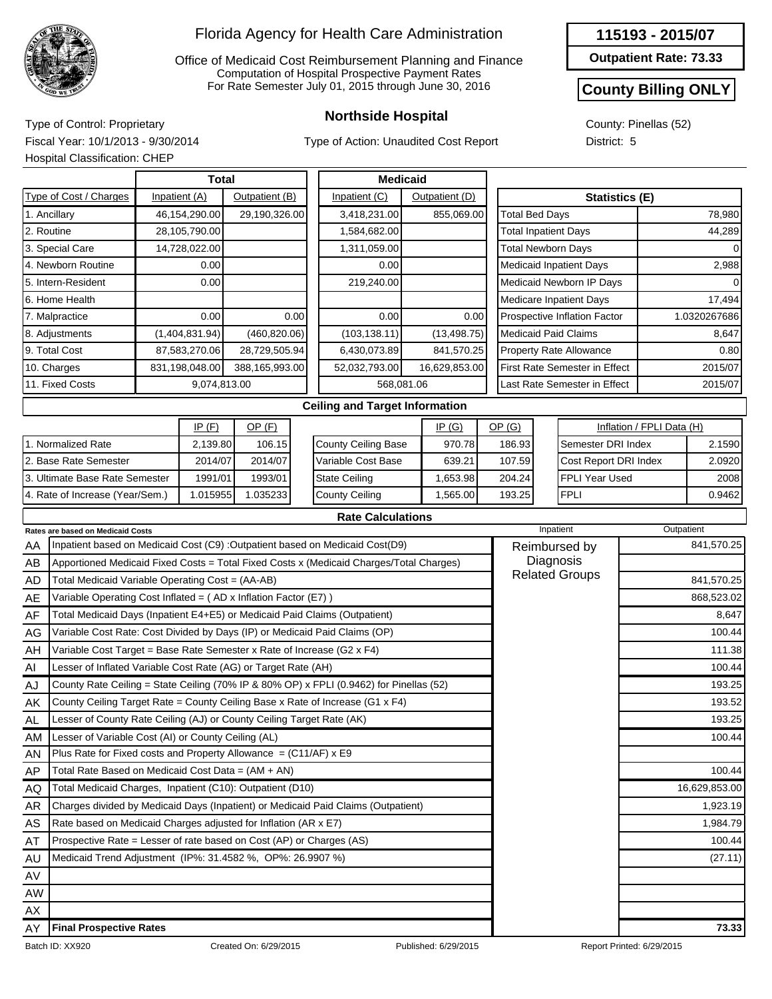

Office of Medicaid Cost Reimbursement Planning and Finance Computation of Hospital Prospective Payment Rates For Rate Semester July 01, 2015 through June 30, 2016

Type of Action: Unaudited Cost Report

| 115193 - 2015/07 |  |
|------------------|--|
|------------------|--|

**Outpatient Rate: 73.33**

### **County Billing ONLY**

County: Pinellas (52) District: 5

**Northside Hospital** Type of Control: Proprietary Fiscal Year: 10/1/2013 - 9/30/2014 Hospital Classification: CHEP

|                                          | <b>Total</b>   |                |      | <b>Medicaid</b>                                                                |                |                             |                                      |                           |              |  |  |
|------------------------------------------|----------------|----------------|------|--------------------------------------------------------------------------------|----------------|-----------------------------|--------------------------------------|---------------------------|--------------|--|--|
| Type of Cost / Charges                   | Inpatient (A)  | Outpatient (B) |      | Inpatient (C)                                                                  | Outpatient (D) |                             | <b>Statistics (E)</b>                |                           |              |  |  |
| 1. Ancillary                             | 46,154,290.00  | 29,190,326.00  |      | 3,418,231.00                                                                   | 855,069.00     | <b>Total Bed Days</b>       |                                      |                           | 78,980       |  |  |
| 2. Routine                               | 28,105,790.00  |                |      | 1,584,682.00                                                                   |                | <b>Total Inpatient Days</b> |                                      |                           | 44,289       |  |  |
| 3. Special Care                          | 14,728,022.00  |                |      | 1,311,059.00                                                                   |                | <b>Total Newborn Days</b>   |                                      |                           |              |  |  |
| 4. Newborn Routine                       | 0.00           |                |      | 0.00                                                                           |                |                             | <b>Medicaid Inpatient Days</b>       |                           | 2,988        |  |  |
| 5. Intern-Resident                       | 0.00           |                |      | 219,240.00                                                                     |                |                             | Medicaid Newborn IP Days             |                           |              |  |  |
| 6. Home Health                           |                |                |      |                                                                                |                |                             | <b>Medicare Inpatient Days</b>       |                           | 17,494       |  |  |
| 7. Malpractice                           | 0.00           |                | 0.00 | 0.00                                                                           | 0.00           |                             | Prospective Inflation Factor         |                           | 1.0320267686 |  |  |
| 8. Adjustments                           | (1,404,831.94) | (460, 820.06)  |      | (103, 138.11)                                                                  | (13, 498.75)   | <b>Medicaid Paid Claims</b> |                                      |                           | 8,647        |  |  |
| 9. Total Cost                            | 87,583,270.06  | 28,729,505.94  |      | 6,430,073.89                                                                   | 841,570.25     |                             | Property Rate Allowance              |                           | 0.80         |  |  |
| 10. Charges                              | 831,198,048.00 | 388,165,993.00 |      | 52,032,793.00                                                                  | 16,629,853.00  |                             | <b>First Rate Semester in Effect</b> |                           | 2015/07      |  |  |
| 11. Fixed Costs                          | 9,074,813.00   |                |      | 568,081.06                                                                     |                |                             | Last Rate Semester in Effect         |                           | 2015/07      |  |  |
|                                          |                |                |      | <b>Ceiling and Target Information</b>                                          |                |                             |                                      |                           |              |  |  |
|                                          | IP(F)          | $OP$ $(F)$     |      |                                                                                | IP(G)          | OP(G)                       |                                      | Inflation / FPLI Data (H) |              |  |  |
| 1. Normalized Rate                       | 2,139.80       | 106.15         |      | <b>County Ceiling Base</b>                                                     | 970.78         | 186.93                      | Semester DRI Index                   |                           | 2.1590       |  |  |
| 2. Base Rate Semester                    | 2014/07        | 2014/07        |      | Variable Cost Base                                                             | 639.21         | 107.59                      | Cost Report DRI Index                |                           | 2.0920       |  |  |
| 3. Ultimate Base Rate Semester           | 1991/01        | 1993/01        |      | <b>State Ceiling</b>                                                           | 1,653.98       | 204.24                      | <b>FPLI Year Used</b>                |                           | 2008         |  |  |
| 4. Rate of Increase (Year/Sem.)          | 1.015955       | 1.035233       |      | <b>County Ceiling</b>                                                          | 1,565.00       | 193.25                      | <b>FPLI</b>                          |                           | 0.9462       |  |  |
|                                          |                |                |      | <b>Rate Calculations</b>                                                       |                |                             |                                      |                           |              |  |  |
| <b>Rates are based on Medicaid Costs</b> |                |                |      |                                                                                |                |                             | Inpatient                            |                           | Outpatient   |  |  |
| AA                                       |                |                |      | Inpatient based on Medicaid Cost (C9) : Outpatient based on Medicaid Cost (D9) |                |                             | Reimbursed by<br>Diamania            |                           | 841,570.25   |  |  |

| AA        | Inpatient based on Medicaid Cost (C9) : Outpatient based on Medicaid Cost(D9)           | Reimbursed by         | 841,570.25    |
|-----------|-----------------------------------------------------------------------------------------|-----------------------|---------------|
| AB        | Apportioned Medicaid Fixed Costs = Total Fixed Costs x (Medicaid Charges/Total Charges) | Diagnosis             |               |
| AD        | Total Medicaid Variable Operating Cost = (AA-AB)                                        | <b>Related Groups</b> | 841,570.25    |
| AE        | Variable Operating Cost Inflated = $(AD x Inflation Factor (E7))$                       |                       | 868,523.02    |
| AF        | Total Medicaid Days (Inpatient E4+E5) or Medicaid Paid Claims (Outpatient)              |                       | 8,647         |
| AG        | Variable Cost Rate: Cost Divided by Days (IP) or Medicaid Paid Claims (OP)              |                       | 100.44        |
| AH        | Variable Cost Target = Base Rate Semester x Rate of Increase (G2 x F4)                  |                       | 111.38        |
| AI        | Lesser of Inflated Variable Cost Rate (AG) or Target Rate (AH)                          |                       | 100.44        |
| AJ        | County Rate Ceiling = State Ceiling (70% IP & 80% OP) x FPLI (0.9462) for Pinellas (52) |                       | 193.25        |
| AK.       | County Ceiling Target Rate = County Ceiling Base x Rate of Increase (G1 x F4)           |                       | 193.52        |
| <b>AL</b> | Lesser of County Rate Ceiling (AJ) or County Ceiling Target Rate (AK)                   |                       | 193.25        |
| AM        | Lesser of Variable Cost (AI) or County Ceiling (AL)                                     |                       | 100.44        |
| AN.       | Plus Rate for Fixed costs and Property Allowance = (C11/AF) x E9                        |                       |               |
| AP        | Total Rate Based on Medicaid Cost Data = (AM + AN)                                      |                       | 100.44        |
| AQ        | Total Medicaid Charges, Inpatient (C10): Outpatient (D10)                               |                       | 16,629,853.00 |
| AR        | Charges divided by Medicaid Days (Inpatient) or Medicaid Paid Claims (Outpatient)       |                       | 1,923.19      |
| AS        | Rate based on Medicaid Charges adjusted for Inflation (AR x E7)                         |                       | 1,984.79      |
| AT        | Prospective Rate = Lesser of rate based on Cost (AP) or Charges (AS)                    |                       | 100.44        |
| AU        | Medicaid Trend Adjustment (IP%: 31.4582 %, OP%: 26.9907 %)                              |                       | (27.11)       |
| AV        |                                                                                         |                       |               |
| <b>AW</b> |                                                                                         |                       |               |
| AX        |                                                                                         |                       |               |
| AY        | <b>Final Prospective Rates</b>                                                          |                       | 73.33         |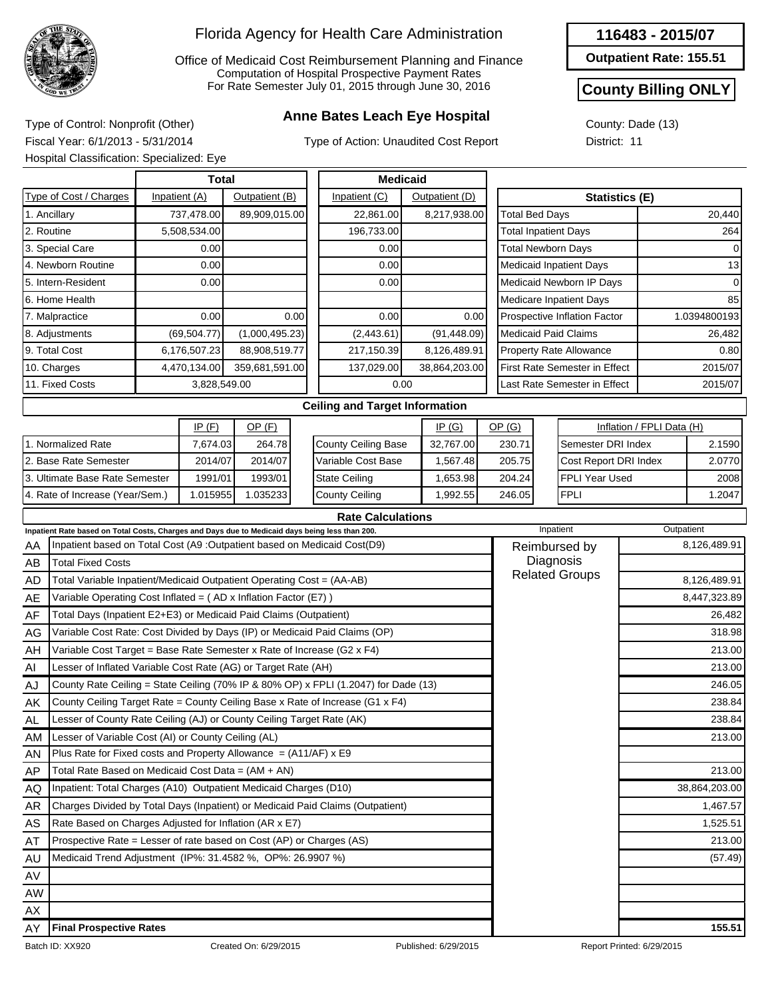

Office of Medicaid Cost Reimbursement Planning and Finance Computation of Hospital Prospective Payment Rates For Rate Semester July 01, 2015 through June 30, 2016

## **Anne Bates Leach Eye Hospital** Type of Control: Nonprofit (Other)

Type of Action: Unaudited Cost Report

| 116483 - 2015/07 |
|------------------|
|------------------|

**Outpatient Rate: 155.51**

#### **County Billing ONLY**

County: Dade (13) District: 11

Fiscal Year: 6/1/2013 - 5/31/2014 Hospital Classification: Specialized: Eye

|                                                                    | Hospital Classification: Specialized: Eye                                                       |  |                |                |             |                                                                                     |              |                |                             |                                |                       |                                |                           |               |
|--------------------------------------------------------------------|-------------------------------------------------------------------------------------------------|--|----------------|----------------|-------------|-------------------------------------------------------------------------------------|--------------|----------------|-----------------------------|--------------------------------|-----------------------|--------------------------------|---------------------------|---------------|
| Total<br>Type of Cost / Charges<br>Inpatient (A)<br>Outpatient (B) |                                                                                                 |  |                |                |             | <b>Medicaid</b>                                                                     |              |                |                             |                                |                       |                                |                           |               |
|                                                                    |                                                                                                 |  |                |                |             | Inpatient (C)                                                                       |              | Outpatient (D) |                             |                                |                       | <b>Statistics (E)</b>          |                           |               |
|                                                                    | 1. Ancillary                                                                                    |  | 737,478.00     | 89,909,015.00  |             | 22,861.00                                                                           |              | 8,217,938.00   |                             |                                | <b>Total Bed Days</b> |                                |                           | 20,440        |
|                                                                    | 2. Routine                                                                                      |  | 5,508,534.00   |                |             | 196,733.00                                                                          |              |                |                             | <b>Total Inpatient Days</b>    |                       |                                |                           | 264           |
|                                                                    | 3. Special Care                                                                                 |  | 0.00           |                |             | 0.00                                                                                |              |                |                             | <b>Total Newborn Days</b>      |                       |                                |                           |               |
|                                                                    | 4. Newborn Routine                                                                              |  | 0.00           |                |             | 0.00                                                                                |              |                |                             | <b>Medicaid Inpatient Days</b> |                       |                                |                           | 13            |
|                                                                    | 5. Intern-Resident                                                                              |  | 0.00           |                |             | 0.00                                                                                |              |                |                             |                                |                       | Medicaid Newborn IP Days       | $\Omega$                  |               |
|                                                                    | 6. Home Health                                                                                  |  |                |                |             |                                                                                     |              |                |                             | <b>Medicare Inpatient Days</b> |                       |                                |                           | 85            |
|                                                                    | 7. Malpractice<br>0.00                                                                          |  |                |                | 0.00        | 0.00                                                                                |              | 0.00           |                             |                                |                       | Prospective Inflation Factor   |                           | 1.0394800193  |
| (69, 504.77)<br>8. Adjustments                                     |                                                                                                 |  | (1,000,495.23) |                | (2, 443.61) |                                                                                     | (91, 448.09) |                | <b>Medicaid Paid Claims</b> |                                |                       |                                | 26,482                    |               |
|                                                                    | 9. Total Cost                                                                                   |  | 6,176,507.23   | 88,908,519.77  |             | 217,150.39                                                                          |              | 8,126,489.91   |                             |                                |                       | <b>Property Rate Allowance</b> |                           | 0.80          |
|                                                                    | 10. Charges                                                                                     |  | 4,470,134.00   | 359,681,591.00 |             | 137,029.00                                                                          |              | 38,864,203.00  |                             |                                |                       | First Rate Semester in Effect  |                           | 2015/07       |
|                                                                    | 11. Fixed Costs                                                                                 |  | 3,828,549.00   |                |             |                                                                                     | 0.00         |                |                             |                                |                       | Last Rate Semester in Effect   |                           | 2015/07       |
|                                                                    |                                                                                                 |  |                |                |             | <b>Ceiling and Target Information</b>                                               |              |                |                             |                                |                       |                                |                           |               |
|                                                                    |                                                                                                 |  | IP(F)          | $OP$ (F)       |             |                                                                                     |              | IP(G)          |                             | OP(G)                          |                       |                                | Inflation / FPLI Data (H) |               |
|                                                                    | 1. Normalized Rate                                                                              |  | 7,674.03       | 264.78         |             | <b>County Ceiling Base</b>                                                          |              | 32,767.00      |                             | 230.71                         |                       | Semester DRI Index             |                           | 2.1590        |
|                                                                    | 2. Base Rate Semester                                                                           |  | 2014/07        | 2014/07        |             | Variable Cost Base                                                                  |              | 1,567.48       |                             | 205.75                         |                       | Cost Report DRI Index          |                           | 2.0770        |
| 3. Ultimate Base Rate Semester<br>1991/01<br>1993/01               |                                                                                                 |  |                |                |             | <b>State Ceiling</b>                                                                |              | 1,653.98       |                             | 204.24                         |                       | <b>FPLI Year Used</b>          |                           | 2008          |
| 4. Rate of Increase (Year/Sem.)<br>1.015955<br>1.035233            |                                                                                                 |  |                |                |             | <b>County Ceiling</b>                                                               |              | 1,992.55       |                             | 246.05                         |                       | <b>FPLI</b>                    |                           | 1.2047        |
|                                                                    |                                                                                                 |  |                |                |             | <b>Rate Calculations</b>                                                            |              |                |                             |                                |                       |                                |                           |               |
|                                                                    | Inpatient Rate based on Total Costs, Charges and Days due to Medicaid days being less than 200. |  |                |                |             |                                                                                     |              |                |                             |                                | Inpatient             |                                | Outpatient                |               |
| AA                                                                 | Inpatient based on Total Cost (A9 :Outpatient based on Medicaid Cost(D9)                        |  |                |                |             |                                                                                     |              |                |                             | Reimbursed by                  |                       |                                |                           | 8,126,489.91  |
| AB                                                                 | <b>Total Fixed Costs</b>                                                                        |  |                |                |             |                                                                                     |              |                |                             | Diagnosis                      |                       |                                |                           |               |
| AD                                                                 | Total Variable Inpatient/Medicaid Outpatient Operating Cost = (AA-AB)                           |  |                |                |             |                                                                                     |              |                |                             |                                |                       | <b>Related Groups</b>          | 8,126,489.91              |               |
| AE                                                                 | Variable Operating Cost Inflated = (AD x Inflation Factor (E7))                                 |  |                |                |             |                                                                                     |              |                |                             |                                |                       |                                |                           | 8,447,323.89  |
| AF                                                                 | Total Days (Inpatient E2+E3) or Medicaid Paid Claims (Outpatient)                               |  |                |                |             |                                                                                     |              |                |                             |                                |                       |                                |                           | 26,482        |
| AG                                                                 |                                                                                                 |  |                |                |             | Variable Cost Rate: Cost Divided by Days (IP) or Medicaid Paid Claims (OP)          |              |                |                             |                                |                       |                                |                           | 318.98        |
| AH                                                                 | Variable Cost Target = Base Rate Semester x Rate of Increase (G2 x F4)                          |  |                |                |             |                                                                                     |              |                |                             |                                |                       |                                |                           | 213.00        |
| Al                                                                 | Lesser of Inflated Variable Cost Rate (AG) or Target Rate (AH)                                  |  |                |                |             |                                                                                     |              |                |                             |                                |                       |                                |                           | 213.00        |
| AJ                                                                 |                                                                                                 |  |                |                |             | County Rate Ceiling = State Ceiling (70% IP & 80% OP) x FPLI (1.2047) for Dade (13) |              |                |                             |                                |                       |                                |                           | 246.05        |
| AK                                                                 |                                                                                                 |  |                |                |             | County Ceiling Target Rate = County Ceiling Base x Rate of Increase (G1 x F4)       |              |                |                             |                                |                       |                                |                           | 238.84        |
| <b>AL</b>                                                          | Lesser of County Rate Ceiling (AJ) or County Ceiling Target Rate (AK)                           |  |                |                |             |                                                                                     |              |                |                             |                                |                       |                                |                           | 238.84        |
| AM                                                                 | Lesser of Variable Cost (AI) or County Ceiling (AL)                                             |  |                |                |             |                                                                                     |              |                |                             |                                |                       |                                |                           | 213.00        |
| AN                                                                 | Plus Rate for Fixed costs and Property Allowance = $(A11/AF)$ x E9                              |  |                |                |             |                                                                                     |              |                |                             |                                |                       |                                |                           |               |
| AP                                                                 | Total Rate Based on Medicaid Cost Data = (AM + AN)                                              |  |                |                |             |                                                                                     |              |                |                             |                                |                       |                                |                           | 213.00        |
| AQ                                                                 | Inpatient: Total Charges (A10) Outpatient Medicaid Charges (D10)                                |  |                |                |             |                                                                                     |              |                |                             |                                |                       |                                |                           | 38,864,203.00 |
| AR                                                                 |                                                                                                 |  |                |                |             | Charges Divided by Total Days (Inpatient) or Medicaid Paid Claims (Outpatient)      |              |                |                             |                                |                       |                                |                           | 1,467.57      |
| AS                                                                 | Rate Based on Charges Adjusted for Inflation (AR x E7)                                          |  |                |                |             |                                                                                     |              |                |                             |                                |                       |                                |                           | 1,525.51      |
| AT                                                                 | Prospective Rate = Lesser of rate based on Cost (AP) or Charges (AS)                            |  |                |                |             |                                                                                     |              |                |                             |                                |                       |                                |                           | 213.00        |
| AU                                                                 | Medicaid Trend Adjustment (IP%: 31.4582 %, OP%: 26.9907 %)                                      |  |                |                |             |                                                                                     |              |                |                             |                                |                       |                                |                           | (57.49)       |

AV

AY

**Final Prospective Rates 155.51**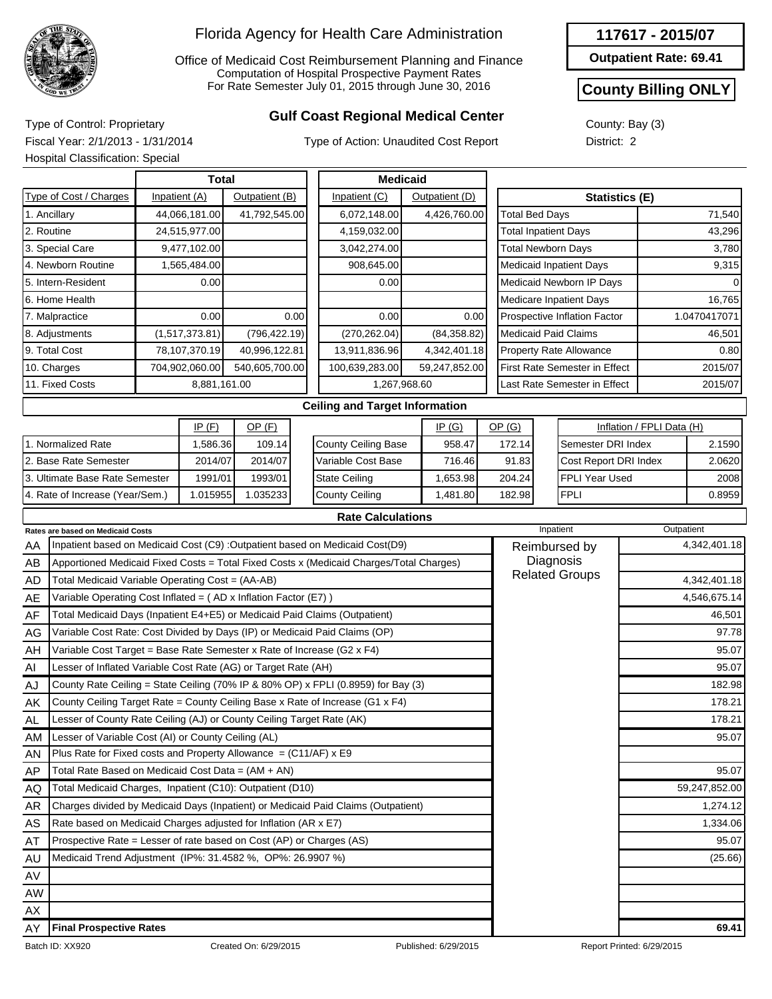

Office of Medicaid Cost Reimbursement Planning and Finance Computation of Hospital Prospective Payment Rates For Rate Semester July 01, 2015 through June 30, 2016

## **Gulf Coast Regional Medical Center** Type of Control: Proprietary

Type of Action: Unaudited Cost Report

| 117617 - 2015/07 |  |
|------------------|--|
|------------------|--|

**Outpatient Rate: 69.41**

#### **County Billing ONLY**

County: Bay (3) District: 2

Fiscal Year: 2/1/2013 - 1/31/2014 Hospital Classification: Special

|                                                          | Hospital Classification: Special                                           |  |                |                 |                       |                                                                                         |          |                |        |                             |                                    |                           |              |  |
|----------------------------------------------------------|----------------------------------------------------------------------------|--|----------------|-----------------|-----------------------|-----------------------------------------------------------------------------------------|----------|----------------|--------|-----------------------------|------------------------------------|---------------------------|--------------|--|
|                                                          |                                                                            |  |                | <b>Medicaid</b> |                       |                                                                                         |          |                |        |                             |                                    |                           |              |  |
|                                                          | Type of Cost / Charges                                                     |  | Inpatient (A)  | Outpatient (B)  |                       | Inpatient (C)                                                                           |          | Outpatient (D) |        |                             | <b>Statistics (E)</b>              |                           |              |  |
|                                                          | 1. Ancillary                                                               |  | 44,066,181.00  | 41,792,545.00   |                       | 6,072,148.00                                                                            |          | 4,426,760.00   |        | <b>Total Bed Days</b>       |                                    |                           | 71,540       |  |
|                                                          | 2. Routine                                                                 |  | 24,515,977.00  |                 |                       | 4,159,032.00                                                                            |          |                |        | <b>Total Inpatient Days</b> |                                    |                           | 43,296       |  |
|                                                          | 3. Special Care                                                            |  | 9,477,102.00   |                 |                       | 3,042,274.00                                                                            |          |                |        | <b>Total Newborn Days</b>   |                                    |                           | 3,780        |  |
|                                                          | 4. Newborn Routine                                                         |  | 1,565,484.00   |                 |                       | 908,645.00                                                                              |          |                |        |                             | <b>Medicaid Inpatient Days</b>     |                           | 9,315        |  |
|                                                          | 5. Intern-Resident                                                         |  | 0.00           |                 |                       | 0.00                                                                                    |          |                |        |                             | Medicaid Newborn IP Days           |                           |              |  |
|                                                          | 6. Home Health                                                             |  |                |                 |                       |                                                                                         |          |                |        |                             | Medicare Inpatient Days            | 16,765                    |              |  |
|                                                          | 7. Malpractice                                                             |  | 0.00           |                 | 0.00                  | 0.00                                                                                    |          | 0.00           |        |                             | Prospective Inflation Factor       |                           | 1.0470417071 |  |
| 8. Adjustments                                           |                                                                            |  | (1,517,373.81) | (796, 422.19)   |                       | (270, 262.04)                                                                           |          | (84, 358.82)   |        | <b>Medicaid Paid Claims</b> |                                    |                           | 46,501       |  |
| 9. Total Cost                                            |                                                                            |  | 78,107,370.19  | 40,996,122.81   |                       | 13,911,836.96                                                                           |          | 4,342,401.18   |        |                             | <b>Property Rate Allowance</b>     |                           | 0.80         |  |
| 10. Charges<br>704,902,060.00                            |                                                                            |  |                | 540,605,700.00  |                       | 100,639,283.00                                                                          |          | 59,247,852.00  |        |                             | First Rate Semester in Effect      |                           | 2015/07      |  |
| 11. Fixed Costs                                          |                                                                            |  | 8,881,161.00   |                 |                       | 1,267,968.60                                                                            |          |                |        |                             | Last Rate Semester in Effect       |                           | 2015/07      |  |
|                                                          |                                                                            |  |                |                 |                       | <b>Ceiling and Target Information</b>                                                   |          |                |        |                             |                                    |                           |              |  |
| IP(F)<br>$OP$ (F)                                        |                                                                            |  |                |                 |                       |                                                                                         |          | IP(G)          |        | OP(G)                       |                                    | Inflation / FPLI Data (H) |              |  |
|                                                          | 1. Normalized Rate                                                         |  | 1,586.36       | 109.14          |                       | County Ceiling Base                                                                     |          | 958.47         |        | 172.14                      | Semester DRI Index                 |                           | 2.1590       |  |
|                                                          | 2. Base Rate Semester                                                      |  | 2014/07        | 2014/07         |                       | Variable Cost Base                                                                      | 716.46   |                | 91.83  | Cost Report DRI Index       |                                    | 2.0620                    |              |  |
| 3. Ultimate Base Rate Semester                           |                                                                            |  | 1991/01        | 1993/01         |                       | <b>State Ceiling</b>                                                                    |          | 1,653.98       |        | 204.24                      | FPLI Year Used                     |                           | 2008         |  |
| 4. Rate of Increase (Year/Sem.)<br>1.015955              |                                                                            |  | 1.035233       |                 | <b>County Ceiling</b> |                                                                                         | 1.481.80 |                | 182.98 | <b>FPLI</b>                 |                                    | 0.8959                    |              |  |
|                                                          |                                                                            |  |                |                 |                       | <b>Rate Calculations</b>                                                                |          |                |        |                             |                                    |                           |              |  |
|                                                          | Rates are based on Medicaid Costs                                          |  |                |                 |                       |                                                                                         |          |                |        |                             | Inpatient                          | Outpatient                |              |  |
| ΑA                                                       |                                                                            |  |                |                 |                       | Inpatient based on Medicaid Cost (C9) : Outpatient based on Medicaid Cost(D9)           |          |                |        |                             | Reimbursed by                      |                           | 4,342,401.18 |  |
| AB                                                       |                                                                            |  |                |                 |                       | Apportioned Medicaid Fixed Costs = Total Fixed Costs x (Medicaid Charges/Total Charges) |          |                |        |                             | Diagnosis<br><b>Related Groups</b> |                           |              |  |
| <b>AD</b>                                                | Total Medicaid Variable Operating Cost = (AA-AB)                           |  |                |                 |                       |                                                                                         |          |                |        |                             |                                    | 4,342,401.18              |              |  |
| AE                                                       | Variable Operating Cost Inflated = (AD x Inflation Factor (E7))            |  |                |                 |                       |                                                                                         |          |                |        |                             |                                    |                           | 4,546,675.14 |  |
| AF                                                       | Total Medicaid Days (Inpatient E4+E5) or Medicaid Paid Claims (Outpatient) |  |                |                 |                       |                                                                                         |          |                |        |                             |                                    |                           | 46,501       |  |
| AG                                                       | Variable Cost Rate: Cost Divided by Days (IP) or Medicaid Paid Claims (OP) |  |                |                 |                       |                                                                                         |          |                |        |                             |                                    |                           | 97.78        |  |
| AH                                                       | Variable Cost Target = Base Rate Semester x Rate of Increase (G2 x F4)     |  |                |                 |                       |                                                                                         |          |                |        |                             |                                    |                           | 95.07        |  |
| Al                                                       | Lesser of Inflated Variable Cost Rate (AG) or Target Rate (AH)             |  |                |                 |                       |                                                                                         |          |                |        |                             |                                    |                           | 95.07        |  |
| AJ                                                       |                                                                            |  |                |                 |                       | County Rate Ceiling = State Ceiling (70% IP & 80% OP) x FPLI (0.8959) for Bay (3)       |          |                |        |                             |                                    |                           | 182.98       |  |
| AK                                                       |                                                                            |  |                |                 |                       | County Ceiling Target Rate = County Ceiling Base x Rate of Increase (G1 x F4)           |          |                |        |                             |                                    |                           | 178.21       |  |
| $\mathsf{AL}$                                            | Lesser of County Rate Ceiling (AJ) or County Ceiling Target Rate (AK)      |  |                |                 |                       |                                                                                         |          |                |        |                             |                                    |                           | 178.21       |  |
| AM                                                       | Lesser of Variable Cost (AI) or County Ceiling (AL)                        |  |                |                 |                       |                                                                                         |          |                |        |                             | 95.07                              |                           |              |  |
| AN                                                       | Plus Rate for Fixed costs and Property Allowance = $(C11/AF)$ x E9         |  |                |                 |                       |                                                                                         |          |                |        |                             |                                    |                           |              |  |
| Total Rate Based on Medicaid Cost Data = (AM + AN)<br>AP |                                                                            |  |                |                 |                       |                                                                                         |          |                |        |                             |                                    |                           | 95.07        |  |
| AQ                                                       | Total Medicaid Charges, Inpatient (C10): Outpatient (D10)                  |  |                |                 |                       |                                                                                         |          |                |        | 59,247,852.00               |                                    |                           |              |  |
| AR                                                       |                                                                            |  |                |                 |                       | Charges divided by Medicaid Days (Inpatient) or Medicaid Paid Claims (Outpatient)       |          |                |        |                             |                                    |                           | 1,274.12     |  |
| AS                                                       | Rate based on Medicaid Charges adjusted for Inflation (AR x E7)            |  |                |                 |                       |                                                                                         |          |                |        |                             |                                    |                           | 1,334.06     |  |
| AT                                                       | Prospective Rate = Lesser of rate based on Cost (AP) or Charges (AS)       |  |                |                 |                       |                                                                                         |          |                |        |                             |                                    |                           | 95.07        |  |

AW AX AY **Final Prospective Rates** 69.41

AU AV

Batch ID: XX920 Created On: 6/29/2015 Published: 6/29/2015 Report Printed: 6/29/2015

Medicaid Trend Adjustment (IP%: 31.4582 %, OP%: 26.9907 %) (25.66)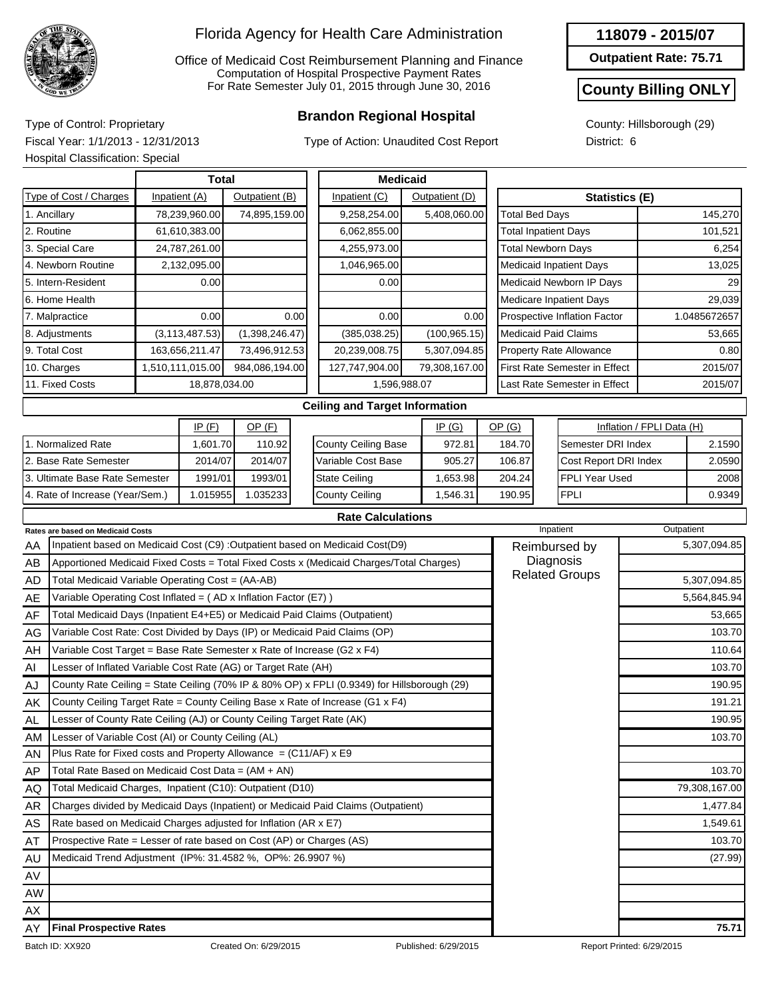

Office of Medicaid Cost Reimbursement Planning and Finance Computation of Hospital Prospective Payment Rates For Rate Semester July 01, 2015 through June 30, 2016

## **Brandon Regional Hospital** Type of Control: Proprietary

Type of Action: Unaudited Cost Report

#### **118079 - 2015/07**

**Outpatient Rate: 75.71**

### **County Billing ONLY**

County: Hillsborough (29) District: 6

Fiscal Year: 1/1/2013 - 12/31/2013 Hospital Classification: Special

| <b>Total</b>                    |               |                   |                |      | <b>Medicaid</b>                       |  |                |                             |                                |                           |              |
|---------------------------------|---------------|-------------------|----------------|------|---------------------------------------|--|----------------|-----------------------------|--------------------------------|---------------------------|--------------|
| Type of Cost / Charges          | Inpatient (A) |                   | Outpatient (B) |      | Inpatient (C)                         |  | Outpatient (D) |                             | Statistics (E)                 |                           |              |
| 1. Ancillary                    |               | 78,239,960.00     | 74,895,159.00  |      | 9,258,254.00                          |  | 5,408,060.00   | <b>Total Bed Days</b>       |                                |                           | 145,270      |
| 2. Routine                      |               | 61,610,383.00     |                |      | 6,062,855.00                          |  |                | <b>Total Inpatient Days</b> |                                |                           | 101,521      |
| 3. Special Care                 |               | 24,787,261.00     |                |      | 4,255,973.00                          |  |                | <b>Total Newborn Days</b>   |                                |                           | 6,254        |
| 4. Newborn Routine              |               | 2,132,095.00      |                |      | 1,046,965.00                          |  |                |                             | <b>Medicaid Inpatient Days</b> |                           | 13,025       |
| 5. Intern-Resident              |               | 0.00              |                |      | 0.00                                  |  |                |                             | Medicaid Newborn IP Days       |                           | 29           |
| 6. Home Health                  |               |                   |                |      |                                       |  |                |                             | Medicare Inpatient Days        |                           | 29,039       |
| 7. Malpractice                  |               | 0.00 <sub>l</sub> |                | 0.00 | 0.00                                  |  | 0.00           |                             | Prospective Inflation Factor   |                           | 1.0485672657 |
| 8. Adjustments                  |               | (3, 113, 487.53)  | (1,398,246.47) |      | (385, 038.25)                         |  | (100, 965.15)  | <b>Medicaid Paid Claims</b> |                                |                           | 53,665       |
| 9. Total Cost                   |               | 163,656,211.47    | 73,496,912.53  |      | 20,239,008.75                         |  | 5,307,094.85   |                             | <b>Property Rate Allowance</b> |                           | 0.80         |
| 10. Charges                     |               | 1,510,111,015.00  | 984,086,194.00 |      | 127,747,904.00                        |  | 79,308,167.00  |                             | First Rate Semester in Effect  |                           | 2015/07      |
| 11. Fixed Costs                 |               | 18,878,034.00     |                |      | 1,596,988.07                          |  |                |                             | Last Rate Semester in Effect   | 2015/07                   |              |
|                                 |               |                   |                |      | <b>Ceiling and Target Information</b> |  |                |                             |                                |                           |              |
|                                 |               | IP(F)             | $OP$ (F)       |      |                                       |  | IP(G)          | OP(G)                       |                                | Inflation / FPLI Data (H) |              |
| 1. Normalized Rate              |               | 1,601.70          | 110.92         |      | <b>County Ceiling Base</b>            |  | 972.81         | 184.70                      | Semester DRI Index             |                           | 2.1590       |
| 2. Base Rate Semester           |               | 2014/07           | 2014/07        |      | Variable Cost Base                    |  | 905.27         | 106.87                      | Cost Report DRI Index          |                           | 2.0590       |
| 3. Ultimate Base Rate Semester  |               | 1991/01           | 1993/01        |      | <b>State Ceiling</b>                  |  | 1,653.98       | 204.24                      | FPLI Year Used                 |                           |              |
| 4. Rate of Increase (Year/Sem.) |               | 1.015955          | 1.035233       |      | <b>County Ceiling</b>                 |  | 1,546.31       | 190.95                      | <b>FPLI</b>                    |                           | 0.9349       |

#### **Rate Calculations**

|           | <b>Rates are based on Medicaid Costs</b>                                                    | Inpatient             | Outpatient    |
|-----------|---------------------------------------------------------------------------------------------|-----------------------|---------------|
| AA        | Inpatient based on Medicaid Cost (C9) :Outpatient based on Medicaid Cost(D9)                | Reimbursed by         | 5,307,094.85  |
| AB        | Apportioned Medicaid Fixed Costs = Total Fixed Costs x (Medicaid Charges/Total Charges)     |                       |               |
| AD        | Total Medicaid Variable Operating Cost = (AA-AB)                                            | <b>Related Groups</b> | 5,307,094.85  |
| AE        | Variable Operating Cost Inflated = $(AD x Inflation Factor (E7))$                           |                       | 5,564,845.94  |
| AF        | Total Medicaid Days (Inpatient E4+E5) or Medicaid Paid Claims (Outpatient)                  |                       | 53,665        |
| AG        | Variable Cost Rate: Cost Divided by Days (IP) or Medicaid Paid Claims (OP)                  |                       | 103.70        |
| AH        | Variable Cost Target = Base Rate Semester x Rate of Increase (G2 $\times$ F4)               |                       | 110.64        |
| AI        | Lesser of Inflated Variable Cost Rate (AG) or Target Rate (AH)                              |                       | 103.70        |
| AJ        | County Rate Ceiling = State Ceiling (70% IP & 80% OP) x FPLI (0.9349) for Hillsborough (29) |                       | 190.95        |
| AK        | County Ceiling Target Rate = County Ceiling Base x Rate of Increase (G1 x F4)               |                       | 191.21        |
| AL.       | Lesser of County Rate Ceiling (AJ) or County Ceiling Target Rate (AK)                       |                       | 190.95        |
| AM        | Lesser of Variable Cost (AI) or County Ceiling (AL)                                         |                       | 103.70        |
| AN        | Plus Rate for Fixed costs and Property Allowance = $(C11/AF)$ x E9                          |                       |               |
| AP        | Total Rate Based on Medicaid Cost Data = $(AM + AN)$                                        |                       | 103.70        |
| AQ        | Total Medicaid Charges, Inpatient (C10): Outpatient (D10)                                   |                       | 79,308,167.00 |
| AR        | Charges divided by Medicaid Days (Inpatient) or Medicaid Paid Claims (Outpatient)           |                       | 1,477.84      |
| AS        | Rate based on Medicaid Charges adjusted for Inflation (AR x E7)                             |                       | 1,549.61      |
| AT        | Prospective Rate = Lesser of rate based on Cost (AP) or Charges (AS)                        |                       | 103.70        |
| AU        | Medicaid Trend Adjustment (IP%: 31.4582 %, OP%: 26.9907 %)                                  |                       | (27.99)       |
| AV        |                                                                                             |                       |               |
| <b>AW</b> |                                                                                             |                       |               |
| AX        |                                                                                             |                       |               |
| AY        | <b>Final Prospective Rates</b>                                                              |                       | 75.71         |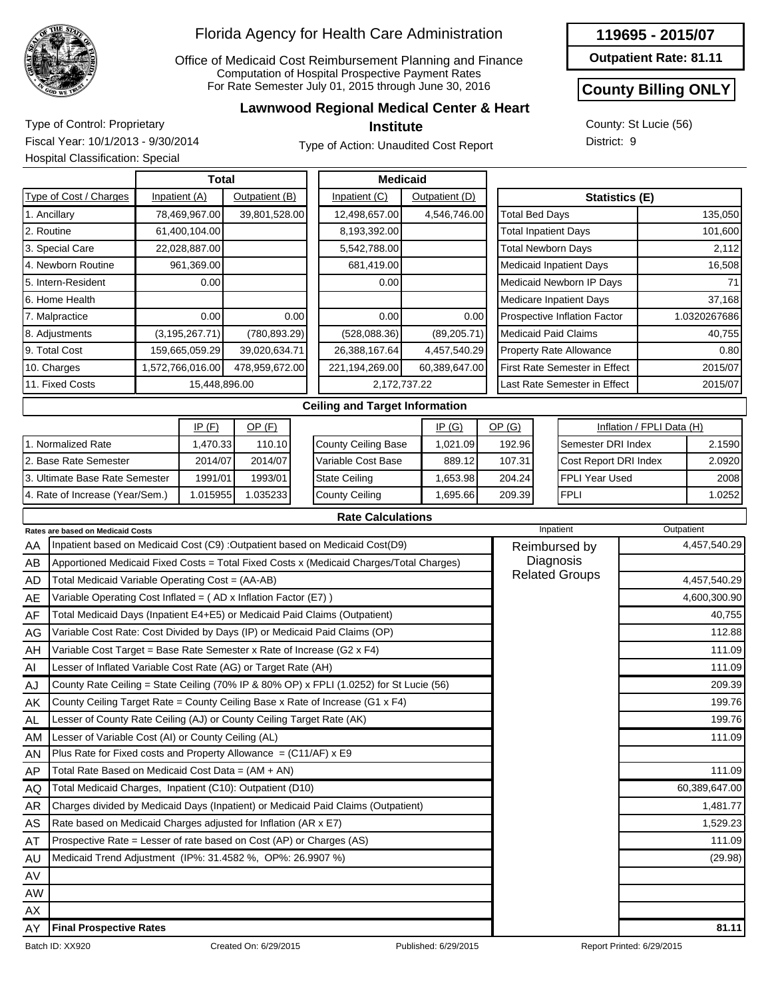

Office of Medicaid Cost Reimbursement Planning and Finance Computation of Hospital Prospective Payment Rates For Rate Semester July 01, 2015 through June 30, 2016

#### **Lawnwood Regional Medical Center & Heart**

**Institute**

Type of Control: Proprietary Fiscal Year: 10/1/2013 - 9/30/2014 Hospital Classification: Special

Type of Action: Unaudited Cost Report



## **County Billing ONLY**

County: St Lucie (56) District: 9

| <b>Total</b>                    |  |                  |                |      | <b>Medicaid</b>                       |                |              |        |                                |                                      |                           |              |
|---------------------------------|--|------------------|----------------|------|---------------------------------------|----------------|--------------|--------|--------------------------------|--------------------------------------|---------------------------|--------------|
| Type of Cost / Charges          |  | Inpatient (A)    | Outpatient (B) |      | Inpatient (C)                         | Outpatient (D) |              |        |                                | <b>Statistics (E)</b>                |                           |              |
| 1. Ancillary                    |  | 78,469,967.00    | 39,801,528.00  |      | 12,498,657.00                         | 4,546,746.00   |              |        | <b>Total Bed Days</b>          |                                      |                           | 135,050      |
| 2. Routine                      |  | 61,400,104.00    |                |      | 8,193,392.00                          |                |              |        | <b>Total Inpatient Days</b>    |                                      |                           | 101,600      |
| 3. Special Care                 |  | 22,028,887.00    |                |      | 5,542,788.00                          |                |              |        | <b>Total Newborn Days</b>      |                                      |                           | 2,112        |
| 4. Newborn Routine              |  | 961,369.00       |                |      | 681,419.00                            |                |              |        | <b>Medicaid Inpatient Days</b> |                                      |                           | 16,508       |
| 5. Intern-Resident              |  | 0.00             |                |      | 0.00                                  |                |              |        | Medicaid Newborn IP Days       |                                      |                           | 71           |
| 6. Home Health                  |  |                  |                |      |                                       |                |              |        | <b>Medicare Inpatient Days</b> |                                      |                           | 37,168       |
| 7. Malpractice                  |  | 0.00             |                | 0.00 | 0.00                                  |                | 0.00         |        | Prospective Inflation Factor   |                                      |                           | 1.0320267686 |
| 8. Adjustments                  |  | (3, 195, 267.71) | (780, 893.29)  |      | (528,088.36)                          |                | (89, 205.71) |        | <b>Medicaid Paid Claims</b>    |                                      |                           | 40,755       |
| 9. Total Cost                   |  | 159,665,059.29   | 39,020,634.71  |      | 26,388,167.64                         | 4,457,540.29   |              |        |                                | <b>Property Rate Allowance</b>       |                           | 0.80         |
| 10. Charges                     |  | 1,572,766,016.00 | 478,959,672.00 |      | 221,194,269.00                        | 60,389,647.00  |              |        |                                | <b>First Rate Semester in Effect</b> |                           | 2015/07      |
| 11. Fixed Costs                 |  | 15,448,896.00    |                |      | 2,172,737.22                          |                |              |        |                                | Last Rate Semester in Effect         |                           | 2015/07      |
|                                 |  |                  |                |      | <b>Ceiling and Target Information</b> |                |              |        |                                |                                      |                           |              |
|                                 |  | IP(F)            | $OP$ (F)       |      |                                       | IP(G)          |              | OP(G)  |                                |                                      | Inflation / FPLI Data (H) |              |
| 1. Normalized Rate              |  | 1,470.33         | 110.10         |      | County Ceiling Base                   |                | 1,021.09     | 192.96 |                                | Semester DRI Index                   |                           | 2.1590       |
| 2. Base Rate Semester           |  | 2014/07          | 2014/07        |      | Variable Cost Base                    |                | 889.12       | 107.31 |                                | Cost Report DRI Index                |                           | 2.0920       |
| 3. Ultimate Base Rate Semester  |  | 1991/01          | 1993/01        |      | <b>State Ceiling</b>                  |                | 1,653.98     | 204.24 |                                | FPLI Year Used                       |                           | 2008         |
| 4. Rate of Increase (Year/Sem.) |  | 1.015955         | 1.035233       |      | County Ceiling                        |                | 1,695.66     | 209.39 |                                | FPLI                                 |                           | 1.0252       |

#### **Rate Calculations**

|           | <b>Rates are based on Medicaid Costs</b>                                                | Inpatient             | Outpatient    |
|-----------|-----------------------------------------------------------------------------------------|-----------------------|---------------|
| AA        | Inpatient based on Medicaid Cost (C9) : Outpatient based on Medicaid Cost(D9)           | Reimbursed by         | 4,457,540.29  |
| AB        | Apportioned Medicaid Fixed Costs = Total Fixed Costs x (Medicaid Charges/Total Charges) |                       |               |
| AD        | Total Medicaid Variable Operating Cost = (AA-AB)                                        | <b>Related Groups</b> | 4,457,540.29  |
| AE        | Variable Operating Cost Inflated = (AD x Inflation Factor (E7))                         |                       | 4,600,300.90  |
| AF        | Total Medicaid Days (Inpatient E4+E5) or Medicaid Paid Claims (Outpatient)              |                       | 40,755        |
| AG        | Variable Cost Rate: Cost Divided by Days (IP) or Medicaid Paid Claims (OP)              |                       | 112.88        |
| AH        | Variable Cost Target = Base Rate Semester x Rate of Increase (G2 x F4)                  |                       | 111.09        |
| AI        | Lesser of Inflated Variable Cost Rate (AG) or Target Rate (AH)                          |                       | 111.09        |
| AJ        | County Rate Ceiling = State Ceiling (70% IP & 80% OP) x FPLI (1.0252) for St Lucie (56) |                       | 209.39        |
| AK        | County Ceiling Target Rate = County Ceiling Base x Rate of Increase (G1 x F4)           |                       | 199.76        |
| <b>AL</b> | Lesser of County Rate Ceiling (AJ) or County Ceiling Target Rate (AK)                   |                       | 199.76        |
| AM        | Lesser of Variable Cost (AI) or County Ceiling (AL)                                     |                       | 111.09        |
| AN        | Plus Rate for Fixed costs and Property Allowance = $(C11/AF)$ x E9                      |                       |               |
| AP        | Total Rate Based on Medicaid Cost Data = (AM + AN)                                      |                       | 111.09        |
| AQ        | Total Medicaid Charges, Inpatient (C10): Outpatient (D10)                               |                       | 60,389,647.00 |
| <b>AR</b> | Charges divided by Medicaid Days (Inpatient) or Medicaid Paid Claims (Outpatient)       |                       | 1,481.77      |
| AS        | Rate based on Medicaid Charges adjusted for Inflation (AR x E7)                         |                       | 1,529.23      |
| AT        | Prospective Rate = Lesser of rate based on Cost (AP) or Charges (AS)                    |                       | 111.09        |
| AU        | Medicaid Trend Adjustment (IP%: 31.4582 %, OP%: 26.9907 %)                              |                       | (29.98)       |
| AV        |                                                                                         |                       |               |
| AW        |                                                                                         |                       |               |
| AX        |                                                                                         |                       |               |
| AY        | <b>Final Prospective Rates</b>                                                          |                       | 81.11         |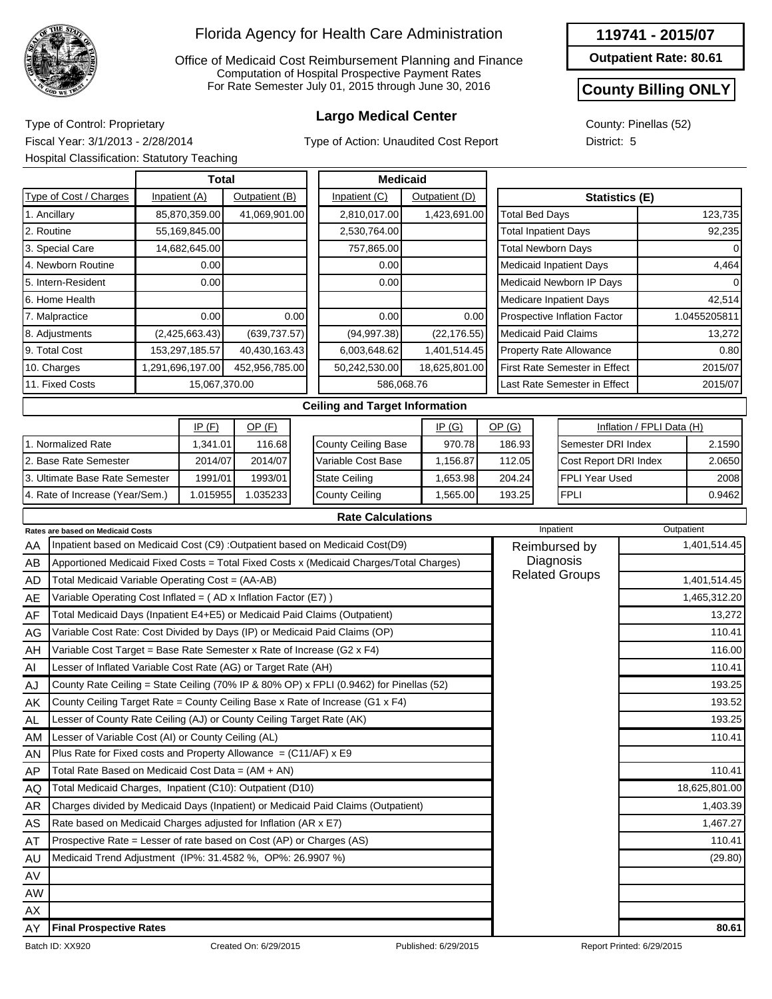

Office of Medicaid Cost Reimbursement Planning and Finance Computation of Hospital Prospective Payment Rates For Rate Semester July 01, 2015 through June 30, 2016

Type of Action: Unaudited Cost Report

**119741 - 2015/07**

**Outpatient Rate: 80.61**

### **County Billing ONLY**

0.9462

County: Pinellas (52) District: 5

**Largo Medical Center** Type of Control: Proprietary Fiscal Year: 3/1/2013 - 2/28/2014 Hospital Classification: Statutory Teaching

4. Rate of Increase (Year/Sem.)

|                                |  | Total           |                |      | <b>Medicaid</b>                       |  |                |  |                             |                                      |                           |              |
|--------------------------------|--|-----------------|----------------|------|---------------------------------------|--|----------------|--|-----------------------------|--------------------------------------|---------------------------|--------------|
| Type of Cost / Charges         |  | Inpatient (A)   | Outpatient (B) |      | Inpatient (C)                         |  | Outpatient (D) |  |                             | <b>Statistics (E)</b>                |                           |              |
| 1. Ancillary                   |  | 85,870,359.00   | 41,069,901.00  |      | 2,810,017.00                          |  | 1,423,691.00   |  | <b>Total Bed Days</b>       |                                      |                           | 123,735      |
| 2. Routine                     |  | 55,169,845.00   |                |      | 2,530,764.00                          |  |                |  | <b>Total Inpatient Days</b> |                                      |                           | 92,235       |
| 3. Special Care                |  | 14,682,645.00   |                |      | 757,865.00                            |  |                |  | <b>Total Newborn Days</b>   |                                      |                           | 0            |
| 4. Newborn Routine             |  | 0.00            |                |      | 0.00                                  |  |                |  |                             | Medicaid Inpatient Days              |                           | 4,464        |
| 5. Intern-Resident             |  | 0.00            |                |      | 0.00                                  |  |                |  |                             | Medicaid Newborn IP Days             |                           | 0            |
| 6. Home Health                 |  |                 |                |      |                                       |  |                |  |                             | Medicare Inpatient Days              |                           | 42,514       |
| 7. Malpractice                 |  | 0.00            |                | 0.00 | 0.00                                  |  | 0.00           |  |                             | Prospective Inflation Factor         |                           | 1.0455205811 |
| 8. Adjustments                 |  | (2,425,663.43)  | (639, 737.57)  |      | (94, 997.38)                          |  | (22, 176.55)   |  | <b>Medicaid Paid Claims</b> |                                      |                           | 13,272       |
| 9. Total Cost                  |  | 153,297,185.57  | 40,430,163.43  |      | 6,003,648.62                          |  | 1,401,514.45   |  |                             | <b>Property Rate Allowance</b>       |                           | 0.80         |
| 10. Charges                    |  | ,291,696,197.00 | 452,956,785.00 |      | 50,242,530.00                         |  | 18,625,801.00  |  |                             | <b>First Rate Semester in Effect</b> |                           | 2015/07      |
| 11. Fixed Costs                |  | 15,067,370.00   |                |      | 586,068.76                            |  |                |  |                             | Last Rate Semester in Effect         |                           | 2015/07      |
|                                |  |                 |                |      | <b>Ceiling and Target Information</b> |  |                |  |                             |                                      |                           |              |
|                                |  | IP(F)           | $OP$ $(F)$     |      |                                       |  | IP(G)          |  | OP(G)                       |                                      | Inflation / FPLI Data (H) |              |
| I. Normalized Rate             |  | 1,341.01        | 116.68         |      | <b>County Ceiling Base</b>            |  | 970.78         |  | 186.93                      | Semester DRI Index                   |                           | 2.1590       |
| 2. Base Rate Semester          |  | 2014/07         | 2014/07        |      | Variable Cost Base                    |  | 1,156.87       |  | 112.05                      | Cost Report DRI Index                |                           | 2.0650       |
| 3. Ultimate Base Rate Semester |  | 1991/01         | 1993/01        |      | <b>State Ceiling</b>                  |  | 1,653.98       |  | 204.24                      | FPLI Year Used                       |                           | 2008         |

| <b>Rate Calculations</b> |
|--------------------------|
|--------------------------|

1,565.00

193.25

FPLI

County Ceiling

|           | <b>Rates are based on Medicaid Costs</b>                                                | Inpatient             | Outpatient    |
|-----------|-----------------------------------------------------------------------------------------|-----------------------|---------------|
| AA        | Inpatient based on Medicaid Cost (C9) : Outpatient based on Medicaid Cost(D9)           | Reimbursed by         | 1,401,514.45  |
| AB        | Apportioned Medicaid Fixed Costs = Total Fixed Costs x (Medicaid Charges/Total Charges) | Diagnosis             |               |
| AD        | Total Medicaid Variable Operating Cost = (AA-AB)                                        | <b>Related Groups</b> | 1,401,514.45  |
| AE        | Variable Operating Cost Inflated = $(AD x)$ Inflation Factor (E7) )                     |                       | 1,465,312.20  |
| AF        | Total Medicaid Days (Inpatient E4+E5) or Medicaid Paid Claims (Outpatient)              |                       | 13,272        |
| AG        | Variable Cost Rate: Cost Divided by Days (IP) or Medicaid Paid Claims (OP)              |                       | 110.41        |
| AH        | Variable Cost Target = Base Rate Semester x Rate of Increase (G2 x F4)                  |                       | 116.00        |
| AI        | Lesser of Inflated Variable Cost Rate (AG) or Target Rate (AH)                          |                       | 110.41        |
| AJ        | County Rate Ceiling = State Ceiling (70% IP & 80% OP) x FPLI (0.9462) for Pinellas (52) |                       | 193.25        |
| AK        | County Ceiling Target Rate = County Ceiling Base x Rate of Increase (G1 x F4)           |                       | 193.52        |
| <b>AL</b> | Lesser of County Rate Ceiling (AJ) or County Ceiling Target Rate (AK)                   |                       | 193.25        |
| AM        | Lesser of Variable Cost (AI) or County Ceiling (AL)                                     |                       | 110.41        |
| AN        | Plus Rate for Fixed costs and Property Allowance $= (C11/AF) \times E9$                 |                       |               |
| AP        | Total Rate Based on Medicaid Cost Data = (AM + AN)                                      |                       | 110.41        |
| AQ        | Total Medicaid Charges, Inpatient (C10): Outpatient (D10)                               |                       | 18,625,801.00 |
| AR        | Charges divided by Medicaid Days (Inpatient) or Medicaid Paid Claims (Outpatient)       |                       | 1,403.39      |
| AS        | Rate based on Medicaid Charges adjusted for Inflation (AR x E7)                         |                       | 1,467.27      |
| AT        | Prospective Rate = Lesser of rate based on Cost (AP) or Charges (AS)                    |                       | 110.41        |
| AU        | Medicaid Trend Adjustment (IP%: 31.4582 %, OP%: 26.9907 %)                              |                       | (29.80)       |
| AV        |                                                                                         |                       |               |
| <b>AW</b> |                                                                                         |                       |               |
| AX        |                                                                                         |                       |               |
| AY        | <b>Final Prospective Rates</b>                                                          |                       | 80.61         |

1.015955 1.035233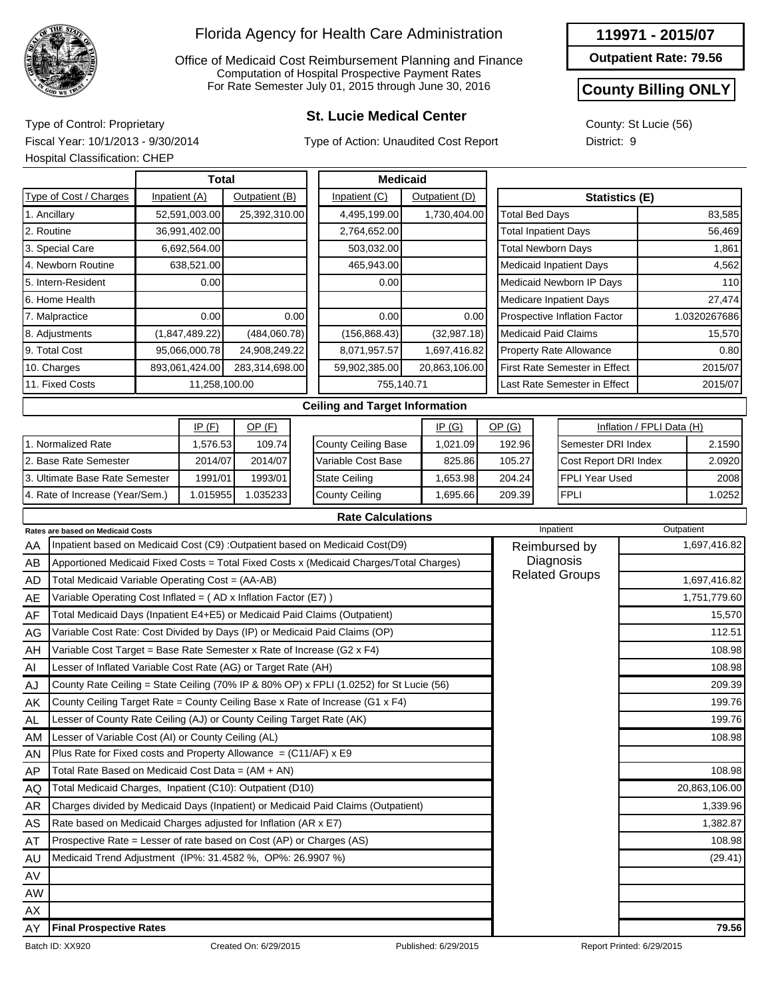

Office of Medicaid Cost Reimbursement Planning and Finance Computation of Hospital Prospective Payment Rates For Rate Semester July 01, 2015 through June 30, 2016

## **St. Lucie Medical Center** Type of Control: Proprietary

Type of Action: Unaudited Cost Report

#### **119971 - 2015/07**

**Outpatient Rate: 79.56**

### **County Billing ONLY**

County: St Lucie (56) District: 9

Fiscal Year: 10/1/2013 - 9/30/2014 Hospital Classification: CHEP

| <b>Total</b><br>Type of Cost / Charges<br>Inpatient (A) |                                                                                                                                                                                                     |                                                                            |               |                |                                                                                         | <b>Medicaid</b>                                                               |  |                |  |                               |                         |                                |         |                           |              |
|---------------------------------------------------------|-----------------------------------------------------------------------------------------------------------------------------------------------------------------------------------------------------|----------------------------------------------------------------------------|---------------|----------------|-----------------------------------------------------------------------------------------|-------------------------------------------------------------------------------|--|----------------|--|-------------------------------|-------------------------|--------------------------------|---------|---------------------------|--------------|
|                                                         |                                                                                                                                                                                                     |                                                                            |               | Outpatient (B) |                                                                                         | Inpatient (C)                                                                 |  | Outpatient (D) |  |                               |                         | <b>Statistics (E)</b>          |         |                           |              |
|                                                         | 1. Ancillary                                                                                                                                                                                        |                                                                            | 52,591,003.00 | 25,392,310.00  |                                                                                         | 4,495,199.00                                                                  |  | 1,730,404.00   |  | <b>Total Bed Days</b>         |                         |                                |         |                           | 83,585       |
|                                                         | 2. Routine                                                                                                                                                                                          |                                                                            | 36,991,402.00 |                |                                                                                         | 2,764,652.00                                                                  |  |                |  | <b>Total Inpatient Days</b>   |                         |                                |         |                           | 56,469       |
|                                                         | 3. Special Care                                                                                                                                                                                     |                                                                            | 6,692,564.00  |                |                                                                                         | 503,032.00                                                                    |  |                |  | <b>Total Newborn Days</b>     |                         |                                |         |                           | 1.861        |
|                                                         | 4. Newborn Routine                                                                                                                                                                                  |                                                                            | 638,521.00    |                |                                                                                         | 465,943.00                                                                    |  |                |  |                               |                         | <b>Medicaid Inpatient Days</b> |         |                           | 4,562        |
|                                                         | 5. Intern-Resident<br>0.00                                                                                                                                                                          |                                                                            |               |                |                                                                                         | 0.00                                                                          |  |                |  |                               |                         | Medicaid Newborn IP Days       |         |                           | 110          |
|                                                         | 6. Home Health                                                                                                                                                                                      |                                                                            |               |                |                                                                                         |                                                                               |  |                |  |                               | Medicare Inpatient Days |                                |         |                           | 27,474       |
|                                                         | 7. Malpractice                                                                                                                                                                                      |                                                                            | 0.00          |                | 0.00                                                                                    | 0.00                                                                          |  | 0.00           |  |                               |                         | Prospective Inflation Factor   |         |                           | 1.0320267686 |
|                                                         | 8. Adjustments<br>(1,847,489.22)                                                                                                                                                                    |                                                                            |               | (484,060.78)   |                                                                                         | (156, 868.43)                                                                 |  | (32, 987.18)   |  | Medicaid Paid Claims          |                         |                                |         |                           | 15,570       |
|                                                         | 9. Total Cost<br>95,066,000.78                                                                                                                                                                      |                                                                            |               | 24,908,249.22  |                                                                                         | 8,071,957.57                                                                  |  | 1,697,416.82   |  |                               |                         | <b>Property Rate Allowance</b> |         |                           | 0.80         |
|                                                         | 10. Charges<br>893,061,424.00                                                                                                                                                                       |                                                                            |               | 283,314,698.00 |                                                                                         | 59,902,385.00                                                                 |  | 20,863,106.00  |  | First Rate Semester in Effect |                         |                                |         | 2015/07                   |              |
| 11. Fixed Costs<br>11,258,100.00                        |                                                                                                                                                                                                     |                                                                            |               | 755,140.71     |                                                                                         |                                                                               |  |                |  | Last Rate Semester in Effect  |                         |                                | 2015/07 |                           |              |
|                                                         |                                                                                                                                                                                                     |                                                                            |               |                |                                                                                         | <b>Ceiling and Target Information</b>                                         |  |                |  |                               |                         |                                |         |                           |              |
|                                                         |                                                                                                                                                                                                     |                                                                            | IP(F)         | $OP$ (F)       |                                                                                         |                                                                               |  | IP(G)          |  | OP(G)                         |                         |                                |         | Inflation / FPLI Data (H) |              |
|                                                         | 1. Normalized Rate                                                                                                                                                                                  |                                                                            | 1,576.53      | 109.74         |                                                                                         | <b>County Ceiling Base</b>                                                    |  | 1,021.09       |  | 192.96                        |                         | Semester DRI Index             |         |                           | 2.1590       |
|                                                         | 2. Base Rate Semester                                                                                                                                                                               |                                                                            | 2014/07       | 2014/07        |                                                                                         | Variable Cost Base                                                            |  | 825.86         |  | 105.27                        | Cost Report DRI Index   |                                |         |                           | 2.0920       |
|                                                         | 3. Ultimate Base Rate Semester                                                                                                                                                                      |                                                                            | 1991/01       | 1993/01        |                                                                                         | <b>State Ceiling</b>                                                          |  | 1,653.98       |  | 204.24                        |                         | FPLI Year Used                 |         | 2008                      |              |
|                                                         | 4. Rate of Increase (Year/Sem.)                                                                                                                                                                     |                                                                            | 1.015955      | 1.035233       |                                                                                         | <b>County Ceiling</b>                                                         |  | 1,695.66       |  | 209.39                        |                         | <b>FPLI</b>                    |         |                           | 1.0252       |
|                                                         |                                                                                                                                                                                                     |                                                                            |               |                |                                                                                         | <b>Rate Calculations</b>                                                      |  |                |  |                               |                         |                                |         |                           |              |
|                                                         | <b>Rates are based on Medicaid Costs</b>                                                                                                                                                            |                                                                            |               |                |                                                                                         |                                                                               |  |                |  |                               | Inpatient               |                                |         | Outpatient                |              |
| AA                                                      |                                                                                                                                                                                                     |                                                                            |               |                |                                                                                         | Inpatient based on Medicaid Cost (C9) : Outpatient based on Medicaid Cost(D9) |  |                |  |                               |                         | Reimbursed by                  |         |                           | 1,697,416.82 |
| AB                                                      |                                                                                                                                                                                                     |                                                                            |               |                | Apportioned Medicaid Fixed Costs = Total Fixed Costs x (Medicaid Charges/Total Charges) |                                                                               |  |                |  |                               | Diagnosis               |                                |         |                           |              |
| <b>AD</b>                                               | Total Medicaid Variable Operating Cost = (AA-AB)                                                                                                                                                    |                                                                            |               |                |                                                                                         | <b>Related Groups</b>                                                         |  |                |  |                               | 1,697,416.82            |                                |         |                           |              |
| AE                                                      | Variable Operating Cost Inflated = (AD x Inflation Factor (E7))                                                                                                                                     |                                                                            |               |                |                                                                                         |                                                                               |  |                |  |                               |                         |                                |         |                           | 1,751,779.60 |
| AF                                                      |                                                                                                                                                                                                     | Total Medicaid Days (Inpatient E4+E5) or Medicaid Paid Claims (Outpatient) |               |                |                                                                                         |                                                                               |  |                |  |                               | 15,570                  |                                |         |                           |              |
| AG                                                      |                                                                                                                                                                                                     |                                                                            |               |                |                                                                                         | Variable Cost Rate: Cost Divided by Days (IP) or Medicaid Paid Claims (OP)    |  |                |  |                               |                         |                                |         |                           | 112.51       |
| $\cdots$                                                | $M_{\rm F}$ della $\Omega_{\rm F}$ ( $\Gamma_{\rm F}$ and $\Gamma_{\rm F}$ $\Omega_{\rm F}$ is $\Omega_{\rm F}$ and $\Omega_{\rm F}$ and $\Omega_{\rm F}$ and $\Omega_{\rm F}$ and $\Omega_{\rm F}$ |                                                                            |               |                |                                                                                         |                                                                               |  |                |  |                               |                         |                                |         | 10000                     |              |

| AY  | <b>Final Prospective Rates</b>                                                          | 79.56         |
|-----|-----------------------------------------------------------------------------------------|---------------|
| AX  |                                                                                         |               |
| AW  |                                                                                         |               |
| AV  |                                                                                         |               |
| AU  | Medicaid Trend Adjustment (IP%: 31.4582 %, OP%: 26.9907 %)                              | (29.41)       |
| AT  | Prospective Rate = Lesser of rate based on Cost (AP) or Charges (AS)                    | 108.98        |
| AS  | Rate based on Medicaid Charges adjusted for Inflation (AR x E7)                         | 1,382.87      |
| AR  | Charges divided by Medicaid Days (Inpatient) or Medicaid Paid Claims (Outpatient)       | 1,339.96      |
| AQ  | Total Medicaid Charges, Inpatient (C10): Outpatient (D10)                               | 20,863,106.00 |
| AP  | Total Rate Based on Medicaid Cost Data = (AM + AN)                                      | 108.98        |
| AN  | Plus Rate for Fixed costs and Property Allowance $= (C11/AF) \times E9$                 |               |
| AM  | Lesser of Variable Cost (AI) or County Ceiling (AL)                                     | 108.98        |
| AL  | Lesser of County Rate Ceiling (AJ) or County Ceiling Target Rate (AK)                   | 199.76        |
| AK  | County Ceiling Target Rate = County Ceiling Base x Rate of Increase (G1 x F4)           | 199.76        |
| AJ  | County Rate Ceiling = State Ceiling (70% IP & 80% OP) x FPLI (1.0252) for St Lucie (56) | 209.39        |
| AI  | Lesser of Inflated Variable Cost Rate (AG) or Target Rate (AH)                          | 108.98        |
| AH  | Variable Cost Target = Base Rate Semester x Rate of Increase (G2 $\times$ F4)           | 108.98        |
| AG. | Variable Cost Rate: Cost Divided by Days (IP) or Medicald Paid Claims (OP)              | 112.51        |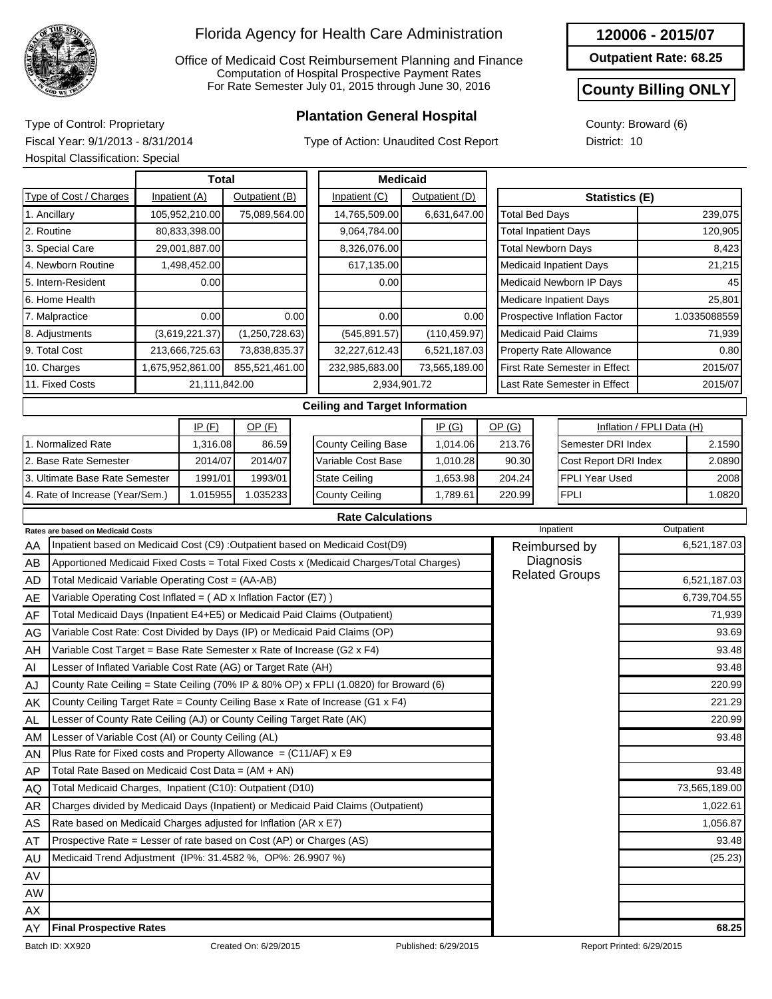

Office of Medicaid Cost Reimbursement Planning and Finance Computation of Hospital Prospective Payment Rates For Rate Semester July 01, 2015 through June 30, 2016

## **Plantation General Hospital** Type of Control: Proprietary

Type of Action: Unaudited Cost Report

**Outpatient Rate: 68.25**

#### **County Billing ONLY**

County: Broward (6) District: 10

Fiscal Year: 9/1/2013 - 8/31/2014 Hospital Classification: Special

|                                  |                                                                                         | <b>Total</b> |                |                | <b>Medicaid</b> |                                       |                   |                |                                 |                                |                                      |                           |              |              |  |
|----------------------------------|-----------------------------------------------------------------------------------------|--------------|----------------|----------------|-----------------|---------------------------------------|-------------------|----------------|---------------------------------|--------------------------------|--------------------------------------|---------------------------|--------------|--------------|--|
|                                  | Type of Cost / Charges                                                                  |              | Inpatient (A)  | Outpatient (B) |                 | Inpatient (C)                         |                   | Outpatient (D) |                                 | <b>Statistics (E)</b>          |                                      |                           |              |              |  |
|                                  | 1. Ancillary                                                                            |              | 105,952,210.00 | 75,089,564.00  |                 | 14,765,509.00                         | 6,631,647.00      |                |                                 | <b>Total Bed Days</b>          |                                      |                           |              | 239,075      |  |
| 2. Routine                       |                                                                                         |              | 80,833,398.00  |                |                 | 9,064,784.00                          |                   |                |                                 | <b>Total Inpatient Days</b>    |                                      |                           |              | 120,905      |  |
|                                  | 3. Special Care<br>29,001,887.00                                                        |              |                |                |                 | 8,326,076.00                          |                   |                |                                 | <b>Total Newborn Days</b>      |                                      |                           | 8,423        |              |  |
|                                  | 4. Newborn Routine<br>1,498,452.00                                                      |              |                |                |                 | 617,135.00                            |                   |                |                                 | <b>Medicaid Inpatient Days</b> |                                      |                           | 21,215       |              |  |
|                                  | 5. Intern-Resident                                                                      |              | 0.00           |                |                 | 0.00                                  |                   |                |                                 |                                | Medicaid Newborn IP Days             |                           | 45           |              |  |
|                                  | 6. Home Health                                                                          |              |                |                |                 |                                       |                   |                |                                 | <b>Medicare Inpatient Days</b> |                                      |                           | 25,801       |              |  |
|                                  | 7. Malpractice                                                                          |              | 0.00           |                | 0.00            | 0.00                                  |                   | 0.00           |                                 | Prospective Inflation Factor   |                                      |                           | 1.0335088559 |              |  |
|                                  | 8. Adjustments                                                                          |              | (3,619,221.37) | (1,250,728.63) |                 | (545, 891.57)                         |                   | (110, 459.97)  |                                 |                                | <b>Medicaid Paid Claims</b>          |                           | 71,939       |              |  |
|                                  | 9. Total Cost                                                                           |              | 213,666,725.63 | 73,838,835.37  |                 | 32,227,612.43                         |                   | 6,521,187.03   |                                 |                                | Property Rate Allowance              |                           | 0.80         |              |  |
|                                  | 10. Charges<br>1,675,952,861.00                                                         |              |                | 855,521,461.00 |                 | 232,985,683.00                        |                   | 73,565,189.00  |                                 |                                | <b>First Rate Semester in Effect</b> |                           |              | 2015/07      |  |
| 11. Fixed Costs<br>21,111,842.00 |                                                                                         |              |                |                | 2,934,901.72    |                                       |                   |                |                                 | Last Rate Semester in Effect   |                                      |                           | 2015/07      |              |  |
|                                  |                                                                                         |              |                |                |                 | <b>Ceiling and Target Information</b> |                   |                |                                 |                                |                                      |                           |              |              |  |
|                                  |                                                                                         |              | IP(F)          | OP(F)          |                 |                                       | OP(G)<br>IP $(G)$ |                |                                 |                                |                                      | Inflation / FPLI Data (H) |              |              |  |
|                                  | 1. Normalized Rate                                                                      |              | 1,316.08       | 86.59          |                 | <b>County Ceiling Base</b>            |                   | 1,014.06       | 213.76                          |                                | Semester DRI Index                   |                           |              | 2.1590       |  |
|                                  | 2. Base Rate Semester                                                                   |              | 2014/07        | 2014/07        |                 | Variable Cost Base                    |                   | 1,010.28       | 90.30<br>Cost Report DRI Index  |                                |                                      |                           | 2.0890       |              |  |
|                                  | 3. Ultimate Base Rate Semester                                                          |              | 1991/01        | 1993/01        |                 | <b>State Ceiling</b>                  |                   | 1,653.98       | 204.24<br><b>FPLI Year Used</b> |                                |                                      | 2008                      |              |              |  |
|                                  | 4. Rate of Increase (Year/Sem.)                                                         |              | 1.015955       | 1.035233       |                 | <b>County Ceiling</b>                 |                   | 1,789.61       | 220.99                          |                                | <b>FPLI</b>                          |                           |              | 1.0820       |  |
|                                  |                                                                                         |              |                |                |                 | <b>Rate Calculations</b>              |                   |                |                                 |                                |                                      |                           |              |              |  |
|                                  | Rates are based on Medicaid Costs                                                       |              |                |                |                 |                                       |                   |                |                                 |                                | Inpatient                            |                           | Outpatient   |              |  |
| AA                               | Inpatient based on Medicaid Cost (C9) : Outpatient based on Medicaid Cost(D9)           |              |                |                |                 |                                       |                   |                |                                 |                                | Reimbursed by                        |                           |              | 6,521,187.03 |  |
| AB                               | Apportioned Medicaid Fixed Costs = Total Fixed Costs x (Medicaid Charges/Total Charges) |              |                |                |                 |                                       |                   |                |                                 |                                | Diagnosis                            |                           |              |              |  |
| <b>AD</b>                        | Total Medicaid Variable Operating Cost = (AA-AB)                                        |              |                |                |                 |                                       |                   |                |                                 | <b>Related Groups</b>          |                                      |                           |              | 6,521,187.03 |  |
| AE                               | Variable Operating Cost Inflated = (AD x Inflation Factor (E7))                         |              |                |                |                 |                                       |                   |                |                                 | 6,739,704.55                   |                                      |                           |              |              |  |
| AF                               | Total Medicaid Days (Inpatient E4+E5) or Medicaid Paid Claims (Outpatient)              |              |                |                |                 |                                       |                   |                |                                 |                                |                                      |                           |              | 71,939       |  |
| AG                               | Variable Cost Rate: Cost Divided by Days (IP) or Medicaid Paid Claims (OP)              |              |                |                |                 |                                       |                   |                |                                 |                                |                                      |                           |              | 93.69        |  |
| AH                               | Variable Cost Target = Base Rate Semester x Rate of Increase (G2 x F4)                  |              |                |                |                 |                                       |                   |                |                                 |                                |                                      |                           |              | 93.48        |  |

AH AI AJ AK AL AM AN AP AQ AR AS AT AU AV AW AX AY Variable Cost Target = Base Rate Semester x Rate of Increase (G2 x F4) Lesser of Inflated Variable Cost Rate (AG) or Target Rate (AH) County Rate Ceiling = State Ceiling (70% IP & 80% OP) x FPLI (1.0820) for Broward (6) County Ceiling Target Rate = County Ceiling Base x Rate of Increase (G1 x F4) Lesser of County Rate Ceiling (AJ) or County Ceiling Target Rate (AK) Lesser of Variable Cost (AI) or County Ceiling (AL) 93.48 220.99 221.29 220.99 93.48 Plus Rate for Fixed costs and Property Allowance  $= (C11/AF) \times E9$ Total Rate Based on Medicaid Cost Data = (AM + AN) Total Medicaid Charges, Inpatient (C10): Outpatient (D10) Charges divided by Medicaid Days (Inpatient) or Medicaid Paid Claims (Outpatient) Rate based on Medicaid Charges adjusted for Inflation (AR x E7) Prospective Rate = Lesser of rate based on Cost (AP) or Charges (AS) 93.48 73,565,189.00 1,022.61 1,056.87 93.48 Medicaid Trend Adjustment (IP%: 31.4582 %, OP%: 26.9907 %) (25.23) **Final Prospective Rates 68.25**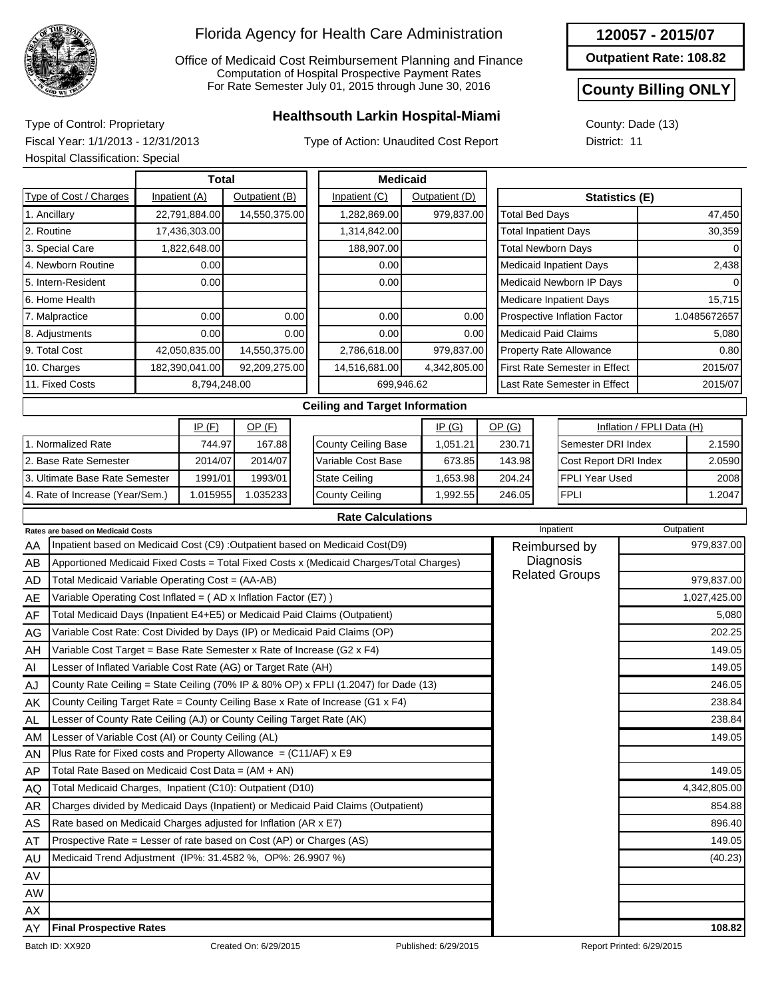

Office of Medicaid Cost Reimbursement Planning and Finance Computation of Hospital Prospective Payment Rates For Rate Semester July 01, 2015 through June 30, 2016

## **Healthsouth Larkin Hospital-Miami** Type of Control: Proprietary

Type of Action: Unaudited Cost Report

| 120057 - 2015/0 |  |  |  |  |
|-----------------|--|--|--|--|
|-----------------|--|--|--|--|

**Outpatient Rate: 108.82**

#### **County Billing ONLY**

County: Dade (13) District: 11

Fiscal Year: 1/1/2013 - 12/31/2013 Hospital Classification: Special

|                                 | Hospital Classification: Special                                           |                                 |                  |               |      |                                                                                         |  |                |                             |  |                                    |                           |              |  |
|---------------------------------|----------------------------------------------------------------------------|---------------------------------|------------------|---------------|------|-----------------------------------------------------------------------------------------|--|----------------|-----------------------------|--|------------------------------------|---------------------------|--------------|--|
|                                 |                                                                            | <b>Total</b><br><b>Medicaid</b> |                  |               |      |                                                                                         |  |                |                             |  |                                    |                           |              |  |
|                                 | Type of Cost / Charges                                                     | Inpatient (A)<br>Outpatient (B) |                  |               |      | Inpatient (C)                                                                           |  | Outpatient (D) | <b>Statistics (E)</b>       |  |                                    |                           |              |  |
|                                 | 1. Ancillary                                                               |                                 | 22,791,884.00    | 14,550,375.00 |      | 1,282,869.00                                                                            |  | 979,837.00     | <b>Total Bed Days</b>       |  |                                    |                           | 47,450       |  |
| 2. Routine<br>17,436,303.00     |                                                                            |                                 |                  |               |      | 1,314,842.00                                                                            |  |                | <b>Total Inpatient Days</b> |  |                                    |                           | 30,359       |  |
| 3. Special Care<br>1,822,648.00 |                                                                            |                                 |                  |               |      | 188,907.00                                                                              |  |                | <b>Total Newborn Days</b>   |  |                                    |                           | $\Omega$     |  |
|                                 | 4. Newborn Routine                                                         |                                 | 0.00             |               |      | 0.00                                                                                    |  |                |                             |  | <b>Medicaid Inpatient Days</b>     |                           | 2,438        |  |
|                                 | 5. Intern-Resident                                                         |                                 | 0.00             |               |      | 0.00                                                                                    |  |                |                             |  | Medicaid Newborn IP Days           |                           |              |  |
|                                 | 6. Home Health                                                             |                                 |                  |               |      |                                                                                         |  |                |                             |  | <b>Medicare Inpatient Days</b>     |                           | 15,715       |  |
|                                 | 7. Malpractice                                                             |                                 | 0.00             |               | 0.00 | 0.00                                                                                    |  | 0.00           |                             |  | Prospective Inflation Factor       |                           | 1.0485672657 |  |
|                                 | 8. Adjustments                                                             |                                 | 0.00             |               | 0.00 | 0.00                                                                                    |  | 0.00           |                             |  | <b>Medicaid Paid Claims</b>        |                           | 5,080        |  |
|                                 | 9. Total Cost                                                              |                                 | 42,050,835.00    | 14,550,375.00 |      | 2,786,618.00                                                                            |  | 979,837.00     |                             |  | <b>Property Rate Allowance</b>     |                           | 0.80         |  |
|                                 | 10. Charges                                                                |                                 | 182,390,041.00   | 92,209,275.00 |      | 14,516,681.00                                                                           |  | 4,342,805.00   |                             |  | First Rate Semester in Effect      |                           | 2015/07      |  |
| 11. Fixed Costs<br>8,794,248.00 |                                                                            |                                 |                  |               |      | 699,946.62                                                                              |  |                |                             |  | Last Rate Semester in Effect       |                           | 2015/07      |  |
|                                 |                                                                            |                                 |                  |               |      | <b>Ceiling and Target Information</b>                                                   |  |                |                             |  |                                    |                           |              |  |
| IP(F)<br>$OP$ $(F)$<br>IP(G)    |                                                                            |                                 |                  |               |      |                                                                                         |  |                | OP(G)                       |  |                                    | Inflation / FPLI Data (H) |              |  |
|                                 | 1. Normalized Rate                                                         |                                 | 744.97<br>167.88 |               |      | <b>County Ceiling Base</b>                                                              |  | 1,051.21       | 230.71                      |  | Semester DRI Index                 |                           | 2.1590       |  |
|                                 | 2. Base Rate Semester                                                      |                                 | 2014/07          | 2014/07       |      | Variable Cost Base                                                                      |  | 673.85         | 143.98                      |  | Cost Report DRI Index              |                           | 2.0590       |  |
|                                 | 3. Ultimate Base Rate Semester                                             | 1991/01                         |                  | 1993/01       |      | <b>State Ceiling</b>                                                                    |  | 1,653.98       | 204.24                      |  | FPLI Year Used                     |                           | 2008         |  |
|                                 | 4. Rate of Increase (Year/Sem.)                                            |                                 | 1.015955         | 1.035233      |      | <b>County Ceiling</b>                                                                   |  | 1,992.55       | <b>FPLI</b><br>246.05       |  |                                    |                           | 1.2047       |  |
|                                 |                                                                            |                                 |                  |               |      | <b>Rate Calculations</b>                                                                |  |                |                             |  |                                    |                           |              |  |
|                                 | Rates are based on Medicaid Costs                                          |                                 |                  |               |      |                                                                                         |  |                |                             |  | Inpatient                          |                           | Outpatient   |  |
| AA                              |                                                                            |                                 |                  |               |      | Inpatient based on Medicaid Cost (C9) :Outpatient based on Medicaid Cost(D9)            |  |                |                             |  | Reimbursed by                      |                           | 979,837.00   |  |
| AB                              |                                                                            |                                 |                  |               |      | Apportioned Medicaid Fixed Costs = Total Fixed Costs x (Medicaid Charges/Total Charges) |  |                |                             |  | Diagnosis<br><b>Related Groups</b> |                           |              |  |
| <b>AD</b>                       | Total Medicaid Variable Operating Cost = (AA-AB)                           |                                 |                  |               |      |                                                                                         |  |                |                             |  |                                    |                           | 979,837.00   |  |
| AE                              | Variable Operating Cost Inflated = $(AD x Inflation Factor (E7))$          |                                 |                  |               |      |                                                                                         |  |                |                             |  |                                    |                           | 1,027,425.00 |  |
| AF                              | Total Medicaid Days (Inpatient E4+E5) or Medicaid Paid Claims (Outpatient) |                                 |                  |               |      |                                                                                         |  |                |                             |  |                                    |                           | 5,080        |  |
| AG                              | Variable Cost Rate: Cost Divided by Days (IP) or Medicaid Paid Claims (OP) |                                 |                  |               |      |                                                                                         |  |                |                             |  |                                    |                           | 202.25       |  |
| AH                              | Variable Cost Target = Base Rate Semester x Rate of Increase (G2 x F4)     |                                 |                  |               |      |                                                                                         |  |                |                             |  |                                    |                           | 149.05       |  |
| Al                              | Lesser of Inflated Variable Cost Rate (AG) or Target Rate (AH)             |                                 |                  |               |      |                                                                                         |  | 149.05         |                             |  |                                    |                           |              |  |
| AJ                              |                                                                            |                                 |                  |               |      | County Rate Ceiling = State Ceiling (70% IP & 80% OP) x FPLI (1.2047) for Dade (13)     |  |                |                             |  |                                    | 246.05                    |              |  |

AL AM AN AP AQ AR AS AT AU AV AW AX AY Lesser of County Rate Ceiling (AJ) or County Ceiling Target Rate (AK) Lesser of Variable Cost (AI) or County Ceiling (AL) Plus Rate for Fixed costs and Property Allowance =  $(C11/AF)$  x E9 Total Rate Based on Medicaid Cost Data = (AM + AN) Total Medicaid Charges, Inpatient (C10): Outpatient (D10) Charges divided by Medicaid Days (Inpatient) or Medicaid Paid Claims (Outpatient) Rate based on Medicaid Charges adjusted for Inflation (AR x E7) Prospective Rate = Lesser of rate based on Cost (AP) or Charges (AS) Medicaid Trend Adjustment (IP%: 31.4582 %, OP%: 26.9907 %) (40.23) **Final Prospective Rates 108.82**

238.84 238.84 149.05 149.05 4,342,805.00 854.88 896.40 149.05

AK

County Ceiling Target Rate = County Ceiling Base x Rate of Increase (G1 x F4)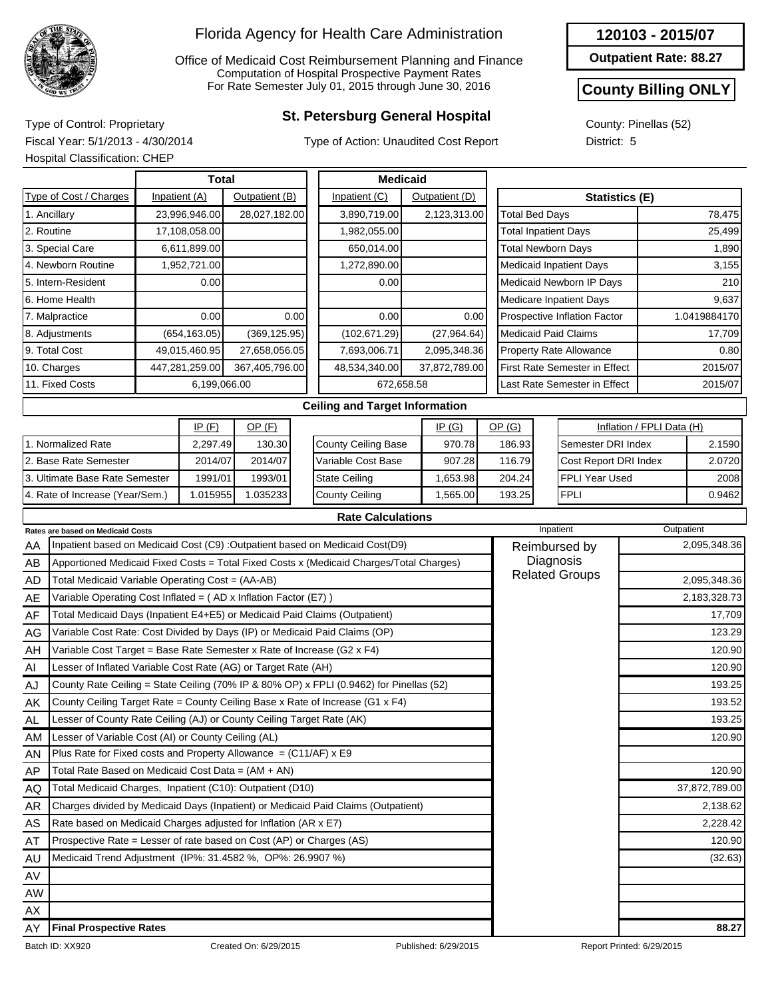

Office of Medicaid Cost Reimbursement Planning and Finance Computation of Hospital Prospective Payment Rates For Rate Semester July 01, 2015 through June 30, 2016

## **St. Petersburg General Hospital** Type of Control: Proprietary

Type of Action: Unaudited Cost Report

**Outpatient Rate: 88.27**

### **County Billing ONLY**

County: Pinellas (52) District: 5

Fiscal Year: 5/1/2013 - 4/30/2014 Hospital Classification: CHEP

|                                         |                                                                            |  | <b>Total</b>   |                |      |                                                                                         | <b>Medicaid</b>           |                                |                             |                          |                                |               |                           |              |
|-----------------------------------------|----------------------------------------------------------------------------|--|----------------|----------------|------|-----------------------------------------------------------------------------------------|---------------------------|--------------------------------|-----------------------------|--------------------------|--------------------------------|---------------|---------------------------|--------------|
| Type of Cost / Charges<br>Inpatient (A) |                                                                            |  |                | Outpatient (B) |      | Inpatient (C)                                                                           |                           | Outpatient (D)                 |                             |                          | <b>Statistics (E)</b>          |               |                           |              |
|                                         | 1. Ancillary                                                               |  | 23,996,946.00  | 28,027,182.00  |      | 3,890,719.00                                                                            |                           | 2,123,313.00                   | <b>Total Bed Days</b>       |                          |                                |               |                           | 78,475       |
|                                         | 2. Routine                                                                 |  | 17,108,058.00  |                |      | 1,982,055.00                                                                            |                           |                                | <b>Total Inpatient Days</b> |                          |                                |               |                           | 25,499       |
| 3. Special Care<br>6,611,899.00         |                                                                            |  |                | 650,014.00     |      |                                                                                         | <b>Total Newborn Days</b> |                                |                             |                          | 1,890                          |               |                           |              |
| 4. Newborn Routine<br>1,952,721.00      |                                                                            |  |                | 1,272,890.00   |      |                                                                                         |                           | <b>Medicaid Inpatient Days</b> |                             |                          | 3,155                          |               |                           |              |
|                                         | 5. Intern-Resident                                                         |  | 0.00           |                |      | 0.00                                                                                    |                           |                                |                             | Medicaid Newborn IP Days |                                |               | 210                       |              |
|                                         | 6. Home Health                                                             |  |                |                |      |                                                                                         |                           |                                |                             | Medicare Inpatient Days  |                                |               | 9,637                     |              |
|                                         | 7. Malpractice                                                             |  | 0.00           |                | 0.00 | 0.00                                                                                    |                           | 0.00                           |                             |                          | Prospective Inflation Factor   |               |                           | 1.0419884170 |
|                                         | 8. Adjustments                                                             |  | (654, 163.05)  | (369, 125.95)  |      | (102, 671.29)                                                                           |                           | (27,964.64)                    | <b>Medicaid Paid Claims</b> |                          |                                |               |                           | 17,709       |
|                                         | 9. Total Cost                                                              |  | 49,015,460.95  | 27,658,056.05  |      | 7,693,006.71                                                                            |                           | 2,095,348.36                   |                             |                          | <b>Property Rate Allowance</b> |               |                           | 0.80         |
|                                         | 10. Charges                                                                |  | 447,281,259.00 | 367,405,796.00 |      | 48,534,340.00                                                                           |                           | 37,872,789.00                  |                             |                          | First Rate Semester in Effect  |               |                           | 2015/07      |
|                                         | 11. Fixed Costs                                                            |  | 6,199,066.00   |                |      | 672,658.58                                                                              |                           |                                |                             |                          | Last Rate Semester in Effect   |               |                           | 2015/07      |
|                                         |                                                                            |  |                |                |      | <b>Ceiling and Target Information</b>                                                   |                           |                                |                             |                          |                                |               |                           |              |
|                                         |                                                                            |  | IP(F)          | $OP$ (F)       |      |                                                                                         |                           | IP(G)                          | OP(G)                       |                          |                                |               | Inflation / FPLI Data (H) |              |
|                                         | 1. Normalized Rate                                                         |  | 2,297.49       | 130.30         |      | <b>County Ceiling Base</b>                                                              |                           | 970.78                         | 186.93                      |                          | Semester DRI Index             |               |                           | 2.1590       |
|                                         | 2. Base Rate Semester                                                      |  | 2014/07        | 2014/07        |      | Variable Cost Base                                                                      |                           | 907.28                         | 116.79                      |                          | Cost Report DRI Index          |               |                           | 2.0720       |
|                                         | 3. Ultimate Base Rate Semester                                             |  | 1991/01        | 1993/01        |      | <b>State Ceiling</b>                                                                    |                           | 1,653.98                       | 204.24                      |                          | FPLI Year Used                 |               |                           | 2008         |
|                                         | 4. Rate of Increase (Year/Sem.)                                            |  | 1.015955       | 1.035233       |      | <b>County Ceiling</b>                                                                   |                           | 1,565.00                       | 193.25                      |                          | <b>FPLI</b>                    |               |                           | 0.9462       |
|                                         |                                                                            |  |                |                |      | <b>Rate Calculations</b>                                                                |                           |                                |                             |                          |                                |               |                           |              |
|                                         | Rates are based on Medicaid Costs                                          |  |                |                |      |                                                                                         |                           |                                |                             | Inpatient                |                                |               | Outpatient                |              |
| AA                                      |                                                                            |  |                |                |      | Inpatient based on Medicaid Cost (C9) : Outpatient based on Medicaid Cost(D9)           |                           |                                |                             |                          | Reimbursed by                  |               |                           | 2,095,348.36 |
| AB                                      |                                                                            |  |                |                |      | Apportioned Medicaid Fixed Costs = Total Fixed Costs x (Medicaid Charges/Total Charges) |                           |                                |                             |                          | Diagnosis                      |               |                           |              |
| AD                                      | Total Medicaid Variable Operating Cost = (AA-AB)                           |  |                |                |      |                                                                                         |                           |                                |                             |                          | <b>Related Groups</b>          |               |                           | 2,095,348.36 |
| AE                                      | Variable Operating Cost Inflated = (AD x Inflation Factor (E7))            |  |                |                |      |                                                                                         |                           |                                |                             |                          |                                |               |                           | 2,183,328.73 |
| AF                                      | Total Medicaid Days (Inpatient E4+E5) or Medicaid Paid Claims (Outpatient) |  |                |                |      |                                                                                         |                           |                                |                             | 17,709                   |                                |               |                           |              |
| AG                                      |                                                                            |  |                |                |      | Variable Cost Rate: Cost Divided by Days (IP) or Medicaid Paid Claims (OP)              |                           |                                |                             |                          |                                | 123.29        |                           |              |
| AH                                      | Variable Cost Target = Base Rate Semester x Rate of Increase (G2 x F4)     |  |                |                |      |                                                                                         |                           |                                |                             |                          |                                |               |                           | 120.90       |
| Al                                      | Lesser of Inflated Variable Cost Rate (AG) or Target Rate (AH)             |  |                |                |      |                                                                                         |                           |                                |                             |                          |                                | 120.90        |                           |              |
| AJ                                      |                                                                            |  |                |                |      | County Rate Ceiling = State Ceiling (70% IP & 80% OP) x FPLI (0.9462) for Pinellas (52) |                           |                                |                             |                          |                                |               |                           | 193.25       |
| AK                                      |                                                                            |  |                |                |      | County Ceiling Target Rate = County Ceiling Base x Rate of Increase (G1 x F4)           |                           |                                |                             |                          |                                |               |                           | 193.52       |
| AL                                      | Lesser of County Rate Ceiling (AJ) or County Ceiling Target Rate (AK)      |  |                |                |      |                                                                                         |                           |                                |                             |                          |                                |               |                           | 193.25       |
| AM                                      | Lesser of Variable Cost (AI) or County Ceiling (AL)                        |  |                |                |      |                                                                                         |                           |                                |                             |                          |                                |               |                           | 120.90       |
| AN                                      | Plus Rate for Fixed costs and Property Allowance = $(C11/AF)$ x E9         |  |                |                |      |                                                                                         |                           |                                |                             |                          |                                |               |                           |              |
| AP                                      | Total Rate Based on Medicaid Cost Data = (AM + AN)                         |  |                |                |      |                                                                                         |                           |                                |                             |                          |                                |               |                           | 120.90       |
| AQ                                      | Total Medicaid Charges, Inpatient (C10): Outpatient (D10)                  |  |                |                |      |                                                                                         |                           |                                |                             |                          |                                | 37,872,789.00 |                           |              |
| AR                                      |                                                                            |  |                |                |      | Charges divided by Medicaid Days (Inpatient) or Medicaid Paid Claims (Outpatient)       |                           |                                |                             |                          |                                |               |                           | 2,138.62     |
| AS                                      | Rate based on Medicaid Charges adjusted for Inflation (AR x E7)            |  |                |                |      |                                                                                         |                           |                                |                             |                          |                                | 2,228.42      |                           |              |
| AT                                      | Prospective Rate = Lesser of rate based on Cost (AP) or Charges (AS)       |  |                |                |      |                                                                                         |                           |                                |                             |                          |                                | 120.90        |                           |              |
| AU                                      | Medicaid Trend Adjustment (IP%: 31.4582 %, OP%: 26.9907 %)                 |  |                |                |      |                                                                                         |                           |                                |                             |                          |                                |               |                           | (32.63)      |
| AV                                      |                                                                            |  |                |                |      |                                                                                         |                           |                                |                             |                          |                                |               |                           |              |
| AW                                      |                                                                            |  |                |                |      |                                                                                         |                           |                                |                             |                          |                                |               |                           |              |
| AX.                                     |                                                                            |  |                |                |      |                                                                                         |                           |                                |                             |                          |                                |               |                           |              |

AY

**Final Prospective Rates 88.27**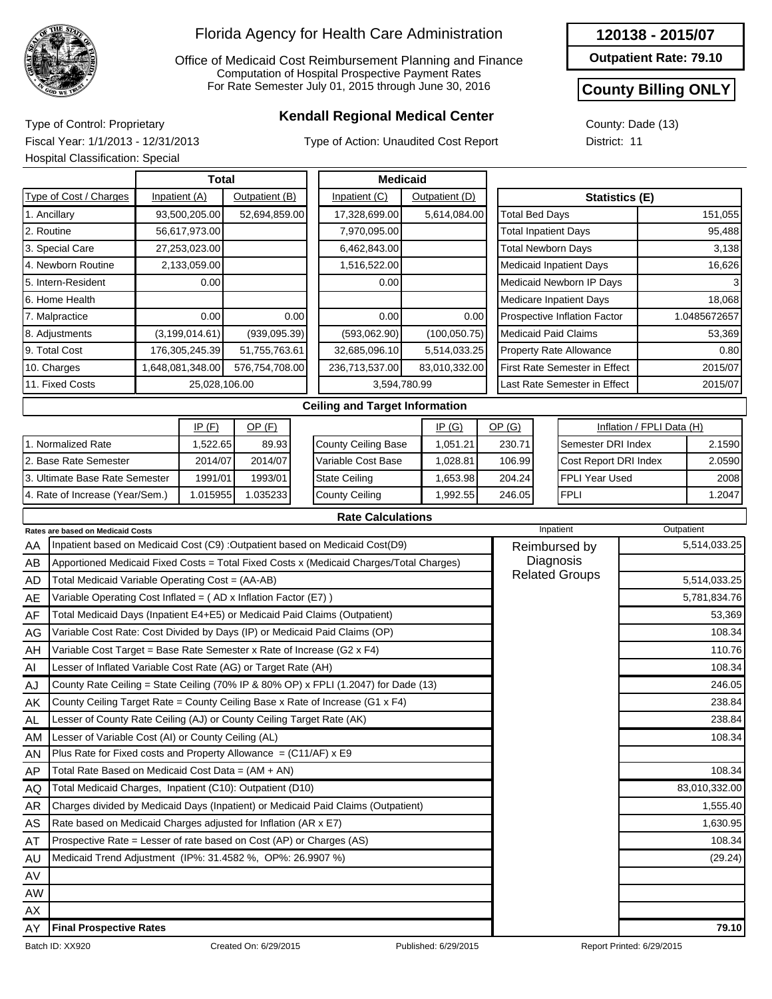

Office of Medicaid Cost Reimbursement Planning and Finance Computation of Hospital Prospective Payment Rates For Rate Semester July 01, 2015 through June 30, 2016

## **Kendall Regional Medical Center** Type of Control: Proprietary

Type of Action: Unaudited Cost Report

| 120138 - 2015/07 |  |
|------------------|--|
|------------------|--|

**Outpatient Rate: 79.10**

#### **County Billing ONLY**

County: Dade (13) District: 11

Fiscal Year: 1/1/2013 - 12/31/2013 Hospital Classification: Special

|                                                                                         | Hospital Classification: Special                                           |       |                  |                |                      |                                                                                         |          |                |        |                                       |                |                                |                           |              |  |
|-----------------------------------------------------------------------------------------|----------------------------------------------------------------------------|-------|------------------|----------------|----------------------|-----------------------------------------------------------------------------------------|----------|----------------|--------|---------------------------------------|----------------|--------------------------------|---------------------------|--------------|--|
|                                                                                         |                                                                            | Total |                  |                |                      | <b>Medicaid</b>                                                                         |          |                |        |                                       |                |                                |                           |              |  |
|                                                                                         | Type of Cost / Charges                                                     |       | Inpatient (A)    | Outpatient (B) |                      | Inpatient (C)                                                                           |          | Outpatient (D) |        |                                       |                | <b>Statistics (E)</b>          |                           |              |  |
|                                                                                         | 1. Ancillary                                                               |       | 93,500,205.00    | 52,694,859.00  |                      | 17,328,699.00                                                                           |          | 5,614,084.00   |        | <b>Total Bed Days</b>                 |                |                                |                           | 151,055      |  |
| 2. Routine<br>56,617,973.00                                                             |                                                                            |       |                  |                |                      | 7,970,095.00                                                                            |          |                |        | <b>Total Inpatient Days</b>           |                |                                |                           | 95,488       |  |
|                                                                                         | 3. Special Care                                                            |       | 27,253,023.00    |                |                      | 6,462,843.00                                                                            |          |                |        | <b>Total Newborn Days</b>             |                |                                |                           | 3,138        |  |
|                                                                                         | 4. Newborn Routine                                                         |       | 2,133,059.00     |                |                      | 1,516,522.00                                                                            |          |                |        |                                       |                | Medicaid Inpatient Days        |                           | 16,626       |  |
|                                                                                         | 5. Intern-Resident                                                         |       | 0.00             |                |                      | 0.00                                                                                    |          |                |        |                                       |                | Medicaid Newborn IP Days       |                           |              |  |
|                                                                                         | 6. Home Health                                                             |       |                  |                |                      |                                                                                         |          |                |        |                                       |                | <b>Medicare Inpatient Days</b> | 18,068                    |              |  |
|                                                                                         | 7. Malpractice                                                             |       | 0.00             |                | 0.00                 | 0.00                                                                                    |          | 0.00           |        |                                       |                | Prospective Inflation Factor   |                           | 1.0485672657 |  |
|                                                                                         | 8. Adjustments                                                             |       | (3, 199, 014.61) | (939, 095.39)  |                      | (593,062.90)                                                                            |          | (100, 050.75)  |        |                                       |                | <b>Medicaid Paid Claims</b>    |                           | 53,369       |  |
|                                                                                         | 9. Total Cost                                                              |       | 176,305,245.39   | 51,755,763.61  |                      | 32,685,096.10                                                                           |          | 5,514,033.25   |        |                                       |                | <b>Property Rate Allowance</b> |                           | 0.80         |  |
|                                                                                         | 10. Charges                                                                |       | 1,648,081,348.00 | 576,754,708.00 |                      | 236,713,537.00                                                                          |          | 83,010,332.00  |        |                                       |                | First Rate Semester in Effect  |                           | 2015/07      |  |
|                                                                                         | 11. Fixed Costs                                                            |       | 25,028,106.00    |                |                      | 3,594,780.99                                                                            |          |                |        |                                       |                | Last Rate Semester in Effect   |                           | 2015/07      |  |
|                                                                                         |                                                                            |       |                  |                |                      | <b>Ceiling and Target Information</b>                                                   |          |                |        |                                       |                |                                |                           |              |  |
|                                                                                         |                                                                            |       | IP(F)            | OP(F)          |                      |                                                                                         |          | IP(G)          | OP(G)  |                                       |                |                                | Inflation / FPLI Data (H) |              |  |
| 1. Normalized Rate<br>1,522.65                                                          |                                                                            |       |                  | 89.93          |                      | <b>County Ceiling Base</b>                                                              |          | 1,051.21       |        | 230.71                                |                | Semester DRI Index             |                           | 2.1590       |  |
|                                                                                         | 2. Base Rate Semester                                                      |       | 2014/07          | 2014/07        |                      | Variable Cost Base                                                                      |          | 1,028.81       |        | 106.99                                |                | Cost Report DRI Index          |                           | 2.0590       |  |
| 3. Ultimate Base Rate Semester<br>1993/01<br>1991/01                                    |                                                                            |       |                  |                | <b>State Ceiling</b> |                                                                                         | 1,653.98 |                | 204.24 |                                       | FPLI Year Used |                                | 2008                      |              |  |
|                                                                                         | 4. Rate of Increase (Year/Sem.)                                            |       | 1.015955         | 1.035233       |                      | <b>County Ceiling</b>                                                                   |          | 1,992.55       |        | 246.05                                |                | <b>FPLI</b>                    |                           | 1.2047       |  |
|                                                                                         |                                                                            |       |                  |                |                      | <b>Rate Calculations</b>                                                                |          |                |        |                                       |                |                                |                           |              |  |
|                                                                                         | Rates are based on Medicaid Costs                                          |       |                  |                |                      |                                                                                         |          |                |        | Inpatient                             |                | Outpatient                     |                           |              |  |
| AA                                                                                      |                                                                            |       |                  |                |                      | Inpatient based on Medicaid Cost (C9) : Outpatient based on Medicaid Cost(D9)           |          |                |        | Reimbursed by                         |                | 5,514,033.25                   |                           |              |  |
| AB                                                                                      |                                                                            |       |                  |                |                      | Apportioned Medicaid Fixed Costs = Total Fixed Costs x (Medicaid Charges/Total Charges) |          |                |        |                                       |                | Diagnosis                      |                           |              |  |
| AD                                                                                      | Total Medicaid Variable Operating Cost = (AA-AB)                           |       |                  |                |                      |                                                                                         |          |                |        | <b>Related Groups</b><br>5,514,033.25 |                |                                |                           |              |  |
| AE                                                                                      | Variable Operating Cost Inflated = (AD x Inflation Factor (E7))            |       |                  |                |                      |                                                                                         |          |                |        |                                       |                |                                |                           | 5,781,834.76 |  |
| AF                                                                                      | Total Medicaid Days (Inpatient E4+E5) or Medicaid Paid Claims (Outpatient) |       |                  |                |                      |                                                                                         |          |                |        |                                       |                |                                |                           | 53,369       |  |
| AG                                                                                      | Variable Cost Rate: Cost Divided by Days (IP) or Medicaid Paid Claims (OP) |       |                  |                |                      |                                                                                         |          |                |        |                                       |                |                                |                           | 108.34       |  |
| AΗ                                                                                      | Variable Cost Target = Base Rate Semester x Rate of Increase (G2 x F4)     |       |                  |                |                      |                                                                                         |          |                |        |                                       |                |                                |                           | 110.76       |  |
| Al                                                                                      | Lesser of Inflated Variable Cost Rate (AG) or Target Rate (AH)             |       |                  |                |                      |                                                                                         |          |                |        |                                       |                |                                |                           | 108.34       |  |
| AJ                                                                                      |                                                                            |       |                  |                |                      | County Rate Ceiling = State Ceiling (70% IP & 80% OP) x FPLI (1.2047) for Dade (13)     |          |                |        |                                       |                |                                |                           | 246.05       |  |
| AΚ                                                                                      |                                                                            |       |                  |                |                      | County Ceiling Target Rate = County Ceiling Base x Rate of Increase (G1 x F4)           |          |                |        |                                       |                |                                |                           | 238.84       |  |
| AL                                                                                      | Lesser of County Rate Ceiling (AJ) or County Ceiling Target Rate (AK)      |       |                  |                |                      |                                                                                         |          |                |        |                                       |                |                                | 238.84                    |              |  |
| Lesser of Variable Cost (AI) or County Ceiling (AL)<br>AM                               |                                                                            |       |                  |                |                      |                                                                                         |          |                |        |                                       |                | 108.34                         |                           |              |  |
| AN                                                                                      | Plus Rate for Fixed costs and Property Allowance $= (C11/AF) \times E9$    |       |                  |                |                      |                                                                                         |          |                |        |                                       |                |                                |                           |              |  |
| AΡ<br>Total Rate Based on Medicaid Cost Data = (AM + AN)                                |                                                                            |       |                  |                |                      |                                                                                         |          |                |        |                                       |                | 108.34                         |                           |              |  |
| Total Medicaid Charges, Inpatient (C10): Outpatient (D10)<br>AQ                         |                                                                            |       |                  |                |                      |                                                                                         |          |                |        |                                       | 83,010,332.00  |                                |                           |              |  |
| AR<br>Charges divided by Medicaid Days (Inpatient) or Medicaid Paid Claims (Outpatient) |                                                                            |       |                  |                |                      |                                                                                         |          |                |        |                                       | 1,555.40       |                                |                           |              |  |
| AS<br>Rate based on Medicaid Charges adjusted for Inflation (AR x E7)                   |                                                                            |       |                  |                |                      |                                                                                         |          |                |        |                                       | 1,630.95       |                                |                           |              |  |
| AT                                                                                      | Prospective Rate = Lesser of rate based on Cost (AP) or Charges (AS)       |       |                  |                |                      |                                                                                         |          |                |        |                                       |                | 108.34                         |                           |              |  |
| AU                                                                                      | Medicaid Trend Adjustment (IP%: 31.4582 %, OP%: 26.9907 %)                 |       |                  |                |                      |                                                                                         |          |                |        |                                       |                |                                | (29.24)                   |              |  |

#### AX AY **Final Prospective Rates 79.10**

AV AW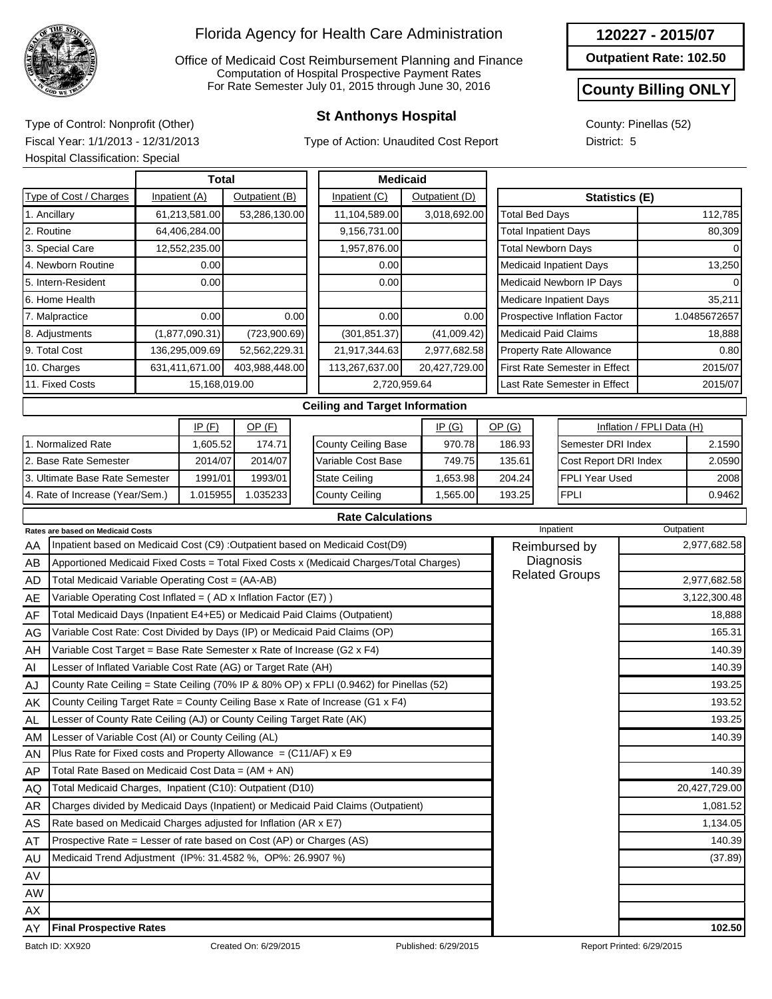

Office of Medicaid Cost Reimbursement Planning and Finance Computation of Hospital Prospective Payment Rates For Rate Semester July 01, 2015 through June 30, 2016

Type of Action: Unaudited Cost Report

**Outpatient Rate: 102.50**

#### **County Billing ONLY**

County: Pinellas (52) District: 5

**St Anthonys Hospital** Type of Control: Nonprofit (Other) Fiscal Year: 1/1/2013 - 12/31/2013 Hospital Classification: Special

|                                  |                                                                        | <b>Total</b>                                                                            |                |                |               | <b>Medicaid</b>                                                                         |                |                              |                             |                                      |  |              |  |  |  |
|----------------------------------|------------------------------------------------------------------------|-----------------------------------------------------------------------------------------|----------------|----------------|---------------|-----------------------------------------------------------------------------------------|----------------|------------------------------|-----------------------------|--------------------------------------|--|--------------|--|--|--|
|                                  | Type of Cost / Charges<br>Inpatient (A)<br>Outpatient (B)              |                                                                                         |                |                | Inpatient (C) |                                                                                         | Outpatient (D) |                              | <b>Statistics (E)</b>       |                                      |  |              |  |  |  |
| 1. Ancillary                     |                                                                        |                                                                                         | 61,213,581.00  | 53,286,130.00  |               | 11,104,589.00                                                                           |                | 3,018,692.00                 | <b>Total Bed Days</b>       |                                      |  | 112,785      |  |  |  |
| 2. Routine                       |                                                                        |                                                                                         | 64,406,284.00  |                |               | 9,156,731.00                                                                            |                |                              | <b>Total Inpatient Days</b> |                                      |  | 80,309       |  |  |  |
|                                  | 3. Special Care                                                        |                                                                                         | 12,552,235.00  |                |               | 1,957,876.00                                                                            |                |                              | <b>Total Newborn Days</b>   |                                      |  |              |  |  |  |
|                                  | 4. Newborn Routine                                                     |                                                                                         | 0.00           |                |               | 0.00                                                                                    |                |                              |                             | <b>Medicaid Inpatient Days</b>       |  | 13,250       |  |  |  |
|                                  | 5. Intern-Resident                                                     |                                                                                         | 0.00           |                |               | 0.00                                                                                    |                |                              |                             | Medicaid Newborn IP Days             |  |              |  |  |  |
|                                  | 6. Home Health                                                         |                                                                                         |                |                |               |                                                                                         |                |                              |                             | <b>Medicare Inpatient Days</b>       |  | 35,211       |  |  |  |
|                                  | 7. Malpractice                                                         |                                                                                         | 0.00           |                | 0.00          | 0.00                                                                                    |                | 0.00                         |                             | Prospective Inflation Factor         |  | 1.0485672657 |  |  |  |
|                                  | 8. Adjustments                                                         |                                                                                         | (1,877,090.31) | (723,900.69)   |               | (301, 851.37)                                                                           |                | (41,009.42)                  |                             | <b>Medicaid Paid Claims</b>          |  | 18,888       |  |  |  |
| 9. Total Cost                    |                                                                        |                                                                                         | 136,295,009.69 | 52,562,229.31  |               | 21,917,344.63                                                                           |                | 2,977,682.58                 |                             | <b>Property Rate Allowance</b>       |  | 0.80         |  |  |  |
| 10. Charges                      |                                                                        |                                                                                         | 631,411,671.00 | 403,988,448.00 |               | 113,267,637.00                                                                          |                | 20,427,729.00                |                             | <b>First Rate Semester in Effect</b> |  | 2015/07      |  |  |  |
| 11. Fixed Costs<br>15,168,019.00 |                                                                        |                                                                                         |                | 2,720,959.64   |               |                                                                                         |                | Last Rate Semester in Effect |                             | 2015/07                              |  |              |  |  |  |
|                                  |                                                                        |                                                                                         |                |                |               | <b>Ceiling and Target Information</b>                                                   |                |                              |                             |                                      |  |              |  |  |  |
| IP(F)<br>OP(F)                   |                                                                        |                                                                                         |                |                |               |                                                                                         | IP(G)          | OP(G)                        |                             | Inflation / FPLI Data (H)            |  |              |  |  |  |
|                                  | 1. Normalized Rate                                                     |                                                                                         | 1,605.52       | 174.71         |               | <b>County Ceiling Base</b>                                                              |                | 970.78                       | 186.93                      | Semester DRI Index                   |  | 2.1590       |  |  |  |
|                                  | 2. Base Rate Semester                                                  |                                                                                         | 2014/07        | 2014/07        |               | Variable Cost Base                                                                      |                | 749.75                       | 135.61                      | Cost Report DRI Index                |  | 2.0590       |  |  |  |
|                                  | 3. Ultimate Base Rate Semester                                         |                                                                                         | 1991/01        | 1993/01        |               | <b>State Ceiling</b>                                                                    |                | 1,653.98                     | 204.24                      | FPLI Year Used                       |  | 2008         |  |  |  |
|                                  | 4. Rate of Increase (Year/Sem.)                                        |                                                                                         | 1.015955       | 1.035233       |               | <b>County Ceiling</b><br>1,565.00                                                       |                |                              | 193.25                      | <b>FPLI</b>                          |  | 0.9462       |  |  |  |
|                                  |                                                                        |                                                                                         |                |                |               | <b>Rate Calculations</b>                                                                |                |                              |                             |                                      |  |              |  |  |  |
|                                  | Rates are based on Medicaid Costs                                      |                                                                                         |                |                |               |                                                                                         |                |                              |                             | Inpatient                            |  | Outpatient   |  |  |  |
| AA                               |                                                                        |                                                                                         |                |                |               | Inpatient based on Medicaid Cost (C9) : Outpatient based on Medicaid Cost(D9)           |                |                              |                             | Reimbursed by                        |  | 2,977,682.58 |  |  |  |
| AB                               |                                                                        |                                                                                         |                |                |               | Apportioned Medicaid Fixed Costs = Total Fixed Costs x (Medicaid Charges/Total Charges) |                |                              |                             | Diagnosis                            |  |              |  |  |  |
| <b>AD</b>                        | Total Medicaid Variable Operating Cost = (AA-AB)                       |                                                                                         |                |                |               |                                                                                         |                |                              |                             | <b>Related Groups</b>                |  | 2,977,682.58 |  |  |  |
| AE                               | Variable Operating Cost Inflated = $(AD x Inflation Factor (E7))$      |                                                                                         |                |                |               |                                                                                         |                |                              |                             |                                      |  | 3,122,300.48 |  |  |  |
| AF                               |                                                                        | Total Medicaid Days (Inpatient E4+E5) or Medicaid Paid Claims (Outpatient)              |                |                |               |                                                                                         |                |                              |                             |                                      |  | 18,888       |  |  |  |
| AG                               |                                                                        |                                                                                         |                |                |               | Variable Cost Rate: Cost Divided by Days (IP) or Medicaid Paid Claims (OP)              |                |                              |                             |                                      |  | 165.31       |  |  |  |
| AH                               | Variable Cost Target = Base Rate Semester x Rate of Increase (G2 x F4) |                                                                                         |                |                |               |                                                                                         |                |                              |                             |                                      |  | 140.39       |  |  |  |
| AI                               | Lesser of Inflated Variable Cost Rate (AG) or Target Rate (AH)         |                                                                                         |                |                |               |                                                                                         |                |                              |                             |                                      |  | 140.39       |  |  |  |
| <b>AJ</b>                        |                                                                        | County Rate Ceiling = State Ceiling (70% IP & 80% OP) x FPLI (0.9462) for Pinellas (52) |                |                |               |                                                                                         |                |                              |                             |                                      |  | 193.25       |  |  |  |
| AK                               |                                                                        |                                                                                         |                |                |               | County Ceiling Target Rate = County Ceiling Base x Rate of Increase (G1 x F4)           |                |                              |                             |                                      |  |              |  |  |  |

Lesser of County Rate Ceiling (AJ) or County Ceiling Target Rate (AK)

Plus Rate for Fixed costs and Property Allowance  $= (C11/AF) \times E9$ 

Lesser of Variable Cost (AI) or County Ceiling (AL)

Total Rate Based on Medicaid Cost Data = (AM + AN) Total Medicaid Charges, Inpatient (C10): Outpatient (D10)



AL AM AN AP AQ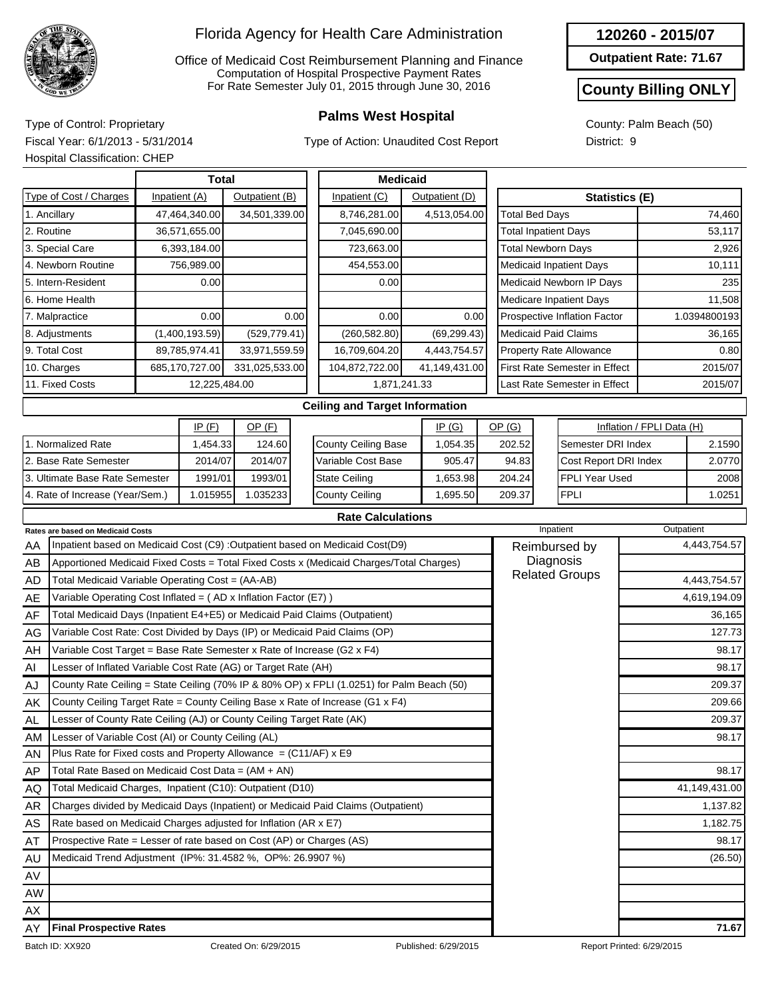

Office of Medicaid Cost Reimbursement Planning and Finance Computation of Hospital Prospective Payment Rates For Rate Semester July 01, 2015 through June 30, 2016

Type of Action: Unaudited Cost Report

**Outpatient Rate: 71.67**

## **County Billing ONLY**

County: Palm Beach (50) District: 9

**Palms West Hospital** Type of Control: Proprietary Fiscal Year: 6/1/2013 - 5/31/2014 Hospital Classification: CHEP

|                                                                                  | Tiuspilai Ulassiliualiuli. UTILI                                    |                                 |                |               |               |                                                                                         |                 |              |                             |                              |                                      |                           |              |
|----------------------------------------------------------------------------------|---------------------------------------------------------------------|---------------------------------|----------------|---------------|---------------|-----------------------------------------------------------------------------------------|-----------------|--------------|-----------------------------|------------------------------|--------------------------------------|---------------------------|--------------|
|                                                                                  |                                                                     | <b>Total</b>                    |                |               |               |                                                                                         | <b>Medicaid</b> |              |                             |                              |                                      |                           |              |
|                                                                                  | Type of Cost / Charges                                              | Inpatient (A)<br>Outpatient (B) |                |               | Inpatient (C) |                                                                                         | Outpatient (D)  |              |                             | <b>Statistics (E)</b>        |                                      |                           |              |
|                                                                                  | 1. Ancillary                                                        |                                 | 47,464,340.00  | 34,501,339.00 |               | 8,746,281.00<br>4,513,054.00                                                            |                 |              | <b>Total Bed Days</b>       |                              |                                      |                           | 74,460       |
| 2. Routine<br>36,571,655.00                                                      |                                                                     |                                 |                |               |               | 7,045,690.00                                                                            |                 |              | <b>Total Inpatient Days</b> | 53,117                       |                                      |                           |              |
| 3. Special Care<br>6,393,184.00                                                  |                                                                     |                                 |                |               |               | 723,663.00                                                                              |                 |              |                             |                              | <b>Total Newborn Days</b>            | 2,926                     |              |
|                                                                                  | 4. Newborn Routine                                                  |                                 | 756,989.00     |               |               | 454,553.00                                                                              |                 |              |                             |                              | Medicaid Inpatient Days              | 10,111                    |              |
|                                                                                  | 5. Intern-Resident                                                  |                                 | 0.00           |               |               | 0.00                                                                                    |                 |              |                             |                              | Medicaid Newborn IP Days             |                           | 235          |
|                                                                                  | 6. Home Health                                                      |                                 |                |               |               |                                                                                         |                 |              |                             |                              | Medicare Inpatient Days              |                           | 11,508       |
|                                                                                  | 7. Malpractice                                                      |                                 | 0.00           |               | 0.00          | 0.00                                                                                    |                 | 0.00         |                             |                              | Prospective Inflation Factor         |                           | 1.0394800193 |
|                                                                                  | 8. Adjustments                                                      |                                 | (1,400,193.59) | (529, 779.41) |               | (260, 582.80)                                                                           |                 | (69, 299.43) |                             |                              | <b>Medicaid Paid Claims</b>          |                           | 36,165       |
|                                                                                  | 9. Total Cost                                                       |                                 | 89,785,974.41  | 33,971,559.59 |               | 16,709,604.20                                                                           |                 | 4,443,754.57 |                             |                              | <b>Property Rate Allowance</b>       | 0.80                      |              |
|                                                                                  | 10. Charges<br>685,170,727.00<br>331,025,533.00                     |                                 |                |               |               | 104,872,722.00<br>41,149,431.00                                                         |                 |              |                             |                              | <b>First Rate Semester in Effect</b> | 2015/07                   |              |
| 11. Fixed Costs<br>12,225,484.00                                                 |                                                                     |                                 |                |               | 1,871,241.33  |                                                                                         |                 |              |                             | Last Rate Semester in Effect |                                      | 2015/07                   |              |
|                                                                                  |                                                                     |                                 |                |               |               | <b>Ceiling and Target Information</b>                                                   |                 |              |                             |                              |                                      |                           |              |
| IP(F)<br>$OP$ (F)                                                                |                                                                     |                                 |                |               |               |                                                                                         |                 | IP(G)        | OP(G)                       |                              |                                      | Inflation / FPLI Data (H) |              |
|                                                                                  | 1. Normalized Rate                                                  |                                 | 1,454.33       | 124.60        |               | <b>County Ceiling Base</b>                                                              |                 | 1,054.35     | 202.52                      |                              | Semester DRI Index                   |                           | 2.1590       |
|                                                                                  | 2. Base Rate Semester                                               |                                 | 2014/07        | 2014/07       |               | Variable Cost Base                                                                      |                 | 905.47       | 94.83                       |                              | Cost Report DRI Index                |                           | 2.0770       |
|                                                                                  | 3. Ultimate Base Rate Semester                                      |                                 | 1991/01        | 1993/01       |               | <b>State Ceiling</b>                                                                    |                 | 1,653.98     | 204.24                      | FPLI Year Used               |                                      |                           | 2008         |
|                                                                                  | 4. Rate of Increase (Year/Sem.)                                     |                                 | 1.015955       | 1.035233      |               | <b>County Ceiling</b>                                                                   |                 | 1,695.50     | 209.37                      |                              | <b>FPLI</b>                          | 1.0251                    |              |
|                                                                                  |                                                                     |                                 |                |               |               | <b>Rate Calculations</b>                                                                |                 |              |                             |                              |                                      |                           |              |
|                                                                                  | Rates are based on Medicaid Costs                                   |                                 |                |               |               |                                                                                         |                 |              |                             | Inpatient                    |                                      | Outpatient                |              |
| AA                                                                               |                                                                     |                                 |                |               |               | Inpatient based on Medicaid Cost (C9) : Outpatient based on Medicaid Cost(D9)           |                 |              |                             |                              | Reimbursed by                        |                           | 4,443,754.57 |
| AB                                                                               |                                                                     |                                 |                |               |               | Apportioned Medicaid Fixed Costs = Total Fixed Costs x (Medicaid Charges/Total Charges) |                 |              |                             |                              | Diagnosis                            |                           |              |
| AD                                                                               | Total Medicaid Variable Operating Cost = (AA-AB)                    |                                 |                |               |               |                                                                                         |                 |              |                             |                              | <b>Related Groups</b>                |                           | 4,443,754.57 |
| AE                                                                               | Variable Operating Cost Inflated = $(AD x)$ Inflation Factor (E7) ) |                                 |                |               |               |                                                                                         |                 |              |                             |                              |                                      |                           | 4,619,194.09 |
| Total Medicaid Days (Inpatient E4+E5) or Medicaid Paid Claims (Outpatient)<br>AF |                                                                     |                                 |                |               |               |                                                                                         |                 |              |                             |                              |                                      |                           | 36,165       |
| Variable Cost Rate: Cost Divided by Days (IP) or Medicaid Paid Claims (OP)<br>AG |                                                                     |                                 |                |               |               |                                                                                         |                 |              |                             |                              |                                      |                           | 127.73       |
| Variable Cost Target = Base Rate Semester x Rate of Increase (G2 x F4)<br>AH     |                                                                     |                                 |                |               |               |                                                                                         |                 |              |                             |                              |                                      |                           | 98.17        |
| Al                                                                               | Lesser of Inflated Variable Cost Rate (AG) or Target Rate (AH)      |                                 |                |               |               |                                                                                         |                 | 98.17        |                             |                              |                                      |                           |              |

| AE        | Variable Operating Cost Inflated = $(AD \times Inflation Factor (E7))$                    | 4,619,194.09  |
|-----------|-------------------------------------------------------------------------------------------|---------------|
| AF        | Total Medicaid Days (Inpatient E4+E5) or Medicaid Paid Claims (Outpatient)                | 36,165        |
| AG        | Variable Cost Rate: Cost Divided by Days (IP) or Medicaid Paid Claims (OP)                | 127.73        |
| AH        | Variable Cost Target = Base Rate Semester x Rate of Increase (G2 x F4)                    | 98.17         |
| AI        | Lesser of Inflated Variable Cost Rate (AG) or Target Rate (AH)                            | 98.17         |
| AJ        | County Rate Ceiling = State Ceiling (70% IP & 80% OP) x FPLI (1.0251) for Palm Beach (50) | 209.37        |
| AK        | County Ceiling Target Rate = County Ceiling Base x Rate of Increase (G1 x F4)             | 209.66        |
| <b>AL</b> | Lesser of County Rate Ceiling (AJ) or County Ceiling Target Rate (AK)                     | 209.37        |
| AM        | Lesser of Variable Cost (AI) or County Ceiling (AL)                                       | 98.17         |
| AN        | Plus Rate for Fixed costs and Property Allowance $= (C11/AF) \times E9$                   |               |
| AP        | Total Rate Based on Medicaid Cost Data = (AM + AN)                                        | 98.17         |
| AQ        | Total Medicaid Charges, Inpatient (C10): Outpatient (D10)                                 | 41,149,431.00 |
| AR        | Charges divided by Medicaid Days (Inpatient) or Medicaid Paid Claims (Outpatient)         | 1,137.82      |
| AS        | Rate based on Medicaid Charges adjusted for Inflation (AR x E7)                           | 1,182.75      |
| AT        | Prospective Rate = Lesser of rate based on Cost (AP) or Charges (AS)                      | 98.17         |
| AU        | Medicaid Trend Adjustment (IP%: 31.4582 %, OP%: 26.9907 %)                                | (26.50)       |
| AV        |                                                                                           |               |
| AW        |                                                                                           |               |
| AX        |                                                                                           |               |
| AY        | <b>Final Prospective Rates</b>                                                            | 71.67         |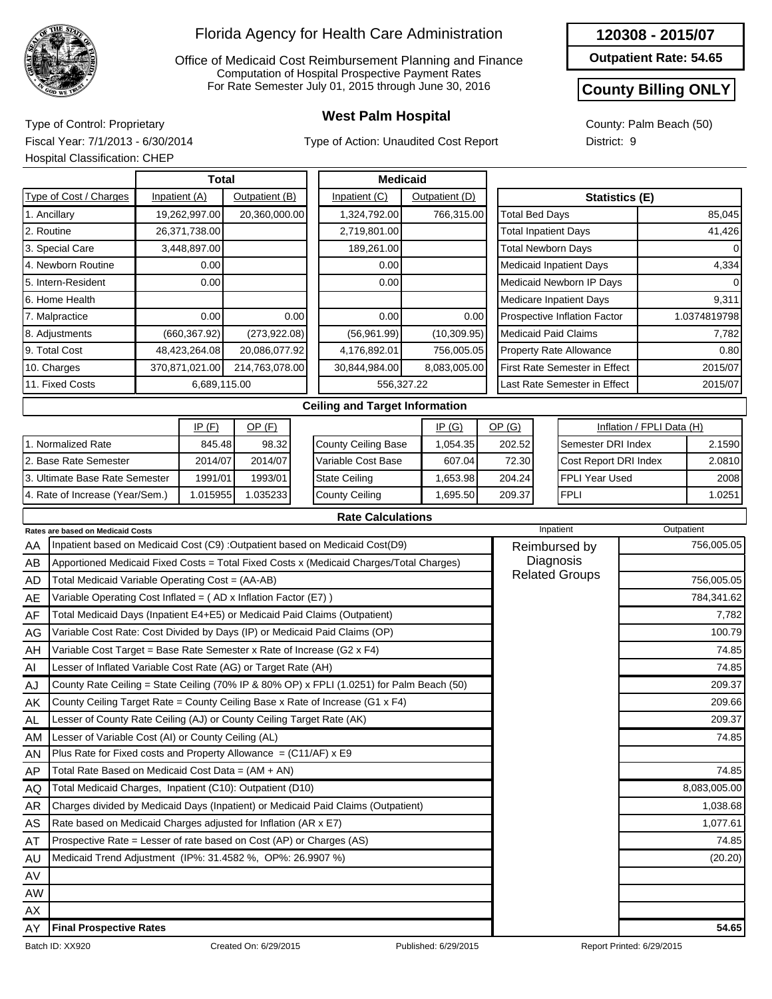

Office of Medicaid Cost Reimbursement Planning and Finance Computation of Hospital Prospective Payment Rates For Rate Semester July 01, 2015 through June 30, 2016

Type of Action: Unaudited Cost Report

**Outpatient Rate: 54.65**

### **County Billing ONLY**

County: Palm Beach (50) District: 9

**West Palm Hospital** Type of Control: Proprietary Fiscal Year: 7/1/2013 - 6/30/2014 Hospital Classification: CHEP

|                        |                                                                 | <b>Total</b>   |                |                            | <b>Medicaid</b>                                                                         |                |      |                                      |                              |                           |              |  |
|------------------------|-----------------------------------------------------------------|----------------|----------------|----------------------------|-----------------------------------------------------------------------------------------|----------------|------|--------------------------------------|------------------------------|---------------------------|--------------|--|
| Type of Cost / Charges |                                                                 | Inpatient (A)  | Outpatient (B) |                            | Inpatient (C)                                                                           | Outpatient (D) |      | <b>Statistics (E)</b>                |                              |                           |              |  |
| 1. Ancillary           |                                                                 | 19,262,997.00  | 20,360,000.00  |                            | 1,324,792.00                                                                            | 766,315.00     |      | <b>Total Bed Days</b>                |                              |                           | 85,045       |  |
| 2. Routine             |                                                                 | 26,371,738.00  |                |                            | 2,719,801.00                                                                            |                |      | <b>Total Inpatient Days</b>          |                              |                           | 41,426       |  |
|                        | 3. Special Care                                                 | 3,448,897.00   |                |                            | 189,261.00                                                                              |                |      | <b>Total Newborn Days</b>            |                              |                           | 0            |  |
|                        | 4. Newborn Routine                                              | 0.00           |                |                            | 0.00                                                                                    |                |      |                                      | Medicaid Inpatient Days      |                           | 4,334        |  |
|                        | 5. Intern-Resident                                              | 0.00           |                |                            | 0.00                                                                                    |                |      |                                      | Medicaid Newborn IP Days     |                           |              |  |
|                        | 6. Home Health                                                  |                |                |                            |                                                                                         |                |      |                                      | Medicare Inpatient Days      |                           | 9,311        |  |
|                        | 7. Malpractice                                                  | 0.00           |                | 0.00                       | 0.00                                                                                    |                | 0.00 |                                      | Prospective Inflation Factor |                           | 1.0374819798 |  |
|                        | 8. Adjustments                                                  | (660, 367.92)  | (273, 922.08)  |                            | (56,961.99)                                                                             | (10, 309.95)   |      |                                      | <b>Medicaid Paid Claims</b>  |                           | 7,782        |  |
|                        | 9. Total Cost                                                   | 48,423,264.08  | 20,086,077.92  |                            | 4,176,892.01                                                                            | 756,005.05     |      |                                      | Property Rate Allowance      |                           | 0.80         |  |
|                        | 10. Charges                                                     | 370,871,021.00 | 214,763,078.00 |                            | 30,844,984.00                                                                           | 8,083,005.00   |      | <b>First Rate Semester in Effect</b> |                              |                           | 2015/07      |  |
|                        | 11. Fixed Costs                                                 | 6,689,115.00   |                |                            |                                                                                         | 556,327.22     |      | Last Rate Semester in Effect         |                              |                           | 2015/07      |  |
|                        |                                                                 |                |                |                            | <b>Ceiling and Target Information</b>                                                   |                |      |                                      |                              |                           |              |  |
|                        |                                                                 | IP(F)          | $OP$ (F)       |                            |                                                                                         | IP(G)          |      | OP(G)                                |                              | Inflation / FPLI Data (H) |              |  |
| 1. Normalized Rate     |                                                                 | 845.48         | 98.32          | <b>County Ceiling Base</b> |                                                                                         | 1,054.35       |      | 202.52                               | Semester DRI Index           |                           | 2.1590       |  |
|                        | 2. Base Rate Semester                                           | 2014/07        | 2014/07        | Variable Cost Base         |                                                                                         | 607.04         |      | 72.30                                | Cost Report DRI Index        |                           | 2.0810       |  |
|                        | 3. Ultimate Base Rate Semester                                  | 1991/01        | 1993/01        | <b>State Ceiling</b>       |                                                                                         | 1,653.98       |      | 204.24                               | <b>FPLI Year Used</b>        |                           | 2008         |  |
|                        | 4. Rate of Increase (Year/Sem.)                                 | 1.015955       | 1.035233       |                            | <b>County Ceiling</b>                                                                   | 1,695.50       |      | 209.37                               | <b>FPLI</b>                  |                           | 1.0251       |  |
|                        |                                                                 |                |                |                            | <b>Rate Calculations</b>                                                                |                |      |                                      |                              |                           |              |  |
|                        | <b>Rates are based on Medicaid Costs</b>                        |                |                |                            |                                                                                         |                |      |                                      | Inpatient                    |                           | Outpatient   |  |
| AA                     |                                                                 |                |                |                            | Inpatient based on Medicaid Cost (C9) : Outpatient based on Medicaid Cost(D9)           |                |      |                                      | Reimbursed by                |                           | 756,005.05   |  |
| AB                     |                                                                 |                |                |                            | Apportioned Medicaid Fixed Costs = Total Fixed Costs x (Medicaid Charges/Total Charges) |                |      | Diagnosis                            |                              |                           |              |  |
| AD                     | Total Medicaid Variable Operating Cost = (AA-AB)                |                |                |                            |                                                                                         |                |      |                                      | <b>Related Groups</b>        |                           | 756,005.05   |  |
| AE                     | Variable Operating Cost Inflated = (AD x Inflation Factor (E7)) |                |                |                            |                                                                                         |                |      |                                      |                              |                           | 784,341.62   |  |

| mш. | $\mu$ variable Operating Cost imitated $\mu$ (AD x imitation ) action (ETT)               | $10 + 0 + 1.02$ |
|-----|-------------------------------------------------------------------------------------------|-----------------|
| AF  | Total Medicaid Days (Inpatient E4+E5) or Medicaid Paid Claims (Outpatient)                | 7,782           |
| AG  | Variable Cost Rate: Cost Divided by Days (IP) or Medicaid Paid Claims (OP)                | 100.79          |
| AH  | Variable Cost Target = Base Rate Semester x Rate of Increase (G2 x F4)                    | 74.85           |
| AI  | Lesser of Inflated Variable Cost Rate (AG) or Target Rate (AH)                            | 74.85           |
| AJ  | County Rate Ceiling = State Ceiling (70% IP & 80% OP) x FPLI (1.0251) for Palm Beach (50) | 209.37          |
| AK. | County Ceiling Target Rate = County Ceiling Base x Rate of Increase (G1 x F4)             | 209.66          |
| AL  | Lesser of County Rate Ceiling (AJ) or County Ceiling Target Rate (AK)                     | 209.37          |
| AM  | Lesser of Variable Cost (AI) or County Ceiling (AL)                                       | 74.85           |
| AN  | Plus Rate for Fixed costs and Property Allowance $= (C11/AF)$ x E9                        |                 |
| AP  | Total Rate Based on Medicaid Cost Data = (AM + AN)                                        | 74.85           |
| AQ. | Total Medicaid Charges, Inpatient (C10): Outpatient (D10)                                 | 8,083,005.00    |
| AR  | Charges divided by Medicaid Days (Inpatient) or Medicaid Paid Claims (Outpatient)         | 1,038.68        |
| AS  | Rate based on Medicaid Charges adjusted for Inflation (AR x E7)                           | 1,077.61        |
| AT  | Prospective Rate = Lesser of rate based on Cost (AP) or Charges (AS)                      | 74.85           |
| AU  | Medicaid Trend Adjustment (IP%: 31.4582 %, OP%: 26.9907 %)                                | (20.20)         |
| AV  |                                                                                           |                 |
| AW  |                                                                                           |                 |
| AX  |                                                                                           |                 |
| AY  | <b>Final Prospective Rates</b>                                                            | 54.65           |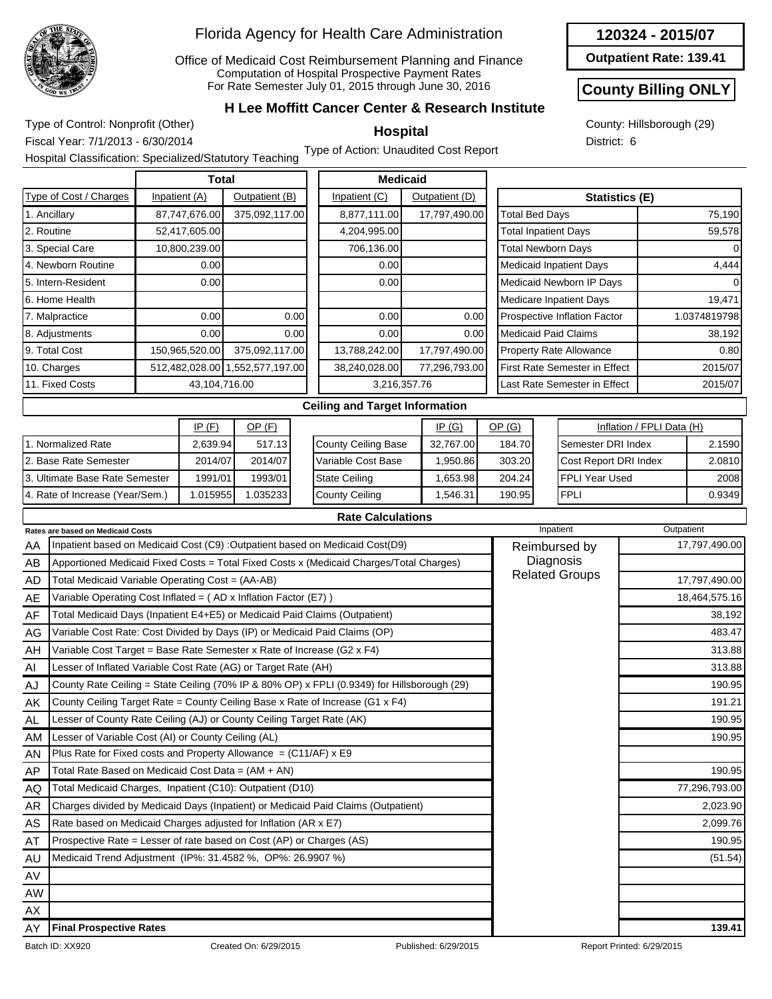

1. Normalized Rate 2. Base Rate Semester

3. Ultimate Base Rate Semester 4. Rate of Increase (Year/Sem.)

#### Florida Agency for Health Care Administration

Office of Medicaid Cost Reimbursement Planning and Finance Computation of Hospital Prospective Payment Rates For Rate Semester July 01, 2015 through June 30, 2016

#### **120324 - 2015/07**

**Outpatient Rate: 139.41**

#### **County Billing ONLY**

County: Hillsborough (29) District: 6

**H Lee Moffitt Cancer Center & Research Institute** 

**Hospital**

Type of Control: Nonprofit (Other) Fiscal Year: 7/1/2013 - 6/30/2014

Hospital Classification: Specialized/Statutory Teaching Type of Action: Unaudited Cost Report

|                        | Total          |                                 |               | <b>Medicaid</b> |                                              |         |  |
|------------------------|----------------|---------------------------------|---------------|-----------------|----------------------------------------------|---------|--|
| Type of Cost / Charges | Inpatient (A)  | Outpatient (B)                  |               | Outpatient (D)  | <b>Statistics (E)</b>                        |         |  |
| 1. Ancillary           | 87,747,676.00  | 375,092,117.00                  | 8,877,111.00  | 17,797,490.00   | <b>Total Bed Days</b>                        | 75,190  |  |
| 2. Routine             | 52,417,605.00  |                                 | 4,204,995.00  |                 | <b>Total Inpatient Days</b>                  | 59,578  |  |
| 3. Special Care        | 10,800,239.00  |                                 | 706,136.00    |                 | <b>Total Newborn Days</b>                    |         |  |
| 4. Newborn Routine     | 0.00           |                                 | 0.00          |                 | <b>Medicaid Inpatient Days</b><br>4,444      |         |  |
| 5. Intern-Resident     | 0.00           |                                 | 0.00          |                 | Medicaid Newborn IP Days                     |         |  |
| 6. Home Health         |                |                                 |               |                 | Medicare Inpatient Days                      | 19,471  |  |
| 7. Malpractice         | 0.00           | 0.00                            | 0.00          | 0.00            | Prospective Inflation Factor<br>1.0374819798 |         |  |
| 8. Adjustments         | 0.00           | 0.00                            | 0.00          | 0.00            | <b>Medicaid Paid Claims</b>                  | 38,192  |  |
| 9. Total Cost          | 150,965,520.00 | 375,092,117.00                  | 13,788,242.00 | 17,797,490.00   | <b>Property Rate Allowance</b>               | 0.80    |  |
| 10. Charges            |                | 512,482,028.00 1,552,577,197.00 | 38,240,028.00 | 77,296,793.00   | First Rate Semester in Effect                | 2015/07 |  |
| 11. Fixed Costs        | 43,104,716.00  |                                 |               | 3,216,357.76    | Last Rate Semester in Effect                 | 2015/07 |  |

| <b>Ceiling and Target Information</b> |  |  |  |
|---------------------------------------|--|--|--|
|---------------------------------------|--|--|--|

| IP(F)    | <u>OP (F)</u> |                     | IP(G)     | OP(G)  | Inflation / FPLI Data (H) |        |
|----------|---------------|---------------------|-----------|--------|---------------------------|--------|
| 2,639.94 | 517.13        | County Ceiling Base | 32.767.00 | 184.70 | <b>Semester DRI Index</b> | 2.1590 |
| 2014/07  | 2014/07       | Variable Cost Base  | 1,950.86  | 303.20 | Cost Report DRI Index     |        |
| 1991/01  | 1993/01       | State Ceiling       | 1,653.98  | 204.24 | <b>IFPLI Year Used</b>    | 2008   |
| 1.015955 | 1.035233      | County Ceiling      | 1,546.31  | 190.95 | IFPLI                     | 0.9349 |

|           | <b>Rates are based on Medicaid Costs</b>                                                    | Inpatient             | Outpatient    |
|-----------|---------------------------------------------------------------------------------------------|-----------------------|---------------|
| AA        | Inpatient based on Medicaid Cost (C9) : Outpatient based on Medicaid Cost(D9)               | Reimbursed by         | 17,797,490.00 |
| AB        | Apportioned Medicaid Fixed Costs = Total Fixed Costs x (Medicaid Charges/Total Charges)     | Diagnosis             |               |
| AD        | Total Medicaid Variable Operating Cost = (AA-AB)                                            | <b>Related Groups</b> | 17,797,490.00 |
| AE        | Variable Operating Cost Inflated = $(AD \times Inflation Factor (E7))$                      |                       | 18,464,575.16 |
| AF        | Total Medicaid Days (Inpatient E4+E5) or Medicaid Paid Claims (Outpatient)                  |                       | 38,192        |
| AG        | Variable Cost Rate: Cost Divided by Days (IP) or Medicaid Paid Claims (OP)                  |                       | 483.47        |
| AH        | Variable Cost Target = Base Rate Semester x Rate of Increase $(G2 \times F4)$               |                       | 313.88        |
| AI        | Lesser of Inflated Variable Cost Rate (AG) or Target Rate (AH)                              |                       | 313.88        |
| AJ        | County Rate Ceiling = State Ceiling (70% IP & 80% OP) x FPLI (0.9349) for Hillsborough (29) |                       | 190.95        |
| AK        | County Ceiling Target Rate = County Ceiling Base x Rate of Increase (G1 x F4)               |                       | 191.21        |
| <b>AL</b> | Lesser of County Rate Ceiling (AJ) or County Ceiling Target Rate (AK)                       |                       | 190.95        |
| AM        | Lesser of Variable Cost (AI) or County Ceiling (AL)                                         |                       | 190.95        |
| AN        | Plus Rate for Fixed costs and Property Allowance = $(C11/AF)$ x E9                          |                       |               |
| AP        | Total Rate Based on Medicaid Cost Data = $(AM + AN)$                                        |                       | 190.95        |
| AQ        | Total Medicaid Charges, Inpatient (C10): Outpatient (D10)                                   |                       | 77,296,793.00 |
| <b>AR</b> | Charges divided by Medicaid Days (Inpatient) or Medicaid Paid Claims (Outpatient)           |                       | 2,023.90      |
| AS        | Rate based on Medicaid Charges adjusted for Inflation (AR x E7)                             |                       | 2.099.76      |
| AT        | Prospective Rate = Lesser of rate based on Cost (AP) or Charges (AS)                        |                       | 190.95        |
| AU        | Medicaid Trend Adjustment (IP%: 31.4582 %, OP%: 26.9907 %)                                  |                       | (51.54)       |
| AV        |                                                                                             |                       |               |
| AW        |                                                                                             |                       |               |
| AX        |                                                                                             |                       |               |
| AY        | <b>Final Prospective Rates</b>                                                              |                       | 139.41        |